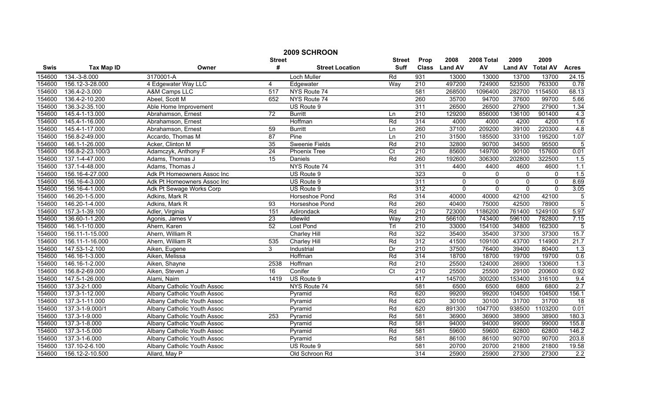| 2009 SCHROON |                   |                             |                 |                        |                |                  |               |             |                |                 |                  |
|--------------|-------------------|-----------------------------|-----------------|------------------------|----------------|------------------|---------------|-------------|----------------|-----------------|------------------|
|              |                   |                             | <b>Street</b>   |                        | <b>Street</b>  | Prop             | 2008          | 2008 Total  | 2009           | 2009            |                  |
| Swis         | <b>Tax Map ID</b> | Owner                       | #               | <b>Street Location</b> | <b>Suff</b>    |                  | Class Land AV | AV          | <b>Land AV</b> | <b>Total AV</b> | <b>Acres</b>     |
| 154600       | 134.-3-8.000      | 3170001-A                   |                 | <b>Loch Muller</b>     | Rd             | 931              | 13000         | 13000       | 13700          | 13700           | 24.15            |
| 154600       | 156.12-3-28.000   | 4 Edgewater Way LLC         | 4               | Edgewater              | Way            | 210              | 497200        | 724900      | 523500         | 763300          | 0.78             |
| 154600       | 136.4-2-3.000     | <b>A&amp;M Camps LLC</b>    | 517             | NYS Route 74           |                | 581              | 268500        | 1096400     | 282700         | 1154500         | 68.13            |
| 154600       | 136.4-2-10.200    | Abeel, Scott M              | 652             | NYS Route 74           |                | 260              | 35700         | 94700       | 37600          | 99700           | 5.66             |
| 154600       | 136.3-2-35.100    | Able Home Improvement       |                 | US Route 9             |                | 311              | 26500         | 26500       | 27900          | 27900           | 1.34             |
| 154600       | 145.4-1-13.000    | Abrahamson, Ernest          | $\overline{72}$ | <b>Burritt</b>         | Ln             | $\overline{210}$ | 129200        | 856000      | 136100         | 901400          | 4.3              |
| 154600       | 145.4-1-16.000    | Abrahamson, Ernest          |                 | Hoffman                | Rd             | 314              | 4000          | 4000        | 4200           | 4200            | 1.6              |
| 154600       | 145.4-1-17.000    | Abrahamson, Ernest          | 59              | <b>Burritt</b>         | Ln             | 260              | 37100         | 209200      | 39100          | 220300          | 4.8              |
| 154600       | 156.8-2-49.000    | Accardo, Thomas M           | 87              | Pine                   | Ln             | 210              | 31500         | 185500      | 33100          | 195200          | 1.07             |
| 154600       | 146.1-1-26.000    | Acker, Clinton M            | $\overline{35}$ | <b>Sweenie Fields</b>  | Rd             | 210              | 32800         | 90700       | 34500          | 95500           | 5                |
| 154600       | 156.8-2-23.100/3  | Adamczyk, Anthony F         | $\overline{24}$ | Phoenix Tree           | $\overline{C}$ | $\overline{210}$ | 85600         | 149700      | 90100          | 157600          | 0.01             |
| 154600       | 137.1-4-47.000    | Adams, Thomas J             | 15              | Daniels                | Rd             | 260              | 192600        | 306300      | 202800         | 322500          | 1.5              |
| 154600       | 137.1-4-48.000    | Adams, Thomas J             |                 | NYS Route 74           |                | 311              | 4400          | 4400        | 4600           | 4600            | 1.1              |
| 154600       | 156.16-4-27.000   | Adk Pt Homeowners Assoc Inc |                 | US Route 9             |                | 323              | $\Omega$      | $\Omega$    | $\mathbf{0}$   | $\Omega$        | 1.5              |
| 154600       | 156.16-4-3.000    | Adk Pt Homeowners Assoc Inc |                 | US Route 9             |                | 311              | 0             | $\mathbf 0$ | 0              | $\mathbf 0$     | 8.69             |
| 154600       | 156.16-4-1.000    | Adk Pt Sewage Works Corp    |                 | US Route 9             |                | 312              | $\mathbf 0$   | $\mathbf 0$ | $\mathbf{0}$   | $\Omega$        | 3.05             |
| 154600       | 146.20-1-5.000    | Adkins, Mark R              |                 | Horseshoe Pond         | Rd             | 314              | 40000         | 40000       | 42100          | 42100           | $\overline{5}$   |
| 154600       | 146.20-1-4.000    | Adkins, Mark R              | 93              | Horseshoe Pond         | Rd             | 260              | 40400         | 75000       | 42500          | 78900           | $\overline{5}$   |
| 154600       | 157.3-1-39.100    | Adler, Virginia             | 151             | Adirondack             | Rd             | $\overline{210}$ | 723000        | 1186200     | 761400         | 1249100         | 5.97             |
| 154600       | 136.60-1-1.200    | Agonis, James V             | 23              | Idlewild               | Way            | 210              | 566100        | 743400      | 596100         | 782800          | 7.15             |
| 154600       | 146.1-1-10.000    | Ahern, Karen                | 52              | Lost Pond              | Trl            | $\overline{210}$ | 33000         | 154100      | 34800          | 162300          | 5                |
| 154600       | 156.11-1-15.000   | Ahern, William R            |                 | Charley Hill           | Rd             | 322              | 35400         | 35400       | 37300          | 37300           | 15.7             |
| 154600       | 156.11-1-16.000   | Ahern, William R            | 535             | <b>Charley Hill</b>    | Rd             | 312              | 41500         | 109100      | 43700          | 114900          | 21.7             |
| 154600       | 147.53-1-2.100    | Aiken, Eugene               | 3               | Industrial             | Dr             | 210              | 37500         | 76400       | 39400          | 80400           | $\overline{1.3}$ |
| 154600       | 146.16-1-3.000    | Aiken, Melissa              |                 | Hoffman                | Rd             | 314              | 18700         | 18700       | 19700          | 19700           | 0.6              |
| 154600       | 146.16-1-2.000    | Aiken, Shayne               | 2538            | Hoffman                | Rd             | 210              | 25500         | 124000      | 26900          | 130600          | 1.3              |
| 154600       | 156.8-2-69.000    | Aiken, Steven J             | 16              | Conifer                | $\overline{C}$ | 210              | 25500         | 25500       | 29100          | 200600          | 0.92             |
| 154600       | 147.5-1-26.000    | Alami, Naim                 | 1419            | US Route 9             |                | 417              | 145700        | 300200      | 153400         | 316100          | 9.4              |
| 154600       | 137.3-2-1.000     | Albany Catholic Youth Assoc |                 | NYS Route 74           |                | 581              | 6500          | 6500        | 6800           | 6800            | 2.7              |
| 154600       | 137.3-1-12.000    | Albany Catholic Youth Assoc |                 | Pyramid                | Rd             | 620              | 99200         | 99200       | 104500         | 104500          | 156.1            |
| 154600       | 137.3-1-11.000    | Albany Catholic Youth Assoc |                 | Pyramid                | Rd             | 620              | 30100         | 30100       | 31700          | 31700           | 18               |
| 154600       | 137.3-1-9.000/1   | Albany Catholic Youth Assoc |                 | Pyramid                | Rd             | 620              | 891300        | 1047700     | 938500         | 1103200         | 0.01             |
| 154600       | 137.3-1-9.000     | Albany Catholic Youth Assoc | 253             | Pyramid                | Rd             | 581              | 36900         | 36900       | 38900          | 38900           | 180.3            |
| 154600       | 137.3-1-8.000     | Albany Catholic Youth Assoc |                 | Pyramid                | Rd             | 581              | 94000         | 94000       | 99000          | 99000           | 155.8            |
| 154600       | 137.3-1-5.000     | Albany Catholic Youth Assoc |                 | Pyramid                | Rd             | 581              | 59600         | 59600       | 62800          | 62800           | 146.2            |
| 154600       | 137.3-1-6.000     | Albany Catholic Youth Assoc |                 | Pyramid                | Rd             | 581              | 86100         | 86100       | 90700          | 90700           | 203.8            |
| 154600       | 137.10-2-6.100    | Albany Catholic Youth Assoc |                 | US Route 9             |                | 581              | 20700         | 20700       | 21800          | 21800           | 19.58            |
| 154600       | 156.12-2-10.500   | Allard, May P               |                 | Old Schroon Rd         |                | 314              | 25900         | 25900       | 27300          | 27300           | 2.2              |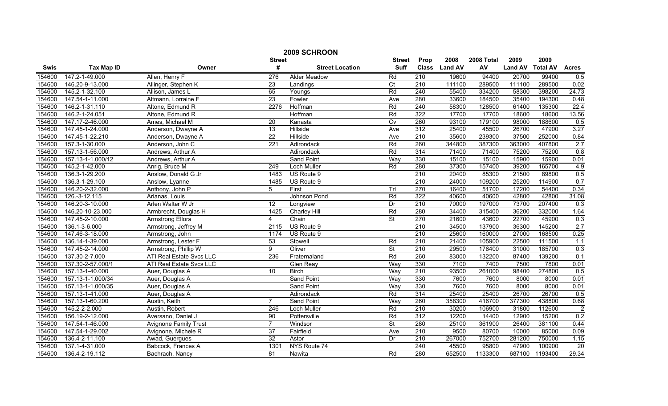| 2009 SCHROON |                   |                              |                  |                        |                          |                  |                |            |                |                 |                |
|--------------|-------------------|------------------------------|------------------|------------------------|--------------------------|------------------|----------------|------------|----------------|-----------------|----------------|
|              |                   |                              | <b>Street</b>    |                        | <b>Street</b>            | Prop             | 2008           | 2008 Total | 2009           | 2009            |                |
| Swis         | <b>Tax Map ID</b> | Owner                        | #                | <b>Street Location</b> | <b>Suff</b>              | <b>Class</b>     | <b>Land AV</b> | AV         | <b>Land AV</b> | <b>Total AV</b> | <b>Acres</b>   |
| 154600       | 147.2-1-49.000    | Allen, Henry F               | $\overline{276}$ | <b>Alder Meadow</b>    | Rd                       | $\overline{210}$ | 19600          | 94400      | 20700          | 99400           | 0.5            |
| 154600       | 146.20-9-13.000   | Allinger, Stephen K          | $\overline{23}$  | Landings               | $\overline{C}$           | $\overline{210}$ | 111100         | 289500     | 111100         | 289500          | 0.02           |
| 154600       | 145.2-1-32.100    | Allison, James L             | 65               | Youngs                 | Rd                       | 240              | 55400          | 334200     | 58300          | 398200          | 24.73          |
| 154600       | 147.54-1-11.000   | Altmann, Lorraine F          | 23               | Fowler                 | Ave                      | 280              | 33600          | 184500     | 35400          | 194300          | 0.48           |
| 154600       | 146.2-1-31.110    | Altone, Edmund R             | 2276             | Hoffman                | Rd                       | 240              | 58300          | 128500     | 61400          | 135300          | 22.4           |
| 154600       | 146.2-1-24.051    | Altone, Edmund R             |                  | Hoffman                | Rd                       | 322              | 17700          | 17700      | 18600          | 18600           | 13.56          |
| 154600       | 147.17-2-46.000   | Ames, Michael M              | 20               | Kanasta                | Cv                       | 260              | 93100          | 179100     | 98000          | 188600          | 0.5            |
| 154600       | 147.45-1-24.000   | Anderson, Dwayne A           | 13               | Hillside               | Ave                      | 312              | 25400          | 45500      | 26700          | 47900           | 3.27           |
| 154600       | 147.45-1-22.210   | Anderson, Dwayne A           | $\overline{22}$  | Hillside               | Ave                      | 210              | 35600          | 239300     | 37500          | 252000          | 0.84           |
| 154600       | 157.3-1-30.000    | Anderson, John C             | $\overline{221}$ | Adirondack             | Rd                       | 260              | 344800         | 387300     | 363000         | 407800          | 2.7            |
| 154600       | 157.13-1-56.000   | Andrews, Arthur A            |                  | Adirondack             | Rd                       | 314              | 71400          | 71400      | 75200          | 75200           | 0.8            |
| 154600       | 157.13-1-1.000/12 | Andrews, Arthur A            |                  | <b>Sand Point</b>      | Way                      | 330              | 15100          | 15100      | 15900          | 15900           | 0.01           |
| 154600       | 145.2-1-42.000    | Anrig, Bruce M               | 249              | <b>Loch Muller</b>     | Rd                       | 280              | 37300          | 157400     | 39200          | 165700          | 4.9            |
| 154600       | 136.3-1-29.200    | Anslow, Donald G Jr          | 1483             | US Route 9             |                          | $\overline{210}$ | 20400          | 85300      | 21500          | 89800           | 0.5            |
| 154600       | 136.3-1-29.100    | Anslow, Lyanne               | 1485             | US Route 9             |                          | $\overline{210}$ | 24000          | 109200     | 25200          | 114900          | 0.7            |
| 154600       | 146.20-2-32.000   | Anthony, John P              | 5                | First                  | Trl                      | 270              | 16400          | 51700      | 17200          | 54400           | 0.34           |
| 154600       | 126.-3-12.115     | Arianas, Louis               |                  | Johnson Pond           | Rd                       | 322              | 40600          | 40600      | 42800          | 42800           | 31.08          |
| 154600       | 146.20-3-10.000   | Arlen Walter W Jr            | 12               | Longview               | Dr                       | 210              | 70000          | 197000     | 73700          | 207400          | 0.3            |
| 154600       | 146.20-10-23.000  | Armbrecht, Douglas H         | 1425             | <b>Charley Hill</b>    | Rd                       | 280              | 34400          | 315400     | 36200          | 332000          | 1.64           |
| 154600       | 147.45-2-10.000   | Armstrong Ellora             | 4                | Chain                  | St                       | 270              | 21600          | 43600      | 22700          | 45900           | 0.3            |
| 154600       | 136.1-3-6.000     | Armstrong, Jeffrey M         | 2115             | US Route 9             |                          | $\overline{210}$ | 34500          | 137900     | 36300          | 145200          | 2.7            |
| 154600       | 147.46-3-18.000   | Armstrong, John              | 1174             | US Route 9             |                          | 210              | 25600          | 160000     | 27000          | 168500          | 0.25           |
| 154600       | 136.14-1-39.000   | Armstrong, Lester F          | 53               | Stowell                | Rd                       | 210              | 21400          | 105900     | 22500          | 111500          | 1.1            |
| 154600       | 147.45-2-14.000   | Armstrong, Phillip W         | 9                | Oliver                 | $\overline{\mathsf{St}}$ | 210              | 29500          | 176400     | 31000          | 185700          | 0.3            |
| 154600       | 137.30-2-7.000    | ATI Real Estate Svcs LLC     | 236              | Fraternaland           | Rd                       | 260              | 83000          | 132200     | 87400          | 139200          | 0.1            |
| 154600       | 137.30-2-57.000/1 | ATI Real Estate Svcs LLC     |                  | Glen Reay              | Way                      | 330              | 7100           | 7400       | 7500           | 7800            | 0.01           |
| 154600       | 157.13-1-40.000   | Auer, Douglas A              | 10 <sup>1</sup>  | <b>Birch</b>           | Way                      | $\overline{210}$ | 93500          | 261000     | 98400          | 274800          | 0.5            |
| 154600       | 157.13-1-1.000/34 | Auer, Douglas A              |                  | <b>Sand Point</b>      | Way                      | 330              | 7600           | 7600       | 8000           | 8000            | 0.01           |
| 154600       | 157.13-1-1.000/35 | Auer, Douglas A              |                  | <b>Sand Point</b>      | Way                      | 330              | 7600           | 7600       | 8000           | 8000            | 0.01           |
| 154600       | 157.13-1-41.000   | Auer, Douglas A              |                  | Adirondack             | Rd                       | 314              | 25400          | 25400      | 26700          | 26700           | 0.5            |
| 154600       | 157.13-1-60.200   | Austin, Keith                | 7                | <b>Sand Point</b>      | Way                      | 260              | 358300         | 416700     | 377300         | 438800          | 0.68           |
| 154600       | 145.2-2-2.000     | Austin, Robert               | 246              | <b>Loch Muller</b>     | Rd                       | 210              | 30200          | 106900     | 31800          | 112600          | $\overline{2}$ |
| 154600       | 156.19-2-12.000   | Aversano, Daniel J           | 90               | Pottersville           | Rd                       | 312              | 12200          | 14400      | 12900          | 15200           | 0.2            |
| 154600       | 147.54-1-46.000   | <b>Avignone Family Trust</b> | $\overline{7}$   | Windsor                | $\overline{\mathsf{St}}$ | 280              | 25100          | 361900     | 26400          | 381100          | 0.44           |
| 154600       | 147.54-1-29.002   | Avignone, Michele R          | 37               | Fairfield              | Ave                      | $\overline{210}$ | 9500           | 80700      | 10000          | 85000           | 0.09           |
| 154600       | 136.4-2-11.100    | Awad, Guergues               | $\overline{32}$  | Astor                  | Dr                       | 210              | 267000         | 752700     | 281200         | 750000          | 1.15           |
| 154600       | 137.1-4-31.000    | Babcock, Frances A           | 1301             | NYS Route 74           |                          | 240              | 45500          | 95800      | 47900          | 100900          | 20             |
| 154600       | 136.4-2-19.112    | Bachrach, Nancy              | 81               | Nawita                 | Rd                       | 280              | 652500         | 1133300    | 687100         | 1193400         | 29.34          |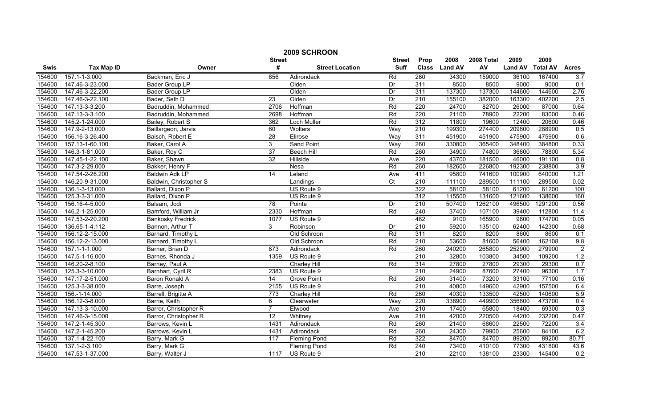| 2009 SCHROON |                   |                          |                 |                        |               |                  |               |            |                |                 |                |
|--------------|-------------------|--------------------------|-----------------|------------------------|---------------|------------------|---------------|------------|----------------|-----------------|----------------|
|              |                   |                          | <b>Street</b>   |                        | <b>Street</b> | Prop             | 2008          | 2008 Total | 2009           | 2009            |                |
| Swis         | <b>Tax Map ID</b> | Owner                    | #               | <b>Street Location</b> | <b>Suff</b>   |                  | Class Land AV | AV         | <b>Land AV</b> | <b>Total AV</b> | <b>Acres</b>   |
| 154600       | 157.1-1-3.000     | Backman, Eric J          | 856             | Adirondack             | Rd            | 260              | 34300         | 159000     | 36100          | 167400          | 3.7            |
| 154600       | 147.46-3-23.000   | Bader Group LP           |                 | Olden                  | Dr            | 311              | 8500          | 8500       | 9000           | 9000            | 0.1            |
| 154600       | 147.46-3-22.200   | <b>Bader Group LP</b>    |                 | Olden                  | Dr            | 311              | 137300        | 137300     | 144600         | 144600          | 2.76           |
| 154600       | 147.46-3-22.100   | Bader, Seth D            | $\overline{23}$ | Olden                  | Dr            | 210              | 155100        | 382000     | 163300         | 402200          | 2.5            |
| 154600       | 147.13-3-3.200    | Badruddin, Mohammed      | 2706            | Hoffman                | Rd            | 220              | 24700         | 82700      | 26000          | 87000           | 0.64           |
| 154600       | 147.13-3-3.100    | Badruddin, Mohammed      | 2698            | Hoffman                | Rd            | 220              | 21100         | 78900      | 22200          | 83000           | 0.46           |
| 154600       | 145.2-1-24.000    | Bailey, Robert S         | 362             | <b>Loch Muller</b>     | Rd            | 312              | 11800         | 19600      | 12400          | 20600           | 0.46           |
| 154600       | 147.9-2-13.000    | Baillargeon, Jarvis      | 60              | <b>Wolters</b>         | Way           | 210              | 199300        | 274400     | 209800         | 288900          | 0.5            |
| 154600       | 156.16-3-26.400   | Baisch, Robert E         | $\overline{28}$ | Elirose                | Way           | 311              | 451900        | 451900     | 475900         | 475900          | 0.6            |
| 154600       | 157.13-1-60.100   | Baker, Carol A           | 3               | Sand Point             | Way           | 260              | 330800        | 365400     | 348400         | 384800          | 0.33           |
| 154600       | 146.3-1-81.000    | Baker, Roy C             | 37              | <b>Beech Hill</b>      | Rd            | 260              | 34900         | 74800      | 36800          | 78800           | 5.34           |
| 154600       | 147.45-1-22.100   | Baker, Shawn             | 32              | Hillside               | Ave           | 220              | 43700         | 181500     | 46000          | 191100          | 0.8            |
| 154600       | 147.3-2-29.000    | Bakker, Henry F          |                 | Nesa                   | Rd            | 260              | 182600        | 226800     | 192300         | 238800          | 3.9            |
| 154600       | 147.54-2-26.200   | <b>Baldwin Adk LP</b>    | 14              | Leland                 | Ave           | 411              | 95800         | 741600     | 100900         | 640000          | 1.21           |
| 154600       | 146.20-9-31.000   | Baldwin, Christopher S   |                 | Landings               | Ct            | $\overline{210}$ | 111100        | 289500     | 111100         | 289500          | 0.02           |
| 154600       | 136.1-3-13.000    | Ballard, Dixon P         |                 | US Route 9             |               | 322              | 58100         | 58100      | 61200          | 61200           | 100            |
| 154600       | 125.3-3-31.000    | Ballard, Dixon P         |                 | US Route 9             |               | 312              | 115500        | 131600     | 121600         | 138600          | 160            |
| 154600       | 156.16-4-5.000    | Balsam, Jodi             | 78              | Pointe                 | Dr            | 210              | 507400        | 1262100    | 496500         | 1291200         | 0.56           |
| 154600       | 146.2-1-25.000    | Bamford, William Jr      | 2330            | Hoffman                | Rd            | 240              | 37400         | 107100     | 39400          | 112800          | 11.4           |
| 154600       | 147.53-2-20.200   | <b>Bankosky Fredrick</b> | 1077            | US Route 9             |               | 482              | 9100          | 165900     | 9600           | 174700          | 0.05           |
| 154600       | 136.65-1-4.112    | Bannon, Arthur T         | 3               | Robinson               | Dr            | 210              | 59200         | 135100     | 62400          | 142300          | 0.68           |
| 154600       | 156.12-2-15.000   | Barnard, Timothy L       |                 | Old Schroon            | Rd            | 311              | 8200          | 8200       | 8600           | 8600            | 0.1            |
| 154600       | 156.12-2-13.000   | Barnard, Timothy L       |                 | Old Schroon            | Rd            | 210              | 53600         | 81600      | 56400          | 162108          | 9.8            |
| 154600       | 157.1-1-1.000     | Barner, Brian D          | 873             | Adirondack             | Rd            | 260              | 240200        | 265800     | 252900         | 279900          | $\overline{2}$ |
| 154600       | 147.5-1-16.000    | Barnes, Rhonda J         | 1359            | US Route 9             |               | $\overline{210}$ | 32800         | 103800     | 34500          | 109200          | 1.2            |
| 154600       | 146.20-2-8.100    | Barney, Paul A           |                 | Charley Hill           | Rd            | 314              | 27800         | 27800      | 29300          | 29300           | 0.7            |
| 154600       | 125.3-3-10.000    | Barnhart, Cyril R        | 2383            | US Route 9             |               | $\overline{210}$ | 24900         | 87600      | 27400          | 96300           | 1.7            |
| 154600       | 147.17-2-51.000   | Baron Ronald A           | $\overline{14}$ | <b>Grove Point</b>     | Rd            | 260              | 31400         | 73200      | 33100          | 77100           | 0.16           |
| 154600       | 125.3-3-38.000    | Barre, Joseph            | 2155            | US Route 9             |               | 210              | 40800         | 149600     | 42900          | 157500          | 6.4            |
| 154600       | 156.-1-14.000     | Barrell, Brigitte A      | 773             | Charley Hill           | Rd            | 260              | 40300         | 133500     | 42500          | 140600          | 5.9            |
| 154600       | 156.12-3-8.000    | Barrie, Keith            | 6               | Clearwater             | Way           | 220              | 338900        | 449900     | 356800         | 473700          | 0.4            |
| 154600       | 147.13-3-10.000   | Barror, Christopher R    | $\overline{7}$  | Elwood                 | Ave           | 210              | 17400         | 65800      | 18400          | 69300           | 0.3            |
| 154600       | 147.46-3-15.000   | Barror, Christopher R    | 12              | Whitney                | Ave           | 210              | 42000         | 220500     | 44200          | 232200          | 0.47           |
| 154600       | 147.2-1-45.300    | Barrows, Kevin L         | 1431            | Adirondack             | Rd            | 260              | 21400         | 68600      | 22500          | 72200           | 3.4            |
| 154600       | 147.2-1-45.200    | Barrows, Kevin L         | 1431            | Adirondack             | Rd            | 260              | 24300         | 79900      | 25600          | 84100           | 6.2            |
| 154600       | 137.1-4-22.100    | Barry, Mark G            | 117             | <b>Fleming Pond</b>    | Rd            | 322              | 84700         | 84700      | 89200          | 89200           | 80.71          |
| 154600       | 137.1-2-3.100     | Barry, Mark G            |                 | <b>Fleming Pond</b>    | Rd            | 240              | 73400         | 410100     | 77300          | 431800          | 43.6           |
| 154600       | 147.53-1-37.000   | Barry, Walter J          | 1117            | US Route 9             |               | $\overline{210}$ | 22100         | 138100     | 23300          | 145400          | 0.2            |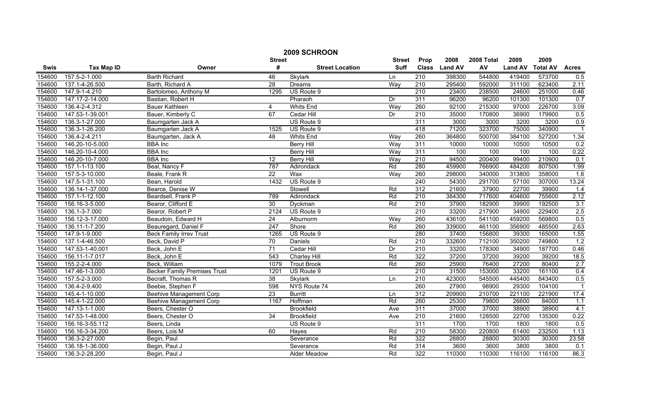|        | 2009 SCHROON      |                                     |                 |                        |                  |                  |                |            |                |                 |                |  |
|--------|-------------------|-------------------------------------|-----------------|------------------------|------------------|------------------|----------------|------------|----------------|-----------------|----------------|--|
|        |                   |                                     | <b>Street</b>   |                        | <b>Street</b>    | Prop             | 2008           | 2008 Total | 2009           | 2009            |                |  |
| Swis   | <b>Tax Map ID</b> | Owner                               | #               | <b>Street Location</b> | <b>Suff</b>      | <b>Class</b>     | <b>Land AV</b> | AV         | <b>Land AV</b> | <b>Total AV</b> | <b>Acres</b>   |  |
| 154600 | 157.5-2-1.000     | <b>Barth Richard</b>                | 46              | Skylark                | Ln               | 210              | 398300         | 544800     | 419400         | 573700          | 0.5            |  |
| 154600 | 137.1-4-26.500    | Barth, Richard A                    | 28              | Dreams                 | Way              | $\overline{210}$ | 295400         | 592000     | 311100         | 623400          | 2.11           |  |
| 154600 | 147.9-1-4.210     | Bartolomeo, Anthony M               | 1295            | US Route 9             |                  | 210              | 23400          | 238500     | 24600          | 251000          | 0.46           |  |
| 154600 | 147.17-2-14.000   | Bastian, Robert H                   |                 | Pharaoh                | Dr               | 311              | 96200          | 96200      | 101300         | 101300          | 0.7            |  |
| 154600 | 136.4-2-4.312     | <b>Bauer Kathleen</b>               | 4               | <b>Whits End</b>       | Way              | 260              | 92100          | 215300     | 97000          | 226700          | 3.09           |  |
| 154600 | 147.53-1-39.001   | Bauer, Kimberly C                   | 67              | Cedar Hill             | Dr               | 210              | 35000          | 170800     | 36900          | 179900          | 0.5            |  |
| 154600 | 136.3-1-27.000    | Baumgarten Jack A                   |                 | US Route 9             |                  | 311              | 3000           | 3000       | 3200           | 3200            | 0.9            |  |
| 154600 | 136.3-1-26.200    | Baumgarten Jack A                   | 1525            | US Route 9             |                  | 418              | 71200          | 323700     | 75000          | 340900          | $\overline{1}$ |  |
| 154600 | 136.4-2-4.211     | Baumgarten, Jack A                  | 48              | <b>Whits End</b>       | Way              | 260              | 364800         | 500700     | 384100         | 527200          | 1.34           |  |
| 154600 | 146.20-10-5.000   | <b>BBA</b> Inc                      |                 | <b>Berry Hill</b>      | Way              | 311              | 10000          | 10000      | 10500          | 10500           | 0.2            |  |
| 154600 | 146.20-10-4.000   | <b>BBA</b> Inc                      |                 | <b>Berry Hill</b>      | Way              | 311              | 100            | 100        | 100            | 100             | 0.22           |  |
| 154600 | 146.20-10-7.000   | <b>BBA</b> Inc                      | $\overline{12}$ | <b>Berry Hill</b>      | Way              | 210              | 94500          | 200400     | 99400          | 210900          | 0.1            |  |
| 154600 | 157.1-1-13.100    | Beal, Nancy F                       | 787             | Adirondack             | Rd               | 280              | 459900         | 766900     | 484200         | 807500          | 1.99           |  |
| 154600 | 157.5-3-10.000    | Beale, Frank R                      | $\overline{22}$ | Wax                    | Way              | 260              | 298000         | 340000     | 313800         | 358000          | 1.6            |  |
| 154600 | 147.5-1-31.100    | Bean, Harold                        | 1432            | US Route 9             |                  | 240              | 54300          | 291700     | 57100          | 307000          | 13.24          |  |
| 154600 | 136.14-1-37.000   | Bearce, Denise W                    |                 | Stowell                | Rd               | 312              | 21600          | 37900      | 22700          | 39900           | 1.4            |  |
| 154600 | 157.1-1-12.100    | Beardsell, Frank P                  | 789             | Adirondack             | Rd               | 210              | 384300         | 717600     | 404600         | 755600          | 2.12           |  |
| 154600 | 156.16-3-5.000    | Bearor, Clifford E                  | 30              | Dyckman                | Rd               | 210              | 37900          | 182900     | 39900          | 192500          | 3.1            |  |
| 154600 | 136.1-3-7.000     | Bearor, Robert P                    | 2124            | US Route 9             |                  | 210              | 33200          | 217900     | 34900          | 229400          | 2.5            |  |
| 154600 | 156.12-3-17.000   | Beaudoin, Edward H                  | $\overline{24}$ | Alburnorm              | Way              | 260              | 436100         | 541100     | 459200         | 569800          | 0.5            |  |
| 154600 | 136.11-1-7.200    | Beauregard, Daniel F                | 247             | Shore                  | Rd               | 260              | 339000         | 461100     | 356900         | 485500          | 2.63           |  |
| 154600 | 147.9-1-9.000     | <b>Beck Family Irrev Trust</b>      | 1265            | US Route 9             |                  | 280              | 37400          | 156800     | 39300          | 165000          | 1.55           |  |
| 154600 | 137.1-4-46.500    | Beck, David P                       | $\overline{70}$ | <b>Daniels</b>         | Rd               | 210              | 332600         | 712100     | 350200         | 749800          | 1.2            |  |
| 154600 | 147.53-1-40.001   | Beck, John E                        | $\overline{71}$ | Cedar Hill             | Dr               | $\overline{210}$ | 33200          | 178300     | 34900          | 187700          | 0.46           |  |
| 154600 | 156.11-1-7.017    | Beck, John E                        | 543             | Charley Hill           | Rd               | 322              | 37200          | 37200      | 39200          | 39200           | 18.5           |  |
| 154600 | 155.2-2-4.000     | Beck, William                       | 1079            | <b>Trout Brook</b>     | Rd               | 260              | 25900          | 76400      | 27200          | 80400           | 2.7            |  |
| 154600 | 147.46-1-3.000    | <b>Becker Family Premises Trust</b> | 1201            | US Route 9             |                  | 210              | 31500          | 153000     | 33200          | 161100          | 0.4            |  |
| 154600 | 157.5-2-3.000     | Becraft, Thomas R                   | $\overline{38}$ | Skylark                | $\overline{\ln}$ | 210              | 423000         | 545500     | 445400         | 843400          | 0.5            |  |
| 154600 | 136.4-2-9.400     | Beebie, Stephen F                   | 598             | NYS Route 74           |                  | 260              | 27900          | 98900      | 29300          | 104100          | $\mathbf{1}$   |  |
| 154600 | 145.4-1-10.000    | <b>Beehive Management Corp</b>      | $\overline{23}$ | <b>Burritt</b>         | Ln               | 312              | 209900         | 210700     | 221100         | 221900          | 17.4           |  |
| 154600 | 145.4-1-22.000    | <b>Beehive Management Corp</b>      | 1167            | Hoffman                | Rd               | 260              | 25300          | 79800      | 26600          | 84000           | 1.1            |  |
| 154600 | 147.13-1-1.000    | Beers, Chester O                    |                 | <b>Brookfield</b>      | Ave              | 311              | 37000          | 37000      | 38900          | 38900           | 4.1            |  |
| 154600 | 147.53-1-48.000   | Beers, Chester O                    | $\overline{34}$ | <b>Brookfield</b>      | Ave              | 210              | 21600          | 128500     | 22700          | 135300          | 0.22           |  |
| 154600 | 156.16-3-55.112   | Beers, Linda                        |                 | US Route 9             |                  | 311              | 1700           | 1700       | 1800           | 1800            | 0.5            |  |
| 154600 | 156.16-3-34.200   | Beers, Lois M                       | 60              | Hayes                  | Rd               | 210              | 58300          | 220800     | 61400          | 232500          | 1.13           |  |
| 154600 | 136.3-2-27.000    | Begin, Paul                         |                 | Severance              | Rd               | 322              | 28800          | 28800      | 30300          | 30300           | 23.58          |  |
| 154600 | 136.18-1-36.000   | Begin, Paul J                       |                 | Severance              | Rd               | 314              | 3600           | 3600       | 3800           | 3800            | 0.1            |  |
| 154600 | 136.3-2-28.200    | Begin, Paul J                       |                 | <b>Alder Meadow</b>    | Rd               | 322              | 110300         | 110300     | 116100         | 116100          | 86.3           |  |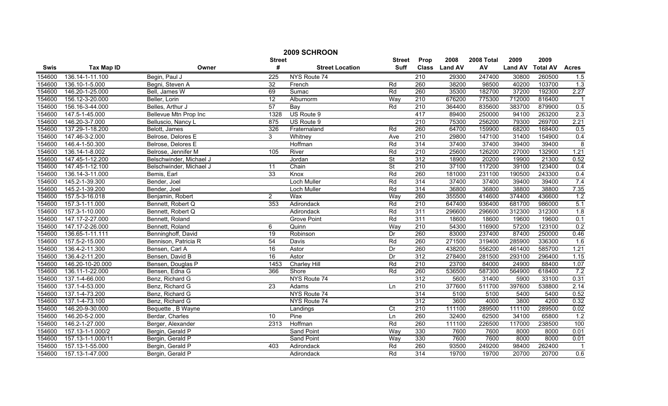|        | 2009 SCHROON      |                         |                 |                        |                 |                  |               |            |                |                 |                  |
|--------|-------------------|-------------------------|-----------------|------------------------|-----------------|------------------|---------------|------------|----------------|-----------------|------------------|
|        |                   |                         | <b>Street</b>   |                        | <b>Street</b>   | Prop             | 2008          | 2008 Total | 2009           | 2009            |                  |
| Swis   | <b>Tax Map ID</b> | Owner                   | #               | <b>Street Location</b> | Suff            |                  | Class Land AV | AV         | <b>Land AV</b> | <b>Total AV</b> | <b>Acres</b>     |
| 154600 | 136.14-1-11.100   | Begin, Paul J           | 225             | NYS Route 74           |                 | 210              | 29300         | 247400     | 30800          | 260500          | 1.5              |
| 154600 | 136.10-1-5.000    | Begni, Steven A         | 32              | French                 | Rd              | 260              | 38200         | 98500      | 40200          | 103700          | $\overline{1.3}$ |
| 154600 | 146.20-1-25.000   | Bell, James W           | 69              | Sumac                  | Rd              | 260              | 35300         | 182700     | 37200          | 192300          | 2.27             |
| 154600 | 156.12-3-20.000   | Beller, Lorin           | $\overline{12}$ | Alburnorm              | Way             | 210              | 676200        | 775300     | 712000         | 816400          | $\overline{1}$   |
| 154600 | 156.16-3-44.000   | Belles, Arthur J        | 57              | Bay                    | Rd              | 210              | 364400        | 835600     | 383700         | 879900          | 0.5              |
| 154600 | 147.5-1-45.000    | Bellevue Mtn Prop Inc   | 1328            | US Route 9             |                 | 417              | 89400         | 250000     | 94100          | 263200          | 2.3              |
| 154600 | 146.20-3-7.000    | Belluscio, Nancy L      | 875             | US Route 9             |                 | 210              | 75300         | 256200     | 79300          | 269700          | 2.21             |
| 154600 | 137.29-1-18.200   | Belott, James           | 326             | Fraternaland           | Rd              | 260              | 64700         | 159900     | 68200          | 168400          | 0.5              |
| 154600 | 147.46-3-2.000    | Belrose, Delores E      | 3               | Whitney                | Ave             | 210              | 29800         | 147100     | 31400          | 154900          | 0.4              |
| 154600 | 146.4-1-50.300    | Belrose, Delores E      |                 | Hoffman                | Rd              | 314              | 37400         | 37400      | 39400          | 39400           | 8                |
| 154600 | 136.14-1-8.002    | Belrose, Jennifer M     | 105             | River                  | Rd              | $\overline{210}$ | 25600         | 126200     | 27000          | 132900          | 1.21             |
| 154600 | 147.45-1-12.200   | Belschwinder, Michael J |                 | Jordan                 | St              | 312              | 18900         | 20200      | 19900          | 21300           | 0.52             |
| 154600 | 147.45-1-12.100   | Belschwinder, Michael J | 11              | Chain                  | <b>St</b>       | $\overline{210}$ | 37100         | 117200     | 39100          | 123400          | 0.4              |
| 154600 | 136.14-3-11.000   | Bemis, Earl             | 33              | Knox                   | Rd              | 260              | 181000        | 231100     | 190500         | 243300          | 0.4              |
| 154600 | 145.2-1-39.300    | Bender, Joel            |                 | <b>Loch Muller</b>     | Rd              | 314              | 37400         | 37400      | 39400          | 39400           | 7.4              |
| 154600 | 145.2-1-39.200    | Bender, Joel            |                 | Loch Muller            | Rd              | 314              | 36800         | 36800      | 38800          | 38800           | 7.35             |
| 154600 | 157.5-3-16.018    | Benjamin, Robert        | $\overline{2}$  | Wax                    | Way             | 260              | 355500        | 414600     | 374400         | 436600          | 1.2              |
| 154600 | 157.3-1-11.000    | Bennett, Robert Q       | 353             | Adirondack             | Rd              | 210              | 647400        | 936400     | 681700         | 986000          | 5.1              |
| 154600 | 157.3-1-10.000    | Bennett, Robert Q       |                 | Adirondack             | Rd              | 311              | 296600        | 296600     | 312300         | 312300          | 1.8              |
| 154600 | 147.17-2-27.000   | Bennett, Roland         |                 | <b>Grove Point</b>     | Rd              | 311              | 18600         | 18600      | 19600          | 19600           | 0.1              |
| 154600 | 147.17-2-26.000   | Bennett, Roland         | 6               | Quinn                  | Way             | 210              | 54300         | 116900     | 57200          | 123100          | 0.2              |
| 154600 | 136.65-1-11.111   | Benninghoff, David      | 19              | Robinson               | Dr              | 260              | 83000         | 237400     | 87400          | 250000          | 0.46             |
| 154600 | 157.5-2-15.000    | Bennison, Patricia R    | $\overline{54}$ | Davis                  | Rd              | 260              | 271500        | 319400     | 285900         | 336300          | 1.6              |
| 154600 | 136.4-2-11.300    | Bensen, Carl A          | 16              | Astor                  | Dr              | 260              | 438200        | 556200     | 461400         | 585700          | 1.21             |
| 154600 | 136.4-2-11.200    | Bensen, David B         | 16              | Astor                  | Dr              | 312              | 278400        | 281500     | 293100         | 296400          | 1.15             |
| 154600 | 146.20-10-20.000  | Bensen, Douglas P       | 1453            | Charley Hill           | Rd              | 210              | 23700         | 84000      | 24900          | 88400           | 1.07             |
| 154600 | 136.11-1-22.000   | Bensen, Edna G          | 366             | Shore                  | Rd              | 260              | 536500        | 587300     | 564900         | 618400          | 7.2              |
| 154600 | 137.1-4-66.000    | Benz, Richard G         |                 | NYS Route 74           |                 | 312              | 5600          | 31400      | 5900           | 33100           | 0.31             |
| 154600 | 137.1-4-53.000    | Benz, Richard G         | 23              | Adams                  | Ln              | 210              | 377600        | 511700     | 397600         | 538800          | 2.14             |
| 154600 | 137.1-4-73.200    | Benz, Richard G         |                 | NYS Route 74           |                 | 314              | 5100          | 5100       | 5400           | 5400            | 0.52             |
| 154600 | 137.1-4-73.100    | Benz, Richard G         |                 | NYS Route 74           |                 | 312              | 3600          | 4000       | 3800           | 4200            | 0.32             |
| 154600 | 146.20-9-30.000   | Bequette, B Wayne       |                 | Landings               | $\overline{C}t$ | 210              | 111100        | 289500     | 111100         | 289500          | 0.02             |
| 154600 | 146.20-5-2.000    | Berdar, Charles         | 10              | Pine                   | Ln              | 260              | 32400         | 62500      | 34100          | 65800           | 1.2              |
| 154600 | 146.2-1-27.000    | Berger, Alexander       | 2313            | Hoffman                | Rd              | 260              | 111100        | 226500     | 117000         | 238500          | 100              |
| 154600 | 157.13-1-1.000/2  | Bergin, Gerald P        |                 | Sand Point             | Way             | 330              | 7600          | 7600       | 8000           | 8000            | 0.01             |
| 154600 | 157.13-1-1.000/11 | Bergin, Gerald P        |                 | Sand Point             | Way             | 330              | 7600          | 7600       | 8000           | 8000            | 0.01             |
| 154600 | 157.13-1-55.000   | Bergin, Gerald P        | 403             | Adirondack             | Rd              | 260              | 93500         | 249200     | 98400          | 262400          |                  |
| 154600 | 157.13-1-47.000   | Bergin, Gerald P        |                 | Adirondack             | Rd              | 314              | 19700         | 19700      | 20700          | 20700           | $\overline{0.6}$ |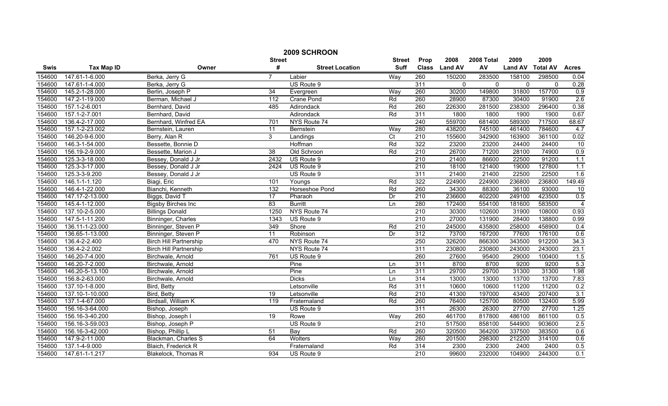| 2009 SCHROON |                   |                               |                  |                        |                  |                  |                |              |                |                 |                 |
|--------------|-------------------|-------------------------------|------------------|------------------------|------------------|------------------|----------------|--------------|----------------|-----------------|-----------------|
|              |                   |                               | <b>Street</b>    |                        | <b>Street</b>    | Prop             | 2008           | 2008 Total   | 2009           | 2009            |                 |
| Swis         | <b>Tax Map ID</b> | Owner                         | #                | <b>Street Location</b> | <b>Suff</b>      | <b>Class</b>     | <b>Land AV</b> | AV           | <b>Land AV</b> | <b>Total AV</b> | <b>Acres</b>    |
| 154600       | 147.61-1-6.000    | Berka, Jerry G                | $\overline{7}$   | Labier                 | Way              | 260              | 150200         | 283500       | 158100         | 298500          | 0.04            |
| 154600       | 147.61-1-4.000    | Berka, Jerry G                |                  | US Route 9             |                  | 311              | $\mathbf{0}$   | $\mathbf{0}$ | $\mathbf{0}$   | $\mathbf{0}$    | 0.28            |
| 154600       | 145.2-1-28.000    | Berlin, Joseph P              | $\overline{34}$  | Evergreen              | Way              | 260              | 30200          | 149800       | 31800          | 157700          | 0.9             |
| 154600       | 147.2-1-19.000    | Berman, Michael J             | $\overline{112}$ | <b>Crane Pond</b>      | Rd               | 260              | 28900          | 87300        | 30400          | 91900           | 2.6             |
| 154600       | 157.1-2-6.001     | Bernhard, David               | 485              | Adirondack             | Rd               | 260              | 226300         | 281500       | 238300         | 296400          | 0.38            |
| 154600       | 157.1-2-7.001     | Bernhard, David               |                  | Adirondack             | Rd               | 311              | 1800           | 1800         | 1900           | 1900            | 0.67            |
| 154600       | 136.4-2-17.000    | Bernhard, Winfred EA          | 701              | NYS Route 74           |                  | 240              | 559700         | 681400       | 589300         | 717500          | 68.67           |
| 154600       | 157.1-2-23.002    | Bernstein, Lauren             | 11               | Bernstein              | Way              | 280              | 438200         | 745100       | 461400         | 784600          | 4.7             |
| 154600       | 146.20-9-6.000    | Berry, Alan R                 | 3                | Landings               | Ct               | 210              | 155600         | 342900       | 163900         | 361100          | 0.02            |
| 154600       | 146.3-1-54.000    | Bessette, Bonnie D            |                  | Hoffman                | Rd               | 322              | 23200          | 23200        | 24400          | 24400           | 10              |
| 154600       | 156.19-2-9.000    | Bessette, Marion J            | $\overline{38}$  | Old Schroon            | Rd               | $\overline{210}$ | 26700          | 71200        | 28100          | 74900           | 0.9             |
| 154600       | 125.3-3-18.000    | Bessey, Donald J Jr           | 2432             | US Route 9             |                  | 210              | 21400          | 86600        | 22500          | 91200           | 1.1             |
| 154600       | 125.3-3-17.000    | Bessey, Donald J Jr           | 2424             | US Route 9             |                  | 210              | 18100          | 121400       | 19000          | 127800          | 1.1             |
| 154600       | 125.3-3-9.200     | Bessey, Donald J Jr           |                  | US Route 9             |                  | 311              | 21400          | 21400        | 22500          | 22500           | 1.6             |
| 154600       | 146.1-1-1.120     | Biagi, Eric                   | 101              | Youngs                 | Rd               | 322              | 224900         | 224900       | 236800         | 236800          | 149.49          |
| 154600       | 146.4-1-22.000    | Bianchi, Kenneth              | 132              | Horseshoe Pond         | Rd               | 260              | 34300          | 88300        | 36100          | 93000           | $\overline{10}$ |
| 154600       | 147.17-2-13.000   | Biggs, David T                | 17               | Pharaoh                | Dr               | 210              | 236600         | 402200       | 249100         | 423500          | 0.5             |
| 154600       | 145.4-1-12.000    | <b>Bigsby Birches Inc</b>     | 83               | <b>Burritt</b>         | Ln               | 280              | 172400         | 554100       | 181600         | 583500          | $\overline{4}$  |
| 154600       | 137.10-2-5.000    | <b>Billings Donald</b>        | 1250             | NYS Route 74           |                  | 210              | 30300          | 102600       | 31900          | 108000          | 0.93            |
| 154600       | 147.5-1-11.200    | Binninger, Charles            | 1343             | US Route 9             |                  | 210              | 27000          | 131900       | 28400          | 138800          | 0.99            |
| 154600       | 136.11-1-23.000   | Binninger, Steven P           | 349              | Shore                  | Rd               | 210              | 245000         | 435800       | 258000         | 458900          | 0.4             |
| 154600       | 136.65-1-13.000   | Binninger, Steven P           | 11               | Robinson               | Dr               | 312              | 73700          | 167200       | 77600          | 176100          | 0.6             |
| 154600       | 136.4-2-2.400     | <b>Birch Hill Partnership</b> | 470              | NYS Route 74           |                  | 250              | 326200         | 866300       | 343500         | 912200          | 34.3            |
| 154600       | 136.4-2-2.002     | <b>Birch Hill Partnership</b> |                  | NYS Route 74           |                  | 311              | 230800         | 230800       | 243000         | 243000          | 23.1            |
| 154600       | 146.20-7-4.000    | Birchwale, Arnold             | 761              | US Route 9             |                  | 260              | 27600          | 95400        | 29000          | 100400          | 1.5             |
| 154600       | 146.20-7-2.000    | Birchwale, Arnold             |                  | Pine                   | Ln               | 311              | 8700           | 8700         | 9200           | 9200            | 5.3             |
| 154600       | 146.20-5-13.100   | Birchwale, Arnold             |                  | Pine                   | Ln               | 311              | 29700          | 29700        | 31300          | 31300           | 1.98            |
| 154600       | 156.8-2-63.000    | Birchwale, Arnold             |                  | <b>Dicks</b>           | $\overline{\ln}$ | 314              | 13000          | 13000        | 13700          | 13700           | 7.83            |
| 154600       | 137.10-1-8.000    | Bird, Betty                   |                  | Letsonville            | Rd               | 311              | 10600          | 10600        | 11200          | 11200           | 0.2             |
| 154600       | 137.10-1-10.000   | Bird, Betty                   | 19               | Letsonville            | Rd               | 210              | 41300          | 197000       | 43400          | 207400          | 3.1             |
| 154600       | 137.1-4-67.000    | Birdsall, William K           | 119              | Fraternaland           | Rd               | 260              | 76400          | 125700       | 80500          | 132400          | 5.99            |
| 154600       | 156.16-3-64.000   | Bishop, Joseph                |                  | US Route 9             |                  | 311              | 26300          | 26300        | 27700          | 27700           | 1.25            |
| 154600       | 156.16-3-40.200   | Bishop, Joseph I              | 19               | Rowe                   | Way              | 260              | 461700         | 817800       | 486100         | 861100          | 0.5             |
| 154600       | 156.16-3-59.003   | Bishop, Joseph P              |                  | US Route 9             |                  | 210              | 517500         | 858100       | 544900         | 903600          | 2.5             |
| 154600       | 156.16-3-42.000   | Bishop, Phillip L             | 51               | Bay                    | Rd               | 260              | 320500         | 364200       | 337500         | 383500          | 0.6             |
| 154600       | 147.9-2-11.000    | Blackman, Charles S           | 64               | Wolters                | Way              | 260              | 201500         | 298300       | 212200         | 314100          | 0.6             |
| 154600       | 137.1-4-9.000     | Blaich, Frederick R           |                  | Fraternaland           | Rd               | 314              | 2300           | 2300         | 2400           | 2400            | 0.5             |
| 154600       | 147.61-1-1.217    | Blakelock, Thomas R           | 934              | US Route 9             |                  | 210              | 99600          | 232000       | 104900         | 244300          | 0.1             |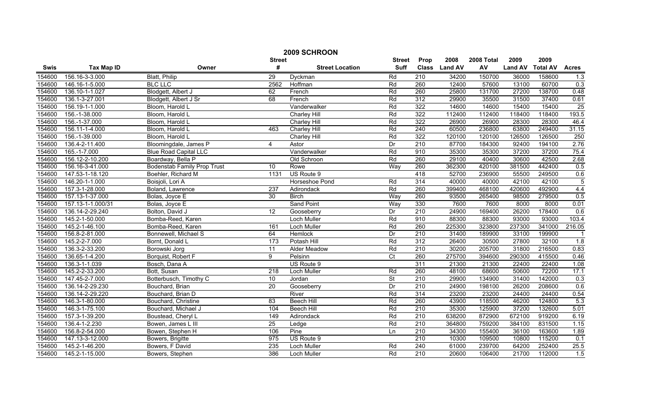| 2009 SCHROON  |                   |                                    |                 |                        |                          |                  |               |            |                |                 |              |
|---------------|-------------------|------------------------------------|-----------------|------------------------|--------------------------|------------------|---------------|------------|----------------|-----------------|--------------|
| <b>Street</b> |                   |                                    |                 |                        | <b>Street</b>            | Prop             | 2008          | 2008 Total | 2009           | 2009            |              |
| Swis          | <b>Tax Map ID</b> | Owner                              | #               | <b>Street Location</b> | <b>Suff</b>              |                  | Class Land AV | AV         | <b>Land AV</b> | <b>Total AV</b> | <b>Acres</b> |
| 154600        | 156.16-3-3.000    | Blatt, Philip                      | $\overline{29}$ | Dyckman                | Rd                       | 210              | 34200         | 150700     | 36000          | 158600          | 1.3          |
| 154600        | 146.16-1-5.000    | <b>BLC LLC</b>                     | 2562            | Hoffman                | Rd                       | 260              | 12400         | 57600      | 13100          | 60700           | 0.3          |
| 154600        | 136.10-1-1.027    | Blodgett, Albert J                 | 62              | French                 | Rd                       | 260              | 25800         | 131700     | 27200          | 138700          | 0.48         |
| 154600        | 136.1-3-27.001    | Blodgett, Albert J Sr              | 68              | French                 | Rd                       | 312              | 29900         | 35500      | 31500          | 37400           | 0.61         |
| 154600        | 156.19-1-1.000    | Bloom, Harold L                    |                 | Vanderwalker           | Rd                       | 322              | 14600         | 14600      | 15400          | 15400           | 25           |
| 154600        | 156.-1-38.000     | Bloom, Harold L                    |                 | <b>Charley Hill</b>    | Rd                       | 322              | 112400        | 112400     | 118400         | 118400          | 193.5        |
| 154600        | 156.-1-37.000     | Bloom, Harold L                    |                 | <b>Charley Hill</b>    | Rd                       | 322              | 26900         | 26900      | 28300          | 28300           | 46.4         |
| 154600        | 156.11-1-4.000    | Bloom, Harold L                    | 463             | Charley Hill           | Rd                       | 240              | 60500         | 236800     | 63800          | 249400          | 31.15        |
| 154600        | 156.-1-39.000     | Bloom, Harold L                    |                 | <b>Charley Hill</b>    | Rd                       | 322              | 120100        | 120100     | 126500         | 126500          | 250          |
| 154600        | 136.4-2-11.400    | Bloomingdale, James P              | 4               | Astor                  | Dr                       | 210              | 87700         | 184300     | 92400          | 194100          | 2.76         |
| 154600        | 165.-1-7.000      | <b>Blue Road Capital LLC</b>       |                 | Vanderwalker           | Rd                       | 910              | 35300         | 35300      | 37200          | 37200           | 75.4         |
| 154600        | 156.12-2-10.200   | Boardway, Bella P                  |                 | Old Schroon            | Rd                       | 260              | 29100         | 40400      | 30600          | 42500           | 2.68         |
| 154600        | 156.16-3-41.000   | <b>Bodenstab Family Prop Trust</b> | 10 <sup>°</sup> | Rowe                   | Way                      | 260              | 362300        | 420100     | 381500         | 442400          | 0.5          |
| 154600        | 147.53-1-18.120   | Boehler, Richard M                 | 1131            | US Route 9             |                          | 418              | 52700         | 236900     | 55500          | 249500          | 0.6          |
| 154600        | 146.20-1-1.000    | Boisjoli, Lori A                   |                 | Horseshoe Pond         | Rd                       | 314              | 40000         | 40000      | 42100          | 42100           | 5            |
| 154600        | 157.3-1-28.000    | Boland, Lawrence                   | 237             | Adirondack             | Rd                       | 260              | 399400        | 468100     | 420600         | 492900          | 4.4          |
| 154600        | 157.13-1-37.000   | Bolas, Joyce E                     | 30              | <b>Birch</b>           | Way                      | 260              | 93500         | 265400     | 98500          | 279500          | 0.5          |
| 154600        | 157.13-1-1.000/31 | Bolas, Joyce E                     |                 | <b>Sand Point</b>      | Way                      | 330              | 7600          | 7600       | 8000           | 8000            | 0.01         |
| 154600        | 136.14-2-29.240   | Bolton, David J                    | 12              | Gooseberry             | Dr                       | 210              | 24900         | 169400     | 26200          | 178400          | 0.6          |
| 154600        | 145.2-1-50.000    | Bomba-Reed, Karen                  |                 | <b>Loch Muller</b>     | Rd                       | 910              | 88300         | 88300      | 93000          | 93000           | 103.4        |
| 154600        | 145.2-1-46.100    | Bomba-Reed, Karen                  | 161             | Loch Muller            | Rd                       | 260              | 225300        | 323800     | 237300         | 341000          | 216.05       |
| 154600        | 156.8-2-81.000    | Bonnewell, Michael S               | 64              | Hemlock                | Dr                       | 210              | 31400         | 189900     | 33100          | 199900          |              |
| 154600        | 145.2-2-7.000     | Bornt, Donald L                    | 173             | Potash Hill            | Rd                       | 312              | 26400         | 30500      | 27800          | 32100           | 1.8          |
| 154600        | 136.3-2-33.200    | Borowski Jorg                      | 11              | Alder Meadow           | Rd                       | 210              | 30200         | 205700     | 31800          | 216500          | 0.83         |
| 154600        | 136.65-1-4.200    | Borquist, Robert F                 | 9               | Pelsinn                | $\overline{C}$           | 260              | 275700        | 394600     | 290300         | 415500          | 0.46         |
| 154600        | 136.3-1-1.039     | Bosch, Dana A                      |                 | US Route 9             |                          | 311              | 21300         | 21300      | 22400          | 22400           | 1.08         |
| 154600        | 145.2-2-33.200    | Bott, Susan                        | 218             | Loch Muller            | Rd                       | 260              | 48100         | 68600      | 50600          | 72200           | 17.1         |
| 154600        | 147.45-2-7.000    | Botterbusch, Timothy C             | 10              | Jordan                 | $\overline{\mathsf{St}}$ | 210              | 29900         | 134900     | 31400          | 142000          | 0.3          |
| 154600        | 136.14-2-29.230   | Bouchard, Brian                    | 20              | Gooseberry             | Dr                       | 210              | 24900         | 198100     | 26200          | 208600          | 0.6          |
| 154600        | 136.14-2-29.220   | Bouchard, Brian D                  |                 | River                  | Rd                       | 314              | 23200         | 23200      | 24400          | 24400           | 0.54         |
| 154600        | 146.3-1-80.000    | Bouchard, Christine                | 83              | <b>Beech Hill</b>      | Rd                       | 260              | 43900         | 118500     | 46200          | 124800          | 5.3          |
| 154600        | 146.3-1-75.100    | Bouchard, Michael J                | 104             | <b>Beech Hill</b>      | Rd                       | 210              | 35300         | 125900     | 37200          | 132600          | 5.01         |
| 154600        | 157.3-1-39.200    | Boustead, Cheryl L                 | 149             | Adirondack             | Rd                       | 210              | 638200        | 872900     | 672100         | 919200          | 6.19         |
| 154600        | 136.4-1-2.230     | Bowen, James L III                 | 25              | Ledge                  | Rd                       | 210              | 364800        | 759200     | 384100         | 831500          | 1.15         |
| 154600        | 156.8-2-54.000    | Bowen, Stephen H                   | 106             | Pine                   | Ln                       | $\overline{210}$ | 34300         | 155400     | 36100          | 163600          | 1.89         |
| 154600        | 147.13-3-12.000   | Bowers, Brigitte                   | 975             | US Route 9             |                          | 210              | 10300         | 109500     | 10800          | 115200          | 0.1          |
| 154600        | 145.2-1-46.200    | Bowers, F David                    | 235             | Loch Muller            | Rd                       | 240              | 61000         | 239700     | 64200          | 252400          | 25.5         |
| 154600        | 145.2-1-15.000    | Bowers, Stephen                    | 386             | <b>Loch Muller</b>     | Rd                       | 210              | 20600         | 106400     | 21700          | 112000          | 1.5          |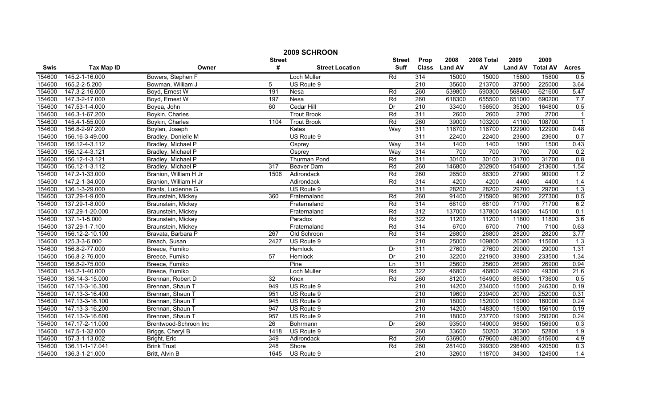|             | 2009 SCHROON      |                       |                  |                        |               |                  |                |            |                |                 |                |  |
|-------------|-------------------|-----------------------|------------------|------------------------|---------------|------------------|----------------|------------|----------------|-----------------|----------------|--|
|             |                   |                       | <b>Street</b>    |                        | <b>Street</b> | Prop             | 2008           | 2008 Total | 2009           | 2009            |                |  |
| <b>Swis</b> | <b>Tax Map ID</b> | Owner                 | #                | <b>Street Location</b> | <b>Suff</b>   | <b>Class</b>     | <b>Land AV</b> | AV         | <b>Land AV</b> | <b>Total AV</b> | <b>Acres</b>   |  |
| 154600      | 145.2-1-16.000    | Bowers, Stephen F     |                  | Loch Muller            | Rd            | 314              | 15000          | 15000      | 15800          | 15800           | 0.5            |  |
| 154600      | 165.2-2-5.200     | Bowman, William J     | 5                | US Route 9             |               | $\overline{210}$ | 35600          | 213700     | 37500          | 225000          | 3.64           |  |
| 154600      | 147.3-2-16.000    | Boyd, Ernest W        | 191              | Nesa                   | Rd            | 260              | 539800         | 590300     | 568400         | 621600          | 5.47           |  |
| 154600      | 147.3-2-17.000    | Boyd, Ernest W        | 197              | <b>Nesa</b>            | Rd            | 260              | 618300         | 655500     | 651000         | 690200          | 7.7            |  |
| 154600      | 147.53-1-4.000    | Boyea, John           | 60               | Cedar Hill             | Dr            | 210              | 33400          | 156500     | 35200          | 164800          | 0.5            |  |
| 154600      | 146.3-1-67.200    | Boykin, Charles       |                  | <b>Trout Brook</b>     | Rd            | 311              | 2600           | 2600       | 2700           | 2700            | $\overline{1}$ |  |
| 154600      | 145.4-1-55.000    | Boykin, Charles       | 1104             | <b>Trout Brook</b>     | Rd            | 260              | 39000          | 103200     | 41100          | 108700          |                |  |
| 154600      | 156.8-2-97.200    | Boylan, Joseph        |                  | Kates                  | Way           | 311              | 116700         | 116700     | 122900         | 122900          | 0.48           |  |
| 154600      | 156.16-3-49.000   | Bradley, Donielle M   |                  | US Route 9             |               | 311              | 22400          | 22400      | 23600          | 23600           | 0.7            |  |
| 154600      | 156.12-4-3.112    | Bradley, Michael P    |                  | Osprey                 | Way           | 314              | 1400           | 1400       | 1500           | 1500            | 0.43           |  |
| 154600      | 156.12-4-3.121    | Bradley, Michael P    |                  | Osprey                 | Way           | 314              | 700            | 700        | 700            | 700             | 0.2            |  |
| 154600      | 156.12-1-3.121    | Bradley, Michael P    |                  | <b>Thurman Pond</b>    | Rd            | 311              | 30100          | 30100      | 31700          | 31700           | 0.8            |  |
| 154600      | 156.12-1-3.112    | Bradley, Michael P    | 317              | Beaver Dam             | Rd            | 260              | 146800         | 202900     | 154600         | 213600          | $1.54$         |  |
| 154600      | 147.2-1-33.000    | Branion, William H Jr | 1506             | Adirondack             | Rd            | 260              | 26500          | 86300      | 27900          | 90900           | 1.2            |  |
| 154600      | 147.2-1-34.000    | Branion, William H Jr |                  | Adirondack             | Rd            | 314              | 4200           | 4200       | 4400           | 4400            | 1.4            |  |
| 154600      | 136.1-3-29.000    | Brants, Lucienne G    |                  | US Route 9             |               | 311              | 28200          | 28200      | 29700          | 29700           | 1.3            |  |
| 154600      | 137.29-1-9.000    | Braunstein, Mickey    | 360              | Fraternaland           | Rd            | 260              | 91400          | 215900     | 96200          | 227300          | 0.5            |  |
| 154600      | 137.29-1-8.000    | Braunstein, Mickey    |                  | Fraternaland           | Rd            | 314              | 68100          | 68100      | 71700          | 71700           | 6.2            |  |
| 154600      | 137.29-1-20.000   | Braunstein, Mickey    |                  | Fraternaland           | Rd            | 312              | 137000         | 137800     | 144300         | 145100          | 0.1            |  |
| 154600      | 137.1-1-5.000     | Braunstein, Mickey    |                  | Paradox                | Rd            | 322              | 11200          | 11200      | 11800          | 11800           | 3.6            |  |
| 154600      | 137.29-1-7.100    | Braunstein, Mickey    |                  | Fraternaland           | Rd            | 314              | 6700           | 6700       | 7100           | 7100            | 0.63           |  |
| 154600      | 156.12-2-10.100   | Bravata, Barbara P    | 267              | Old Schroon            | Rd            | 314              | 26800          | 26800      | 28200          | 28200           | 3.77           |  |
| 154600      | 125.3-3-6.000     | Breach, Susan         | 2427             | US Route 9             |               | 210              | 25000          | 109800     | 26300          | 115600          | 1.3            |  |
| 154600      | 156.8-2-77.000    | Breece, Fumiko        |                  | Hemlock                | Dr            | 311              | 27600          | 27600      | 29000          | 29000           | 1.31           |  |
| 154600      | 156.8-2-76.000    | Breece, Fumiko        | 57               | Hemlock                | Dr            | $\overline{210}$ | 32200          | 221900     | 33800          | 233500          | 1.34           |  |
| 154600      | 156.8-2-75.000    | Breece, Fumiko        |                  | Pine                   | Ln            | 311              | 25600          | 25600      | 26900          | 26900           | 0.94           |  |
| 154600      | 145.2-1-40.000    | Breece, Fumiko        |                  | Loch Muller            | Rd            | 322              | 46800          | 46800      | 49300          | 49300           | 21.6           |  |
| 154600      | 136.14-3-15.000   | Brennan, Robert D     | $\overline{32}$  | Knox                   | Rd            | 260              | 81200          | 164900     | 85500          | 173600          | 0.5            |  |
| 154600      | 147.13-3-16.300   | Brennan, Shaun T      | 949              | US Route 9             |               | 210              | 14200          | 234000     | 15000          | 246300          | 0.19           |  |
| 154600      | 147.13-3-16.400   | Brennan, Shaun T      | 951              | US Route 9             |               | 210              | 19600          | 239400     | 20700          | 252000          | 0.31           |  |
| 154600      | 147.13-3-16.100   | Brennan, Shaun T      | 945              | US Route 9             |               | $\overline{210}$ | 18000          | 152000     | 19000          | 160000          | 0.24           |  |
| 154600      | 147.13-3-16.200   | Brennan, Shaun T      | 947              | US Route 9             |               | 210              | 14200          | 148300     | 15000          | 156100          | 0.19           |  |
| 154600      | 147.13-3-16.600   | Brennan, Shaun T      | 957              | US Route 9             |               | 210              | 18000          | 237700     | 19000          | 250200          | 0.24           |  |
| 154600      | 147.17-2-11.000   | Brentwood-Schroon Inc | $\overline{26}$  | Bohrmann               | Dr            | 260              | 93500          | 149000     | 98500          | 156900          | 0.3            |  |
| 154600      | 147.5-1-32.000    | Briggs, Cheryl B      | 1418             | US Route 9             |               | 260              | 33600          | 50200      | 35300          | 52800           | 1.9            |  |
| 154600      | 157.3-1-13.002    | Bright, Eric          | 349              | Adirondack             | Rd            | 260              | 536900         | 679600     | 486300         | 615600          | 4.9            |  |
| 154600      | 136.11-1-17.041   | <b>Brink Trust</b>    | $\overline{248}$ | Shore                  | Rd            | 260              | 281400         | 399300     | 296400         | 420500          | 0.3            |  |
| 154600      | 136.3-1-21.000    | Britt, Alvin B        | 1645             | US Route 9             |               | $\overline{210}$ | 32600          | 118700     | 34300          | 124900          | 1.4            |  |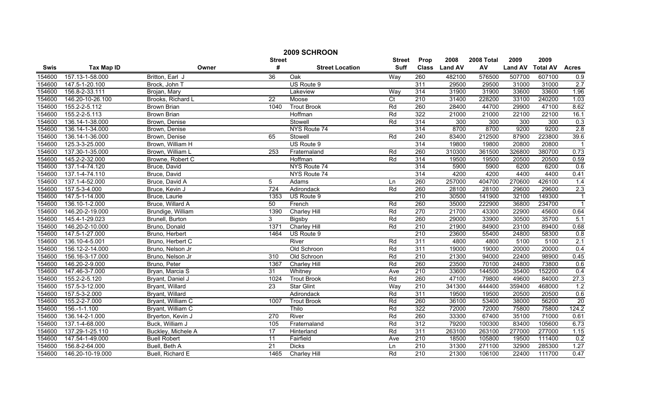|             | 2009 SCHROON      |                     |                 |                        |                |                  |                |            |                |                 |                |
|-------------|-------------------|---------------------|-----------------|------------------------|----------------|------------------|----------------|------------|----------------|-----------------|----------------|
|             |                   |                     | <b>Street</b>   |                        | <b>Street</b>  | Prop             | 2008           | 2008 Total | 2009           | 2009            |                |
| <b>Swis</b> | <b>Tax Map ID</b> | Owner               | #               | <b>Street Location</b> | <b>Suff</b>    | <b>Class</b>     | <b>Land AV</b> | AV         | <b>Land AV</b> | <b>Total AV</b> | <b>Acres</b>   |
| 154600      | 157.13-1-58.000   | Britton, Earl J     | $\overline{36}$ | Oak                    | Way            | 260              | 482100         | 576500     | 507700         | 607100          | 0.9            |
| 154600      | 147.5-1-20.100    | Brock, John T       |                 | US Route 9             |                | 311              | 29500          | 29500      | 31000          | 31000           | 2.7            |
| 154600      | 156.8-2-33.111    | Brojan, Mary        |                 | Lakeview               | Way            | 314              | 31900          | 31900      | 33600          | 33600           | 1.96           |
| 154600      | 146.20-10-26.100  | Brooks, Richard L   | $\overline{22}$ | Moose                  | $\overline{C}$ | 210              | 31400          | 228200     | 33100          | 240200          | 1.03           |
| 154600      | 155.2-2-5.112     | Brown Brian         | 1040            | <b>Trout Brook</b>     | Rd             | 260              | 28400          | 44700      | 29900          | 47100           | 8.62           |
| 154600      | 155.2-2-5.113     | <b>Brown Brian</b>  |                 | Hoffman                | Rd             | 322              | 21000          | 21000      | 22100          | 22100           | 16.1           |
| 154600      | 136.14-1-38.000   | Brown, Denise       |                 | Stowell                | Rd             | 314              | 300            | 300        | 300            | 300             | 0.3            |
| 154600      | 136.14-1-34.000   | Brown, Denise       |                 | NYS Route 74           |                | 314              | 8700           | 8700       | 9200           | 9200            | 2.8            |
| 154600      | 136.14-1-36.000   | Brown, Denise       | 65              | Stowell                | Rd             | 240              | 83400          | 212500     | 87900          | 223800          | 39.6           |
| 154600      | 125.3-3-25.000    | Brown, William H    |                 | US Route 9             |                | 314              | 19800          | 19800      | 20800          | 20800           |                |
| 154600      | 137.30-1-35.000   | Brown, William L    | 253             | Fraternaland           | Rd             | 260              | 310300         | 361500     | 326800         | 380700          | 0.73           |
| 154600      | 145.2-2-32.000    | Browne, Robert C    |                 | Hoffman                | Rd             | 314              | 19500          | 19500      | 20500          | 20500           | 0.59           |
| 154600      | 137.1-4-74.120    | Bruce, David        |                 | NYS Route 74           |                | 314              | 5900           | 5900       | 6200           | 6200            | 0.6            |
| 154600      | 137.1-4-74.110    | Bruce, David        |                 | NYS Route 74           |                | 314              | 4200           | 4200       | 4400           | 4400            | 0.41           |
| 154600      | 137.1-4-52.000    | Bruce, David A      | 5               | Adams                  | Ln             | 260              | 257000         | 404700     | 270600         | 426100          | 1.4            |
| 154600      | 157.5-3-4.000     | Bruce, Kevin J      | 724             | Adirondack             | Rd             | 260              | 28100          | 28100      | 29600          | 29600           | 2.3            |
| 154600      | 147.5-1-14.000    | Bruce, Laurie       | 1353            | US Route 9             |                | 210              | 30500          | 141900     | 32100          | 149300          | $\overline{1}$ |
| 154600      | 136.10-1-2.000    | Bruce, Willard A    | 50              | French                 | Rd             | 260              | 35000          | 222900     | 36800          | 234700          | $\overline{1}$ |
| 154600      | 146.20-2-19.000   | Brundige, William   | 1390            | <b>Charley Hill</b>    | Rd             | 270              | 21700          | 43300      | 22900          | 45600           | 0.64           |
| 154600      | 145.4-1-29.023    | Brunell, Burton     | 3               | Bigsby                 | Rd             | 260              | 29000          | 33900      | 30500          | 35700           | 5.1            |
| 154600      | 146.20-2-10.000   | Bruno, Donald       | 1371            | Charley Hill           | Rd             | 210              | 21900          | 84900      | 23100          | 89400           | 0.68           |
| 154600      | 147.5-1-27.000    | Bruno, Herbert      | 1464            | US Route 9             |                | 210              | 23600          | 55400      | 24800          | 58300           | 0.8            |
| 154600      | 136.10-4-5.001    | Bruno, Herbert C    |                 | River                  | Rd             | 311              | 4800           | 4800       | 5100           | 5100            | 2.1            |
| 154600      | 156.12-2-14.000   | Bruno, Nelson Jr    |                 | Old Schroon            | Rd             | 311              | 19000          | 19000      | 20000          | 20000           | 0.4            |
| 154600      | 156.16-3-17.000   | Bruno, Nelson Jr    | 310             | Old Schroon            | Rd             | 210              | 21300          | 94000      | 22400          | 98900           | 0.45           |
| 154600      | 146.20-2-9.000    | Bruno, Peter        | 1367            | Charley Hill           | Rd             | 260              | 23500          | 70100      | 24800          | 73800           | 0.6            |
| 154600      | 147.46-3-7.000    | Bryan, Marcia S     | $\overline{31}$ | Whitney                | Ave            | 210              | 33600          | 144500     | 35400          | 152200          | 0.4            |
| 154600      | 155.2-2-5.120     | Bryant, Daniel J    | 1024            | <b>Trout Brook</b>     | Rd             | 260              | 47100          | 79800      | 49600          | 84000           | 27.3           |
| 154600      | 157.5-3-12.000    | Bryant, Willard     | 23              | <b>Star Glint</b>      | Way            | 210              | 341300         | 444400     | 359400         | 468000          | 1.2            |
| 154600      | 157.5-3-2.000     | Bryant, Willard     |                 | Adirondack             | Rd             | 311              | 19500          | 19500      | 20500          | 20500           | 0.6            |
| 154600      | 155.2-2-7.000     | Bryant, William C   | 1007            | <b>Trout Brook</b>     | Rd             | 260              | 36100          | 53400      | 38000          | 56200           | 20             |
| 154600      | $156.-1-1.100$    | Bryant, William C   |                 | Thilo                  | Rd             | 322              | 72000          | 72000      | 75800          | 75800           | 124.2          |
| 154600      | 136.14-2-1.000    | Bryerton, Kevin J   | 270             | River                  | Rd             | 260              | 33300          | 67400      | 35100          | 71000           | 0.61           |
| 154600      | 137.1-4-68.000    | Buck, William J     | 105             | Fraternaland           | Rd             | $\overline{312}$ | 79200          | 100300     | 83400          | 105600          | 6.73           |
| 154600      | 137.29-1-25.110   | Buckley, Michele A  | 17              | Hinterland             | Rd             | 311              | 263100         | 263100     | 277000         | 277000          | 1.15           |
| 154600      | 147.54-1-49.000   | <b>Buell Robert</b> | 11              | Fairfield              | Ave            | 210              | 18500          | 105800     | 19500          | 111400          | 0.2            |
| 154600      | 156.8-2-64.000    | Buell, Beth A       | 21              | <b>Dicks</b>           | Ln             | $\overline{210}$ | 31300          | 271100     | 32900          | 285300          | 1.27           |
| 154600      | 146.20-10-19.000  | Buell, Richard E    | 1465            | Charley Hill           | Rd             | $\overline{210}$ | 21300          | 106100     | 22400          | 111700          | 0.47           |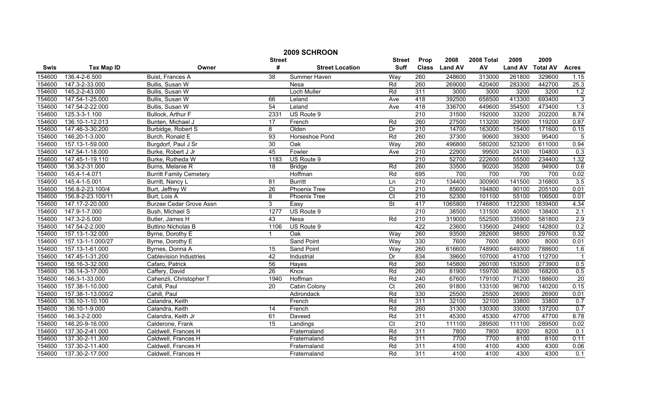| 2009 SCHROON |                   |                                |                 |                        |                         |                  |                |            |                |                 |                  |
|--------------|-------------------|--------------------------------|-----------------|------------------------|-------------------------|------------------|----------------|------------|----------------|-----------------|------------------|
|              |                   |                                | <b>Street</b>   |                        | <b>Street</b>           | Prop             | 2008           | 2008 Total | 2009           | 2009            |                  |
| Swis         | <b>Tax Map ID</b> | Owner                          | #               | <b>Street Location</b> | <b>Suff</b>             | <b>Class</b>     | <b>Land AV</b> | AV         | <b>Land AV</b> | <b>Total AV</b> | <b>Acres</b>     |
| 154600       | 136.4-2-6.500     | Buist, Frances A               | 38              | Summer Haven           | Way                     | 260              | 248600         | 313000     | 261800         | 329600          | 1.15             |
| 154600       | 147.3-2-33.000    | Bullis, Susan W                |                 | Nesa                   | Rd                      | 260              | 269000         | 420400     | 283300         | 442700          | 25.3             |
| 154600       | 145.2-2-43.000    | Bullis, Susan W                |                 | Loch Muller            | Rd                      | 311              | 3000           | 3000       | 3200           | 3200            | 1.2              |
| 154600       | 147.54-1-25.000   | Bullis, Susan W                | 66              | Leland                 | Ave                     | 418              | 392500         | 658500     | 413300         | 693400          | $\overline{3}$   |
| 154600       | 147.54-2-22.000   | Bullis, Susan W                | 54              | Leland                 | Ave                     | 418              | 336700         | 449600     | 354500         | 473400          | 1.3              |
| 154600       | 125.3-3-1.100     | <b>Bullock, Arthur F</b>       | 2331            | US Route 9             |                         | 210              | 31500          | 192000     | 33200          | 202200          | 8.74             |
| 154600       | 136.10-1-12.013   | Bunten, Michael J              | 17              | French                 | Rd                      | 260              | 27500          | 113200     | 29000          | 119200          | 0.87             |
| 154600       | 147.46-3-30.200   | Burbidge, Robert S             | 8               | Olden                  | Dr                      | 210              | 14700          | 163000     | 15400          | 171600          | 0.15             |
| 154600       | 146.20-1-3.000    | Burch, Ronald E                | 93              | Horseshoe Pond         | Rd                      | 260              | 37300          | 90600      | 39300          | 95400           | $\overline{5}$   |
| 154600       | 157.13-1-59.000   | Burgdorf, Paul J Sr            | 30              | Oak                    | Way                     | 260              | 496800         | 580200     | 523200         | 611000          | 0.94             |
| 154600       | 147.54-1-18.000   | Burke, Robert J Jr             | 45              | Fowler                 | Ave                     | $\overline{210}$ | 22900          | 99500      | 24100          | 104800          | 0.3              |
| 154600       | 147.45-1-19.110   | Burke, Rutheda W               | 1183            | US Route 9             |                         | 210              | 52700          | 222600     | 55500          | 234400          | 1.32             |
| 154600       | 136.3-2-31.000    | Burns, Melanie R               | 18              | <b>Bridge</b>          | Rd                      | 260              | 33500          | 90200      | 35200          | 94900           | 0.6              |
| 154600       | 145.4-1-4.071     | <b>Burritt Family Cemetery</b> |                 | Hoffman                | Rd                      | 695              | 700            | 700        | 700            | 700             | 0.02             |
| 154600       | 145.4-1-5.001     | Burritt, Nancy L               | 81              | <b>Burritt</b>         | Ln                      | $\overline{210}$ | 134400         | 300900     | 141500         | 316800          | 3.5              |
| 154600       | 156.8-2-23.100/4  | Burt, Jeffrey W                | 26              | <b>Phoenix Tree</b>    | $\overline{\text{C}t}$  | 210              | 85600          | 194800     | 90100          | 205100          | 0.01             |
| 154600       | 156.8-2-23.100/11 | Burt, Lois A                   | 8               | <b>Phoenix Tree</b>    | $\overline{C}t$         | 210              | 52300          | 101100     | 55100          | 106500          | 0.01             |
| 154600       | 147.17-2-20.000   | <b>Burzee Cedar Grove Assn</b> | 3               | Easy                   | <b>St</b>               | 417              | 1065800        | 1746800    | 1122300        | 1839400         | 4.34             |
| 154600       | 147.9-1-7.000     | Bush, Michael S                | 1277            | US Route 9             |                         | 210              | 38500          | 131500     | 40500          | 138400          | 2.1              |
| 154600       | 147.3-2-5.000     | Butler, James H                | 43              | Nesa                   | Rd                      | 210              | 319000         | 552500     | 335900         | 581800          | 2.9              |
| 154600       | 147.54-2-2.000    | <b>Buttino Nicholas B</b>      | 1106            | US Route 9             |                         | 422              | 23600          | 135600     | 24900          | 142800          | 0.2              |
| 154600       | 157.13-1-32.000   | Byrne, Dorothy E               |                 | Oak                    | Way                     | 260              | 93500          | 282600     | 98500          | 297600          | 0.32             |
| 154600       | 157.13-1-1.000/27 | Byrne, Dorothy E               |                 | <b>Sand Point</b>      | Way                     | 330              | 7600           | 7600       | 8000           | 8000            | 0.01             |
| 154600       | 157.13-1-61.000   | Byrnes, Donna A                | $\overline{15}$ | <b>Sand Point</b>      | Way                     | 260              | 616600         | 748900     | 649300         | 788600          | 1.6              |
| 154600       | 147.45-1-31.200   | <b>Cablevision Industries</b>  | 42              | Industrial             | Dr                      | 834              | 39600          | 107000     | 41700          | 112700          | $\overline{1}$   |
| 154600       | 156.16-3-32.000   | Cafaro, Patrick                | 56              | Hayes                  | Rd                      | 260              | 145800         | 260100     | 153500         | 273900          | 0.5              |
| 154600       | 136.14-3-17.000   | Caffery, David                 | $\overline{26}$ | Knox                   | Rd                      | 260              | 81900          | 159700     | 86300          | 168200          | 0.5              |
| 154600       | 146.3-1-33.000    | Cahenzli, Christopher T        | 1940            | Hoffman                | Rd                      | 240              | 67600          | 179100     | 71200          | 188600          | 20               |
| 154600       | 157.38-1-10.000   | Cahill, Paul                   | 20              | Cabin Colony           | $\overline{\text{C}}$ t | 260              | 91800          | 133100     | 96700          | 140200          | 0.15             |
| 154600       | 157.38-1-13.000/2 | Cahill, Paul                   |                 | Adirondack             | Rd                      | 330              | 25500          | 25500      | 26900          | 26900           | 0.01             |
| 154600       | 136.10-1-10.100   | Calandra, Keith                |                 | French                 | Rd                      | 311              | 32100          | 32100      | 33800          | 33800           | 0.7              |
| 154600       | 136.10-1-9.000    | Calandra, Keith                | 14              | French                 | Rd                      | 260              | 31300          | 130300     | 33000          | 137200          | 0.7              |
| 154600       | 146.3-2-2.000     | Calandra, Keith Jr             | 61              | Daveed                 | Rd                      | 311              | 45300          | 45300      | 47700          | 47700           | 8.78             |
| 154600       | 146.20-9-16.000   | Calderone, Frank               | 15              | Landings               | $\overline{\text{C}t}$  | 210              | 111100         | 289500     | 111100         | 289500          | 0.02             |
| 154600       | 137.30-2-41.000   | Caldwell, Frances H            |                 | Fraternaland           | Rd                      | 311              | 7800           | 7800       | 8200           | 8200            | 0.1              |
| 154600       | 137.30-2-11.300   | Caldwell, Frances H            |                 | Fraternaland           | Rd                      | 311              | 7700           | 7700       | 8100           | 8100            | 0.11             |
| 154600       | 137.30-2-11.400   | Caldwell, Frances H            |                 | Fraternaland           | Rd                      | 311              | 4100           | 4100       | 4300           | 4300            | 0.06             |
| 154600       | 137.30-2-17.000   | Caldwell, Frances H            |                 | Fraternaland           | Rd                      | 311              | 4100           | 4100       | 4300           | 4300            | $\overline{0.1}$ |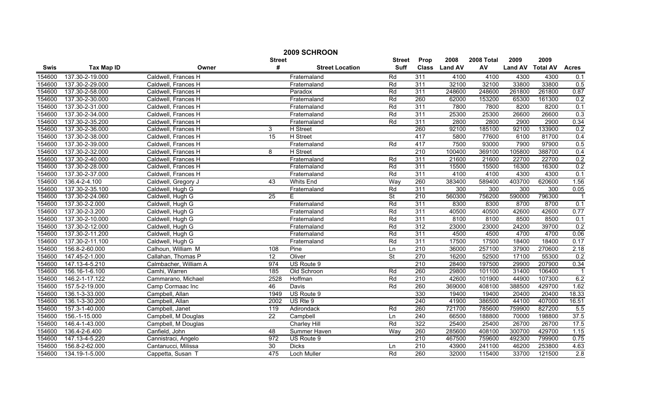| 2009 SCHROON |                                                                              |                       |                 |                        |                          |                  |                |        |                |                 |              |
|--------------|------------------------------------------------------------------------------|-----------------------|-----------------|------------------------|--------------------------|------------------|----------------|--------|----------------|-----------------|--------------|
|              | 2008<br>2009<br>Prop<br>2008 Total<br>2009<br><b>Street</b><br><b>Street</b> |                       |                 |                        |                          |                  |                |        |                |                 |              |
| <b>Swis</b>  | <b>Tax Map ID</b>                                                            | Owner                 | #               | <b>Street Location</b> | <b>Suff</b>              | <b>Class</b>     | <b>Land AV</b> | AV     | <b>Land AV</b> | <b>Total AV</b> | <b>Acres</b> |
| 154600       | 137.30-2-19.000                                                              | Caldwell, Frances H   |                 | Fraternaland           | Rd                       | 311              | 4100           | 4100   | 4300           | 4300            | 0.1          |
| 154600       | 137.30-2-29.000                                                              | Caldwell, Frances H   |                 | Fraternaland           | Rd                       | 311              | 32100          | 32100  | 33800          | 33800           | 0.5          |
| 154600       | 137.30-2-58.000                                                              | Caldwell, Frances H   |                 | Paradox                | Rd                       | 311              | 248600         | 248600 | 261800         | 261800          | 0.87         |
| 154600       | 137.30-2-30.000                                                              | Caldwell, Frances H   |                 | Fraternaland           | Rd                       | 260              | 62000          | 153200 | 65300          | 161300          | 0.2          |
| 154600       | 137.30-2-31.000                                                              | Caldwell, Frances H   |                 | Fraternaland           | Rd                       | 311              | 7800           | 7800   | 8200           | 8200            | 0.1          |
| 154600       | 137.30-2-34.000                                                              | Caldwell, Frances H   |                 | Fraternaland           | Rd                       | 311              | 25300          | 25300  | 26600          | 26600           | 0.3          |
| 154600       | 137.30-2-35.200                                                              | Caldwell, Frances H   |                 | Fraternaland           | Rd                       | 311              | 2800           | 2800   | 2900           | 2900            | 0.34         |
| 154600       | 137.30-2-36.000                                                              | Caldwell, Frances H   | 3               | H Street               |                          | 260              | 92100          | 185100 | 92100          | 133900          | 0.2          |
| 154600       | 137.30-2-38.000                                                              | Caldwell, Frances H   | 15              | H Street               |                          | 417              | 5800           | 77600  | 6100           | 81700           | 0.4          |
| 154600       | 137.30-2-39.000                                                              | Caldwell, Frances H   |                 | Fraternaland           | Rd                       | 417              | 7500           | 93000  | 7900           | 97900           | 0.5          |
| 154600       | 137.30-2-32.000                                                              | Caldwell, Frances H   | 8               | H Street               |                          | 210              | 100400         | 369100 | 105800         | 388700          | 0.4          |
| 154600       | 137.30-2-40.000                                                              | Caldwell, Frances H   |                 | Fraternaland           | Rd                       | 311              | 21600          | 21600  | 22700          | 22700           | 0.2          |
| 154600       | 137.30-2-28.000                                                              | Caldwell, Frances H   |                 | Fraternaland           | Rd                       | 311              | 15500          | 15500  | 16300          | 16300           | 0.2          |
| 154600       | 137.30-2-37.000                                                              | Caldwell, Frances H   |                 | Fraternaland           | Rd                       | 311              | 4100           | 4100   | 4300           | 4300            | 0.1          |
| 154600       | 136.4-2-4.100                                                                | Caldwell, Gregory J   | 43              | Whits End              | Way                      | 260              | 383400         | 589400 | 403700         | 620600          | 1.56         |
| 154600       | 137.30-2-35.100                                                              | Caldwell, Hugh G      |                 | Fraternaland           | Rd                       | 311              | 300            | 300    | 300            | 300             | 0.05         |
| 154600       | 137.30-2-24.060                                                              | Caldwell, Hugh G      | 25              | Е                      | $\overline{\mathsf{St}}$ | 210              | 560300         | 756200 | 590000         | 796300          |              |
| 154600       | 137.30-2-2.000                                                               | Caldwell, Hugh G      |                 | Fraternaland           | Rd                       | 311              | 8300           | 8300   | 8700           | 8700            | 0.1          |
| 154600       | 137.30-2-3.200                                                               | Caldwell, Hugh G      |                 | Fraternaland           | Rd                       | 311              | 40500          | 40500  | 42600          | 42600           | 0.77         |
| 154600       | 137.30-2-10.000                                                              | Caldwell, Hugh G      |                 | Fraternaland           | Rd                       | 311              | 8100           | 8100   | 8500           | 8500            | 0.1          |
| 154600       | 137.30-2-12.000                                                              | Caldwell, Hugh G      |                 | Fraternaland           | Rd                       | 312              | 23000          | 23000  | 24200          | 39700           | 0.2          |
| 154600       | 137.30-2-11.200                                                              | Caldwell, Hugh G      |                 | Fraternaland           | Rd                       | 311              | 4500           | 4500   | 4700           | 4700            | 0.06         |
| 154600       | 137.30-2-11.100                                                              | Caldwell, Hugh G      |                 | Fraternaland           | Rd                       | 311              | 17500          | 17500  | 18400          | 18400           | 0.17         |
| 154600       | 156.8-2-60.000                                                               | Calhoun, William M    | 108             | Pine                   | Ln                       | 210              | 36000          | 257100 | 37900          | 270600          | 2.18         |
| 154600       | 147.45-2-1.000                                                               | Callahan, Thomas P    | 12              | Oliver                 | St                       | 270              | 16200          | 52500  | 17100          | 55300           | 0.2          |
| 154600       | 147.13-4-5.210                                                               | Calmbacher, William A | 974             | US Route 9             |                          | 210              | 28400          | 197500 | 29900          | 207900          | 0.34         |
| 154600       | 156.16-1-6.100                                                               | Camhi, Warren         | 185             | Old Schroon            | Rd                       | 260              | 29800          | 101100 | 31400          | 106400          |              |
| 154600       | 146.2-1-17.122                                                               | Cammarano, Michael    | 2528            | Hoffman                | Rd                       | $\overline{210}$ | 42600          | 101900 | 44900          | 107300          | 6.2          |
| 154600       | 157.5-2-19.000                                                               | Camp Cormaac Inc      | 46              | Davis                  | Rd                       | 260              | 369000         | 408100 | 388500         | 429700          | 1.62         |
| 154600       | 136.1-3-33.000                                                               | Campbell, Allan       | 1949            | US Route 9             |                          | 330              | 19400          | 19400  | 20400          | 20400           | 18.33        |
| 154600       | 136.1-3-30.200                                                               | Campbell, Allan       | 2002            | US Rte 9               |                          | 240              | 41900          | 386500 | 44100          | 407000          | 16.51        |
| 154600       | 157.3-1-40.000                                                               | Campbell, Janet       | 119             | Adirondack             | Rd                       | 260              | 721700         | 785600 | 759900         | 827200          | 5.5          |
| 154600       | 156.-1-15.000                                                                | Campbell, M Douglas   | $\overline{22}$ | Campbell               | Ln                       | 240              | 66500          | 188800 | 70000          | 198800          | 37.5         |
| 154600       | 146.4-1-43.000                                                               | Campbell, M Douglas   |                 | Charley Hill           | Rd                       | 322              | 25400          | 25400  | 26700          | 26700           | 17.5         |
| 154600       | 136.4-2-6.400                                                                | Canfield, John        | 48              | Summer Haven           | Way                      | 260              | 285600         | 408100 | 300700         | 429700          | 1.15         |
| 154600       | 147.13-4-5.220                                                               | Cannistraci, Angelo   | 972             | US Route 9             |                          | 210              | 467500         | 759600 | 492300         | 799900          | 0.75         |
| 154600       | 156.8-2-62.000                                                               | Cantanucci, Milissa   | $\overline{30}$ | <b>Dicks</b>           | Ln                       | $\overline{210}$ | 43900          | 241100 | 46200          | 253800          | 4.63         |
| 154600       | 134.19-1-5.000                                                               | Cappetta, Susan T     | 475             | Loch Muller            | Rd                       | 260              | 32000          | 115400 | 33700          | 121500          | 2.8          |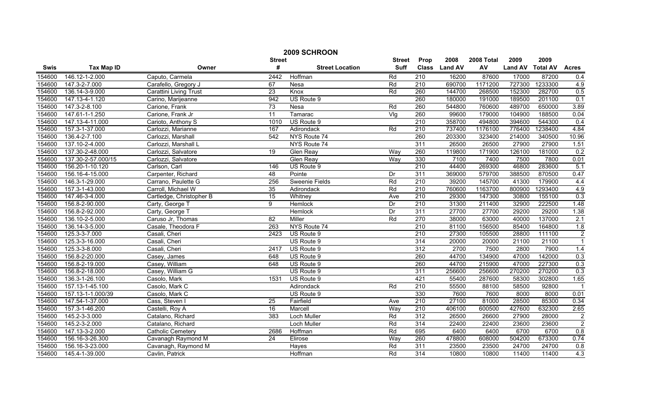| 2009 SCHROON |                    |                               |                  |                        |               |                  |                |            |                |                 |                |
|--------------|--------------------|-------------------------------|------------------|------------------------|---------------|------------------|----------------|------------|----------------|-----------------|----------------|
|              |                    |                               | <b>Street</b>    |                        | <b>Street</b> | Prop             | 2008           | 2008 Total | 2009           | 2009            |                |
| Swis         | <b>Tax Map ID</b>  | Owner                         | #                | <b>Street Location</b> | Suff          | <b>Class</b>     | <b>Land AV</b> | AV         | <b>Land AV</b> | <b>Total AV</b> | <b>Acres</b>   |
| 154600       | 146.12-1-2.000     | Caputo, Carmela               | 2442             | Hoffman                | Rd            | $\overline{210}$ | 16200          | 87600      | 17000          | 87200           | 0.4            |
| 154600       | 147.3-2-7.000      | Carafello, Gregory J          | 67               | Nesa                   | Rd            | $\overline{210}$ | 690700         | 1171200    | 727300         | 1233300         | 4.9            |
| 154600       | 136.14-3-9.000     | <b>Carattini Living Trust</b> | 23               | Knox                   | Rd            | 260              | 144700         | 268500     | 152300         | 282700          | 0.5            |
| 154600       | 147.13-4-1.120     | Carino, Marijeanne            | 942              | US Route 9             |               | 260              | 180000         | 191000     | 189500         | 201100          | 0.1            |
| 154600       | 147.3-2-8.100      | Carione, Frank                | 73               | Nesa                   | Rd            | 260              | 544800         | 760600     | 489700         | 650000          | 3.89           |
| 154600       | 147.61-1-1.250     | Carione, Frank Jr             | 11               | Tamarac                | Vlg           | 260              | 99600          | 179000     | 104900         | 188500          | 0.04           |
| 154600       | 147.13-4-11.000    | Carioto, Anthony S            | 1010             | US Route 9             |               | 210              | 358700         | 494800     | 394600         | 544300          | 0.4            |
| 154600       | 157.3-1-37.000     | Carlozzi, Marianne            | 167              | Adirondack             | Rd            | 210              | 737400         | 1176100    | 776400         | 1238400         | 4.84           |
| 154600       | 136.4-2-7.100      | Carlozzi, Marshall            | $\overline{542}$ | NYS Route 74           |               | 260              | 203300         | 323400     | 214000         | 340500          | 10.96          |
| 154600       | 137.10-2-4.000     | Carlozzi, Marshall L          |                  | NYS Route 74           |               | 311              | 26500          | 26500      | 27900          | 27900           | 1.51           |
| 154600       | 137.30-2-48.000    | Carlozzi, Salvatore           | $\overline{19}$  | Glen Reay              | Way           | 260              | 119800         | 171900     | 126100         | 181000          | 0.2            |
| 154600       | 137.30-2-57.000/15 | Carlozzi, Salvatore           |                  | <b>Glen Reay</b>       | Way           | 330              | 7100           | 7400       | 7500           | 7800            | 0.01           |
| 154600       | 156.20-1-10.120    | Carlson, Carl                 | 146              | US Route 9             |               | $\overline{210}$ | 44400          | 269300     | 46800          | 283600          | 5.1            |
| 154600       | 156.16-4-15.000    | Carpenter, Richard            | 48               | Pointe                 | Dr            | 311              | 369000         | 579700     | 388500         | 870500          | 0.47           |
| 154600       | 146.3-1-29.000     | Carrano, Paulette G           | 256              | <b>Sweenie Fields</b>  | Rd            | $\overline{210}$ | 39200          | 145700     | 41300          | 179900          | 4.4            |
| 154600       | 157.3-1-43.000     | Carroll, Michael W            | $\overline{35}$  | Adirondack             | Rd            | 210              | 760600         | 1163700    | 800900         | 1293400         | 4.9            |
| 154600       | 147.46-3-4.000     | Cartledge, Christopher B      | 15               | Whitney                | Ave           | 210              | 29300          | 147300     | 30800          | 155100          | 0.3            |
| 154600       | 156.8-2-90.000     | Carty, George T               | 9                | <b>Hemlock</b>         | Dr            | 210              | 31300          | 211400     | 32900          | 222500          | 1.48           |
| 154600       | 156.8-2-92.000     | Carty, George T               |                  | <b>Hemlock</b>         | Dr            | 311              | 27700          | 27700      | 29200          | 29200           | 1.38           |
| 154600       | 136.10-2-5.000     | Caruso Jr, Thomas             | 82               | Miller                 | Rd            | 270              | 38000          | 63000      | 40000          | 137000          | 2.1            |
| 154600       | 136.14-3-5.000     | Casale. Theodora F            | 263              | NYS Route 74           |               | 210              | 81100          | 156500     | 85400          | 164800          | 1.8            |
| 154600       | 125.3-3-7.000      | Casali, Cheri                 | 2423             | US Route 9             |               | 210              | 27300          | 105500     | 28800          | 111100          | $\overline{c}$ |
| 154600       | 125.3-3-16.000     | Casali, Cheri                 |                  | US Route 9             |               | 314              | 20000          | 20000      | 21100          | 21100           | $\overline{1}$ |
| 154600       | 125.3-3-8.000      | Casali, Cheri                 | 2417             | US Route 9             |               | 312              | 2700           | 7500       | 2800           | 7900            | 1.4            |
| 154600       | 156.8-2-20.000     | Casey, James                  | 648              | US Route 9             |               | 260              | 44700          | 134900     | 47000          | 142000          | 0.3            |
| 154600       | 156.8-2-19.000     | Casey, William                | 648              | US Route 9             |               | 260              | 44700          | 215900     | 47000          | 227300          | 0.3            |
| 154600       | 156.8-2-18.000     | Casey, William G              |                  | US Route 9             |               | 311              | 256600         | 256600     | 270200         | 270200          | 0.3            |
| 154600       | 136.3-1-26.100     | Casolo, Mark                  | 1531             | US Route 9             |               | 421              | 55400          | 287600     | 58300          | 302800          | 1.65           |
| 154600       | 157.13-1-45.100    | Casolo, Mark C                |                  | Adirondack             | Rd            | 210              | 55500          | 88100      | 58500          | 92800           | $\overline{1}$ |
| 154600       | 157.13-1-1.000/39  | Casolo, Mark C                |                  | US Route 9             |               | 330              | 7600           | 7600       | 8000           | 8000            | 0.01           |
| 154600       | 147.54-1-37.000    | Cass, Steven I                | 25               | Fairfield              | Ave           | 210              | 27100          | 81000      | 28500          | 85300           | 0.34           |
| 154600       | 157.3-1-46.200     | Castelli, Roy A               | 16               | Marcell                | Way           | 210              | 406100         | 600500     | 427600         | 632300          | 2.65           |
| 154600       | 145.2-3-3.000      | Catalano, Richard             | 383              | Loch Muller            | Rd            | 312              | 26500          | 26600      | 27900          | 28000           | $\overline{2}$ |
| 154600       | 145.2-3-2.000      | Catalano, Richard             |                  | <b>Loch Muller</b>     | Rd            | 314              | 22400          | 22400      | 23600          | 23600           | $\overline{2}$ |
| 154600       | 147.13-3-2.000     | <b>Catholic Cemetery</b>      | 2686             | Hoffman                | Rd            | 695              | 6400           | 6400       | 6700           | 6700            | 0.8            |
| 154600       | 156.16-3-26.300    | Cavanagh Raymond M            | 24               | Elirose                | Way           | 260              | 478800         | 608000     | 504200         | 673300          | 0.74           |
| 154600       | 156.16-3-23.000    | Cavanagh, Raymond M           |                  | Hayes                  | Rd            | 311              | 23500          | 23500      | 24700          | 24700           | 0.8            |
| 154600       | 145.4-1-39.000     | Cavlin, Patrick               |                  | Hoffman                | Rd            | 314              | 10800          | 10800      | 11400          | 11400           | 4.3            |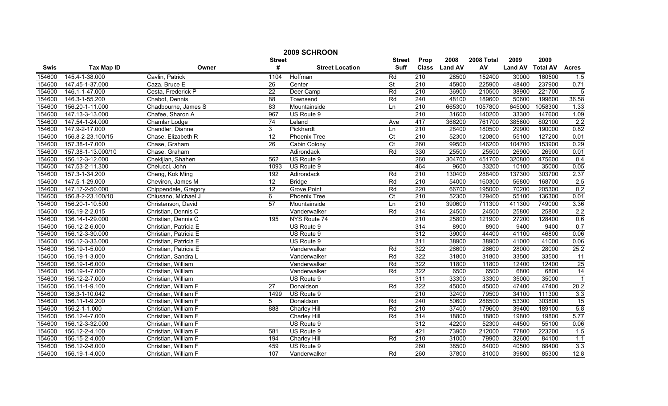|        | 2009 SCHROON       |                       |                 |                        |                          |                  |               |            |                |                 |                 |  |
|--------|--------------------|-----------------------|-----------------|------------------------|--------------------------|------------------|---------------|------------|----------------|-----------------|-----------------|--|
|        |                    |                       | <b>Street</b>   |                        | <b>Street</b>            | Prop             | 2008          | 2008 Total | 2009           | 2009            |                 |  |
| Swis   | <b>Tax Map ID</b>  | Owner                 | #               | <b>Street Location</b> | <b>Suff</b>              |                  | Class Land AV | AV         | <b>Land AV</b> | <b>Total AV</b> | <b>Acres</b>    |  |
| 154600 | 145.4-1-38.000     | Cavlin, Patrick       | 1104            | Hoffman                | Rd                       | $\overline{210}$ | 28500         | 152400     | 30000          | 160500          | 1.5             |  |
| 154600 | 147.45-1-37.000    | Caza, Bruce E         | $\overline{26}$ | Center                 | $\overline{\mathsf{St}}$ | $\overline{210}$ | 45900         | 225900     | 48400          | 237900          | 0.71            |  |
| 154600 | 146.1-1-47.000     | Cesta, Frederick P    | $\overline{22}$ | Deer Camp              | Rd                       | $\overline{210}$ | 36900         | 210500     | 38900          | 221700          | $\overline{5}$  |  |
| 154600 | 146.3-1-55.200     | Chabot, Dennis        | 88              | Townsend               | Rd                       | 240              | 48100         | 189600     | 50600          | 199600          | 36.58           |  |
| 154600 | 156.20-1-11.000    | Chadbourne, James S   | 83              | Mountainside           | Ln                       | 210              | 665300        | 1057800    | 645000         | 1058300         | 1.33            |  |
| 154600 | 147.13-3-13.000    | Chafee, Sharon A      | 967             | US Route 9             |                          | 210              | 31600         | 140200     | 33300          | 147600          | 1.09            |  |
| 154600 | 147.54-1-24.000    | Chamlar Lodge         | 74              | Leland                 | Ave                      | 417              | 366200        | 761700     | 385600         | 802100          | 2.2             |  |
| 154600 | 147.9-2-17.000     | Chandler, Dianne      | 3               | Pickhardt              | Ln                       | 210              | 28400         | 180500     | 29900          | 190000          | 0.82            |  |
| 154600 | 156.8-2-23.100/15  | Chase, Elizabeth R    | $\overline{12}$ | Phoenix Tree           | $\overline{C}$           | $\overline{210}$ | 52300         | 120800     | 55100          | 127200          | 0.01            |  |
| 154600 | 157.38-1-7.000     | Chase, Graham         | 26              | Cabin Colony           | Ct                       | 260              | 99500         | 146200     | 104700         | 153900          | 0.29            |  |
| 154600 | 157.38-1-13.000/10 | Chase, Graham         |                 | Adirondack             | Rd                       | 330              | 25500         | 25500      | 26900          | 26900           | 0.01            |  |
| 154600 | 156.12-3-12.000    | Chekijian, Shahen     | 562             | US Route 9             |                          | 260              | 304700        | 451700     | 320800         | 475600          | 0.4             |  |
| 154600 | 147.53-2-11.300    | Chelucci, John        | 1093            | US Route 9             |                          | 464              | 9600          | 33200      | 10100          | 35000           | 0.05            |  |
| 154600 | 157.3-1-34.200     | Cheng, Kok Ming       | 192             | Adirondack             | Rd                       | $\overline{210}$ | 130400        | 288400     | 137300         | 303700          | 2.37            |  |
| 154600 | 147.5-1-29.000     | Cheviron, James M     | 12              | <b>Bridge</b>          | Rd                       | 210              | 54000         | 160300     | 56800          | 168700          | 2.5             |  |
| 154600 | 147.17-2-50.000    | Chippendale, Gregory  | $\overline{12}$ | <b>Grove Point</b>     | Rd                       | 220              | 66700         | 195000     | 70200          | 205300          | 0.2             |  |
| 154600 | 156.8-2-23.100/10  | Chiusano, Michael J   | 6               | Phoenix Tree           | C <sub>t</sub>           | 210              | 52300         | 129400     | 55100          | 136300          | 0.01            |  |
| 154600 | 156.20-1-10.500    | Christenson, David    | $\overline{57}$ | Mountainside           | Ln                       | 210              | 390600        | 711300     | 411300         | 749000          | 3.36            |  |
| 154600 | 156.19-2-2.015     | Christian, Dennis C   |                 | Vanderwalker           | Rd                       | 314              | 24500         | 24500      | 25800          | 25800           | 2.2             |  |
| 154600 | 136.14-1-29.000    | Christian, Dennis C   | 195             | NYS Route 74           |                          | 210              | 25800         | 121900     | 27200          | 128400          | 0.6             |  |
| 154600 | 156.12-2-6.000     | Christian, Patricia E |                 | US Route 9             |                          | 314              | 8900          | 8900       | 9400           | 9400            | 0.7             |  |
| 154600 | 156.12-3-30.000    | Christian, Patricia E |                 | US Route 9             |                          | 312              | 39000         | 44400      | 41100          | 46800           | 0.06            |  |
| 154600 | 156.12-3-33.000    | Christian, Patricia E |                 | US Route 9             |                          | 311              | 38900         | 38900      | 41000          | 41000           | 0.06            |  |
| 154600 | 156.19-1-5.000     | Christian, Patricia E |                 | Vanderwalker           | Rd                       | 322              | 26600         | 26600      | 28000          | 28000           | 25.2            |  |
| 154600 | 156.19-1-3.000     | Christian, Sandra L   |                 | Vanderwalker           | Rd                       | 322              | 31800         | 31800      | 33500          | 33500           | $\overline{11}$ |  |
| 154600 | 156.19-1-6.000     | Christian, William    |                 | Vanderwalker           | Rd                       | 322              | 11800         | 11800      | 12400          | 12400           | 25              |  |
| 154600 | 156.19-1-7.000     | Christian, William    |                 | Vanderwalker           | Rd                       | 322              | 6500          | 6500       | 6800           | 6800            | $\overline{14}$ |  |
| 154600 | 156.12-2-7.000     | Christian, William    |                 | US Route 9             |                          | 311              | 33300         | 33300      | 35000          | 35000           | $\overline{1}$  |  |
| 154600 | 156.11-1-9.100     | Christian, William F  | 27              | Donaldson              | Rd                       | 322              | 45000         | 45000      | 47400          | 47400           | 20.2            |  |
| 154600 | 136.3-1-10.042     | Christian, William F  | 1499            | US Route 9             |                          | $\overline{210}$ | 32400         | 79500      | 34100          | 111300          | 3.3             |  |
| 154600 | 156.11-1-9.200     | Christian, William F  | 5               | Donaldson              | Rd                       | 240              | 50600         | 288500     | 53300          | 303800          | 15              |  |
| 154600 | 156.2-1-1.000      | Christian, William F  | 888             | <b>Charley Hill</b>    | Rd                       | 210              | 37400         | 179600     | 39400          | 189100          | 5.8             |  |
| 154600 | 156.12-4-7.000     | Christian, William F  |                 | Charley Hill           | Rd                       | 314              | 18800         | 18800      | 19800          | 19800           | 5.77            |  |
| 154600 | 156.12-3-32.000    | Christian, William F  |                 | US Route 9             |                          | $\overline{312}$ | 42200         | 52300      | 44500          | 55100           | 0.06            |  |
| 154600 | 156.12-2-4.100     | Christian, William F  | 581             | US Route 9             |                          | 421              | 73900         | 212000     | 77800          | 223200          | 1.5             |  |
| 154600 | 156.15-2-4.000     | Christian, William F  | 194             | Charley Hill           | Rd                       | 210              | 31000         | 79900      | 32600          | 84100           | 1.1             |  |
| 154600 | 156.12-2-8.000     | Christian, William F  | 459             | US Route 9             |                          | 260              | 38500         | 84000      | 40500          | 88400           | 3.3             |  |
| 154600 | 156.19-1-4.000     | Christian, William F  | 107             | Vanderwalker           | Rd                       | 260              | 37800         | 81000      | 39800          | 85300           | 12.8            |  |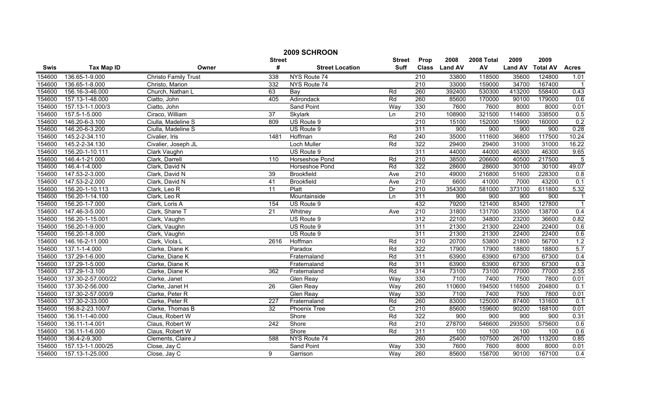|        | 2009 SCHROON       |                             |                 |                        |                |                  |               |            |                |                 |                  |
|--------|--------------------|-----------------------------|-----------------|------------------------|----------------|------------------|---------------|------------|----------------|-----------------|------------------|
|        |                    |                             | <b>Street</b>   |                        | <b>Street</b>  | Prop             | 2008          | 2008 Total | 2009           | 2009            |                  |
| Swis   | <b>Tax Map ID</b>  | Owner                       | #               | <b>Street Location</b> | <b>Suff</b>    |                  | Class Land AV | AV         | <b>Land AV</b> | <b>Total AV</b> | <b>Acres</b>     |
| 154600 | 136.65-1-9.000     | <b>Christo Family Trust</b> | 338             | NYS Route 74           |                | $\overline{210}$ | 33800         | 118500     | 35600          | 124800          | 1.01             |
| 154600 | 136.65-1-8.000     | Christo, Marion             | 332             | NYS Route 74           |                | $\overline{210}$ | 33000         | 159000     | 34700          | 167400          |                  |
| 154600 | 156.16-3-46.000    | Church, Nathan L            | 63              | Bay                    | Rd             | 260              | 392400        | 530300     | 413200         | 558400          | 0.43             |
| 154600 | 157.13-1-48.000    | Ciatto, John                | 405             | Adirondack             | Rd             | 260              | 85600         | 170000     | 90100          | 179000          | 0.6              |
| 154600 | 157.13-1-1.000/3   | Ciatto, John                |                 | Sand Point             | Way            | 330              | 7600          | 7600       | 8000           | 8000            | 0.01             |
| 154600 | 157.5-1-5.000      | Ciraco, William             | 37              | Skylark                | Ln             | 210              | 108900        | 321500     | 114600         | 338500          | 0.5              |
| 154600 | 146.20-6-3.100     | Ciulla, Madeline S          | 809             | US Route 9             |                | 210              | 15100         | 152000     | 15900          | 160000          | 0.2              |
| 154600 | 146.20-6-3.200     | Ciulla, Madeline S          |                 | US Route 9             |                | 311              | 900           | 900        | 900            | 900             | 0.28             |
| 154600 | 145.2-2-34.110     | Civalier, Iris              | 1481            | Hoffman                | Rd             | $\overline{240}$ | 35000         | 111600     | 36800          | 117500          | 10.24            |
| 154600 | 145.2-2-34.130     | Civalier, Joseph JL         |                 | Loch Muller            | Rd             | 322              | 29400         | 29400      | 31000          | 31000           | 16.22            |
| 154600 | 156.20-1-10.111    | Clark Vaughn                |                 | US Route 9             |                | 311              | 44000         | 44000      | 46300          | 46300           | 9.65             |
| 154600 | 146.4-1-21.000     | Clark, Darrell              | 110             | Horseshoe Pond         | Rd             | 210              | 38500         | 206600     | 40500          | 217500          | $\overline{5}$   |
| 154600 | 146.4-1-4.000      | Clark, David N              |                 | Horseshoe Pond         | Rd             | 322              | 28600         | 28600      | 30100          | 30100           | 49.07            |
| 154600 | 147.53-2-3.000     | Clark, David N              | 39              | <b>Brookfield</b>      | Ave            | 210              | 49000         | 216800     | 51600          | 228300          | 0.8              |
| 154600 | 147.53-2-2.000     | Clark, David N              | 41              | <b>Brookfield</b>      | Ave            | $\overline{210}$ | 6600          | 41000      | 7000           | 43200           | 0.1              |
| 154600 | 156.20-1-10.113    | Clark, Leo R                | $\overline{11}$ | Platt                  | Dr             | 210              | 354300        | 581000     | 373100         | 611800          | 5.32             |
| 154600 | 156.20-1-14.100    | Clark, Leo R                |                 | Mountainside           | Ln             | 311              | 900           | 900        | 900            | 900             | -1               |
| 154600 | 156.20-1-7.000     | Clark, Loris A              | 154             | US Route 9             |                | 432              | 79200         | 121400     | 83400          | 127800          | $\overline{1}$   |
| 154600 | 147.46-3-5.000     | Clark, Shane T              | 21              | Whitney                | Ave            | 210              | 31800         | 131700     | 33500          | 138700          | 0.4              |
| 154600 | 156.20-1-15.001    | Clark, Vaughn               |                 | US Route 9             |                | 312              | 22100         | 34800      | 23200          | 36600           | 0.82             |
| 154600 | 156.20-1-9.000     | Clark, Vaughn               |                 | US Route 9             |                | 311              | 21300         | 21300      | 22400          | 22400           | 0.6              |
| 154600 | 156.20-1-8.000     | Clark, Vaughn               |                 | US Route 9             |                | 311              | 21300         | 21300      | 22400          | 22400           | 0.6              |
| 154600 | 146.16-2-11.000    | Clark, Viola L              | 2616            | Hoffman                | Rd             | $\overline{210}$ | 20700         | 53800      | 21800          | 56700           | 1.2              |
| 154600 | 137.1-1-4.000      | Clarke, Diane K             |                 | Paradox                | Rd             | 322              | 17900         | 17900      | 18800          | 18800           | 5.7              |
| 154600 | 137.29-1-6.000     | Clarke, Diane K             |                 | Fraternaland           | Rd             | 311              | 63900         | 63900      | 67300          | 67300           | 0.4              |
| 154600 | 137.29-1-5.000     | Clarke, Diane K             |                 | Fraternaland           | Rd             | 311              | 63900         | 63900      | 67300          | 67300           | $\overline{0.3}$ |
| 154600 | 137.29-1-3.100     | Clarke, Diane K             | 362             | Fraternaland           | Rd             | 314              | 73100         | 73100      | 77000          | 77000           | 2.55             |
| 154600 | 137.30-2-57.000/22 | Clarke, Janet               |                 | <b>Glen Reay</b>       | Way            | 330              | 7100          | 7400       | 7500           | 7800            | 0.01             |
| 154600 | 137.30-2-56.000    | Clarke, Janet H             | 26              | <b>Glen Reay</b>       | Way            | 260              | 110600        | 194500     | 116500         | 204800          | 0.1              |
| 154600 | 137.30-2-57.000/9  | Clarke, Peter R             |                 | <b>Glen Reay</b>       | Way            | 330              | 7100          | 7400       | 7500           | 7800            | 0.01             |
| 154600 | 137.30-2-33.000    | Clarke, Peter R             | 227             | Fraternaland           | Rd             | 260              | 83000         | 125000     | 87400          | 131600          | 0.1              |
| 154600 | 156.8-2-23.100/7   | Clarke, Thomas B            | 32              | Phoenix Tree           | $\overline{C}$ | 210              | 85600         | 159600     | 90200          | 168100          | 0.01             |
| 154600 | 136.11-1-40.000    | Claus, Robert W             |                 | Shore                  | Rd             | 322              | 900           | 900        | 900            | 900             | 0.31             |
| 154600 | 136.11-1-4.001     | Claus, Robert W             | 242             | Shore                  | Rd             | 210              | 278700        | 546600     | 293500         | 575600          | 0.6              |
| 154600 | 136.11-1-6.000     | Claus, Robert W             |                 | Shore                  | Rd             | 311              | 100           | 100        | 100            | 100             | 0.6              |
| 154600 | 136.4-2-9.300      | Clements, Claire J          | 588             | NYS Route 74           |                | 260              | 25400         | 107500     | 26700          | 113200          | 0.85             |
| 154600 | 157.13-1-1.000/25  | Close, Jay C                |                 | Sand Point             | Way            | 330              | 7600          | 7600       | 8000           | 8000            | 0.01             |
| 154600 | 157.13-1-25.000    | Close, Jay C                | 9               | Garrison               | Way            | 260              | 85600         | 158700     | 90100          | 167100          | $\overline{0.4}$ |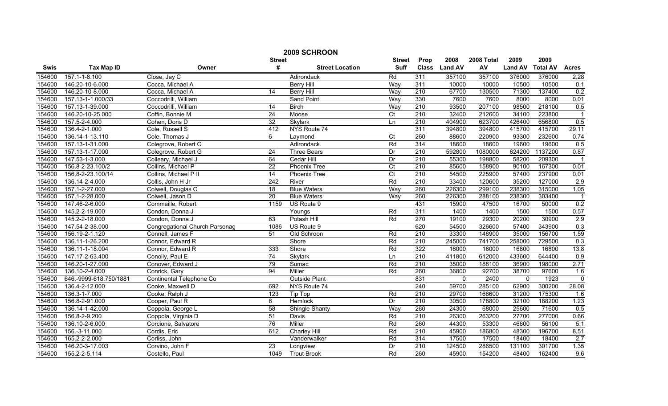|        | 2009 SCHROON           |                                |                  |                        |                 |                  |               |            |                |                 |                  |  |
|--------|------------------------|--------------------------------|------------------|------------------------|-----------------|------------------|---------------|------------|----------------|-----------------|------------------|--|
|        |                        |                                | <b>Street</b>    |                        | <b>Street</b>   | Prop             | 2008          | 2008 Total | 2009           | 2009            |                  |  |
| Swis   | <b>Tax Map ID</b>      | Owner                          | #                | <b>Street Location</b> | <b>Suff</b>     |                  | Class Land AV | AV         | <b>Land AV</b> | <b>Total AV</b> | <b>Acres</b>     |  |
| 154600 | 157.1-1-8.100          | Close, Jay C                   |                  | Adirondack             | Rd              | 311              | 357100        | 357100     | 376000         | 376000          | 2.28             |  |
| 154600 | 146.20-10-6.000        | Cocca, Michael A               |                  | <b>Berry Hill</b>      | Way             | 311              | 10000         | 10000      | 10500          | 10500           | 0.1              |  |
| 154600 | 146.20-10-8.000        | Cocca, Michael A               | 14               | <b>Berry Hill</b>      | Way             | 210              | 67700         | 130500     | 71300          | 137400          | 0.2              |  |
| 154600 | 157.13-1-1.000/33      | Coccodrilli, William           |                  | <b>Sand Point</b>      | Way             | 330              | 7600          | 7600       | 8000           | 8000            | 0.01             |  |
| 154600 | 157.13-1-39.000        | Coccodrilli, William           | $\overline{14}$  | <b>Birch</b>           | Way             | 210              | 93500         | 207100     | 98500          | 218100          | 0.5              |  |
| 154600 | 146.20-10-25.000       | Coffin, Bonnie M               | 24               | Moose                  | $\overline{C}$  | 210              | 32400         | 212600     | 34100          | 223800          | $\overline{1}$   |  |
| 154600 | 157.5-2-4.000          | Cohen, Doris D                 | 32               | <b>Skylark</b>         | Ln              | 210              | 404900        | 623700     | 426400         | 656800          | 0.5              |  |
| 154600 | 136.4-2-1.000          | Cole, Russell S                | 412              | NYS Route 74           |                 | 311              | 394800        | 394800     | 415700         | 415700          | 29.11            |  |
| 154600 | 136.14-1-13.110        | Cole, Thomas J                 | 6                | Laymond                | Ct              | 260              | 88600         | 220900     | 93300          | 232600          | 0.74             |  |
| 154600 | 157.13-1-31.000        | Colegrove, Robert C            |                  | Adirondack             | Rd              | 314              | 18600         | 18600      | 19600          | 19600           | 0.5              |  |
| 154600 | 157.13-1-17.000        | Colegrove, Robert G            | $\overline{24}$  | <b>Three Bears</b>     | Dr              | $\overline{210}$ | 592800        | 1080000    | 624200         | 1137200         | 0.87             |  |
| 154600 | 147.53-1-3.000         | Colleary, Michael J            | 64               | Cedar Hill             | Dr              | 210              | 55300         | 198800     | 58200          | 209300          |                  |  |
| 154600 | 156.8-2-23.100/2       | Collins, Michael P             | $\overline{22}$  | Phoenix Tree           | $\overline{C}$  | 210              | 85600         | 158900     | 90100          | 167300          | 0.01             |  |
| 154600 | 156.8-2-23.100/14      | Collins, Michael P II          | 14               | Phoenix Tree           | $\overline{C}t$ | 210              | 54500         | 225900     | 57400          | 237900          | 0.01             |  |
| 154600 | 136.14-2-4.000         | Collis, John H Jr              | $\overline{242}$ | River                  | Rd              | $\overline{210}$ | 33400         | 120600     | 35200          | 127000          | 2.9              |  |
| 154600 | 157.1-2-27.000         | Colwell, Douglas C             | 18               | <b>Blue Waters</b>     | Way             | 260              | 226300        | 299100     | 238300         | 315000          | 1.05             |  |
| 154600 | 157.1-2-28.000         | Colwell, Jason D               | 20               | <b>Blue Waters</b>     | Way             | 260              | 226300        | 288100     | 238300         | 303400          |                  |  |
| 154600 | 147.46-2-6.000         | Commaille, Robert              | 1159             | US Route 9             |                 | 431              | 15900         | 47500      | 16700          | 50000           | 0.2              |  |
| 154600 | 145.2-2-19.000         | Condon, Donna J                |                  | Youngs                 | Rd              | 311              | 1400          | 1400       | 1500           | 1500            | 0.57             |  |
| 154600 | 145.2-2-18.000         | Condon, Donna J                | 63               | Potash Hill            | Rd              | 270              | 19100         | 29300      | 20200          | 30900           | 2.9              |  |
| 154600 | 147.54-2-38.000        | Congregational Church Parsonag | 1086             | US Route 9             |                 | 620              | 54500         | 326600     | 57400          | 343900          | 0.3              |  |
| 154600 | 156.19-2-1.120         | Connell, James F               | 51               | Old Schroon            | Rd              | 210              | 33300         | 148900     | 35000          | 156700          | 1.59             |  |
| 154600 | 136.11-1-26.200        | Connor, Edward R               |                  | Shore                  | Rd              | $\overline{210}$ | 245000        | 741700     | 258000         | 729500          | 0.3              |  |
| 154600 | 136.11-1-18.004        | Connor, Edward R               | 333              | Shore                  | Rd              | 322              | 16000         | 16000      | 16800          | 16800           | 13.8             |  |
| 154600 | 147.17-2-63.400        | Conolly, Paul E                | $\overline{74}$  | Skylark                | Ln              | $\overline{210}$ | 411800        | 612000     | 433600         | 644400          | $\overline{0.9}$ |  |
| 154600 | 146.20-1-27.000        | Conover, Edward J              | 79               | Sumac                  | Rd              | $\overline{210}$ | 35000         | 188100     | 36900          | 198000          | 2.71             |  |
| 154600 | 136.10-2-4.000         | Conrick, Gary                  | 94               | Miller                 | Rd              | 260              | 36800         | 92700      | 38700          | 97600           | 1.6              |  |
| 154600 | 646.-9999-618.750/1881 | Continental Telephone Co       |                  | <b>Outside Plant</b>   |                 | 831              | $\mathbf{0}$  | 2400       | $\mathbf{0}$   | 1923            | $\overline{0}$   |  |
| 154600 | 136.4-2-12.000         | Cooke, Maxwell D               | 692              | NYS Route 74           |                 | 240              | 59700         | 285100     | 62900          | 300200          | 28.08            |  |
| 154600 | 136.3-1-7.000          | Cooke, Ralph J                 | 123              | Tip Top                | Rd              | 210              | 29700         | 166600     | 31200          | 175300          | 1.6              |  |
| 154600 | 156.8-2-91.000         | Cooper, Paul R                 | 8                | Hemlock                | Dr              | 210              | 30500         | 178800     | 32100          | 188200          | 1.23             |  |
| 154600 | 136.14-1-42.000        | Coppola, George L              | 58               | <b>Shingle Shanty</b>  | Way             | 260              | 24300         | 68000      | 25600          | 71600           | 0.5              |  |
| 154600 | 156.8-2-9.200          | Coppola, Virginia D            | 51               | Davis                  | Rd              | 210              | 26300         | 263200     | 27700          | 277000          | 0.66             |  |
| 154600 | 136.10-2-6.000         | Corcione, Salvatore            | 76               | Miller                 | Rd              | 260              | 44300         | 53300      | 46600          | 56100           | 5.1              |  |
| 154600 | 156.-3-11.000          | Cordis, Eric                   | 612              | Charley Hill           | Rd              | 210              | 45900         | 186800     | 48300          | 196700          | 8.51             |  |
| 154600 | 165.2-2-2.000          | Corliss, John                  |                  | Vanderwalker           | Rd              | 314              | 17500         | 17500      | 18400          | 18400           | 2.7              |  |
| 154600 | 146.20-3-17.003        | Corvino, John F                | $\overline{23}$  | Longview               | Dr              | 210              | 124500        | 286500     | 131100         | 301700          | 1.35             |  |
| 154600 | 155.2-2-5.114          | Costello, Paul                 | 1049             | <b>Trout Brook</b>     | Rd              | 260              | 45900         | 154200     | 48400          | 162400          | 9.6              |  |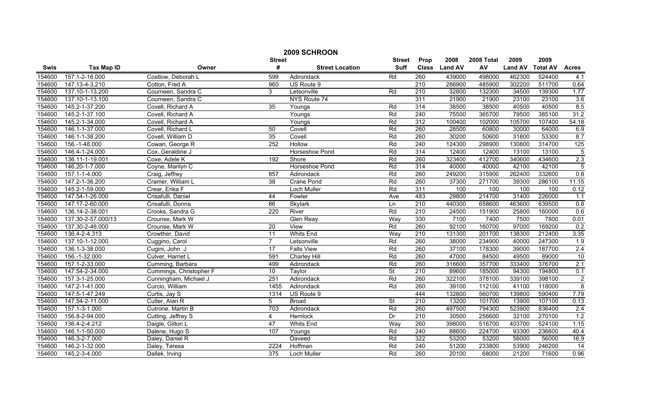|             | 2009 SCHROON       |                         |                 |                        |                          |                  |                |            |                |                 |                         |  |
|-------------|--------------------|-------------------------|-----------------|------------------------|--------------------------|------------------|----------------|------------|----------------|-----------------|-------------------------|--|
|             |                    |                         | <b>Street</b>   |                        | <b>Street</b>            | Prop             | 2008           | 2008 Total | 2009           | 2009            |                         |  |
| <b>Swis</b> | <b>Tax Map ID</b>  | Owner                   | #               | <b>Street Location</b> | <b>Suff</b>              | <b>Class</b>     | <b>Land AV</b> | AV         | <b>Land AV</b> | <b>Total AV</b> | <b>Acres</b>            |  |
| 154600      | 157.1-2-16.000     | Costlow, Deborah L      | 599             | Adirondack             | Rd                       | 260              | 439000         | 498000     | 462300         | 524400          | 4.1                     |  |
| 154600      | 147.13-4-3.210     | Cotton, Fred A          | 960             | US Route 9             |                          | $\overline{210}$ | 286900         | 485900     | 302200         | 511700          | 0.64                    |  |
| 154600      | 137.10-1-13.200    | Courneen, Sandra C      | 3               | Letsonville            | Rd                       | $\overline{210}$ | 32800          | 132300     | 34500          | 139300          | 1.77                    |  |
| 154600      | 137.10-1-13.100    | Courneen, Sandra C      |                 | NYS Route 74           |                          | 311              | 21900          | 21900      | 23100          | 23100           | 3.6                     |  |
| 154600      | 145.2-1-37.200     | Covell, Richard A       | 35              | Youngs                 | Rd                       | 314              | 38500          | 38500      | 40500          | 40500           | 8.5                     |  |
| 154600      | 145.2-1-37.100     | Covell, Richard A       |                 | Youngs                 | Rd                       | 240              | 75500          | 365700     | 79500          | 385100          | 31.2                    |  |
| 154600      | 145.2-1-34.000     | Covell, Richard A       |                 | Youngs                 | Rd                       | 312              | 100400         | 102000     | 105700         | 107400          | 54.18                   |  |
| 154600      | 146.1-1-37.000     | Covell, Richard L       | 50              | Covell                 | Rd                       | 260              | 28500          | 60800      | 30000          | 64000           | 6.9                     |  |
| 154600      | 146.1-1-38.200     | Covell, William D       | $\overline{35}$ | Covell                 | Rd                       | 260              | 30200          | 50600      | 31800          | 53300           | 8.7                     |  |
| 154600      | 156.-1-48.000      | Cowan, George R         | 252             | Hollow                 | Rd                       | 240              | 124300         | 298900     | 130800         | 314700          | 125                     |  |
| 154600      | 146.4-1-24.000     | Cox, Geraldine J        |                 | Horseshoe Pond         | Rd                       | 314              | 12400          | 12400      | 13100          | 13100           | $\overline{5}$          |  |
| 154600      | 136.11-1-19.001    | Coxe, Adele K           | 192             | Shore                  | Rd                       | 260              | 323400         | 412700     | 340600         | 434600          | 2.3                     |  |
| 154600      | 146.20-1-7.000     | Coyne, Marilyn C        |                 | Horseshoe Pond         | Rd                       | 314              | 40000          | 40000      | 42100          | 42100           | $\overline{5}$          |  |
| 154600      | 157.1-1-4.000      | Craig, Jeffrey          | 857             | Adirondack             | Rd                       | 260              | 249200         | 315900     | 262400         | 332600          | 0.8                     |  |
| 154600      | 147.2-1-36.200     | Cramer, William L       | $\overline{38}$ | <b>Crane Pond</b>      | Rd                       | 260              | 37300          | 271700     | 39300          | 286100          | 11.15                   |  |
| 154600      | 145.2-1-59.000     | Crear, Erika F          |                 | <b>Loch Muller</b>     | Rd                       | 311              | 100            | 100        | 100            | 100             | 0.12                    |  |
| 154600      | 147.54-1-26.000    | Crisafulli, Daniel      | 44              | Fowler                 | Ave                      | 483              | 29800          | 214700     | 31400          | 226000          | 1.1                     |  |
| 154600      | 147.17-2-60.000    | Crisafulli, Donna       | 86              | Skylark                | Ln                       | 210              | 440300         | 658600     | 463600         | 639500          | 0.8                     |  |
| 154600      | 136.14-2-38.001    | Crooks, Sandra G        | 220             | River                  | Rd                       | 210              | 24500          | 151900     | 25800          | 160000          | 0.6                     |  |
| 154600      | 137.30-2-57.000/13 | Crounse, Mark W         |                 | <b>Glen Reay</b>       | Way                      | 330              | 7100           | 7400       | 7500           | 7800            | 0.01                    |  |
| 154600      | 137.30-2-46.000    | Crounse, Mark W         | 20              | View                   | Rd                       | 260              | 92100          | 160700     | 97000          | 169200          | 0.2                     |  |
| 154600      | 136.4-2-4.313      | Crowther, David         | 11              | Whits End              | Way                      | 210              | 131300         | 201700     | 138300         | 212400          | 3.35                    |  |
| 154600      | 137.10-1-12.000    | Cuggino, Carol          | $\overline{7}$  | Letsonville            | Rd                       | 260              | 38000          | 234900     | 40000          | 247300          | 1.9                     |  |
| 154600      | 136.1-3-38.000     | Cugini, John J          | $\overline{17}$ | <b>Falls View</b>      | Rd                       | 260              | 37100          | 178300     | 39000          | 187700          | 2.4                     |  |
| 154600      | 156.-1-32.000      | Culver, Harriet L       | 591             | Charley Hill           | Rd                       | 260              | 47000          | 84500      | 49500          | 89000           | 10                      |  |
| 154600      | 157.1-2-33.000     | Cumming, Barbara        | 499             | Adirondack             | Rd                       | 260              | 316600         | 357700     | 333400         | 376700          | 2.1                     |  |
| 154600      | 147.54-2-34.000    | Cummings, Christopher F | 10              | Taylor                 | <b>St</b>                | $\overline{210}$ | 89600          | 185000     | 94300          | 194800          | 0.1                     |  |
| 154600      | 157.3-1-25.000     | Cunningham, Michael J   | 251             | Adirondack             | Rd                       | 260              | 322100         | 378100     | 339100         | 398100          | $\overline{2}$          |  |
| 154600      | 147.2-1-41.000     | Curcio, William         | 1455            | Adirondack             | Rd                       | 260              | 39100          | 112100     | 41100          | 118000          | $\overline{\mathbf{8}}$ |  |
| 154600      | 147.5-1-47.249     | Curtis, Jay S           | 1314            | US Route 9             |                          | 444              | 132800         | 560700     | 139800         | 590400          | 7.79                    |  |
| 154600      | 147.54-2-11.000    | Cutler, Alan R          | 5               | <b>Broad</b>           | $\overline{\mathsf{St}}$ | 210              | 13200          | 101700     | 13900          | 107100          | 0.13                    |  |
| 154600      | 157.1-3-1.000      | Cutrone, Martin B       | 703             | Adirondack             | Rd                       | 260              | 497500         | 794300     | 523900         | 836400          | 2.4                     |  |
| 154600      | 156.8-2-94.000     | Cutting, Jeffrey S      | $\overline{4}$  | <b>Hemlock</b>         | Dr                       | 210              | 30500          | 256600     | 32100          | 270100          | 1.2                     |  |
| 154600      | 136.4-2-4.212      | Daigle, Gilton L        | 47              | <b>Whits End</b>       | Way                      | 260              | 398000         | 516700     | 403700         | 524100          | 1.15                    |  |
| 154600      | 146.1-1-50.000     | Dalene, Hugo S          | 107             | Youngs                 | Rd                       | 240              | 88600          | 224700     | 93300          | 236600          | 40.4                    |  |
| 154600      | 146.3-2-7.000      | Daley, Daniel R         |                 | Daveed                 | Rd                       | 322              | 53200          | 53200      | 56000          | 56000           | 16.9                    |  |
| 154600      | 146.2-1-32.000     | Daley, Teresa           | 2224            | Hoffman                | Rd                       | 240              | 51200          | 233800     | 53900          | 246200          | $\overline{14}$         |  |
| 154600      | 145.2-3-4.000      | Dallek, Irving          | 375             | Loch Muller            | Rd                       | 260              | 20100          | 68000      | 21200          | 71600           | 0.96                    |  |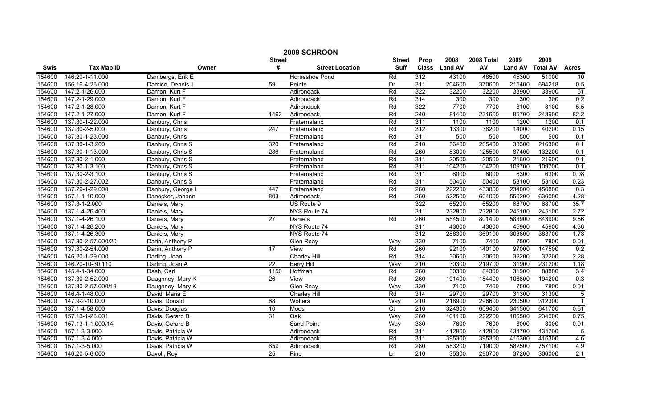| 2009 SCHROON |                    |                   |                 |                        |                 |                  |                |            |                |                 |                |
|--------------|--------------------|-------------------|-----------------|------------------------|-----------------|------------------|----------------|------------|----------------|-----------------|----------------|
|              |                    |                   | Street          |                        | <b>Street</b>   | Prop             | 2008           | 2008 Total | 2009           | 2009            |                |
| <b>Swis</b>  | <b>Tax Map ID</b>  | Owner             | #               | <b>Street Location</b> | <b>Suff</b>     | <b>Class</b>     | <b>Land AV</b> | AV         | <b>Land AV</b> | <b>Total AV</b> | <b>Acres</b>   |
| 154600       | 146.20-1-11.000    | Dambergs, Erik E  |                 | Horseshoe Pond         | Rd              | 312              | 43100          | 48500      | 45300          | 51000           | 10             |
| 154600       | 156.16-4-26.000    | Damico, Dennis J  | 59              | Pointe                 | Dr              | 311              | 204600         | 370600     | 215400         | 694218          | 0.5            |
| 154600       | 147.2-1-26.000     | Damon, Kurt F     |                 | Adirondack             | Rd              | 322              | 32200          | 32200      | 33900          | 33900           | 61             |
| 154600       | 147.2-1-29.000     | Damon, Kurt F     |                 | Adirondack             | Rd              | 314              | 300            | 300        | 300            | 300             | 0.2            |
| 154600       | 147.2-1-28.000     | Damon, Kurt F     |                 | Adirondack             | Rd              | 322              | 7700           | 7700       | 8100           | 8100            | 5.5            |
| 154600       | 147.2-1-27.000     | Damon, Kurt F     | 1462            | Adirondack             | Rd              | 240              | 81400          | 231600     | 85700          | 243900          | 82.2           |
| 154600       | 137.30-1-22.000    | Danbury, Chris    |                 | Fraternaland           | Rd              | 311              | 1100           | 1100       | 1200           | 1200            | 0.1            |
| 154600       | 137.30-2-5.000     | Danbury, Chris    | 247             | Fraternaland           | Rd              | 312              | 13300          | 38200      | 14000          | 40200           | 0.15           |
| 154600       | 137.30-1-23.000    | Danbury, Chris    |                 | Fraternaland           | Rd              | 311              | 500            | 500        | 500            | 500             | 0.1            |
| 154600       | 137.30-1-3.200     | Danbury, Chris S  | 320             | Fraternaland           | Rd              | 210              | 36400          | 205400     | 38300          | 216300          | 0.1            |
| 154600       | 137.30-1-13.000    | Danbury, Chris S  | 286             | Fraternaland           | Rd              | 260              | 83000          | 125500     | 87400          | 132200          | 0.1            |
| 154600       | 137.30-2-1.000     | Danbury, Chris S  |                 | Fraternaland           | Rd              | 311              | 20500          | 20500      | 21600          | 21600           | 0.1            |
| 154600       | 137.30-1-3.100     | Danbury, Chris S  |                 | Fraternaland           | Rd              | 311              | 104200         | 104200     | 109700         | 109700          | 0.1            |
| 154600       | 137.30-2-3.100     | Danbury, Chris S  |                 | Fraternaland           | Rd              | 311              | 6000           | 6000       | 6300           | 6300            | 0.08           |
| 154600       | 137.30-2-27.002    | Danbury, Chris S  |                 | Fraternaland           | Rd              | 311              | 50400          | 50400      | 53100          | 53100           | 0.23           |
| 154600       | 137.29-1-29.000    | Danbury, George L | 447             | Fraternaland           | Rd              | 260              | 222200         | 433800     | 234000         | 456800          | 0.3            |
| 154600       | 157.1-1-10.000     | Danecker, Johann  | 803             | Adirondack             | Rd              | 260              | 522500         | 604000     | 550200         | 636000          | 4.28           |
| 154600       | 137.3-1-2.000      | Daniels, Mary     |                 | US Route 9             |                 | 322              | 65200          | 65200      | 68700          | 68700           | 35.7           |
| 154600       | 137.1-4-26.400     | Daniels, Mary     |                 | NYS Route 74           |                 | 311              | 232800         | 232800     | 245100         | 245100          | 2.72           |
| 154600       | 137.1-4-26.100     | Daniels, Mary     | $\overline{27}$ | <b>Daniels</b>         | Rd              | 260              | 554500         | 801400     | 583900         | 843900          | 9.56           |
| 154600       | 137.1-4-26.200     | Daniels, Mary     |                 | NYS Route 74           |                 | 311              | 43600          | 43600      | 45900          | 45900           | 4.36           |
| 154600       | 137.1-4-26.300     | Daniels, Mary     |                 | NYS Route 74           |                 | 312              | 288300         | 369100     | 303600         | 388700          | 1.73           |
| 154600       | 137.30-2-57.000/20 | Darin, Anthony P  |                 | <b>Glen Reay</b>       | Way             | 330              | 7100           | 7400       | 7500           | 7800            | 0.01           |
| 154600       | 137.30-2-54.000    | Darin, Anthony P  | 17              | View                   | Rd              | 260              | 92100          | 140100     | 97000          | 147500          | 0.2            |
| 154600       | 146.20-1-29.000    | Darling, Joan     |                 | <b>Charley Hill</b>    | Rd              | 314              | 30600          | 30600      | 32200          | 32200           | 2.28           |
| 154600       | 146.20-10-30.110   | Darling, Joan A   | $\overline{22}$ | <b>Berry Hill</b>      | Way             | 210              | 30300          | 219700     | 31900          | 231200          | 1.18           |
| 154600       | 145.4-1-34.000     | Dash, Carl        | 1150            | Hoffman                | Rd              | 260              | 30300          | 84300      | 31900          | 88800           | 3.4            |
| 154600       | 137.30-2-52.000    | Daughney, Mary K  | 26              | View                   | Rd              | 260              | 101400         | 184400     | 106800         | 194200          | 0.3            |
| 154600       | 137.30-2-57.000/18 | Daughney, Mary K  |                 | <b>Glen Reay</b>       | Way             | 330              | 7100           | 7400       | 7500           | 7800            | 0.01           |
| 154600       | 146.4-1-48.000     | David, Maria E    |                 | Charley Hill           | Rd              | 314              | 29700          | 29700      | 31300          | 31300           | 5              |
| 154600       | 147.9-2-10.000     | Davis, Donald     | 68              | Wolters                | Way             | 210              | 218900         | 296600     | 230500         | 312300          | $\overline{1}$ |
| 154600       | 137.1-4-58.000     | Davis, Douglas    | 10              | Moes                   | $\overline{C}t$ | 210              | 324300         | 609400     | 341500         | 641700          | 0.61           |
| 154600       | 157.13-1-26.001    | Davis, Gerard B   | $\overline{31}$ | Oak                    | Way             | 260              | 101100         | 222200     | 106500         | 234000          | 0.75           |
| 154600       | 157.13-1-1.000/14  | Davis, Gerard B   |                 | <b>Sand Point</b>      | Way             | 330              | 7600           | 7600       | 8000           | 8000            | 0.01           |
| 154600       | 157.1-3-3.000      | Davis, Patricia W |                 | Adirondack             | Rd              | 311              | 412800         | 412800     | 434700         | 434700          | $-5$           |
| 154600       | 157.1-3-4.000      | Davis, Patricia W |                 | Adirondack             | Rd              | 311              | 395300         | 395300     | 416300         | 416300          | 4.6            |
| 154600       | 157.1-3-5.000      | Davis, Patricia W | 659             | Adirondack             | Rd              | 280              | 553200         | 719000     | 582500         | 757100          | 4.9            |
| 154600       | 146.20-5-6.000     | Davoll, Roy       | $\overline{25}$ | Pine                   | Ln              | $\overline{210}$ | 35300          | 290700     | 37200          | 306000          | 2.1            |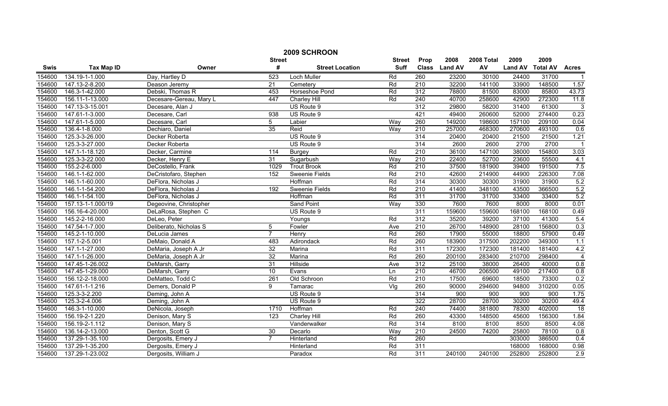|        | 2009 SCHROON      |                         |                 |                        |                   |                  |               |            |                |                 |                  |  |
|--------|-------------------|-------------------------|-----------------|------------------------|-------------------|------------------|---------------|------------|----------------|-----------------|------------------|--|
|        |                   |                         | <b>Street</b>   |                        | <b>Street</b>     | Prop             | 2008          | 2008 Total | 2009           | 2009            |                  |  |
| Swis   | <b>Tax Map ID</b> | Owner                   | #               | <b>Street Location</b> | <b>Suff</b>       |                  | Class Land AV | AV         | <b>Land AV</b> | <b>Total AV</b> | <b>Acres</b>     |  |
| 154600 | 134.19-1-1.000    | Day, Hartley D          | 523             | Loch Muller            | Rd                | 260              | 23200         | 30100      | 24400          | 31700           | $\overline{1}$   |  |
| 154600 | 147.13-2-8.200    | Deason Jeremy           | $\overline{21}$ | Cemetery               | Rd                | $\overline{210}$ | 32200         | 141100     | 33900          | 148500          | 1.57             |  |
| 154600 | 146.3-1-42.000    | Debski, Thomas R        | 453             | Horseshoe Pond         | Rd                | 312              | 78800         | 81500      | 83000          | 85800           | 43.73            |  |
| 154600 | 156.11-1-13.000   | Decesare-Gereau, Mary L | 447             | <b>Charley Hill</b>    | Rd                | 240              | 40700         | 258600     | 42900          | 272300          | 11.8             |  |
| 154600 | 147.13-3-15.001   | Decesare, Alan J        |                 | US Route 9             |                   | 312              | 29800         | 58200      | 31400          | 61300           | 3                |  |
| 154600 | 147.61-1-3.000    | Decesare, Carl          | 938             | US Route 9             |                   | 421              | 49400         | 260600     | 52000          | 274400          | 0.23             |  |
| 154600 | 147.61-1-5.000    | Decesare, Carl          | 5               | Labier                 | Way               | 260              | 149200        | 198600     | 157100         | 209100          | 0.04             |  |
| 154600 | 136.4-1-8.000     | Dechiaro, Daniel        | 35              | Reid                   | Way               | 210              | 257000        | 468300     | 270600         | 493100          | 0.6              |  |
| 154600 | 125.3-3-26.000    | Decker Roberta          |                 | US Route 9             |                   | 314              | 20400         | 20400      | 21500          | 21500           | 1.21             |  |
| 154600 | 125.3-3-27.000    | Decker Roberta          |                 | US Route 9             |                   | 314              | 2600          | 2600       | 2700           | 2700            |                  |  |
| 154600 | 147.1-1-18.120    | Decker, Carmine         | 114             | <b>Burgey</b>          | Rd                | $\overline{210}$ | 36100         | 147100     | 38000          | 154800          | 3.03             |  |
| 154600 | 125.3-3-22.000    | Decker, Henry E         | 31              | Sugarbush              | $\overline{W}$ ay | $\overline{210}$ | 22400         | 52700      | 23600          | 55500           | 4.1              |  |
| 154600 | 155.2-2-6.000     | DeCostello, Frank       | 1029            | <b>Trout Brook</b>     | Rd                | 210              | 37500         | 181900     | 39400          | 191500          | 7.5              |  |
| 154600 | 146.1-1-62.000    | DeCristofaro, Stephen   | 152             | Sweenie Fields         | Rd                | 210              | 42600         | 214900     | 44900          | 226300          | 7.08             |  |
| 154600 | 146.1-1-60.000    | DeFlora, Nicholas J     |                 | Hoffman                | Rd                | 314              | 30300         | 30300      | 31900          | 31900           | 5.2              |  |
| 154600 | 146.1-1-54.200    | DeFlora, Nicholas J     | 192             | Sweenie Fields         | Rd                | $\overline{210}$ | 41400         | 348100     | 43500          | 366500          | 5.2              |  |
| 154600 | 146.1-1-54.100    | DeFlora, Nicholas J     |                 | Hoffman                | Rd                | 311              | 31700         | 31700      | 33400          | 33400           | 5.2              |  |
| 154600 | 157.13-1-1.000/19 | Degeovine, Christopher  |                 | <b>Sand Point</b>      | Way               | 330              | 7600          | 7600       | 8000           | 8000            | 0.01             |  |
| 154600 | 156.16-4-20.000   | DeLaRosa, Stephen C     |                 | US Route 9             |                   | 311              | 159600        | 159600     | 168100         | 168100          | 0.49             |  |
| 154600 | 145.2-2-16.000    | DeLeo, Peter            |                 | Youngs                 | Rd                | 312              | 35200         | 39200      | 37100          | 41300           | 5.4              |  |
| 154600 | 147.54-1-7.000    | Deliberato, Nicholas S  | 5               | Fowler                 | Ave               | 210              | 26700         | 148900     | 28100          | 156800          | 0.3              |  |
| 154600 | 145.2-1-10.000    | DeLucia James           | $\overline{7}$  | Henry                  | Rd                | 260              | 17900         | 55000      | 18800          | 57900           | 0.49             |  |
| 154600 | 157.1-2-5.001     | DeMaio, Donald A        | 483             | Adirondack             | Rd                | 260              | 183900        | 317500     | 202200         | 349300          | 1.1              |  |
| 154600 | 147.1-1-27.000    | DeMaria, Joseph A Jr    | $\overline{32}$ | Marina                 | Rd                | 311              | 172300        | 172300     | 181400         | 181400          | 4.2              |  |
| 154600 | 147.1-1-26.000    | DeMaria, Joseph A Jr    | $\overline{32}$ | Marina                 | Rd                | 260              | 200100        | 283400     | 210700         | 298400          | $\overline{4}$   |  |
| 154600 | 147.45-1-26.002   | DeMarsh, Garry          | 31              | Hillside               | Ave               | 312              | 25100         | 38000      | 26400          | 40000           | 0.8              |  |
| 154600 | 147.45-1-29.000   | DeMarsh, Garry          | 10              | Evans                  | Ln                | 210              | 46700         | 206500     | 49100          | 217400          | 0.8              |  |
| 154600 | 156.12-2-18.000   | DeMatteo, Todd C        | 261             | Old Schroon            | Rd                | 210              | 17500         | 69600      | 18500          | 73300           | 0.2              |  |
| 154600 | 147.61-1-1.216    | Demers, Donald P        | 9               | Tamarac                | $\overline{V}$ lg | 260              | 90000         | 294600     | 94800          | 310200          | 0.05             |  |
| 154600 | 125.3-3-2.200     | Deming, John A          |                 | US Route 9             |                   | 314              | 900           | 900        | 900            | 900             | 1.75             |  |
| 154600 | 125.3-2-4.006     | Deming, John A          |                 | US Route 9             |                   | 322              | 28700         | 28700      | 30200          | 30200           | 49.4             |  |
| 154600 | 146.3-1-10.000    | DeNicola, Joseph        | 1710            | Hoffman                | Rd                | 240              | 74400         | 381800     | 78300          | 402000          | $\overline{18}$  |  |
| 154600 | 156.19-2-1.220    | Denison, Mary S         | 123             | <b>Charley Hill</b>    | Rd                | 260              | 43300         | 148500     | 45600          | 156300          | 1.84             |  |
| 154600 | 156.19-2-1.112    | Denison, Mary S         |                 | Vanderwalker           | Rd                | $\overline{314}$ | 8100          | 8100       | 8500           | 8500            | 4.08             |  |
| 154600 | 136.14-2-13.000   | Denton, Scott G         | $\overline{30}$ | Decarlo                | Way               | 210              | 24500         | 74200      | 25800          | 78100           | 0.8              |  |
| 154600 | 137.29-1-35.100   | Dergosits, Emery J      | $\overline{7}$  | Hinterland             | Rd                | 260              |               |            | 303000         | 386500          | $\overline{0.4}$ |  |
| 154600 | 137.29-1-35.200   | Dergosits, Emery J      |                 | Hinterland             | Rd                | 311              |               |            | 168000         | 168000          | 0.98             |  |
| 154600 | 137.29-1-23.002   | Dergosits, William J    |                 | Paradox                | Rd                | 311              | 240100        | 240100     | 252800         | 252800          | 2.9              |  |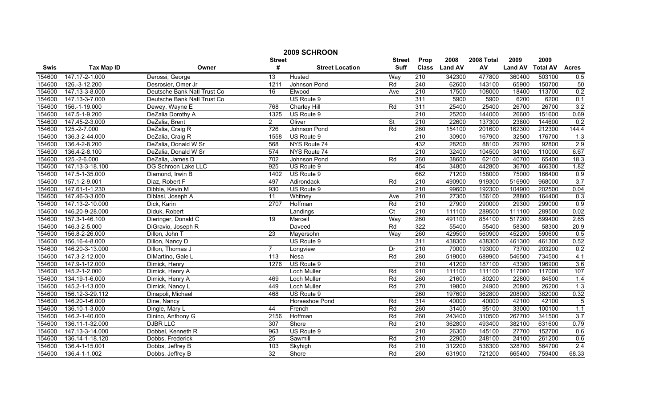|        | 2009 SCHROON      |                             |                  |                        |                          |                  |                |            |                |                 |                |  |
|--------|-------------------|-----------------------------|------------------|------------------------|--------------------------|------------------|----------------|------------|----------------|-----------------|----------------|--|
|        |                   |                             | <b>Street</b>    |                        | <b>Street</b>            | Prop             | 2008           | 2008 Total | 2009           | 2009            |                |  |
| Swis   | <b>Tax Map ID</b> | Owner                       | #                | <b>Street Location</b> | <b>Suff</b>              | <b>Class</b>     | <b>Land AV</b> | AV         | <b>Land AV</b> | <b>Total AV</b> | <b>Acres</b>   |  |
| 154600 | 147.17-2-1.000    | Derossi, George             | 13               | Husted                 | Way                      | 210              | 342300         | 477800     | 360400         | 503100          | 0.5            |  |
| 154600 | 126.-3-12.200     | Desrosier, Omer Jr          | 1211             | Johnson Pond           | Rd                       | 240              | 62600          | 143100     | 65900          | 150700          | 50             |  |
| 154600 | 147.13-3-8.000    | Deutsche Bank Natl Trust Co | 16               | Elwood                 | Ave                      | 210              | 17500          | 108000     | 18400          | 113700          | 0.2            |  |
| 154600 | 147.13-3-7.000    | Deutsche Bank Natl Trust Co |                  | US Route 9             |                          | 311              | 5900           | 5900       | 6200           | 6200            | 0.1            |  |
| 154600 | 156.-1-19.000     | Dewey, Wayne E              | 768              | <b>Charley Hill</b>    | Rd                       | 311              | 25400          | 25400      | 26700          | 26700           | 3.2            |  |
| 154600 | 147.5-1-9.200     | DeZalia Dorothy A           | 1325             | US Route 9             |                          | 210              | 25200          | 144000     | 26600          | 151600          | 0.69           |  |
| 154600 | 147.45-2-3.000    | DeZalia, Brent              | $\overline{2}$   | Oliver                 | $\overline{\mathsf{St}}$ | 210              | 22600          | 137300     | 23800          | 144600          | 0.2            |  |
| 154600 | 125.-2-7.000      | DeZalia, Craig R            | 726              | Johnson Pond           | Rd                       | 260              | 154100         | 201600     | 162300         | 212300          | 144.4          |  |
| 154600 | 136.3-2-44.000    | DeZalia, Craig R            | 1558             | US Route 9             |                          | $\overline{210}$ | 30900          | 167900     | 32500          | 176700          | 1.3            |  |
| 154600 | 136.4-2-8.200     | DeZalia, Donald W Sr        | 568              | NYS Route 74           |                          | 432              | 28200          | 88100      | 29700          | 92800           | 2.9            |  |
| 154600 | 136.4-2-8.100     | DeZalia, Donald W Sr        | 574              | NYS Route 74           |                          | $\overline{210}$ | 32400          | 104500     | 34100          | 110000          | 6.67           |  |
| 154600 | 125.-2-6.000      | DeZalia, James D            | $\overline{702}$ | Johnson Pond           | Rd                       | 260              | 38600          | 62100      | 40700          | 65400           | 18.3           |  |
| 154600 | 147.13-3-18.100   | DG Schroon Lake LLC         | 925              | US Route 9             |                          | 454              | 34800          | 442800     | 36700          | 466300          | 1.82           |  |
| 154600 | 147.5-1-35.000    | Diamond, Irwin B            | 1402             | US Route 9             |                          | 662              | 71200          | 158000     | 75000          | 166400          | 0.9            |  |
| 154600 | 157.1-2-9.001     | Diaz, Robert F              | 497              | Adirondack             | Rd                       | $\overline{210}$ | 490900         | 919300     | 516900         | 968000          | 3.7            |  |
| 154600 | 147.61-1-1.230    | Dibble, Kevin M             | 930              | US Route 9             |                          | $\overline{210}$ | 99600          | 192300     | 104900         | 202500          | 0.04           |  |
| 154600 | 147.46-3-3.000    | Diblasi, Joseph A           | 11               | Whitney                | Ave                      | $\overline{210}$ | 27300          | 156100     | 28800          | 164400          | 0.3            |  |
| 154600 | 147.13-2-10.000   | Dick, Karin                 | 2707             | Hoffman                | Rd                       | 210              | 27900          | 290000     | 29300          | 299000          | 0.9            |  |
| 154600 | 146.20-9-28.000   | Diduk, Robert               |                  | Landings               | $\overline{C}t$          | 210              | 111100         | 289500     | 111100         | 289500          | 0.02           |  |
| 154600 | 157.3-1-46.100    | Dieringer, Donald C         | 19               | Marcell                | Way                      | 260              | 491100         | 854100     | 517200         | 899400          | 2.65           |  |
| 154600 | 146.3-2-5.000     | DiGravio, Joseph R          |                  | Daveed                 | Rd                       | 322              | 55400          | 55400      | 58300          | 58300           | 20.9           |  |
| 154600 | 156.8-2-26.000    | Dillon, John T              | 23               | Mayersohn              | Way                      | 260              | 429500         | 560900     | 452200         | 590600          | 0.5            |  |
| 154600 | 156.16-4-8.000    | Dillon, Nancy D             |                  | US Route 9             |                          | 311              | 438300         | 438300     | 461300         | 461300          | 0.52           |  |
| 154600 | 146.20-3-13.000   | Dillon, Thomas J            | $\overline{7}$   | Longview               | Dr                       | 210              | 70000          | 193000     | 73700          | 203200          | 0.2            |  |
| 154600 | 147.3-2-12.000    | DiMartino, Gale L           | 113              | Nesa                   | Rd                       | 280              | 519000         | 689900     | 546500         | 734500          | 4.1            |  |
| 154600 | 147.9-1-12.000    | Dimick, Henry               | 1276             | US Route 9             |                          | $\overline{210}$ | 41200          | 187100     | 43300          | 196900          | 3.6            |  |
| 154600 | 145.2-1-2.000     | Dimick, Henry A             |                  | Loch Muller            | Rd                       | 910              | 111100         | 111100     | 117000         | 117000          | 107            |  |
| 154600 | 134.19-1-6.000    | Dimick, Henry A             | 469              | <b>Loch Muller</b>     | Rd                       | 260              | 21600          | 80200      | 22800          | 84500           | 1.4            |  |
| 154600 | 145.2-1-13.000    | Dimick, Nancy L             | 449              | <b>Loch Muller</b>     | Rd                       | 270              | 19800          | 24900      | 20800          | 26200           | 1.3            |  |
| 154600 | 156.12-3-29.112   | Dinapoli, Michael           | 468              | US Route 9             |                          | 260              | 197600         | 362800     | 208000         | 382000          | 0.32           |  |
| 154600 | 146.20-1-6.000    | Dine, Nancy                 |                  | Horseshoe Pond         | Rd                       | 314              | 40000          | 40000      | 42100          | 42100           | $\overline{5}$ |  |
| 154600 | 136.10-1-3.000    | Dingle, Mary L              | 44               | French                 | Rd                       | 260              | 31400          | 95100      | 33000          | 100100          | 1.1            |  |
| 154600 | 146.2-1-40.000    | Dinino, Anthony G           | 2156             | Hoffman                | Rd                       | 260              | 243400         | 310500     | 267700         | 341500          | 3.7            |  |
| 154600 | 136.11-1-32.000   | <b>DJBR LLC</b>             | 307              | Shore                  | Rd                       | 210              | 362800         | 493400     | 382100         | 631600          | 0.79           |  |
| 154600 | 147.13-3-14.000   | Dobbel, Kenneth R           | 963              | US Route 9             |                          | $\overline{210}$ | 26300          | 145100     | 27700          | 152700          | 0.6            |  |
| 154600 | 136.14-1-18.120   | Dobbs, Frederick            | 25               | Sawmill                | Rd                       | 210              | 22900          | 248100     | 24100          | 261200          | 0.6            |  |
| 154600 | 136.4-1-15.001    | Dobbs, Jeffrey B            | 103              | Skyhigh                | Rd                       | 210              | 312200         | 536300     | 328700         | 564700          | 2.4            |  |
| 154600 | 136.4-1-1.002     | Dobbs, Jeffrey B            | 32               | Shore                  | Rd                       | 260              | 631900         | 721200     | 665400         | 759400          | 68.33          |  |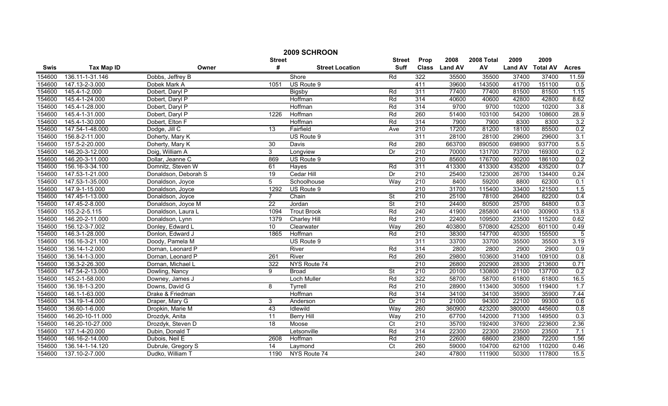|             | 2009 SCHROON      |                      |                 |                        |                          |                  |                |            |                |                 |              |
|-------------|-------------------|----------------------|-----------------|------------------------|--------------------------|------------------|----------------|------------|----------------|-----------------|--------------|
|             |                   |                      | <b>Street</b>   |                        | <b>Street</b>            | Prop             | 2008           | 2008 Total | 2009           | 2009            |              |
| <b>Swis</b> | <b>Tax Map ID</b> | Owner                | #               | <b>Street Location</b> | <b>Suff</b>              | <b>Class</b>     | <b>Land AV</b> | AV         | <b>Land AV</b> | <b>Total AV</b> | <b>Acres</b> |
| 154600      | 136.11-1-31.146   | Dobbs, Jeffrey B     |                 | Shore                  | Rd                       | 322              | 35500          | 35500      | 37400          | 37400           | 11.59        |
| 154600      | 147.13-2-3.000    | Dobek Mark A         | 1051            | US Route 9             |                          | 411              | 39600          | 143500     | 41700          | 151100          | 0.5          |
| 154600      | 145.4-1-2.000     | Dobert, Daryl P      |                 | <b>Bigsby</b>          | Rd                       | 311              | 77400          | 77400      | 81500          | 81500           | 1.15         |
| 154600      | 145.4-1-24.000    | Dobert, Daryl P      |                 | Hoffman                | Rd                       | 314              | 40600          | 40600      | 42800          | 42800           | 8.62         |
| 154600      | 145.4-1-28.000    | Dobert, Daryl P      |                 | Hoffman                | Rd                       | 314              | 9700           | 9700       | 10200          | 10200           | 3.8          |
| 154600      | 145.4-1-31.000    | Dobert, Daryl P      | 1226            | Hoffman                | Rd                       | 260              | 51400          | 103100     | 54200          | 108600          | 28.9         |
| 154600      | 145.4-1-30.000    | Dobert, Elton F      |                 | Hoffman                | Rd                       | 314              | 7900           | 7900       | 8300           | 8300            | 3.2          |
| 154600      | 147.54-1-48.000   | Dodge, Jill C        | 13              | Fairfield              | Ave                      | 210              | 17200          | 81200      | 18100          | 85500           | 0.2          |
| 154600      | 156.8-2-11.000    | Doherty, Mary K      |                 | US Route 9             |                          | 311              | 28100          | 28100      | 29600          | 29600           | 3.1          |
| 154600      | 157.5-2-20.000    | Doherty, Mary K      | 30              | Davis                  | Rd                       | 280              | 663700         | 890500     | 698900         | 937700          | 5.5          |
| 154600      | 146.20-3-12.000   | Doig, William A      | 3               | Longview               | Dr                       | $\overline{210}$ | 70000          | 131700     | 73700          | 169300          | 0.2          |
| 154600      | 146.20-3-11.000   | Dollar, Jeanne C     | 869             | US Route 9             |                          | 210              | 85600          | 176700     | 90200          | 186100          | 0.2          |
| 154600      | 156.16-3-34.100   | Domnitz, Steven W    | 61              | Hayes                  | Rd                       | 311              | 413300         | 413300     | 435200         | 435200          | 0.7          |
| 154600      | 147.53-1-21.000   | Donaldson, Deborah S | $\overline{19}$ | Cedar Hill             | Dr                       | 210              | 25400          | 123000     | 26700          | 134400          | 0.24         |
| 154600      | 147.53-1-35.000   | Donaldson, Joyce     | 5               | Schoolhouse            | Way                      | 210              | 8400           | 59200      | 8800           | 62300           | 0.1          |
| 154600      | 147.9-1-15.000    | Donaldson, Joyce     | 1292            | US Route 9             |                          | $\overline{210}$ | 31700          | 115400     | 33400          | 121500          | 1.5          |
| 154600      | 147.45-1-13.000   | Donaldson, Joyce     | $\overline{7}$  | Chain                  | $\overline{\mathsf{St}}$ | 210              | 25100          | 78100      | 26400          | 82200           | 0.4          |
| 154600      | 147.45-2-8.000    | Donaldson, Joyce M   | $\overline{22}$ | Jordan                 | <b>St</b>                | 210              | 24400          | 80500      | 25700          | 84800           | 0.3          |
| 154600      | 155.2-2-5.115     | Donaldson, Laura L   | 1094            | <b>Trout Brook</b>     | Rd                       | 240              | 41900          | 285800     | 44100          | 300900          | 13.8         |
| 154600      | 146.20-2-11.000   | Donaldson, Lynn      | 1379            | <b>Charley Hill</b>    | Rd                       | 210              | 22400          | 109500     | 23500          | 115200          | 0.62         |
| 154600      | 156.12-3-7.002    | Donley, Edward L     | 10 <sup>°</sup> | Clearwater             | Way                      | 260              | 403800         | 570800     | 425200         | 601100          | 0.49         |
| 154600      | 146.3-1-28.000    | Donlon, Edward J     | 1865            | Hoffman                | Rd                       | 210              | 38300          | 147700     | 40300          | 155500          | 5            |
| 154600      | 156.16-3-21.100   | Doody, Pamela M      |                 | US Route 9             |                          | 311              | 33700          | 33700      | 35500          | 35500           | 3.19         |
| 154600      | 136.14-1-2.000    | Dornan, Leonard P    |                 | River                  | Rd                       | 314              | 2800           | 2800       | 2900           | 2900            | 0.9          |
| 154600      | 136.14-1-3.000    | Dornan, Leonard P    | 261             | River                  | Rd                       | 260              | 29800          | 103600     | 31400          | 109100          | 0.8          |
| 154600      | 136.3-2-26.300    | Dornan, Michael L    | 322             | NYS Route 74           |                          | $\overline{210}$ | 26800          | 202900     | 28300          | 213600          | 0.71         |
| 154600      | 147.54-2-13.000   | Dowling, Nancy       | 9               | <b>Broad</b>           | $\overline{\mathsf{St}}$ | $\overline{210}$ | 20100          | 130800     | 21100          | 137700          | 0.2          |
| 154600      | 145.2-1-58.000    | Downey, James J      |                 | Loch Muller            | Rd                       | 322              | 58700          | 58700      | 61800          | 61800           | 16.5         |
| 154600      | 136.18-1-3.200    | Downs, David G       | 8               | Tyrrell                | Rd                       | 210              | 28900          | 113400     | 30500          | 119400          | 1.7          |
| 154600      | 146.1-1-63.000    | Drake & Friedman     |                 | Hoffman                | Rd                       | 314              | 34100          | 34100      | 35900          | 35900           | 7.44         |
| 154600      | 134.19-1-4.000    | Draper, Mary G       | 3               | Anderson               | Dr                       | 210              | 21000          | 94300      | 22100          | 99300           | 0.6          |
| 154600      | 136.60-1-6.000    | Dropkin, Marie M     | 43              | Idlewild               | Way                      | 260              | 360900         | 423200     | 380000         | 445600          | 0.8          |
| 154600      | 146.20-10-11.000  | Drozdyk, Anita       | 11              | <b>Berry Hill</b>      | Way                      | 210              | 67700          | 142000     | 71300          | 149500          | 0.3          |
| 154600      | 146.20-10-27.000  | Drozdyk, Steven D    | $\overline{18}$ | Moose                  | $\overline{C}$           | 210              | 35700          | 192400     | 37600          | 223600          | 2.36         |
| 154600      | 137.1-4-20.000    | Dubin, Donald T      |                 | Letsonville            | Rd                       | 314              | 22300          | 22300      | 23500          | 23500           | 7.1          |
| 154600      | 146.16-2-14.000   | Dubois, Neil E       | 2608            | Hoffman                | Rd                       | 210              | 22600          | 68600      | 23800          | 72200           | 1.56         |
| 154600      | 136.14-1-14.120   | Dubrule, Gregory S   | 14              | Laymond                | $\overline{C}t$          | 260              | 59000          | 104700     | 62100          | 110200          | 0.46         |
| 154600      | 137.10-2-7.000    | Dudko, William T     | 1190            | NYS Route 74           |                          | 240              | 47800          | 111900     | 50300          | 117800          | 15.5         |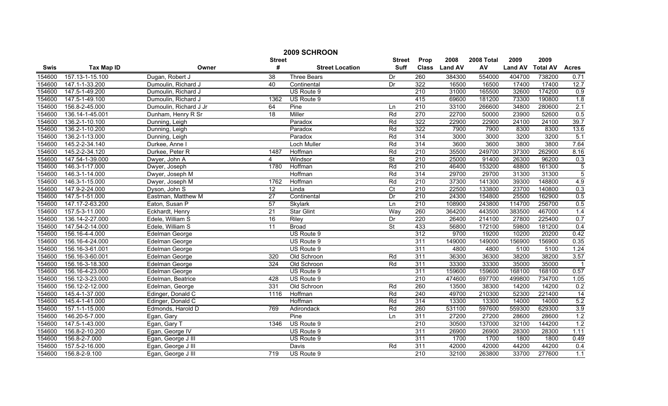|        | 2009 SCHROON        |                        |                 |                        |                          |                  |                |            |                |                 |                  |
|--------|---------------------|------------------------|-----------------|------------------------|--------------------------|------------------|----------------|------------|----------------|-----------------|------------------|
|        |                     |                        | <b>Street</b>   |                        | <b>Street</b>            | Prop             | 2008           | 2008 Total | 2009           | 2009            |                  |
| Swis   | <b>Tax Map ID</b>   | Owner                  | #               | <b>Street Location</b> | <b>Suff</b>              | <b>Class</b>     | <b>Land AV</b> | AV         | <b>Land AV</b> | <b>Total AV</b> | <b>Acres</b>     |
| 154600 | 157.13-1-15.100     | Dugan, Robert J        | $\overline{38}$ | <b>Three Bears</b>     | Dr                       | 260              | 384300         | 554000     | 404700         | 738200          | 0.71             |
| 154600 | 147.1-1-33.200      | Dumoulin, Richard J    | 40              | Continental            | Dr                       | 322              | 16500          | 16500      | 17400          | 17400           | 12.7             |
| 154600 | 147.5-1-49.200      | Dumoulin, Richard J    |                 | US Route 9             |                          | $\overline{210}$ | 31000          | 165500     | 32600          | 174200          | 0.9              |
| 154600 | 147.5-1-49.100      | Dumoulin, Richard J    | 1362            | US Route 9             |                          | 415              | 69600          | 181200     | 73300          | 190800          | 1.8              |
| 154600 | 156.8-2-45.000      | Dumoulin, Richard J Jr | 64              | Pine                   | Ln                       | 210              | 33100          | 266600     | 34800          | 280600          | 2.1              |
| 154600 | 136.14-1-45.001     | Dunham, Henry R Sr     | $\overline{18}$ | Miller                 | Rd                       | 270              | 22700          | 50000      | 23900          | 52600           | 0.5              |
| 154600 | 136.2-1-10.100      | Dunning, Leigh         |                 | Paradox                | Rd                       | 322              | 22900          | 22900      | 24100          | 24100           | 39.7             |
| 154600 | 136.2-1-10.200      | Dunning, Leigh         |                 | Paradox                | Rd                       | 322              | 7900           | 7900       | 8300           | 8300            | 13.6             |
| 154600 | 136.2-1-13.000      | Dunning, Leigh         |                 | Paradox                | Rd                       | 314              | 3000           | 3000       | 3200           | 3200            | 5.1              |
| 154600 | 145.2-2-34.140      | Durkee, Anne I         |                 | Loch Muller            | Rd                       | 314              | 3600           | 3600       | 3800           | 3800            | 7.64             |
| 154600 | 145.2-2-34.120      | Durkee, Peter R        | 1487            | Hoffman                | Rd                       | $\overline{210}$ | 35500          | 249700     | 37300          | 262900          | 8.16             |
| 154600 | 147.54-1-39.000     | Dwyer, John A          | 4               | Windsor                | St                       | 210              | 25000          | 91400      | 26300          | 96200           | 0.3              |
| 154600 | 146.3-1-17.000      | Dwyer, Joseph          | 1780            | Hoffman                | Rd                       | 210              | 46400          | 153200     | 48800          | 161300          | $\overline{5}$   |
| 154600 | 146.3-1-14.000      | Dwyer, Joseph M        |                 | Hoffman                | Rd                       | 314              | 29700          | 29700      | 31300          | 31300           | $\overline{5}$   |
| 154600 | 146.3-1-15.000      | Dwyer, Joseph M        | 1762            | Hoffman                | Rd                       | 210              | 37300          | 141300     | 39300          | 148800          | 4.9              |
| 154600 | 147.9-2-24.000      | Dyson, John S          | $\overline{12}$ | Linda                  | $\overline{C}$           | $\overline{210}$ | 22500          | 133800     | 23700          | 140800          | 0.3              |
| 154600 | 147.5-1-51.000      | Eastman, Matthew M     | $\overline{27}$ | Continental            | Dr                       | 210              | 24300          | 154800     | 25500          | 162900          | 0.5              |
| 154600 | 147.17-2-63.200     | Eaton, Susan P         | 57              | Skylark                | Ln                       | 210              | 108900         | 243800     | 114700         | 256700          | 0.5              |
| 154600 | 157.5-3-11.000      | Eckhardt, Henry        | 21              | <b>Star Glint</b>      | Way                      | 260              | 364200         | 443500     | 383500         | 467000          | 1.4              |
| 154600 | 136.14-2-27.000     | Edele, William S       | 16              | <b>Riley</b>           | Dr                       | 220              | 26400          | 214100     | 27800          | 225400          | 0.7              |
| 154600 | 147.54-2-14.000     | Edele, William S       | 11              | <b>Broad</b>           | $\overline{\mathsf{St}}$ | 433              | 56800          | 172100     | 59800          | 181200          | 0.4              |
| 154600 | 156.16-4-4.000      | Edelman George         |                 | US Route 9             |                          | 312              | 9700           | 19200      | 10200          | 20200           | 0.42             |
| 154600 | 156.16-4-24.000     | Edelman George         |                 | US Route 9             |                          | 311              | 149000         | 149000     | 156900         | 156900          | 0.35             |
| 154600 | 156.16-3-61.001     | Edelman George         |                 | US Route 9             |                          | 311              | 4800           | 4800       | 5100           | 5100            | 1.24             |
| 154600 | 156.16-3-60.001     | Edelman George         | 320             | Old Schroon            | Rd                       | 311              | 36300          | 36300      | 38200          | 38200           | 3.57             |
| 154600 | 156.16-3-18.300     | Edelman George         | 324             | Old Schroon            | Rd                       | 311              | 33300          | 33300      | 35000          | 35000           | $\overline{1}$   |
| 154600 | 156.16-4-23.000     | Edelman George         |                 | US Route 9             |                          | 311              | 159600         | 159600     | 168100         | 168100          | 0.57             |
| 154600 | 156.12-3-23.000     | Edelman, Beatrice      | 428             | US Route 9             |                          | 210              | 474600         | 697700     | 499800         | 734700          | 1.05             |
| 154600 | 156.12-2-12.000     | Edelman, George        | 331             | Old Schroon            | Rd                       | 260              | 13500          | 38300      | 14200          | 14200           | 0.2              |
| 154600 | 145.4-1-37.000      | Edinger, Donald C      | 1116            | Hoffman                | Rd                       | 240              | 49700          | 210300     | 52300          | 221400          | 14               |
| 154600 | 145.4-1-41.000      | Edinger, Donald C      |                 | Hoffman                | Rd                       | 314              | 13300          | 13300      | 14000          | 14000           | 5.2              |
| 154600 | 157.1-1-15.000      | Edmonds, Harold D      | 769             | Adirondack             | Rd                       | 260              | 531100         | 597600     | 559300         | 629300          | 3.9              |
| 154600 | 146.20-5-7.000      | Egan, Gary             |                 | Pine                   | Ln                       | 311              | 27200          | 27200      | 28600          | 28600           | 1.2              |
| 154600 | 147.5-1-43.000      | Egan, Gary T           | 1346            | US Route 9             |                          | $\overline{210}$ | 30500          | 137000     | 32100          | 144200          | 1.2              |
| 154600 | 156.8-2-10.200      | Egan, George IV        |                 | US Route 9             |                          | 311              | 26900          | 26900      | 28300          | 28300           | 1.11             |
| 154600 | 156.8-2-7.000       | Egan, George J III     |                 | US Route 9             |                          | 311              | 1700           | 1700       | 1800           | 1800            | 0.49             |
| 154600 | 157.5-2-16.000      | Egan, George J III     |                 | Davis                  | Rd                       | 311              | 42000          | 42000      | 44200          | 44200           | $\overline{0.4}$ |
| 154600 | $156.8 - 2 - 9.100$ | Egan, George J III     | 719             | US Route 9             |                          | $\overline{210}$ | 32100          | 263800     | 33700          | 277600          | $\overline{1.1}$ |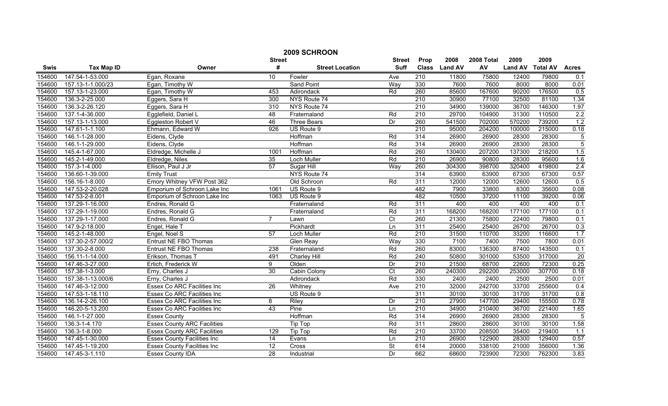|        | 2009 SCHROON      |                                    |                 |                        |                 |      |               |            |                  |        |                |
|--------|-------------------|------------------------------------|-----------------|------------------------|-----------------|------|---------------|------------|------------------|--------|----------------|
|        |                   |                                    | <b>Street</b>   |                        | <b>Street</b>   | Prop | 2008          | 2008 Total | 2009             | 2009   |                |
| Swis   | <b>Tax Map ID</b> | Owner                              | #               | <b>Street Location</b> | <b>Suff</b>     |      | Class Land AV | AV         | Land AV Total AV |        | <b>Acres</b>   |
| 154600 | 147.54-1-53.000   | Egan, Roxane                       | 10              | Fowler                 | Ave             | 210  | 11800         | 75800      | 12400            | 79800  | 0.1            |
| 154600 | 157.13-1-1.000/23 | Egan, Timothy W                    |                 | <b>Sand Point</b>      | Way             | 330  | 7600          | 7600       | 8000             | 8000   | 0.01           |
| 154600 | 157.13-1-23.000   | Egan, Timothy W                    | 453             | Adirondack             | Rd              | 260  | 85600         | 167600     | 90200            | 176500 | 0.5            |
| 154600 | 136.3-2-25.000    | Eggers, Sara H                     | 300             | NYS Route 74           |                 | 210  | 30900         | 77100      | 32500            | 81100  | 1.34           |
| 154600 | 136.3-2-26.120    | Eggers, Sara H                     | 310             | NYS Route 74           |                 | 210  | 34900         | 139000     | 36700            | 146300 | 1.97           |
| 154600 | 137.1-4-36.000    | Egglefield, Daniel L               | 48              | Fraternaland           | Rd              | 210  | 29700         | 104900     | 31300            | 110500 | 2.2            |
| 154600 | 157.13-1-13.000   | Eggleston Robert V                 | 46              | <b>Three Bears</b>     | Dr              | 260  | 541500        | 702000     | 570200           | 739200 | 1.2            |
| 154600 | 147.61-1-1.100    | Ehmann, Edward W                   | 926             | US Route 9             |                 | 210  | 95000         | 204200     | 100000           | 215000 | 0.18           |
| 154600 | 146.1-1-28.000    | Eidens, Clyde                      |                 | Hoffman                | Rd              | 314  | 26900         | 26900      | 28300            | 28300  | $\overline{5}$ |
| 154600 | 146.1-1-29.000    | Eidens, Clyde                      |                 | Hoffman                | Rd              | 314  | 26900         | 26900      | 28300            | 28300  | $\overline{5}$ |
| 154600 | 145.4-1-67.000    | Eldredge, Michelle J               | 1001            | Hoffman                | Rd              | 260  | 130400        | 207200     | 137300           | 218200 | 1.5            |
| 154600 | 145.2-1-49.000    | Eldredge, Niles                    | 35              | Loch Muller            | Rd              | 210  | 26900         | 90800      | 28300            | 95600  | 1.6            |
| 154600 | 157.3-1-4.000     | Ellison, Paul J Jr                 | 57              | Sugar Hill             | Way             | 260  | 304300        | 398700     | 320400           | 419800 | 2.4            |
| 154600 | 136.60-1-39.000   | <b>Emily Trust</b>                 |                 | NYS Route 74           |                 | 314  | 63900         | 63900      | 67300            | 67300  | 0.57           |
| 154600 | 156.16-1-8.000    | Emory Whitney VFW Post 362         |                 | Old Schroon            | Rd              | 311  | 12000         | 12000      | 12600            | 12600  | 0.5            |
| 154600 | 147.53-2-20.028   | Emporium of Schroon Lake Inc       | 1061            | US Route 9             |                 | 482  | 7900          | 33800      | 8300             | 35600  | 0.08           |
| 154600 | 147.53-2-8.001    | Emporium of Schroon Lake Inc       | 1063            | US Route 9             |                 | 482  | 10500         | 37200      | 11100            | 39200  | 0.06           |
| 154600 | 137.29-1-16.000   | Endres, Ronald G                   |                 | Fraternaland           | Rd              | 311  | 400           | 400        | 400              | 400    | 0.1            |
| 154600 | 137.29-1-19.000   | Endres, Ronald G                   |                 | Fraternaland           | Rd              | 311  | 168200        | 168200     | 177100           | 177100 | 0.1            |
| 154600 | 137.29-1-17.000   | Endres, Ronald G                   | 7               | Lawn                   | $\overline{C}$  | 260  | 21300         | 75800      | 22400            | 79800  | 0.1            |
| 154600 | 147.9-2-18.000    | Engel, Hale T                      |                 | Pickhardt              | Ln              | 311  | 25400         | 25400      | 26700            | 26700  | 0.3            |
| 154600 | 145.2-1-48.000    | Engel, Noel S                      | 57              | Loch Muller            | Rd              | 210  | 31500         | 110700     | 33200            | 116600 | 1.7            |
| 154600 | 137.30-2-57.000/2 | <b>Entrust NE FBO Thomas</b>       |                 | <b>Glen Reay</b>       | Way             | 330  | 7100          | 7400       | 7500             | 7800   | 0.01           |
| 154600 | 137.30-2-8.000    | Entrust NE FBO Thomas              | 238             | Fraternaland           | Rd              | 260  | 83000         | 136300     | 87400            | 143500 | 0.1            |
| 154600 | 156.11-1-14.000   | Erikson, Thomas T                  | 491             | Charley Hill           | Rd              | 240  | 50800         | 301000     | 53500            | 317000 | 20             |
| 154600 | 147.46-3-27.000   | Erlich, Frederick W                | 9               | Olden                  | Dr              | 210  | 21500         | 68700      | 22600            | 72300  | 0.25           |
| 154600 | 157.38-1-3.000    | Erny, Charles J                    | 30              | Cabin Colony           | $\overline{C}t$ | 260  | 240300        | 292200     | 253000           | 307700 | 0.18           |
| 154600 | 157.38-1-13.000/6 | Erny, Charles J                    |                 | Adirondack             | Rd              | 330  | 2400          | 2400       | 2500             | 2500   | 0.01           |
| 154600 | 147.46-3-12.000   | <b>Essex Co ARC Facilities Inc</b> | 26              | Whitney                | Ave             | 210  | 32000         | 242700     | 33700            | 255600 | 0.4            |
| 154600 | 147.53-1-18.110   | Essex Co ARC Facilities Inc        |                 | US Route 9             |                 | 311  | 30100         | 30100      | 31700            | 31700  | 0.8            |
| 154600 | 136.14-2-26.100   | <b>Essex Co ARC Facilities Inc</b> | 8               | <b>Riley</b>           | Dr              | 210  | 27900         | 147700     | 29400            | 155500 | 0.78           |
| 154600 | 146.20-5-13.200   | Essex Co ARC Facilities Inc        | 43              | Pine                   | Ln              | 210  | 34900         | 210400     | 36700            | 221400 | 1.65           |
| 154600 | 146.1-1-27.000    | <b>Essex County</b>                |                 | Hoffman                | Rd              | 314  | 26900         | 26900      | 28300            | 28300  | $-5$           |
| 154600 | 136.3-1-4.170     | <b>Essex County ARC Facilities</b> |                 | <b>Tip Top</b>         | Rd              | 311  | 28600         | 28600      | 30100            | 30100  | 1.58           |
| 154600 | 136.3-1-8.000     | <b>Essex County ARC Facilities</b> | 129             | Tip Top                | Rd              | 210  | 33700         | 208500     | 35400            | 219400 | 1.1            |
| 154600 | 147.45-1-30.000   | <b>Essex County Facilities Inc</b> | 14              | Evans                  | Ln              | 210  | 26900         | 122900     | 28300            | 129400 | 0.57           |
| 154600 | 147.45-1-19.200   | <b>Essex County Facilities Inc</b> | $\overline{12}$ | Cross                  | St              | 614  | 20000         | 338100     | 21000            | 356000 | 1.36           |
| 154600 | 147.45-3-1.110    | <b>Essex County IDA</b>            | 28              | Industrial             | Dr              | 662  | 68600         | 723900     | 72300            | 762300 | 3.83           |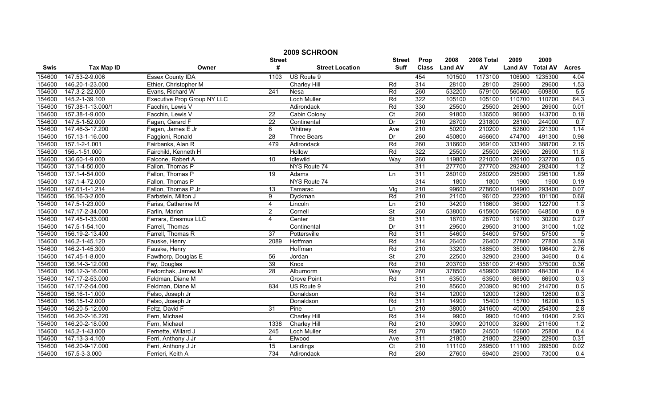|        | 2009 SCHROON      |                                    |                 |                        |                          |                  |                |            |                |                 |                |
|--------|-------------------|------------------------------------|-----------------|------------------------|--------------------------|------------------|----------------|------------|----------------|-----------------|----------------|
|        |                   |                                    | <b>Street</b>   |                        | <b>Street</b>            | Prop             | 2008           | 2008 Total | 2009           | 2009            |                |
| Swis   | <b>Tax Map ID</b> | Owner                              | #               | <b>Street Location</b> | <b>Suff</b>              | <b>Class</b>     | <b>Land AV</b> | AV         | <b>Land AV</b> | <b>Total AV</b> | <b>Acres</b>   |
| 154600 | 147.53-2-9.006    | <b>Essex County IDA</b>            | 1103            | US Route 9             |                          | 454              | 101500         | 1173100    | 106900         | 1235300         | 4.04           |
| 154600 | 146.20-1-23.000   | Ethier, Christopher M              |                 | Charley Hill           | Rd                       | 314              | 28100          | 28100      | 29600          | 29600           | 1.53           |
| 154600 | 147.3-2-22.000    | Evans, Richard W                   | 241             | Nesa                   | Rd                       | 260              | 532200         | 579100     | 560400         | 609800          | 5.5            |
| 154600 | 145.2-1-39.100    | <b>Executive Prop Group NY LLC</b> |                 | Loch Muller            | Rd                       | 322              | 105100         | 105100     | 110700         | 110700          | 64.3           |
| 154600 | 157.38-1-13.000/1 | Facchin, Lewis V                   |                 | Adirondack             | Rd                       | 330              | 25500          | 25500      | 26900          | 26900           | 0.01           |
| 154600 | 157.38-1-9.000    | Facchin, Lewis V                   | $\overline{22}$ | Cabin Colony           | $\overline{C}$           | 260              | 91800          | 136500     | 96600          | 143700          | 0.18           |
| 154600 | 147.5-1-52.000    | Fagan, Gerard F                    | $\overline{22}$ | Continental            | Dr                       | 210              | 26700          | 231800     | 28100          | 244000          | 0.7            |
| 154600 | 147.46-3-17.200   | Fagan, James E Jr                  | 6               | Whitney                | Ave                      | 210              | 50200          | 210200     | 52800          | 221300          | 1.14           |
| 154600 | 157.13-1-16.000   | Faggioni, Ronald                   | $\overline{28}$ | <b>Three Bears</b>     | Dr                       | 260              | 450800         | 466600     | 474700         | 491300          | 0.98           |
| 154600 | 157.1-2-1.001     | Fairbanks, Alan R                  | 479             | Adirondack             | Rd                       | 260              | 316600         | 369100     | 333400         | 388700          | 2.15           |
| 154600 | 156.-1-51.000     | Fairchild, Kenneth H               |                 | Hollow                 | Rd                       | 322              | 25500          | 25500      | 26900          | 26900           | 11.8           |
| 154600 | 136.60-1-9.000    | Falcone, Robert A                  | 10              | Idlewild               | Way                      | 260              | 119800         | 221000     | 126100         | 232700          | 0.5            |
| 154600 | 137.1-4-50.000    | Fallon, Thomas P                   |                 | NYS Route 74           |                          | 311              | 277700         | 277700     | 292400         | 292400          | 1.2            |
| 154600 | 137.1-4-54.000    | Fallon, Thomas P                   | 19              | Adams                  | Ln                       | 311              | 280100         | 280200     | 295000         | 295100          | 1.89           |
| 154600 | 137.1-4-72.000    | Fallon, Thomas P                   |                 | NYS Route 74           |                          | 314              | 1800           | 1800       | 1900           | 1900            | 0.19           |
| 154600 | 147.61-1-1.214    | Fallon, Thomas P Jr                | 13              | Tamarac                | Vig                      | $\overline{210}$ | 99600          | 278600     | 104900         | 293400          | 0.07           |
| 154600 | 156.16-3-2.000    | Farbstein, Milton J                | 9               | Dyckman                | Rd                       | 210              | 21100          | 96100      | 22200          | 101100          | 0.68           |
| 154600 | 147.5-1-23.000    | Fariss, Catherine M                | 4               | Lincoln                | Ln                       | 210              | 34200          | 116600     | 36000          | 122700          | 1.3            |
| 154600 | 147.17-2-34.000   | Farlin, Marion                     | 2               | Cornell                | $\overline{\mathsf{St}}$ | 260              | 538000         | 615900     | 566500         | 648500          | 0.9            |
| 154600 | 147.45-1-33.000   | Farrara, Erasmus LLC               | 4               | Center                 | $\overline{\mathsf{St}}$ | 311              | 18700          | 28700      | 19700          | 30200           | 0.27           |
| 154600 | 147.5-1-54.100    | Farrell, Thomas                    |                 | Continental            | Dr                       | 311              | 29500          | 29500      | 31000          | 31000           | 1.02           |
| 154600 | 156.19-2-13.400   | Farrell, Thomas R                  | $\overline{37}$ | Pottersville           | Rd                       | 311              | 54600          | 54600      | 57500          | 57500           | $\overline{5}$ |
| 154600 | 146.2-1-45.120    | Fauske, Henry                      | 2089            | Hoffman                | Rd                       | 314              | 26400          | 26400      | 27800          | 27800           | 3.58           |
| 154600 | 146.2-1-45.300    | Fauske, Henry                      |                 | Hoffman                | Rd                       | 210              | 33200          | 186500     | 35000          | 196400          | 2.76           |
| 154600 | 147.45-1-8.000    | Fawthorp, Douglas E                | 56              | Jordan                 | $\overline{\mathsf{St}}$ | 270              | 22500          | 32900      | 23600          | 34600           | 0.4            |
| 154600 | 136.14-3-12.000   | Fay, Douglas                       | 39              | Knox                   | Rd                       | $\overline{210}$ | 203700         | 356100     | 214500         | 375000          | 0.36           |
| 154600 | 156.12-3-16.000   | Fedorchak, James M                 | $\overline{28}$ | Alburnorm              | Way                      | 260              | 378500         | 459900     | 398600         | 484300          | 0.4            |
| 154600 | 147.17-2-53.000   | Feldman, Diane M                   |                 | <b>Grove Point</b>     | Rd                       | 311              | 63500          | 63500      | 66900          | 66900           | 0.3            |
| 154600 | 147.17-2-54.000   | Feldman, Diane M                   | 834             | US Route 9             |                          | 210              | 85600          | 203900     | 90100          | 214700          | 0.5            |
| 154600 | 156.16-1-1.000    | Felso, Joseph Jr                   |                 | Donaldson              | Rd                       | 314              | 12000          | 12000      | 12600          | 12600           | 0.3            |
| 154600 | 156.15-1-2.000    | Felso, Joseph Jr                   |                 | Donaldson              | Rd                       | 311              | 14900          | 15400      | 15700          | 16200           | 0.5            |
| 154600 | 146.20-5-12.000   | Feltz, David F                     | 31              | Pine                   | Ln                       | 210              | 38000          | 241600     | 40000          | 254300          | 2.8            |
| 154600 | 146.20-2-16.220   | Fern, Michael                      |                 | <b>Charley Hill</b>    | Rd                       | 314              | 9900           | 9900       | 10400          | 10400           | 2.93           |
| 154600 | 146.20-2-18.000   | Fern. Michael                      | 1338            | <b>Charley Hill</b>    | Rd                       | 210              | 30900          | 201000     | 32600          | 211600          | 1.2            |
| 154600 | 145.2-1-43.000    | Fernette, Willard J                | 245             | Loch Muller            | Rd                       | 270              | 15800          | 24500      | 16600          | 25800           | 0.4            |
| 154600 | 147.13-3-4.100    | Ferri, Anthony J Jr                | 4               | Elwood                 | Ave                      | 311              | 21800          | 21800      | 22900          | 22900           | 0.31           |
| 154600 | 146.20-9-17.000   | Ferri, Anthony J Jr                | $\overline{15}$ | Landings               | $\overline{C}$           | 210              | 111100         | 289500     | 111100         | 289500          | 0.02           |
| 154600 | 157.5-3-3.000     | Ferrieri, Keith A                  | 734             | Adirondack             | Rd                       | 260              | 27600          | 69400      | 29000          | 73000           | 0.4            |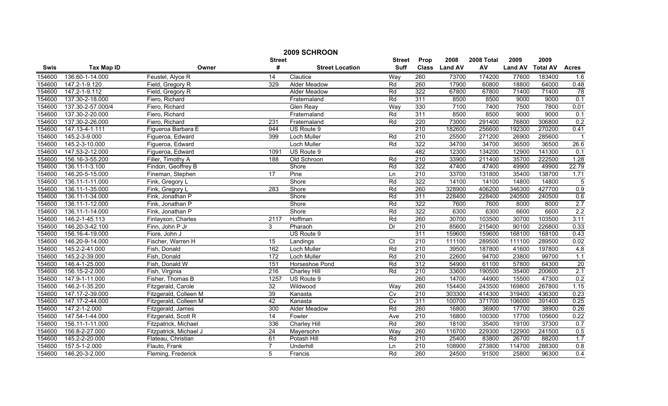|        | 2009 SCHROON      |                        |                  |                        |                 |                  |               |            |                |                 |                 |  |
|--------|-------------------|------------------------|------------------|------------------------|-----------------|------------------|---------------|------------|----------------|-----------------|-----------------|--|
|        |                   |                        | <b>Street</b>    |                        | <b>Street</b>   | Prop             | 2008          | 2008 Total | 2009           | 2009            |                 |  |
| Swis   | <b>Tax Map ID</b> | Owner                  | #                | <b>Street Location</b> | <b>Suff</b>     |                  | Class Land AV | AV         | <b>Land AV</b> | <b>Total AV</b> | <b>Acres</b>    |  |
| 154600 | 136.60-1-14.000   | Feustel, Alyce R       | 14               | Clautice               | Way             | 260              | 73700         | 174200     | 77600          | 183400          | 1.6             |  |
| 154600 | 147.2-1-9.120     | Field, Gregory R       | 329              | Alder Meadow           | Rd              | 260              | 17900         | 60800      | 18800          | 64000           | 0.48            |  |
| 154600 | 147.2-1-9.112     | Field, Gregory R       |                  | Alder Meadow           | Rd              | 322              | 67800         | 67800      | 71400          | 71400           | $\overline{78}$ |  |
| 154600 | 137.30-2-18.000   | Fiero, Richard         |                  | Fraternaland           | Rd              | 311              | 8500          | 8500       | 9000           | 9000            | 0.1             |  |
| 154600 | 137.30-2-57.000/4 | Fiero, Richard         |                  | <b>Glen Reay</b>       | Way             | 330              | 7100          | 7400       | 7500           | 7800            | 0.01            |  |
| 154600 | 137.30-2-20.000   | Fiero, Richard         |                  | Fraternaland           | Rd              | 311              | 8500          | 8500       | 9000           | 9000            | 0.1             |  |
| 154600 | 137.30-2-26.000   | Fiero, Richard         | 231              | Fraternaland           | Rd              | 220              | 73000         | 291400     | 76800          | 306800          | 0.2             |  |
| 154600 | 147.13-4-1.111    | Figueroa Barbara E     | 944              | US Route 9             |                 | 210              | 182600        | 256600     | 192300         | 270200          | 0.41            |  |
| 154600 | 145.2-3-9.000     | Figueroa, Edward       | 399              | Loch Muller            | Rd              | $\overline{210}$ | 25500         | 271200     | 26900          | 285600          |                 |  |
| 154600 | 145.2-3-10.000    | Figueroa, Edward       |                  | Loch Muller            | Rd              | 322              | 34700         | 34700      | 36500          | 36500           | 26.6            |  |
| 154600 | 147.53-2-12.000   | Figueroa, Edward       | 1091             | US Route 9             |                 | 482              | 12300         | 134200     | 12900          | 141300          | 0.1             |  |
| 154600 | 156.16-3-55.200   | Filler, Timothy A      | 188              | Old Schroon            | Rd              | $\overline{210}$ | 33900         | 211400     | 35700          | 222500          | 1.28            |  |
| 154600 | 136.11-1-3.100    | Findon, Geoffrey B     |                  | Shore                  | Rd              | 322              | 47400         | 47400      | 49900          | 49900           | 22.79           |  |
| 154600 | 146.20-5-15.000   | Fineman, Stephen       | 17               | Pine                   | Ln              | $\overline{210}$ | 33700         | 131800     | 35400          | 138700          | 1.71            |  |
| 154600 | 136.11-1-11.000   | Fink, Gregory L        |                  | Shore                  | Rd              | 322              | 14100         | 14100      | 14800          | 14800           | 5               |  |
| 154600 | 136.11-1-35.000   | Fink, Gregory L        | 283              | Shore                  | Rd              | 260              | 328900        | 406200     | 346300         | 427700          | 0.9             |  |
| 154600 | 136.11-1-34.000   | Fink, Jonathan P       |                  | Shore                  | Rd              | 311              | 228400        | 228400     | 240500         | 240500          | 0.6             |  |
| 154600 | 136.11-1-12.000   | Fink, Jonathan P       |                  | Shore                  | Rd              | 322              | 7600          | 7600       | 8000           | 8000            | 2.7             |  |
| 154600 | 136.11-1-14.000   | Fink, Jonathan P       |                  | Shore                  | Rd              | 322              | 6300          | 6300       | 6600           | 6600            | 2.2             |  |
| 154600 | 146.2-1-45.113    | Finlayson, Charles     | 2117             | Hoffman                | Rd              | 260              | 30700         | 103500     | 30700          | 103500          | 3.11            |  |
| 154600 | 146.20-3-42.100   | Finn, John P Jr        | 3                | Pharaoh                | Dr              | 210              | 85600         | 215400     | 90100          | 226800          | 0.33            |  |
| 154600 | 156.16-4-19.000   | Fiore, John J          |                  | US Route 9             |                 | 311              | 159600        | 159600     | 168100         | 168100          | 0.43            |  |
| 154600 | 146.20-9-14.000   | Fischer, Warren H      | $\overline{15}$  | Landings               | $\overline{C}t$ | 210              | 111100        | 289500     | 111100         | 289500          | 0.02            |  |
| 154600 | 145.2-2-41.000    | Fish, Donald           | 162              | Loch Muller            | Rd              | $\overline{210}$ | 39500         | 187800     | 41600          | 197800          | 4.8             |  |
| 154600 | 145.2-2-39.000    | Fish, Donald           | 172              | Loch Muller            | Rd              | 210              | 22600         | 94700      | 23800          | 99700           | 1.1             |  |
| 154600 | 146.4-1-25.000    | Fish, Donald W         | 151              | Horseshoe Pond         | Rd              | $\overline{312}$ | 54900         | 61100      | 57800          | 64300           | $\overline{20}$ |  |
| 154600 | 156.15-2-2.000    | Fish, Virginia         | $\overline{216}$ | <b>Charley Hill</b>    | Rd              | 210              | 33600         | 190500     | 35400          | 200600          | 2.1             |  |
| 154600 | 147.9-1-11.000    | Fisher, Thomas B       | 1257             | US Route 9             |                 | 260              | 14700         | 44900      | 15500          | 47300           | 0.2             |  |
| 154600 | 146.2-1-35.200    | Fitzgerald, Carole     | 32               | Wildwood               | Wav             | 260              | 154400        | 243500     | 169800         | 267800          | 1.15            |  |
| 154600 | 147.17-2-39.000   | Fitzgerald, Colleen M  | 39               | Kanasta                | $\overline{C}$  | 210              | 303300        | 414300     | 319400         | 436300          | 0.23            |  |
| 154600 | 147.17-2-44.000   | Fitzgerald, Colleen M  | 42               | Kanasta                | $\overline{C}$  | 311              | 100700        | 371700     | 106000         | 391400          | 0.25            |  |
| 154600 | 147.2-1-2.000     | Fitzgerald, James      | 300              | <b>Alder Meadow</b>    | Rd              | 260              | 16800         | 36900      | 17700          | 38900           | 0.26            |  |
| 154600 | 147.54-1-44.000   | Fitzgerald, Scott R    | 14               | Fowler                 | Ave             | 210              | 16800         | 100300     | 17700          | 105600          | 0.22            |  |
| 154600 | 156.11-1-11.000   | Fitzpatrick, Michael   | 336              | <b>Charley Hill</b>    | Rd              | 260              | 18100         | 35400      | 19100          | 37300           | 0.7             |  |
| 154600 | 156.8-2-27.000    | Fitzpatrick, Michael J | 24               | Mayersohn              | Way             | 260              | 116700        | 229300     | 122900         | 241500          | 0.5             |  |
| 154600 | 145.2-2-20.000    | Flateau, Christian     | 61               | Potash Hill            | Rd              | 210              | 25400         | 83800      | 26700          | 88200           | 1.7             |  |
| 154600 | 157.5-1-2.000     | Flauto, Frank          | $\overline{7}$   | Underhill              | Ln              | $\overline{210}$ | 108900        | 273800     | 114700         | 288300          | 0.8             |  |
| 154600 | 146.20-3-2.000    | Fleming, Frederick     | 5                | Francis                | Rd              | 260              | 24500         | 91500      | 25800          | 96300           | 0.4             |  |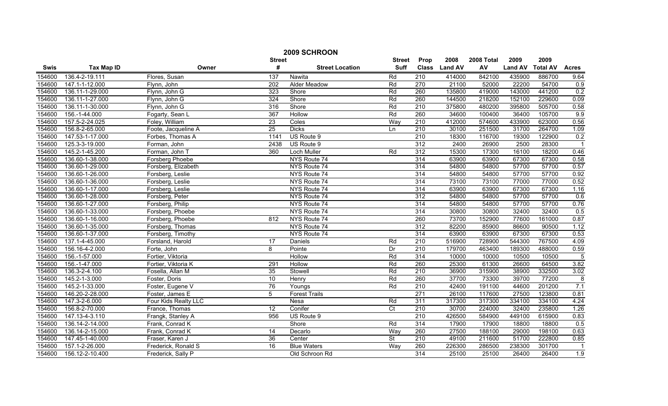|        | 2009 SCHROON      |                      |                  |                        |                          |                  |                |            |                |                 |                |  |
|--------|-------------------|----------------------|------------------|------------------------|--------------------------|------------------|----------------|------------|----------------|-----------------|----------------|--|
|        |                   |                      | <b>Street</b>    |                        | <b>Street</b>            | Prop             | 2008           | 2008 Total | 2009           | 2009            |                |  |
| Swis   | <b>Tax Map ID</b> | Owner                | #                | <b>Street Location</b> | <b>Suff</b>              | <b>Class</b>     | <b>Land AV</b> | AV         | <b>Land AV</b> | <b>Total AV</b> | <b>Acres</b>   |  |
| 154600 | 136.4-2-19.111    | Flores, Susan        | 137              | Nawita                 | Rd                       | $\overline{210}$ | 414000         | 842100     | 435900         | 886700          | 9.64           |  |
| 154600 | 147.1-1-12.000    | Flynn, John          | $\overline{202}$ | Alder Meadow           | Rd                       | 270              | 21100          | 52000      | 22200          | 54700           | 0.9            |  |
| 154600 | 136.11-1-29.000   | Flynn, John G        | 323              | Shore                  | Rd                       | 260              | 135800         | 419000     | 143000         | 441200          | 0.2            |  |
| 154600 | 136.11-1-27.000   | Flynn, John G        | 324              | Shore                  | Rd                       | 260              | 144500         | 218200     | 152100         | 229600          | 0.09           |  |
| 154600 | 136.11-1-30.000   | Flynn, John G        | 316              | Shore                  | Rd                       | 210              | 375800         | 480200     | 395800         | 505700          | 0.58           |  |
| 154600 | 156.-1-44.000     | Fogarty, Sean L      | 367              | Hollow                 | Rd                       | 260              | 34600          | 100400     | 36400          | 105700          | 9.9            |  |
| 154600 | 157.5-2-24.025    | Foley, William       | $\overline{23}$  | Coles                  | Way                      | 210              | 412000         | 574600     | 433900         | 623000          | 0.56           |  |
| 154600 | 156.8-2-65.000    | Foote, Jacqueline A  | 25               | <b>Dicks</b>           | Ln                       | $\overline{210}$ | 30100          | 251500     | 31700          | 264700          | 1.09           |  |
| 154600 | 147.53-1-17.000   | Forbes, Thomas A     | 1141             | US Route 9             |                          | $\overline{210}$ | 18300          | 116700     | 19300          | 122900          | 0.2            |  |
| 154600 | 125.3-3-19.000    | Forman, John         | 2438             | US Route 9             |                          | 312              | 2400           | 26900      | 2500           | 28300           |                |  |
| 154600 | 145.2-1-45.200    | Forman, John T       | 360              | Loch Muller            | Rd                       | 312              | 15300          | 17300      | 16100          | 18200           | 0.46           |  |
| 154600 | 136.60-1-38.000   | Forsberg Phoebe      |                  | NYS Route 74           |                          | 314              | 63900          | 63900      | 67300          | 67300           | 0.58           |  |
| 154600 | 136.60-1-29.000   | Forsberg, Elizabeth  |                  | NYS Route 74           |                          | 314              | 54800          | 54800      | 57700          | 57700           | 0.57           |  |
| 154600 | 136.60-1-26.000   | Forsberg, Leslie     |                  | NYS Route 74           |                          | 314              | 54800          | 54800      | 57700          | 57700           | 0.92           |  |
| 154600 | 136.60-1-36.000   | Forsberg, Leslie     |                  | NYS Route 74           |                          | 314              | 73100          | 73100      | 77000          | 77000           | 0.52           |  |
| 154600 | 136.60-1-17.000   | Forsberg, Leslie     |                  | NYS Route 74           |                          | 314              | 63900          | 63900      | 67300          | 67300           | 1.16           |  |
| 154600 | 136.60-1-28.000   | Forsberg, Peter      |                  | NYS Route 74           |                          | 312              | 54800          | 54800      | 57700          | 57700           | 0.6            |  |
| 154600 | 136.60-1-27.000   | Forsberg, Philip     |                  | NYS Route 74           |                          | 314              | 54800          | 54800      | 57700          | 57700           | 0.76           |  |
| 154600 | 136.60-1-33.000   | Forsberg, Phoebe     |                  | NYS Route 74           |                          | 314              | 30800          | 30800      | 32400          | 32400           | 0.5            |  |
| 154600 | 136.60-1-16.000   | Forsberg, Phoebe     | 812              | NYS Route 74           |                          | 260              | 73700          | 152900     | 77600          | 161000          | 0.87           |  |
| 154600 | 136.60-1-35.000   | Forsberg, Thomas     |                  | NYS Route 74           |                          | 312              | 82200          | 85900      | 86600          | 90500           | 1.12           |  |
| 154600 | 136.60-1-37.000   | Forsberg, Timothy    |                  | NYS Route 74           |                          | 314              | 63900          | 63900      | 67300          | 67300           | 0.53           |  |
| 154600 | 137.1-4-45.000    | Forsland, Harold     | $\overline{17}$  | Daniels                | Rd                       | 210              | 516900         | 728900     | 544300         | 767500          | 4.09           |  |
| 154600 | 156.16-4-2.000    | Forte, John          | 8                | Pointe                 | Dr                       | 210              | 179700         | 463400     | 189300         | 488000          | 0.59           |  |
| 154600 | 156.-1-57.000     | Fortier, Viktoria    |                  | Hollow                 | Rd                       | 314              | 10000          | 10000      | 10500          | 10500           | $\overline{5}$ |  |
| 154600 | 156.-1-47.000     | Fortier, Viktoria K  | 291              | Hollow                 | Rd                       | 260              | 25300          | 61300      | 26600          | 64500           | 3.82           |  |
| 154600 | 136.3-2-4.100     | Fosella, Allan M     | 35               | Stowell                | Rd                       | $\overline{210}$ | 36900          | 315900     | 38900          | 332500          | 3.02           |  |
| 154600 | 145.2-1-3.000     | Foster, Doris        | 10               | Henry                  | Rd                       | 260              | 37700          | 73300      | 39700          | 77200           | $\overline{8}$ |  |
| 154600 | 145.2-1-33.000    | Foster, Eugene V     | 76               | Youngs                 | Rd                       | 210              | 42400          | 191100     | 44600          | 201200          | 7.1            |  |
| 154600 | 146.20-2-28.000   | Foster, James E      | 5                | <b>Forest Trails</b>   |                          | 271              | 26100          | 117600     | 27500          | 123800          | 0.81           |  |
| 154600 | 147.3-2-6.000     | Four Kids Realty LLC |                  | Nesa                   | Rd                       | 311              | 317300         | 317300     | 334100         | 334100          | 4.24           |  |
| 154600 | 156.8-2-70.000    | France, Thomas       | 12               | Conifer                | $\overline{C}$           | 210              | 30700          | 224000     | 32400          | 235800          | 1.26           |  |
| 154600 | 147.13-4-3.110    | Frangk, Stanley A    | 956              | US Route 9             |                          | 210              | 426500         | 584900     | 449100         | 615900          | 0.83           |  |
| 154600 | 136.14-2-14.000   | Frank, Conrad K      |                  | Shore                  | Rd                       | 314              | 17900          | 17900      | 18800          | 18800           | 0.5            |  |
| 154600 | 136.14-2-15.000   | Frank, Conrad K      | 14               | Decarlo                | Way                      | 260              | 27500          | 188100     | 29000          | 198100          | 0.63           |  |
| 154600 | 147.45-1-40.000   | Fraser, Karen J      | 36               | Center                 | $\overline{\mathsf{St}}$ | 210              | 49100          | 211600     | 51700          | 222800          | 0.85           |  |
| 154600 | 157.1-2-26.000    | Frederick, Ronald S  | 16               | <b>Blue Waters</b>     | Way                      | 260              | 226300         | 286500     | 238300         | 301700          |                |  |
| 154600 | 156.12-2-10.400   | Frederick, Sally P   |                  | Old Schroon Rd         |                          | 314              | 25100          | 25100      | 26400          | 26400           | 1.9            |  |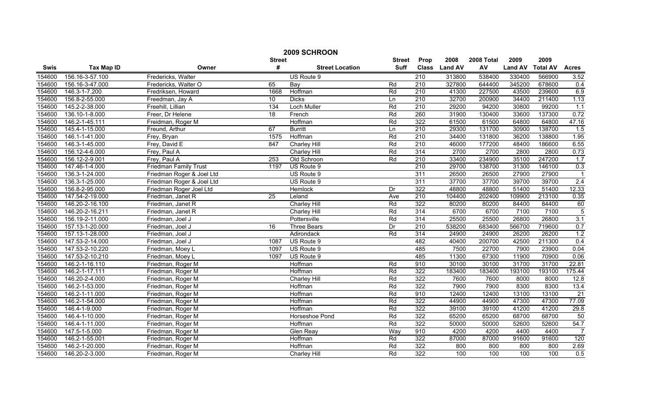| 2009 SCHROON |                   |                              |               |                        |               |                  |                |            |                |                 |                 |
|--------------|-------------------|------------------------------|---------------|------------------------|---------------|------------------|----------------|------------|----------------|-----------------|-----------------|
|              |                   |                              | <b>Street</b> |                        | <b>Street</b> | Prop             | 2008           | 2008 Total | 2009           | 2009            |                 |
| <b>Swis</b>  | <b>Tax Map ID</b> | Owner                        | #             | <b>Street Location</b> | <b>Suff</b>   | <b>Class</b>     | <b>Land AV</b> | AV         | <b>Land AV</b> | <b>Total AV</b> | <b>Acres</b>    |
| 154600       | 156.16-3-57.100   | Fredericks, Walter           |               | US Route 9             |               | $\overline{210}$ | 313800         | 538400     | 330400         | 566900          | 3.52            |
| 154600       | 156.16-3-47.000   | Fredericks, Walter O         | 65            | Bay                    | Rd            | $\overline{210}$ | 327800         | 644400     | 345200         | 678600          | 0.4             |
| 154600       | 146.3-1-7.200     | Fredriksen, Howard           | 1668          | Hoffman                | Rd            | $\overline{210}$ | 41300          | 227500     | 43500          | 239600          | 6.9             |
| 154600       | 156.8-2-55.000    | Freedman, Jay A              | 10            | <b>Dicks</b>           | Ln            | 210              | 32700          | 200900     | 34400          | 211400          | 1.13            |
| 154600       | 145.2-2-38.000    | Freehill, Lillian            | 134           | <b>Loch Muller</b>     | Rd            | 210              | 29200          | 94200      | 30800          | 99200           | 1.1             |
| 154600       | 136.10-1-8.000    | Freer, Dr Helene             | 18            | French                 | Rd            | 260              | 31900          | 130400     | 33600          | 137300          | 0.72            |
| 154600       | 146.2-1-45.111    | Freidman, Roger M            |               | Hoffman                | Rd            | 322              | 61500          | 61500      | 64800          | 64800           | 47.16           |
| 154600       | 145.4-1-15.000    | Freund, Arthur               | 67            | <b>Burritt</b>         | Ln            | 210              | 29300          | 131700     | 30900          | 138700          | 1.5             |
| 154600       | 146.1-1-41.000    | Frey, Bryan                  | 1575          | Hoffman                | Rd            | 210              | 34400          | 131800     | 36200          | 138800          | 1.95            |
| 154600       | 146.3-1-45.000    | Frey, David E                | 847           | Charley Hill           | Rd            | 210              | 46000          | 177200     | 48400          | 186600          | 6.55            |
| 154600       | 156.12-4-6.000    | Frey, Paul A                 |               | Charley Hill           | Rd            | 314              | 2700           | 2700       | 2800           | 2800            | 0.73            |
| 154600       | 156.12-2-9.001    | Frey, Paul A                 | 253           | Old Schroon            | Rd            | $\overline{210}$ | 33400          | 234900     | 35100          | 247200          | 1.7             |
| 154600       | 147.46-1-4.000    | <b>Friedman Family Trust</b> | 1197          | US Route 9             |               | $\overline{210}$ | 29700          | 138700     | 31300          | 146100          | 0.3             |
| 154600       | 136.3-1-24.000    | Friedman Roger & Joel Ltd    |               | US Route 9             |               | 311              | 26500          | 26500      | 27900          | 27900           | $\overline{1}$  |
| 154600       | 136.3-1-25.000    | Friedman Roger & Joel Ltd    |               | US Route 9             |               | 311              | 37700          | 37700      | 39700          | 39700           | 2.4             |
| 154600       | 156.8-2-95.000    | Friedman Roger Joel Ltd      |               | Hemlock                | Dr            | 322              | 48800          | 48800      | 51400          | 51400           | 12.33           |
| 154600       | 147.54-2-19.000   | Friedman, Janet R            | 25            | Leland                 | Ave           | 210              | 104400         | 202400     | 109900         | 213100          | 0.35            |
| 154600       | 146.20-2-16.100   | Friedman, Janet R            |               | <b>Charley Hill</b>    | Rd            | 322              | 80200          | 80200      | 84400          | 84400           | 60              |
| 154600       | 146.20-2-16.211   | Friedman, Janet R            |               | <b>Charley Hill</b>    | Rd            | 314              | 6700           | 6700       | 7100           | 7100            | $\overline{5}$  |
| 154600       | 156.19-2-11.000   | Friedman, Joel J             |               | Pottersville           | Rd            | 314              | 25500          | 25500      | 26800          | 26800           | 3.1             |
| 154600       | 157.13-1-20.000   | Friedman, Joel J             | 16            | <b>Three Bears</b>     | Dr            | $\overline{210}$ | 538200         | 683400     | 566700         | 719600          | 0.7             |
| 154600       | 157.13-1-28.000   | Friedman, Joel J             |               | Adirondack             | Rd            | $\overline{314}$ | 24900          | 24900      | 26200          | 26200           | 1.2             |
| 154600       | 147.53-2-14.000   | Friedman, Joel J             | 1087          | US Route 9             |               | 482              | 40400          | 200700     | 42500          | 211300          | 0.4             |
| 154600       | 147.53-2-10.220   | Friedman, Moey L             | 1097          | US Route 9             |               | 485              | 7500           | 22700      | 7900           | 23900           | 0.04            |
| 154600       | 147.53-2-10.210   | Friedman, Moey L             | 1097          | US Route 9             |               | 485              | 11300          | 67300      | 11900          | 70900           | 0.06            |
| 154600       | 146.2-1-16.110    | Friedman, Roger M            |               | Hoffman                | Rd            | 910              | 30100          | 30100      | 31700          | 31700           | 22.81           |
| 154600       | 146.2-1-17.111    | Friedman, Roger M            |               | Hoffman                | Rd            | 322              | 183400         | 183400     | 193100         | 193100          | 175.44          |
| 154600       | 146.20-2-4.000    | Friedman, Roger M            |               | <b>Charley Hill</b>    | Rd            | 322              | 7600           | 7600       | 8000           | 8000            | 12.8            |
| 154600       | 146.2-1-53.000    | Friedman, Roger M            |               | Hoffman                | Rd            | 322              | 7900           | 7900       | 8300           | 8300            | 13.4            |
| 154600       | 146.2-1-11.000    | Friedman, Roger M            |               | Hoffman                | Rd            | 910              | 12400          | 12400      | 13100          | 13100           | $\overline{21}$ |
| 154600       | 146.2-1-54.000    | Friedman, Roger M            |               | Hoffman                | Rd            | 322              | 44900          | 44900      | 47300          | 47300           | 77.09           |
| 154600       | 146.4-1-9.000     | Friedman, Roger M            |               | Hoffman                | Rd            | 322              | 39100          | 39100      | 41200          | 41200           | 29.8            |
| 154600       | 146.4-1-10.000    | Friedman, Roger M            |               | Horseshoe Pond         | Rd            | 322              | 65200          | 65200      | 68700          | 68700           | 50              |
| 154600       | 146.4-1-11.000    | Friedman, Roger M            |               | Hoffman                | Rd            | 322              | 50000          | 50000      | 52600          | 52600           | 54.7            |
| 154600       | 147.5-1-5.000     | Friedman, Roger M            |               | Glen Reay              | Way           | 910              | 4200           | 4200       | 4400           | 4400            | $\overline{7}$  |
| 154600       | 146.2-1-55.001    | Friedman, Roger M            |               | Hoffman                | Rd            | 322              | 87000          | 87000      | 91600          | 91600           | 120             |
| 154600       | 146.2-1-20.000    | Friedman, Roger M            |               | Hoffman                | Rd            | 322              | 800            | 800        | 800            | 800             | 2.69            |
| 154600       | 146.20-2-3.000    | Friedman, Roger M            |               | Charley Hill           | Rd            | 322              | 100            | 100        | 100            | 100             | 0.5             |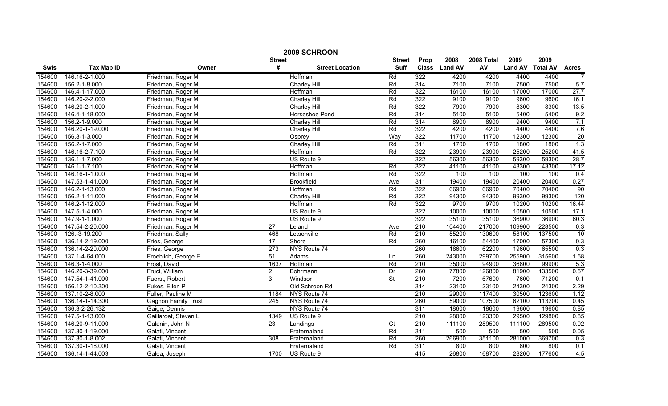| 2009 SCHROON |                   |                            |                 |                        |                |                  |                |            |                |                 |                |  |
|--------------|-------------------|----------------------------|-----------------|------------------------|----------------|------------------|----------------|------------|----------------|-----------------|----------------|--|
|              |                   |                            | <b>Street</b>   |                        | <b>Street</b>  | Prop             | 2008           | 2008 Total | 2009           | 2009            |                |  |
| <b>Swis</b>  | <b>Tax Map ID</b> | Owner                      | #               | <b>Street Location</b> | <b>Suff</b>    | <b>Class</b>     | <b>Land AV</b> | AV         | <b>Land AV</b> | <b>Total AV</b> | <b>Acres</b>   |  |
| 154600       | 146.16-2-1.000    | Friedman, Roger M          |                 | Hoffman                | Rd             | 322              | 4200           | 4200       | 4400           | 4400            | $\overline{7}$ |  |
| 154600       | 156.2-1-8.000     | Friedman, Roger M          |                 | <b>Charley Hill</b>    | Rd             | 314              | 7100           | 7100       | 7500           | 7500            | 5.7            |  |
| 154600       | 146.4-1-17.000    | Friedman, Roger M          |                 | Hoffman                | Rd             | 322              | 16100          | 16100      | 17000          | 17000           | 27.7           |  |
| 154600       | 146.20-2-2.000    | Friedman, Roger M          |                 | <b>Charley Hill</b>    | Rd             | 322              | 9100           | 9100       | 9600           | 9600            | 16.1           |  |
| 154600       | 146.20-2-1.000    | Friedman, Roger M          |                 | <b>Charley Hill</b>    | Rd             | 322              | 7900           | 7900       | 8300           | 8300            | 13.5           |  |
| 154600       | 146.4-1-18.000    | Friedman, Roger M          |                 | Horseshoe Pond         | Rd             | 314              | 5100           | 5100       | 5400           | 5400            | 9.2            |  |
| 154600       | 156.2-1-9.000     | Friedman, Roger M          |                 | Charley Hill           | Rd             | 314              | 8900           | 8900       | 9400           | 9400            | 7.1            |  |
| 154600       | 146.20-1-19.000   | Friedman, Roger M          |                 | <b>Charley Hill</b>    | Rd             | 322              | 4200           | 4200       | 4400           | 4400            | 7.6            |  |
| 154600       | 156.8-1-3.000     | Friedman, Roger M          |                 | Osprey                 | Way            | 322              | 11700          | 11700      | 12300          | 12300           | 20             |  |
| 154600       | 156.2-1-7.000     | Friedman, Roger M          |                 | <b>Charley Hill</b>    | Rd             | 311              | 1700           | 1700       | 1800           | 1800            | 1.3            |  |
| 154600       | 146.16-2-7.100    | Friedman, Roger M          |                 | Hoffman                | Rd             | 322              | 23900          | 23900      | 25200          | 25200           | 41.5           |  |
| 154600       | 136.1-1-7.000     | Friedman, Roger M          |                 | US Route 9             |                | 322              | 56300          | 56300      | 59300          | 59300           | 28.7           |  |
| 154600       | 146.1-1-7.100     | Friedman, Roger M          |                 | Hoffman                | Rd             | 322              | 41100          | 41100      | 43300          | 43300           | 17.12          |  |
| 154600       | 146.16-1-1.000    | Friedman, Roger M          |                 | Hoffman                | Rd             | 322              | 100            | 100        | 100            | 100             | 0.4            |  |
| 154600       | 147.53-1-41.000   | Friedman, Roger M          |                 | <b>Brookfield</b>      | Ave            | 311              | 19400          | 19400      | 20400          | 20400           | 0.27           |  |
| 154600       | 146.2-1-13.000    | Friedman, Roger M          |                 | Hoffman                | Rd             | 322              | 66900          | 66900      | 70400          | 70400           | 90             |  |
| 154600       | 156.2-1-11.000    | Friedman, Roger M          |                 | <b>Charley Hill</b>    | Rd             | 322              | 94300          | 94300      | 99300          | 99300           | 120            |  |
| 154600       | 146.2-1-12.000    | Friedman, Roger M          |                 | Hoffman                | Rd             | 322              | 9700           | 9700       | 10200          | 10200           | 16.44          |  |
| 154600       | 147.5-1-4.000     | Friedman, Roger M          |                 | US Route 9             |                | 322              | 10000          | 10000      | 10500          | 10500           | 17.1           |  |
| 154600       | 147.9-1-1.000     | Friedman, Roger M          |                 | US Route 9             |                | 322              | 35100          | 35100      | 36900          | 36900           | 60.3           |  |
| 154600       | 147.54-2-20.000   | Friedman, Roger M          | $\overline{27}$ | Leland                 | Ave            | 210              | 104400         | 217000     | 109900         | 228500          | 0.3            |  |
| 154600       | 126.-3-19.200     | Friedman, Sally            | 468             | Letsonville            | Rd             | 210              | 55200          | 130600     | 58100          | 137500          | 10             |  |
| 154600       | 136.14-2-19.000   | Fries, George              | 17              | Shore                  | Rd             | 260              | 16100          | 54400      | 17000          | 57300           | 0.3            |  |
| 154600       | 136.14-2-20.000   | Fries, George              | 273             | NYS Route 74           |                | 260              | 18600          | 62200      | 19600          | 65500           | 0.3            |  |
| 154600       | 137.1-4-64.000    | Froehlich, George E        | 51              | Adams                  | Ln             | 260              | 243000         | 299700     | 255900         | 315600          | 1.58           |  |
| 154600       | 146.3-1-4.000     | Frost, David               | 1637            | Hoffman                | Rd             | $\overline{210}$ | 35000          | 94900      | 36800          | 99900           | 5.3            |  |
| 154600       | 146.20-3-39.000   | Fruci, William             | $\overline{2}$  | Bohrmann               | Dr             | 260              | 77800          | 126800     | 81900          | 133500          | 0.57           |  |
| 154600       | 147.54-1-41.000   | Fuerst, Robert             | 3               | Windsor                | St             | 210              | 7200           | 67600      | 7600           | 71200           | 0.1            |  |
| 154600       | 156.12-2-10.300   | Fukes, Ellen P             |                 | Old Schroon Rd         |                | 314              | 23100          | 23100      | 24300          | 24300           | 2.29           |  |
| 154600       | 137.10-2-8.000    | Fuller, Pauline M          | 1184            | NYS Route 74           |                | 210              | 29000          | 117400     | 30500          | 123600          | 1.12           |  |
| 154600       | 136.14-1-14.300   | <b>Gagnon Family Trust</b> | 245             | NYS Route 74           |                | 260              | 59000          | 107500     | 62100          | 113200          | 0.45           |  |
| 154600       | 136.3-2-26.132    | Gaige, Dennis              |                 | NYS Route 74           |                | 311              | 18600          | 18600      | 19600          | 19600           | 0.85           |  |
| 154600       | 147.5-1-13.000    | Gaillardet, Steven L       | 1349            | US Route 9             |                | 210              | 28000          | 123300     | 29500          | 129800          | 0.85           |  |
| 154600       | 146.20-9-11.000   | Galanin, John N            | $\overline{23}$ | Landings               | $\overline{C}$ | $\overline{210}$ | 111100         | 289500     | 111100         | 289500          | 0.02           |  |
| 154600       | 137.30-1-19.000   | Galati, Vincent            |                 | Fraternaland           | Rd             | 311              | 500            | 500        | 500            | 500             | 0.05           |  |
| 154600       | 137.30-1-8.002    | Galati, Vincent            | 308             | Fraternaland           | Rd             | 260              | 266900         | 351100     | 281000         | 369700          | 0.3            |  |
| 154600       | 137.30-1-18.000   | Galati, Vincent            |                 | Fraternaland           | Rd             | 311              | 800            | 800        | 800            | 800             | 0.1            |  |
| 154600       | 136.14-1-44.003   | Galea, Joseph              | 1700            | US Route 9             |                | 415              | 26800          | 168700     | 28200          | 177600          | 4.5            |  |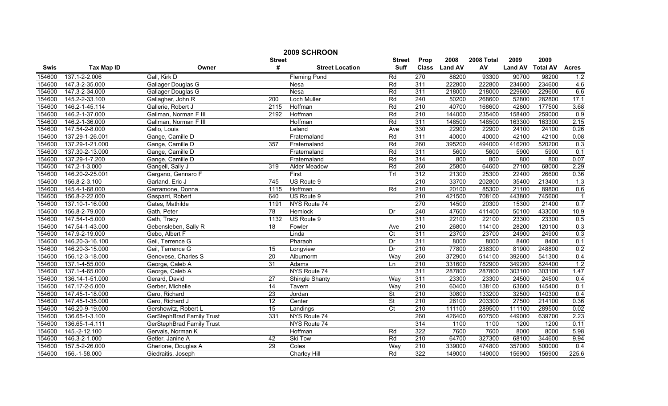| 2009 SCHROON |                   |                                  |                  |                        |                          |                  |                |            |                |                 |              |
|--------------|-------------------|----------------------------------|------------------|------------------------|--------------------------|------------------|----------------|------------|----------------|-----------------|--------------|
|              |                   |                                  | <b>Street</b>    |                        | <b>Street</b>            | Prop             | 2008           | 2008 Total | 2009           | 2009            |              |
| Swis         | <b>Tax Map ID</b> | Owner                            | #                | <b>Street Location</b> | <b>Suff</b>              | <b>Class</b>     | <b>Land AV</b> | AV         | <b>Land AV</b> | <b>Total AV</b> | <b>Acres</b> |
| 154600       | 137.1-2-2.006     | Gall, Kirk D                     |                  | <b>Fleming Pond</b>    | Rd                       | 270              | 86200          | 93300      | 90700          | 98200           | 1.2          |
| 154600       | 147.3-2-35.000    | Gallager Douglas G               |                  | Nesa                   | Rd                       | 311              | 222800         | 222800     | 234600         | 234600          | 4.6          |
| 154600       | 147.3-2-34.000    | Gallager Douglas G               |                  | <b>Nesa</b>            | Rd                       | 311              | 218000         | 218000     | 229600         | 229600          | 6.6          |
| 154600       | 145.2-2-33.100    | Gallagher, John R                | 200              | <b>Loch Muller</b>     | Rd                       | 240              | 50200          | 268600     | 52800          | 282800          | 17.1         |
| 154600       | 146.2-1-45.114    | Gallerie, Robert J               | 2115             | Hoffman                | Rd                       | 210              | 40700          | 168600     | 42800          | 177500          | 3.68         |
| 154600       | 146.2-1-37.000    | Gallman, Norman F III            | 2192             | Hoffman                | Rd                       | 210              | 144000         | 235400     | 158400         | 259000          | 0.9          |
| 154600       | 146.2-1-36.000    | Gallman, Norman F III            |                  | Hoffman                | Rd                       | 311              | 148500         | 148500     | 163300         | 163300          | 2.15         |
| 154600       | 147.54-2-8.000    | Gallo, Louis                     |                  | Leland                 | Ave                      | 330              | 22900          | 22900      | 24100          | 24100           | 0.26         |
| 154600       | 137.29-1-26.001   | Gange, Camille D                 |                  | Fraternaland           | Rd                       | 311              | 40000          | 40000      | 42100          | 42100           | 0.08         |
| 154600       | 137.29-1-21.000   | Gange, Camille D                 | 357              | Fraternaland           | Rd                       | 260              | 395200         | 494000     | 416200         | 520200          | 0.3          |
| 154600       | 137.30-2-13.000   | Gange, Camille D                 |                  | Fraternaland           | Rd                       | 311              | 5600           | 5600       | 5900           | 5900            | 0.1          |
| 154600       | 137.29-1-7.200    | Gange, Camille D                 |                  | Fraternaland           | Rd                       | 314              | 800            | 800        | 800            | 800             | 0.07         |
| 154600       | 147.2-1-3.000     | Gangell, Sally J                 | 319              | Alder Meadow           | Rd                       | 260              | 25800          | 64600      | 27100          | 68000           | 2.29         |
| 154600       | 146.20-2-25.001   | Gargano, Gennaro F               |                  | First                  | Trl                      | 312              | 21300          | 25300      | 22400          | 26600           | 0.36         |
| 154600       | 156.8-2-3.100     | Garland, Eric J                  | $\overline{745}$ | US Route 9             |                          | $\overline{210}$ | 33700          | 202800     | 35400          | 213400          | 1.3          |
| 154600       | 145.4-1-68.000    | Garramone, Donna                 | 1115             | Hoffman                | Rd                       | $\overline{210}$ | 20100          | 85300      | 21100          | 89800           | 0.6          |
| 154600       | 156.8-2-22.000    | Gasparri, Robert                 | 640              | US Route 9             |                          | 210              | 421500         | 708100     | 443800         | 745600          |              |
| 154600       | 137.10-1-16.000   | Gates, Mathilde                  | 1191             | NYS Route 74           |                          | 270              | 14500          | 20300      | 15300          | 21400           | 0.7          |
| 154600       | 156.8-2-79.000    | Gath, Peter                      | 78               | <b>Hemlock</b>         | Dr                       | 240              | 47600          | 411400     | 50100          | 433000          | 10.9         |
| 154600       | 147.54-1-5.000    | Gath, Tracy                      | 1132             | US Route 9             |                          | 311              | 22100          | 22100      | 23300          | 23300           | 0.5          |
| 154600       | 147.54-1-43.000   | Gebensleben, Sally R             | 18               | Fowler                 | Ave                      | 210              | 26800          | 114100     | 28200          | 120100          | 0.3          |
| 154600       | 147.9-2-19.000    | Gebo, Albert F                   |                  | Linda                  | C <sub>t</sub>           | 311              | 23700          | 23700      | 24900          | 24900           | 0.3          |
| 154600       | 146.20-3-16.100   | Geil, Terrence G                 |                  | Pharaoh                | Dr                       | 311              | 8000           | 8000       | 8400           | 8400            | 0.1          |
| 154600       | 146.20-3-15.000   | Geil, Terrence G                 | $\overline{15}$  | Longview               | Dr                       | 210              | 77800          | 236300     | 81900          | 248800          | 0.2          |
| 154600       | 156.12-3-18.000   | Genovese, Charles S              | $\overline{20}$  | Alburnorm              | Way                      | 260              | 372900         | 514100     | 392600         | 541300          | 0.4          |
| 154600       | 137.1-4-55.000    | George, Caleb A                  | 31               | Adams                  | Ln                       | $\overline{210}$ | 331600         | 782900     | 349200         | 824400          | 1.2          |
| 154600       | 137.1-4-65.000    | George, Caleb A                  |                  | NYS Route 74           |                          | 311              | 287800         | 287800     | 303100         | 303100          | 1.47         |
| 154600       | 136.14-1-51.000   | Gerard, David                    | 27               | Shingle Shanty         | Way                      | 311              | 23300          | 23300      | 24500          | 24500           | 0.4          |
| 154600       | 147.17-2-5.000    | Gerber, Michelle                 | 14               | Tavern                 | Way                      | 210              | 60400          | 138100     | 63600          | 145400          | 0.1          |
| 154600       | 147.45-1-18.000   | Gero, Richard                    | $\overline{23}$  | Jordan                 | <b>St</b>                | 210              | 30800          | 133200     | 32500          | 140300          | 0.4          |
| 154600       | 147.45-1-35.000   | Gero, Richard J                  | $\overline{12}$  | Center                 | $\overline{\mathsf{St}}$ | 210              | 26100          | 203300     | 27500          | 214100          | 0.36         |
| 154600       | 146.20-9-19.000   | Gershowitz, Robert L             | 15               | Landings               | $\overline{C}$           | 210              | 111100         | 289500     | 111100         | 289500          | 0.02         |
| 154600       | 136.65-1-3.100    | <b>GerStephBrad Family Trust</b> | 331              | NYS Route 74           |                          | 260              | 426400         | 607500     | 449000         | 639700          | 2.23         |
| 154600       | 136.65-1-4.111    | <b>GerStephBrad Family Trust</b> |                  | NYS Route 74           |                          | 314              | 1100           | 1100       | 1200           | 1200            | 0.11         |
| 154600       | 145.-2-12.100     | Gervais, Norman K                |                  | Hoffman                | Rd                       | 322              | 7600           | 7600       | 8000           | 8000            | 5.98         |
| 154600       | 146.3-2-1.000     | Getler, Janine A                 | 42               | Ski Tow                | Rd                       | 210              | 64700          | 327300     | 68100          | 344600          | 9.94         |
| 154600       | 157.5-2-26.000    | Gherlone, Douglas A              | 29               | Coles                  | Way                      | 210              | 339000         | 474800     | 357000         | 500000          | 0.4          |
| 154600       | 156.-1-58.000     | Giedraitis, Joseph               |                  | <b>Charley Hill</b>    | Rd                       | 322              | 149000         | 149000     | 156900         | 156900          | 225.6        |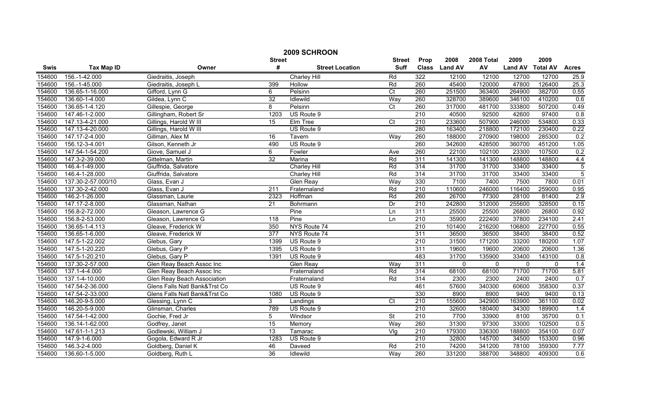|             | 2009 SCHROON       |                               |                  |                        |                          |                  |                |              |                |                 |                  |  |
|-------------|--------------------|-------------------------------|------------------|------------------------|--------------------------|------------------|----------------|--------------|----------------|-----------------|------------------|--|
|             |                    |                               | <b>Street</b>    |                        | <b>Street</b>            | Prop             | 2008           | 2008 Total   | 2009           | 2009            |                  |  |
| <b>Swis</b> | <b>Tax Map ID</b>  | Owner                         | #                | <b>Street Location</b> | <b>Suff</b>              | <b>Class</b>     | <b>Land AV</b> | AV           | <b>Land AV</b> | <b>Total AV</b> | <b>Acres</b>     |  |
| 154600      | 156.-1-42.000      | Giedraitis, Joseph            |                  | Charley Hill           | Rd                       | 322              | 12100          | 12100        | 12700          | 12700           | 25.9             |  |
| 154600      | 156.-1-45.000      | Giedraitis, Joseph L          | 399              | Hollow                 | Rd                       | 260              | 45400          | 120000       | 47800          | 126400          | 25.3             |  |
| 154600      | 136.65-1-16.000    | Gifford, Lynn G               | 6                | Pelsinn                | $\overline{C}t$          | 260              | 251500         | 363400       | 264900         | 382700          | 0.55             |  |
| 154600      | 136.60-1-4.000     | Gildea, Lynn C                | 32               | Idlewild               | Way                      | 260              | 328700         | 389600       | 346100         | 410200          | 0.6              |  |
| 154600      | 136.65-1-4.120     | Gillespie, George             | 8                | Pelsinn                | $\overline{C}$           | 260              | 317000         | 481700       | 333800         | 507200          | 0.49             |  |
| 154600      | 147.46-1-2.000     | Gillingham, Robert Sr         | 1203             | US Route 9             |                          | 210              | 40500          | 92500        | 42600          | 97400           | 0.8              |  |
| 154600      | 147.13-4-21.000    | Gillings, Harold W III        | 15               | Elm Tree               | $\overline{C}$ t         | 210              | 233600         | 507900       | 246000         | 534800          | 0.33             |  |
| 154600      | 147.13-4-20.000    | Gillings, Harold W III        |                  | US Route 9             |                          | 280              | 163400         | 218800       | 172100         | 230400          | 0.22             |  |
| 154600      | 147.17-2-4.000     | Gillman, Alex M               | 16               | Tavern                 | Way                      | 260              | 188000         | 270900       | 198000         | 285300          | 0.2              |  |
| 154600      | 156.12-3-4.001     | Gilson, Kenneth Jr            | 490              | US Route 9             |                          | 260              | 342600         | 428500       | 360700         | 451200          | 1.05             |  |
| 154600      | 147.54-1-54.200    | Giove, Samuel J               | 6                | Fowler                 | Ave                      | 260              | 22100          | 102100       | 23300          | 107500          | 0.2              |  |
| 154600      | 147.3-2-39.000     | Gittelman, Martin             | $\overline{32}$  | Marina                 | Rd                       | 311              | 141300         | 141300       | 148800         | 148800          | 4.4              |  |
| 154600      | 146.4-1-49.000     | Giuffrida, Salvatore          |                  | Charley Hill           | Rd                       | 314              | 31700          | 31700        | 33400          | 33400           | 5                |  |
| 154600      | 146.4-1-28.000     | Giuffrida, Salvatore          |                  | Charley Hill           | Rd                       | 314              | 31700          | 31700        | 33400          | 33400           | $\overline{5}$   |  |
| 154600      | 137.30-2-57.000/10 | Glass, Evan J                 |                  | Glen Reay              | Way                      | 330              | 7100           | 7400         | 7500           | 7800            | 0.01             |  |
| 154600      | 137.30-2-42.000    | Glass, Evan J                 | $\overline{211}$ | Fraternaland           | Rd                       | $\overline{210}$ | 110600         | 246000       | 116400         | 259000          | 0.95             |  |
| 154600      | 146.2-1-26.000     | Glassman, Laurie              | 2323             | Hoffman                | Rd                       | 260              | 26700          | 77300        | 28100          | 81400           | 2.9              |  |
| 154600      | 147.17-2-8.000     | Glassman, Nathan              | $\overline{21}$  | Bohrmann               | Dr                       | 210              | 242800         | 312000       | 255600         | 328500          | 0.15             |  |
| 154600      | 156.8-2-72.000     | Gleason, Lawrence G           |                  | Pine                   | Ln                       | 311              | 25500          | 25500        | 26800          | 26800           | 0.92             |  |
| 154600      | 156.8-2-53.000     | Gleason, Lawrence G           | 118              | Pine                   | Ln                       | 210              | 35900          | 222400       | 37800          | 234100          | 2.41             |  |
| 154600      | 136.65-1-4.113     | Gleave, Frederick W           | 350              | NYS Route 74           |                          | 210              | 101400         | 216200       | 106800         | 227700          | 0.55             |  |
| 154600      | 136.65-1-6.000     | Gleave, Frederick W           | 377              | NYS Route 74           |                          | 311              | 36500          | 36500        | 38400          | 38400           | 0.52             |  |
| 154600      | 147.5-1-22.002     | Glebus, Gary                  | 1399             | US Route 9             |                          | $\overline{210}$ | 31500          | 171200       | 33200          | 180200          | 1.07             |  |
| 154600      | 147.5-1-20.220     | Glebus, Gary P                | 1395             | US Route 9             |                          | 311              | 19600          | 19600        | 20600          | 20600           | 1.36             |  |
| 154600      | 147.5-1-20.210     | Glebus, Gary P                | 1391             | US Route 9             |                          | 483              | 31700          | 135900       | 33400          | 143100          | 0.8              |  |
| 154600      | 137.30-2-57.000    | Glen Reay Beach Assoc Inc     |                  | Glen Reay              | Wav                      | 311              | $\mathbf{0}$   | $\mathbf{0}$ | $\mathbf{0}$   | $\Omega$        | 1.4              |  |
| 154600      | 137.1-4-4.000      | Glen Reay Beach Assoc Inc     |                  | Fraternaland           | Rd                       | 314              | 68100          | 68100        | 71700          | 71700           | 5.81             |  |
| 154600      | 137.1-4-10.000     | Glen Reay Beach Association   |                  | Fraternaland           | Rd                       | 314              | 2300           | 2300         | 2400           | 2400            | 0.7              |  |
| 154600      | 147.54-2-36.000    | Glens Falls Natl Bank&Trst Co |                  | US Route 9             |                          | 461              | 57600          | 340300       | 60600          | 358300          | 0.37             |  |
| 154600      | 147.54-2-33.000    | Glens Falls Natl Bank&Trst Co | 1080             | US Route 9             |                          | 330              | 8900           | 8900         | 9400           | 9400            | 0.13             |  |
| 154600      | 146.20-9-5.000     | Glessing, Lynn C              | 3                | Landings               | $\overline{C}$           | 210              | 155600         | 342900       | 163900         | 361100          | 0.02             |  |
| 154600      | 146.20-5-9.000     | Glinsman, Charles             | 789              | US Route 9             |                          | 210              | 32600          | 180400       | 34300          | 189900          | 1.4              |  |
| 154600      | 147.54-1-42.000    | Gochie, Fred Jr               | 5                | Windsor                | $\overline{\mathsf{St}}$ | 210              | 7700           | 33900        | 8100           | 35700           | 0.1              |  |
| 154600      | 136.14-1-62.000    | Godfrey, Janet                | $\overline{15}$  | Memory                 | Way                      | 260              | 31300          | 97300        | 33000          | 102500          | 0.5              |  |
| 154600      | 147.61-1-1.213     | Godlewski, William J          | 13               | Tamarac                | Vlg                      | $\overline{210}$ | 179300         | 336300       | 188800         | 354100          | 0.07             |  |
| 154600      | 147.9-1-6.000      | Gogola, Edward R Jr           | 1283             | US Route 9             |                          | 210              | 32800          | 145700       | 34500          | 153300          | 0.96             |  |
| 154600      | 146.3-2-4.000      | Goldberg, Daniel K            | 46               | Daveed                 | Rd                       | 210              | 74200          | 341200       | 78100          | 359300          | 7.77             |  |
| 154600      | 136.60-1-5.000     | Goldberg, Ruth L              | 36               | Idlewild               | Way                      | 260              | 331200         | 388700       | 348800         | 409300          | $\overline{0.6}$ |  |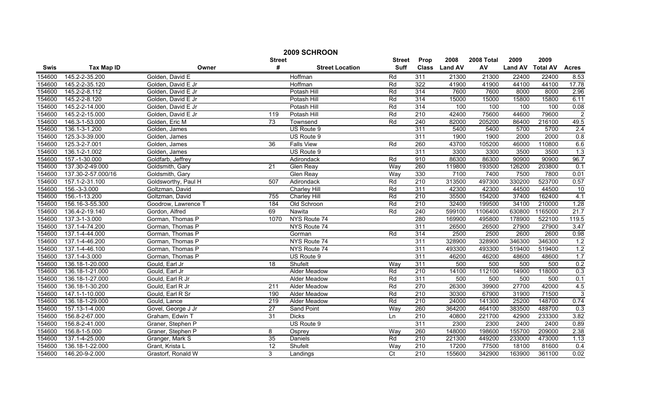|             | 2009 SCHROON       |                     |               |                        |                |                  |               |            |                |                 |                 |  |
|-------------|--------------------|---------------------|---------------|------------------------|----------------|------------------|---------------|------------|----------------|-----------------|-----------------|--|
|             |                    |                     | <b>Street</b> |                        | <b>Street</b>  | Prop             | 2008          | 2008 Total | 2009           | 2009            |                 |  |
| <b>Swis</b> | <b>Tax Map ID</b>  | Owner               | #             | <b>Street Location</b> | <b>Suff</b>    |                  | Class Land AV | AV         | <b>Land AV</b> | <b>Total AV</b> | <b>Acres</b>    |  |
| 154600      | 145.2-2-35.200     | Golden, David E     |               | Hoffman                | Rd             | 311              | 21300         | 21300      | 22400          | 22400           | 8.53            |  |
| 154600      | 145.2-2-35.120     | Golden, David E Jr  |               | Hoffman                | Rd             | 322              | 41900         | 41900      | 44100          | 44100           | 17.78           |  |
| 154600      | 145.2-2-8.112      | Golden, David E Jr  |               | Potash Hill            | Rd             | 314              | 7600          | 7600       | 8000           | 8000            | 2.96            |  |
| 154600      | 145.2-2-8.120      | Golden, David E Jr  |               | Potash Hill            | Rd             | 314              | 15000         | 15000      | 15800          | 15800           | 6.11            |  |
| 154600      | 145.2-2-14.000     | Golden, David E Jr  |               | Potash Hill            | Rd             | 314              | 100           | 100        | 100            | 100             | 0.08            |  |
| 154600      | 145.2-2-15.000     | Golden, David E Jr  | 119           | Potash Hill            | Rd             | 210              | 42400         | 75600      | 44600          | 79600           | $\overline{2}$  |  |
| 154600      | 146.3-1-53.000     | Golden, Eric M      | 73            | Townsend               | Rd             | 240              | 82000         | 205200     | 86400          | 216100          | 49.5            |  |
| 154600      | 136.1-3-1.200      | Golden, James       |               | US Route 9             |                | 311              | 5400          | 5400       | 5700           | 5700            | 2.4             |  |
| 154600      | 125.3-3-39.000     | Golden, James       |               | US Route 9             |                | 311              | 1900          | 1900       | 2000           | 2000            | 0.8             |  |
| 154600      | 125.3-2-7.001      | Golden, James       | 36            | <b>Falls View</b>      | Rd             | 260              | 43700         | 105200     | 46000          | 110800          | 6.6             |  |
| 154600      | 136.1-2-1.002      | Golden, James       |               | US Route 9             |                | 311              | 3300          | 3300       | 3500           | 3500            | 1.3             |  |
| 154600      | 157.-1-30.000      | Goldfarb, Jeffrey   |               | Adirondack             | Rd             | 910              | 86300         | 86300      | 90900          | 90900           | 96.7            |  |
| 154600      | 137.30-2-49.000    | Goldsmith, Gary     | 21            | Glen Reay              | Way            | 260              | 119800        | 193500     | 126200         | 203800          | 0.1             |  |
| 154600      | 137.30-2-57.000/16 | Goldsmith, Gary     |               | Glen Reay              | Way            | 330              | 7100          | 7400       | 7500           | 7800            | 0.01            |  |
| 154600      | 157.1-2-31.100     | Goldsworthy, Paul H | 507           | Adirondack             | Rd             | $\overline{210}$ | 313500        | 497300     | 330200         | 523700          | 0.57            |  |
| 154600      | 156.-3-3.000       | Goltzman, David     |               | Charley Hill           | Rd             | 311              | 42300         | 42300      | 44500          | 44500           | $\overline{10}$ |  |
| 154600      | 156.-1-13.200      | Goltzman, David     | 755           | <b>Charley Hill</b>    | Rd             | 210              | 35500         | 154200     | 37400          | 162400          | 4.1             |  |
| 154600      | 156.16-3-55.300    | Goodrow, Lawrence T | 184           | Old Schroon            | Rd             | 210              | 32400         | 199500     | 34100          | 210000          | 1.28            |  |
| 154600      | 136.4-2-19.140     | Gordon, Alfred      | 69            | Nawita                 | Rd             | 240              | 599100        | 1106400    | 630800         | 1165000         | 21.7            |  |
| 154600      | 137.3-1-3.000      | Gorman, Thomas P    | 1070          | NYS Route 74           |                | 280              | 169900        | 495800     | 178900         | 522100          | 119.5           |  |
| 154600      | 137.1-4-74.200     | Gorman, Thomas P    |               | NYS Route 74           |                | 311              | 26500         | 26500      | 27900          | 27900           | 3.47            |  |
| 154600      | 137.1-4-44.000     | Gorman, Thomas P    |               | Gorman                 | Rd             | 314              | 2500          | 2500       | 2600           | 2600            | 0.98            |  |
| 154600      | 137.1-4-46.200     | Gorman, Thomas P    |               | NYS Route 74           |                | 311              | 328900        | 328900     | 346300         | 346300          | 1.2             |  |
| 154600      | 137.1-4-46.100     | Gorman, Thomas P    |               | NYS Route 74           |                | 311              | 493300        | 493300     | 519400         | 519400          | 1.2             |  |
| 154600      | 137.1-4-3.000      | Gorman, Thomas P    |               | US Route 9             |                | 311              | 46200         | 46200      | 48600          | 48600           | 1.7             |  |
| 154600      | 136.18-1-20.000    | Gould, Earl Jr      | 18            | Shufelt                | Wav            | 311              | 500           | 500        | 500            | 500             | 0.2             |  |
| 154600      | 136.18-1-21.000    | Gould, Earl Jr      |               | Alder Meadow           | Rd             | 210              | 14100         | 112100     | 14900          | 118000          | 0.3             |  |
| 154600      | 136.18-1-27.000    | Gould, Earl R Jr    |               | <b>Alder Meadow</b>    | Rd             | 311              | 500           | 500        | 500            | 500             | 0.1             |  |
| 154600      | 136.18-1-30.200    | Gould, Earl R Jr    | 211           | <b>Alder Meadow</b>    | Rd             | 270              | 26300         | 39900      | 27700          | 42000           | 4.5             |  |
| 154600      | 147.1-1-10.000     | Gould, Earl R Sr    | 190           | Alder Meadow           | Rd             | 210              | 30300         | 67900      | 31900          | 71500           | $\overline{3}$  |  |
| 154600      | 136.18-1-29.000    | Gould, Lance        | 219           | Alder Meadow           | Rd             | $\overline{210}$ | 24000         | 141300     | 25200          | 148700          | 0.74            |  |
| 154600      | 157.13-1-4.000     | Govel, George J Jr  | 27            | Sand Point             | Way            | 260              | 364200        | 464100     | 383500         | 488700          | 0.3             |  |
| 154600      | 156.8-2-67.000     | Graham, Edwin T     | 31            | <b>Dicks</b>           | Ln             | 210              | 40800         | 221700     | 42900          | 233300          | 3.82            |  |
| 154600      | 156.8-2-41.000     | Graner, Stephen P   |               | US Route 9             |                | 311              | 2300          | 2300       | 2400           | 2400            | 0.89            |  |
| 154600      | 156.8-1-5.000      | Graner, Stephen P   | 8             | Osprey                 | Way            | 260              | 148000        | 198600     | 155700         | 209000          | 2.38            |  |
| 154600      | 137.1-4-25.000     | Granger, Mark S     | 35            | Daniels                | Rd             | 210              | 221300        | 449200     | 233000         | 473000          | 1.13            |  |
| 154600      | 136.18-1-22.000    | Grant, Krista L     | 12            | Shufelt                | Way            | 210              | 17200         | 77500      | 18100          | 81600           | 0.4             |  |
| 154600      | 146.20-9-2.000     | Grastorf, Ronald W  | 3             | Landings               | $\overline{C}$ | 210              | 155600        | 342900     | 163900         | 361100          | 0.02            |  |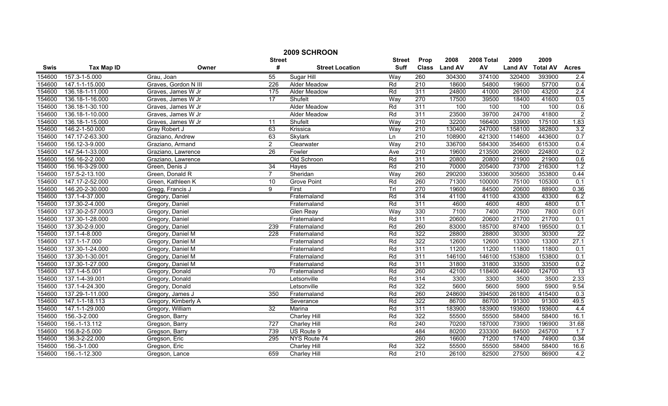|             | 2009 SCHROON      |                      |                  |                        |               |                  |                |            |                |                 |                 |  |
|-------------|-------------------|----------------------|------------------|------------------------|---------------|------------------|----------------|------------|----------------|-----------------|-----------------|--|
|             |                   |                      | <b>Street</b>    |                        | <b>Street</b> | Prop             | 2008           | 2008 Total | 2009           | 2009            |                 |  |
| <b>Swis</b> | <b>Tax Map ID</b> | Owner                | #                | <b>Street Location</b> | <b>Suff</b>   | <b>Class</b>     | <b>Land AV</b> | AV         | <b>Land AV</b> | <b>Total AV</b> | <b>Acres</b>    |  |
| 154600      | 157.3-1-5.000     | Grau, Joan           | 55               | Sugar Hill             | Way           | 260              | 304300         | 374100     | 320400         | 393900          | 2.4             |  |
| 154600      | 147.1-1-15.000    | Graves, Gordon N III | $\overline{226}$ | Alder Meadow           | Rd            | $\overline{210}$ | 18600          | 54800      | 19600          | 57700           | 0.4             |  |
| 154600      | 136.18-1-11.000   | Graves, James W Jr   | 175              | Alder Meadow           | Rd            | 311              | 24800          | 41000      | 26100          | 43200           | 2.4             |  |
| 154600      | 136.18-1-16.000   | Graves, James W Jr   | 17               | Shufelt                | Way           | 270              | 17500          | 39500      | 18400          | 41600           | 0.5             |  |
| 154600      | 136.18-1-30.100   | Graves, James W Jr   |                  | <b>Alder Meadow</b>    | Rd            | 311              | 100            | 100        | 100            | 100             | 0.6             |  |
| 154600      | 136.18-1-10.000   | Graves, James W Jr   |                  | <b>Alder Meadow</b>    | Rd            | 311              | 23500          | 39700      | 24700          | 41800           | $\overline{2}$  |  |
| 154600      | 136.18-1-15.000   | Graves, James W Jr   | 11               | Shufelt                | Way           | 210              | 32200          | 166400     | 33900          | 175100          | 1.83            |  |
| 154600      | 146.2-1-50.000    | Gray Robert J        | 63               | Krissica               | Way           | $\overline{210}$ | 130400         | 247000     | 158100         | 382800          | 3.2             |  |
| 154600      | 147.17-2-63.300   | Graziano, Andrew     | 63               | Skylark                | Ln            | 210              | 108900         | 421300     | 114600         | 443600          | 0.7             |  |
| 154600      | 156.12-3-9.000    | Graziano, Armand     | $\overline{2}$   | Clearwater             | Way           | 210              | 336700         | 584300     | 354600         | 615300          | 0.4             |  |
| 154600      | 147.54-1-33.000   | Graziano, Lawrence   | $\overline{26}$  | Fowler                 | Ave           | $\overline{210}$ | 19600          | 213500     | 20600          | 224800          | 0.2             |  |
| 154600      | 156.16-2-2.000    | Graziano, Lawrence   |                  | Old Schroon            | Rd            | 311              | 20800          | 20800      | 21900          | 21900           | 0.6             |  |
| 154600      | 156.16-3-29.000   | Green, Denis J       | 34               | Hayes                  | Rd            | 210              | 70000          | 205400     | 73700          | 216300          | 1.2             |  |
| 154600      | 157.5-2-13.100    | Green, Donald R      | $\overline{7}$   | Sheridan               | Way           | 260              | 290200         | 336000     | 305600         | 353800          | 0.44            |  |
| 154600      | 147.17-2-52.000   | Green, Kathleen K    | 10               | <b>Grove Point</b>     | Rd            | 260              | 71300          | 100000     | 75100          | 105300          | 0.1             |  |
| 154600      | 146.20-2-30.000   | Gregg, Francis J     | 9                | First                  | Trl           | 270              | 19600          | 84500      | 20600          | 88900           | 0.36            |  |
| 154600      | 137.1-4-37.000    | Gregory, Daniel      |                  | Fraternaland           | Rd            | 314              | 41100          | 41100      | 43300          | 43300           | 6.2             |  |
| 154600      | 137.30-2-4.000    | Gregory, Daniel      |                  | Fraternaland           | Rd            | 311              | 4600           | 4600       | 4800           | 4800            | 0.1             |  |
| 154600      | 137.30-2-57.000/3 | Gregory, Daniel      |                  | <b>Glen Reay</b>       | Way           | 330              | 7100           | 7400       | 7500           | 7800            | 0.01            |  |
| 154600      | 137.30-1-28.000   | Gregory, Daniel      |                  | Fraternaland           | Rd            | 311              | 20600          | 20600      | 21700          | 21700           | 0.1             |  |
| 154600      | 137.30-2-9.000    | Gregory, Daniel      | 239              | Fraternaland           | Rd            | 260              | 83000          | 185700     | 87400          | 195500          | 0.1             |  |
| 154600      | 137.1-4-8.000     | Gregory, Daniel M    | 228              | Fraternaland           | Rd            | 322              | 28800          | 28800      | 30300          | 30300           | $\overline{22}$ |  |
| 154600      | 137.1-1-7.000     | Gregory, Daniel M    |                  | Fraternaland           | Rd            | 322              | 12600          | 12600      | 13300          | 13300           | 27.1            |  |
| 154600      | 137.30-1-24.000   | Gregory, Daniel M    |                  | Fraternaland           | Rd            | 311              | 11200          | 11200      | 11800          | 11800           | 0.1             |  |
| 154600      | 137.30-1-30.001   | Gregory, Daniel M    |                  | Fraternaland           | Rd            | 311              | 146100         | 146100     | 153800         | 153800          | 0.1             |  |
| 154600      | 137.30-1-27.000   | Gregory, Daniel M    |                  | Fraternaland           | Rd            | 311              | 31800          | 31800      | 33500          | 33500           | 0.2             |  |
| 154600      | 137.1-4-5.001     | Gregory, Donald      | 70               | Fraternaland           | Rd            | 260              | 42100          | 118400     | 44400          | 124700          | $\overline{13}$ |  |
| 154600      | 137.1-4-39.001    | Gregory, Donald      |                  | Letsonville            | Rd            | 314              | 3300           | 3300       | 3500           | 3500            | 2.33            |  |
| 154600      | 137.1-4-24.300    | Gregory, Donald      |                  | Letsonville            | Rd            | 322              | 5600           | 5600       | 5900           | 5900            | 9.54            |  |
| 154600      | 137.29-1-11.000   | Gregory, James J     | 350              | Fraternaland           | Rd            | 260              | 248600         | 394500     | 261800         | 415400          | 0.3             |  |
| 154600      | 147.1-1-18.113    | Gregory, Kimberly A  |                  | Severance              | Rd            | 322              | 86700          | 86700      | 91300          | 91300           | 49.5            |  |
| 154600      | 147.1-1-29.000    | Gregory, William     | 32               | Marina                 | Rd            | 311              | 183900         | 183900     | 193600         | 193600          | 4.4             |  |
| 154600      | 156.-3-2.000      | Gregson, Barry       |                  | <b>Charley Hill</b>    | Rd            | 322              | 55500          | 55500      | 58400          | 58400           | 16.1            |  |
| 154600      | 156.-1-13.112     | Gregson, Barry       | 727              | Charley Hill           | Rd            | 240              | 70200          | 187000     | 73900          | 196900          | 31.68           |  |
| 154600      | 156.8-2-5.000     | Gregson, Barry       | 739              | US Route 9             |               | 484              | 80200          | 233300     | 84500          | 245700          | 1.7             |  |
| 154600      | 136.3-2-22.000    | Gregson, Eric        | 295              | NYS Route 74           |               | 260              | 16600          | 71200      | 17400          | 74900           | 0.34            |  |
| 154600      | 156.-3-1.000      | Gregson, Eric        |                  | Charley Hill           | Rd            | 322              | 55500          | 55500      | 58400          | 58400           | 16.6            |  |
| 154600      | 156.-1-12.300     | Gregson, Lance       | 659              | Charley Hill           | Rd            | 210              | 26100          | 82500      | 27500          | 86900           | 4.2             |  |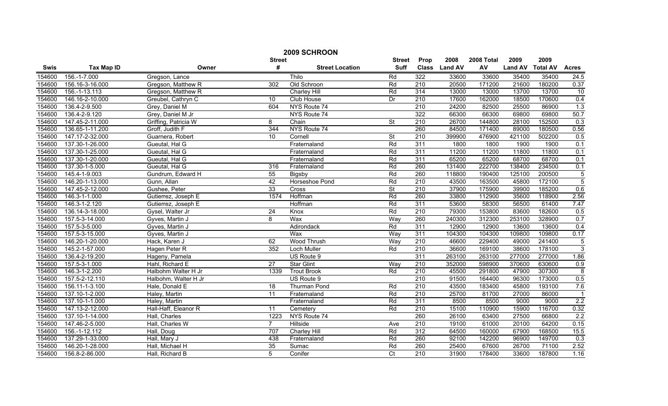|             | 2009 SCHROON      |                      |                 |                        |                          |                  |               |            |                |                 |                  |  |
|-------------|-------------------|----------------------|-----------------|------------------------|--------------------------|------------------|---------------|------------|----------------|-----------------|------------------|--|
|             |                   |                      | <b>Street</b>   |                        | <b>Street</b>            | Prop             | 2008          | 2008 Total | 2009           | 2009            |                  |  |
| <b>Swis</b> | <b>Tax Map ID</b> | Owner                | #               | <b>Street Location</b> | <b>Suff</b>              |                  | Class Land AV | AV         | <b>Land AV</b> | <b>Total AV</b> | <b>Acres</b>     |  |
| 154600      | 156.-1-7.000      | Gregson, Lance       |                 | Thilo                  | Rd                       | 322              | 33600         | 33600      | 35400          | 35400           | 24.5             |  |
| 154600      | 156.16-3-16.000   | Gregson, Matthew R   | 302             | Old Schroon            | Rd                       | $\overline{210}$ | 20500         | 171200     | 21600          | 180200          | 0.37             |  |
| 154600      | 156.-1-13.113     | Gregson, Matthew R   |                 | <b>Charley Hill</b>    | Rd                       | $\overline{314}$ | 13000         | 13000      | 13700          | 13700           | $\overline{10}$  |  |
| 154600      | 146.16-2-10.000   | Greubel, Cathryn C   | 10              | Club House             | Dr                       | 210              | 17600         | 162000     | 18500          | 170600          | 0.4              |  |
| 154600      | 136.4-2-9.500     | Grey, Daniel M       | 604             | NYS Route 74           |                          | 210              | 24200         | 82500      | 25500          | 86900           | 1.3              |  |
| 154600      | 136.4-2-9.120     | Grey, Daniel M Jr    |                 | NYS Route 74           |                          | 322              | 66300         | 66300      | 69800          | 69800           | 50.7             |  |
| 154600      | 147.45-2-11.000   | Griffing, Patricia W | 8               | $\overline{Chain}$     | St                       | 210              | 26700         | 144800     | 28100          | 152500          | 0.3              |  |
| 154600      | 136.65-1-11.200   | Groff, Judith F      | 344             | NYS Route 74           |                          | 260              | 84500         | 171400     | 89000          | 180500          | 0.56             |  |
| 154600      | 147.17-2-32.000   | Guarnera, Robert     | 10              | Cornell                | $\overline{\mathsf{St}}$ | $\overline{210}$ | 399900        | 476900     | 421100         | 502200          | 0.5              |  |
| 154600      | 137.30-1-26.000   | Gueutal, Hal G       |                 | Fraternaland           | Rd                       | 311              | 1800          | 1800       | 1900           | 1900            | 0.1              |  |
| 154600      | 137.30-1-25.000   | Gueutal, Hal G       |                 | Fraternaland           | Rd                       | 311              | 11200         | 11200      | 11800          | 11800           | 0.1              |  |
| 154600      | 137.30-1-20.000   | Gueutal, Hal G       |                 | Fraternaland           | Rd                       | 311              | 65200         | 65200      | 68700          | 68700           | 0.1              |  |
| 154600      | 137.30-1-5.000    | Gueutal, Hal G       | 316             | Fraternaland           | Rd                       | 260              | 131400        | 222700     | 138400         | 234500          | 0.1              |  |
| 154600      | 145.4-1-9.003     | Gundrum, Edward H    | 55              | Bigsby                 | Rd                       | 260              | 118800        | 190400     | 125100         | 200500          | $\overline{5}$   |  |
| 154600      | 146.20-1-13.000   | Gunn, Allan          | 42              | Horseshoe Pond         | Rd                       | 210              | 43500         | 163500     | 45800          | 172100          | $\overline{5}$   |  |
| 154600      | 147.45-2-12.000   | Gushee, Peter        | 33              | Cross                  | St                       | $\overline{210}$ | 37900         | 175900     | 39900          | 185200          | 0.6              |  |
| 154600      | 146.3-1-1.000     | Gutierrez, Joseph E  | 1574            | Hoffman                | Rd                       | 260              | 33800         | 112900     | 35600          | 118900          | 2.56             |  |
| 154600      | 146.3-1-2.120     | Gutierrez, Joseph E  |                 | Hoffman                | Rd                       | 311              | 53600         | 58300      | 56500          | 61400           | 7.47             |  |
| 154600      | 136.14-3-18.000   | Gysel, Walter Jr     | 24              | Knox                   | Rd                       | 210              | 79300         | 153800     | 83600          | 182600          | 0.5              |  |
| 154600      | 157.5-3-14.000    | Gyves, Martin J      | 8               | Wax                    | Way                      | 260              | 240300        | 312300     | 253100         | 328900          | 0.7              |  |
| 154600      | 157.5-3-5.000     | Gyves, Martin J      |                 | Adirondack             | Rd                       | 311              | 12900         | 12900      | 13600          | 13600           | 0.4              |  |
| 154600      | 157.5-3-15.000    | Gyves, Martin J      |                 | Wax                    | Way                      | 311              | 104300        | 104300     | 109800         | 109800          | 0.17             |  |
| 154600      | 146.20-1-20.000   | Hack, Karen J        | 62              | <b>Wood Thrush</b>     | Way                      | 210              | 46600         | 229400     | 49000          | 241400          | $\overline{5}$   |  |
| 154600      | 145.2-1-57.000    | Hagen Peter R        | 352             | Loch Muller            | Rd                       | $\overline{210}$ | 36600         | 169100     | 38600          | 178100          | $\overline{3}$   |  |
| 154600      | 136.4-2-19.200    | Hageny, Pamela       |                 | US Route 9             |                          | 311              | 263100        | 263100     | 277000         | 277000          | 1.86             |  |
| 154600      | 157.5-3-1.000     | Hahl, Richard E      | $\overline{27}$ | <b>Star Glint</b>      | Way                      | 210              | 352000        | 598900     | 370600         | 630600          | 0.9              |  |
| 154600      | 146.3-1-2.200     | Halbohm Walter H Jr  | 1339            | <b>Trout Brook</b>     | Rd                       | 210              | 45500         | 291800     | 47900          | 307300          | $\overline{8}$   |  |
| 154600      | 157.5-2-12.110    | Halbohm, Walter H Jr |                 | US Route 9             |                          | 210              | 91500         | 164400     | 96300          | 173000          | 0.5              |  |
| 154600      | 156.11-1-3.100    | Hale, Donald E       | 18              | <b>Thurman Pond</b>    | Rd                       | 210              | 43500         | 183400     | 45800          | 193100          | 7.6              |  |
| 154600      | 137.10-1-2.000    | Haley, Martin        | 11              | Fraternaland           | Rd                       | $\overline{210}$ | 25700         | 81700      | 27000          | 86000           | $\overline{1}$   |  |
| 154600      | 137.10-1-1.000    | Haley, Martin        |                 | Fraternaland           | Rd                       | 311              | 8500          | 8500       | 9000           | 9000            | 2.2              |  |
| 154600      | 147.13-2-12.000   | Hall-Haff, Eleanor R | 11              | Cemetery               | Rd                       | 210              | 15100         | 110900     | 15900          | 116700          | 0.32             |  |
| 154600      | 137.10-1-14.000   | Hall, Charles        | 1223            | NYS Route 74           |                          | 260              | 26100         | 63400      | 27500          | 66800           | 2.2              |  |
| 154600      | 147.46-2-5.000    | Hall, Charles W      | $\overline{7}$  | Hillside               | Ave                      | $\overline{210}$ | 19100         | 61000      | 20100          | 64200           | 0.15             |  |
| 154600      | 156.-1-12.112     | Hall, Doug           | 707             | Charley Hill           | Rd                       | 312              | 64500         | 160000     | 67900          | 168500          | 15.5             |  |
| 154600      | 137.29-1-33.000   | Hall, Mary J         | 438             | Fraternaland           | Rd                       | 260              | 92100         | 142200     | 96900          | 149700          | $\overline{0.3}$ |  |
| 154600      | 146.20-1-28.000   | Hall, Michael H      | $\overline{35}$ | Sumac                  | Rd                       | 260              | 25400         | 67600      | 26700          | 71100           | 2.52             |  |
| 154600      | 156.8-2-86.000    | Hall, Richard B      | 5               | Conifer                | $\overline{C}t$          | 210              | 31900         | 178400     | 33600          | 187800          | 1.16             |  |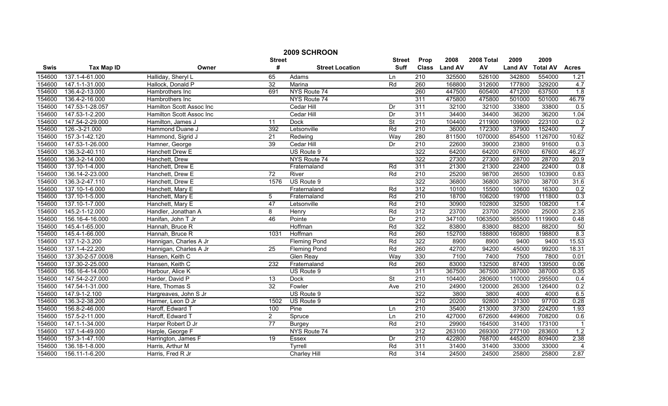|        | 2009 SCHROON      |                          |                 |                        |               |                  |                |            |                |                 |                |  |
|--------|-------------------|--------------------------|-----------------|------------------------|---------------|------------------|----------------|------------|----------------|-----------------|----------------|--|
|        |                   |                          | <b>Street</b>   |                        | <b>Street</b> | Prop             | 2008           | 2008 Total | 2009           | 2009            |                |  |
| Swis   | <b>Tax Map ID</b> | Owner                    | #               | <b>Street Location</b> | <b>Suff</b>   | <b>Class</b>     | <b>Land AV</b> | AV         | <b>Land AV</b> | <b>Total AV</b> | <b>Acres</b>   |  |
| 154600 | 137.1-4-61.000    | Halliday, Sheryl L       | 65              | Adams                  | Ln            | 210              | 325500         | 526100     | 342800         | 554000          | 1.21           |  |
| 154600 | 147.1-1-31.000    | Hallock, Donald P        | 32              | Marina                 | Rd            | 260              | 168800         | 312600     | 177800         | 329200          | 4.7            |  |
| 154600 | 136.4-2-13.000    | Hambrothers Inc          | 691             | NYS Route 74           |               | 260              | 447500         | 605400     | 471200         | 637500          | 1.8            |  |
| 154600 | 136.4-2-16.000    | Hambrothers Inc          |                 | NYS Route 74           |               | 311              | 475800         | 475800     | 501000         | 501000          | 46.79          |  |
| 154600 | 147.53-1-28.057   | Hamilton Scott Assoc Inc |                 | Cedar Hill             | Dr            | 311              | 32100          | 32100      | 33800          | 33800           | 0.5            |  |
| 154600 | 147.53-1-2.200    | Hamilton Scott Assoc Inc |                 | Cedar Hill             | Dr            | 311              | 34400          | 34400      | 36200          | 36200           | 1.04           |  |
| 154600 | 147.54-2-29.000   | Hamilton, James J        | 11              | <b>Dock</b>            | <b>St</b>     | 210              | 104400         | 211900     | 109900         | 223100          | 0.2            |  |
| 154600 | 126.-3-21.000     | Hammond Duane J          | 392             | Letsonville            | Rd            | 210              | 36000          | 172300     | 37900          | 152400          | $\overline{7}$ |  |
| 154600 | 157.3-1-42.120    | Hammond, Sigrid J        | 21              | Redwing                | Way           | 280              | 811500         | 1070000    | 854500         | 1126700         | 10.62          |  |
| 154600 | 147.53-1-26.000   | Hamner, George           | 39              | Cedar Hill             | Dr            | $\overline{210}$ | 22600          | 39000      | 23800          | 91600           | 0.3            |  |
| 154600 | 136.3-2-40.110    | Hanchett Drew E          |                 | US Route 9             |               | 322              | 64200          | 64200      | 67600          | 67600           | 46.27          |  |
| 154600 | 136.3-2-14.000    | Hanchett, Drew           |                 | NYS Route 74           |               | 322              | 27300          | 27300      | 28700          | 28700           | 20.9           |  |
| 154600 | 137.10-1-4.000    | Hanchett, Drew E         |                 | Fraternaland           | Rd            | 311              | 21300          | 21300      | 22400          | 22400           | 0.8            |  |
| 154600 | 136.14-2-23.000   | Hanchett, Drew E         | $\overline{72}$ | River                  | Rd            | 210              | 25200          | 98700      | 26500          | 103900          | 0.83           |  |
| 154600 | 136.3-2-47.110    | Hanchett, Drew E         | 1576            | US Route 9             |               | 322              | 36800          | 36800      | 38700          | 38700           | 31.6           |  |
| 154600 | 137.10-1-6.000    | Hanchett, Mary E         |                 | Fraternaland           | Rd            | 312              | 10100          | 15500      | 10600          | 16300           | 0.2            |  |
| 154600 | 137.10-1-5.000    | Hanchett, Mary E         | 5               | Fraternaland           | Rd            | 210              | 18700          | 106200     | 19700          | 111800          | 0.3            |  |
| 154600 | 137.10-1-7.000    | Hanchett, Mary E         | 47              | Letsonville            | Rd            | 210              | 30900          | 102800     | 32500          | 108200          | 1.4            |  |
| 154600 | 145.2-1-12.000    | Handler, Jonathan A      | 8               | Henry                  | Rd            | 312              | 23700          | 23700      | 25000          | 25000           | 2.35           |  |
| 154600 | 156.16-4-16.000   | Hanifan, John T Jr       | 46              | Pointe                 | Dr            | 210              | 347100         | 1063500    | 365500         | 1119900         | 0.48           |  |
| 154600 | 145.4-1-65.000    | Hannah, Bruce R          |                 | Hoffman                | Rd            | 322              | 83800          | 83800      | 88200          | 88200           | 50             |  |
| 154600 | 145.4-1-66.000    | Hannah, Bruce R          | 1031            | Hoffman                | Rd            | 260              | 152700         | 188800     | 160800         | 198800          | 8.3            |  |
| 154600 | 137.1-2-3.200     | Hannigan, Charles A Jr   |                 | <b>Fleming Pond</b>    | Rd            | 322              | 8900           | 8900       | 9400           | 9400            | 15.53          |  |
| 154600 | 137.1-4-22.200    | Hannigan, Charles A Jr   | $\overline{25}$ | <b>Fleming Pond</b>    | Rd            | 260              | 42700          | 94200      | 45000          | 99200           | 18.31          |  |
| 154600 | 137.30-2-57.000/8 | Hansen, Keith C          |                 | Glen Reay              | Way           | 330              | 7100           | 7400       | 7500           | 7800            | 0.01           |  |
| 154600 | 137.30-2-25.000   | Hansen, Keith C          | 232             | Fraternaland           | Rd            | 260              | 83000          | 132500     | 87400          | 139500          | 0.06           |  |
| 154600 | 156.16-4-14.000   | Harbour, Alice K         |                 | US Route 9             |               | 311              | 367500         | 367500     | 387000         | 387000          | 0.35           |  |
| 154600 | 147.54-2-27.000   | Harder, David P          | $\overline{13}$ | <b>Dock</b>            | St            | 210              | 104400         | 280600     | 110000         | 295500          | 0.4            |  |
| 154600 | 147.54-1-31.000   | Hare, Thomas S           | $\overline{32}$ | Fowler                 | Ave           | 210              | 24900          | 120000     | 26300          | 126400          | 0.2            |  |
| 154600 | 147.9-1-2.100     | Hargreaves, John S Jr    |                 | US Route 9             |               | 322              | 3800           | 3800       | 4000           | 4000            | 6.5            |  |
| 154600 | 136.3-2-38.200    | Harmer, Leon D Jr        | 1502            | US Route 9             |               | 210              | 20200          | 92800      | 21300          | 97700           | 0.28           |  |
| 154600 | 156.8-2-46.000    | Haroff, Edward T         | 100             | Pine                   | Ln            | 210              | 35400          | 213000     | 37300          | 224200          | 1.93           |  |
| 154600 | 157.5-2-11.000    | Haroff, Edward T         | $\overline{2}$  | Spruce                 | Ln            | 210              | 427000         | 672600     | 449600         | 708200          | 0.6            |  |
| 154600 | 147.1-1-34.000    | Harper Robert D Jr       | $\overline{77}$ | <b>Burgey</b>          | Rd            | $\overline{210}$ | 29900          | 164500     | 31400          | 173100          | $\overline{1}$ |  |
| 154600 | 137.1-4-49.000    | Harple, George F         |                 | NYS Route 74           |               | 312              | 263100         | 269300     | 277100         | 283600          | 1.2            |  |
| 154600 | 157.3-1-47.100    | Harrington, James F      | 19              | Essex                  | Dr            | 210              | 422800         | 768700     | 445200         | 809400          | 2.38           |  |
| 154600 | 136.18-1-8.000    | Harris, Arthur M         |                 | Tyrrell                | Rd            | 311              | 31400          | 31400      | 33000          | 33000           | 4              |  |
| 154600 | 156.11-1-6.200    | Harris, Fred R Jr        |                 | Charley Hill           | Rd            | 314              | 24500          | 24500      | 25800          | 25800           | 2.87           |  |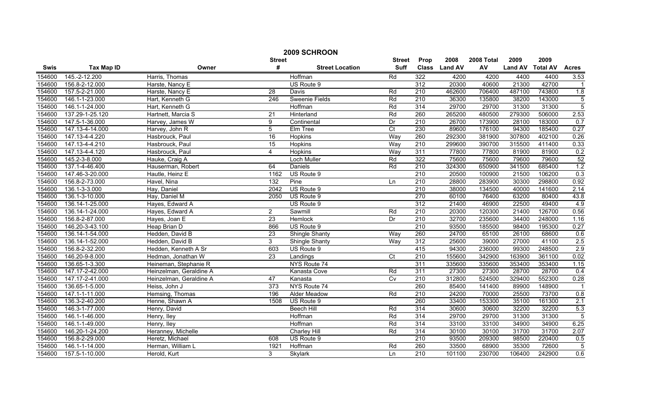|             | 2009 SCHROON      |                         |                  |                        |                  |                  |                |            |                |                 |                |  |
|-------------|-------------------|-------------------------|------------------|------------------------|------------------|------------------|----------------|------------|----------------|-----------------|----------------|--|
|             |                   |                         | <b>Street</b>    |                        | <b>Street</b>    | Prop             | 2008           | 2008 Total | 2009           | 2009            |                |  |
| <b>Swis</b> | <b>Tax Map ID</b> | Owner                   | #                | <b>Street Location</b> | <b>Suff</b>      | <b>Class</b>     | <b>Land AV</b> | AV         | <b>Land AV</b> | <b>Total AV</b> | <b>Acres</b>   |  |
| 154600      | 145.-2-12.200     | Harris, Thomas          |                  | Hoffman                | Rd               | 322              | 4200           | 4200       | 4400           | 4400            | 3.53           |  |
| 154600      | 156.8-2-12.000    | Harste, Nancy E         |                  | US Route 9             |                  | $\overline{312}$ | 20300          | 40600      | 21300          | 42700           |                |  |
| 154600      | 157.5-2-21.000    | Harste, Nancy E         | $\overline{28}$  | <b>Davis</b>           | Rd               | 210              | 462600         | 706400     | 487100         | 743800          | 1.8            |  |
| 154600      | 146.1-1-23.000    | Hart, Kenneth G         | 246              | <b>Sweenie Fields</b>  | Rd               | 210              | 36300          | 135800     | 38200          | 143000          | $\overline{5}$ |  |
| 154600      | 146.1-1-24.000    | Hart, Kenneth G         |                  | Hoffman                | Rd               | 314              | 29700          | 29700      | 31300          | 31300           | $\overline{5}$ |  |
| 154600      | 137.29-1-25.120   | Hartnett, Marcia S      | $\overline{21}$  | Hinterland             | Rd               | 260              | 265200         | 480500     | 279300         | 506000          | 2.53           |  |
| 154600      | 147.5-1-36.000    | Harvey, James W         | 9                | Continental            | Dr               | 210              | 26700          | 173900     | 28100          | 183000          | 0.7            |  |
| 154600      | 147.13-4-14.000   | Harvey, John R          | 5                | Elm Tree               | $\overline{C}t$  | 230              | 89600          | 176100     | 94300          | 185400          | 0.27           |  |
| 154600      | 147.13-4-4.220    | Hasbrouck, Paul         | 16               | Hopkins                | Way              | 260              | 292300         | 381900     | 307800         | 402100          | 0.26           |  |
| 154600      | 147.13-4-4.210    | Hasbrouck, Paul         | 15               | Hopkins                | Way              | $\overline{210}$ | 299600         | 390700     | 315500         | 411400          | 0.33           |  |
| 154600      | 147.13-4-4.120    | Hasbrouck, Paul         | 4                | Hopkins                | Way              | 311              | 77800          | 77800      | 81900          | 81900           | 0.2            |  |
| 154600      | 145.2-3-8.000     | Hauke, Craig A          |                  | Loch Muller            | Rd               | 322              | 75600          | 75600      | 79600          | 79600           | 52             |  |
| 154600      | 137.1-4-46.400    | Hauserman, Robert       | 64               | Daniels                | Rd               | 210              | 324300         | 650900     | 341500         | 685400          | 1.2            |  |
| 154600      | 147.46-3-20.000   | Hautle, Heinz E         | 1162             | US Route 9             |                  | 210              | 20500          | 100900     | 21500          | 106200          | 0.3            |  |
| 154600      | 156.8-2-73.000    | Havel, Nina             | 132              | Pine                   | Ln               | 210              | 28800          | 283900     | 30300          | 298800          | 0.92           |  |
| 154600      | 136.1-3-3.000     | Hay, Daniel             | 2042             | US Route 9             |                  | 210              | 38000          | 134500     | 40000          | 141600          | 2.14           |  |
| 154600      | 136.1-3-10.000    | Hay, Daniel M           | 2050             | US Route 9             |                  | 270              | 60100          | 76400      | 63200          | 80400           | 43.8           |  |
| 154600      | 136.14-1-25.000   | Hayes, Edward A         |                  | US Route 9             |                  | 312              | 21400          | 46900      | 22500          | 49400           | 4.9            |  |
| 154600      | 136.14-1-24.000   | Hayes, Edward A         | $\overline{2}$   | Sawmill                | Rd               | 210              | 20300          | 120300     | 21400          | 126700          | 0.56           |  |
| 154600      | 156.8-2-87.000    | Hayes, Joan E           | 23               | <b>Hemlock</b>         | Dr               | 210              | 32700          | 235600     | 34400          | 248000          | 1.16           |  |
| 154600      | 146.20-3-43.100   | Heap Brian D            | 866              | US Route 9             |                  | 210              | 93500          | 185500     | 98400          | 195300          | 0.27           |  |
| 154600      | 136.14-1-54.000   | Hedden, David B         | 23               | Shingle Shanty         | Way              | 260              | 24700          | 65100      | 26100          | 68600           | 0.6            |  |
| 154600      | 136.14-1-52.000   | Hedden, David B         | 3                | <b>Shingle Shanty</b>  | Way              | 312              | 25600          | 39000      | 27000          | 41100           | 2.5            |  |
| 154600      | 156.8-2-32.200    | Hedden, Kenneth A Sr    | $\overline{603}$ | US Route 9             |                  | 415              | 94300          | 236000     | 99300          | 248500          | 2.9            |  |
| 154600      | 146.20-9-8.000    | Hedman, Jonathan W      | $\overline{23}$  | Landings               | $\overline{C}t$  | 210              | 155600         | 342900     | 163900         | 361100          | 0.02           |  |
| 154600      | 136.65-1-3.300    | Heineman, Stephanie R   |                  | NYS Route 74           |                  | 311              | 335600         | 335600     | 353400         | 353400          | 1.15           |  |
| 154600      | 147.17-2-42.000   | Heinzelman, Geraldine A |                  | Kanasta Cove           | Rd               | 311              | 27300          | 27300      | 28700          | 28700           | 0.4            |  |
| 154600      | 147.17-2-41.000   | Heinzelman, Geraldine A | 47               | Kanasta                | Cv               | $\overline{210}$ | 312800         | 524500     | 329400         | 552300          | 0.28           |  |
| 154600      | 136.65-1-5.000    | Heiss, John J           | 373              | NYS Route 74           |                  | 260              | 85400          | 141400     | 89900          | 148900          | $\overline{1}$ |  |
| 154600      | 147.1-1-11.000    | Hemsing, Thomas         | 196              | Alder Meadow           | $\overline{Rd}$  | 210              | 24200          | 70000      | 25500          | 73700           | 0.8            |  |
| 154600      | 136.3-2-40.200    | Henne, Shawn A          | 1508             | US Route 9             |                  | 260              | 33400          | 153300     | 35100          | 161300          | 2.1            |  |
| 154600      | 146.3-1-77.000    | Henry, David            |                  | <b>Beech Hill</b>      | Rd               | 314              | 30600          | 30600      | 32200          | 32200           | 5.3            |  |
| 154600      | 146.1-1-46.000    | Henry, Iley             |                  | Hoffman                | Rd               | 314              | 29700          | 29700      | 31300          | 31300           | $\overline{5}$ |  |
| 154600      | 146.1-1-49.000    | Henry, Iley             |                  | Hoffman                | Rd               | 314              | 33100          | 33100      | 34900          | 34900           | 6.25           |  |
| 154600      | 146.20-1-24.200   | Heranney, Michelle      |                  | Charley Hill           | Rd               | 314              | 30100          | 30100      | 31700          | 31700           | 2.07           |  |
| 154600      | 156.8-2-29.000    | Heretz, Michael         | 608              | US Route 9             |                  | 210              | 93500          | 209300     | 98500          | 220400          | 0.5            |  |
| 154600      | 146.1-1-14.000    | Herman, William L       | 1921             | Hoffman                | Rd               | 260              | 33500          | 68900      | 35300          | 72600           | $\overline{5}$ |  |
| 154600      | 157.5-1-10.000    | Herold, Kurt            | 3                | Skylark                | $\overline{\ln}$ | 210              | 101100         | 230700     | 106400         | 242900          | 0.6            |  |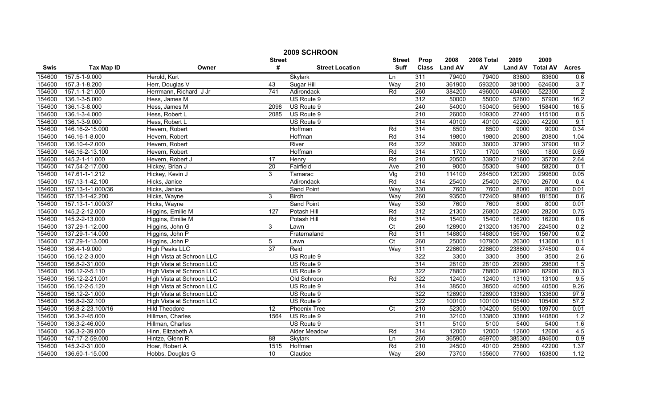|        | 2009 SCHROON      |                           |               |                        |                  |                  |                |            |                |                 |                |  |
|--------|-------------------|---------------------------|---------------|------------------------|------------------|------------------|----------------|------------|----------------|-----------------|----------------|--|
|        |                   |                           | <b>Street</b> |                        | <b>Street</b>    | Prop             | 2008           | 2008 Total | 2009           | 2009            |                |  |
| Swis   | <b>Tax Map ID</b> | Owner                     | #             | <b>Street Location</b> | <b>Suff</b>      | <b>Class</b>     | <b>Land AV</b> | AV         | <b>Land AV</b> | <b>Total AV</b> | <b>Acres</b>   |  |
| 154600 | 157.5-1-9.000     | Herold, Kurt              |               | Skylark                | Ln               | 311              | 79400          | 79400      | 83600          | 83600           | 0.6            |  |
| 154600 | 157.3-1-8.200     | Herr, Douglas V           | 43            | Sugar Hill             | Way              | $\overline{210}$ | 361900         | 593200     | 381000         | 624600          | 3.7            |  |
| 154600 | 157.1-1-21.000    | Herrmann, Richard J Jr    | 741           | Adirondack             | Rd               | 260              | 384200         | 496000     | 404600         | 522300          | $\overline{2}$ |  |
| 154600 | 136.1-3-5.000     | Hess, James M             |               | US Route 9             |                  | 312              | 50000          | 55000      | 52600          | 57900           | 16.2           |  |
| 154600 | 136.1-3-8.000     | Hess, James M             | 2098          | US Route 9             |                  | 240              | 54000          | 150400     | 56900          | 158400          | 16.5           |  |
| 154600 | 136.1-3-4.000     | Hess, Robert L            | 2085          | US Route 9             |                  | 210              | 26000          | 109300     | 27400          | 115100          | 0.5            |  |
| 154600 | 136.1-3-9.000     | Hess, Robert L            |               | US Route 9             |                  | 314              | 40100          | 40100      | 42200          | 42200           | 9.1            |  |
| 154600 | 146.16-2-15.000   | Hevern, Robert            |               | Hoffman                | Rd               | 314              | 8500           | 8500       | 9000           | 9000            | 0.34           |  |
| 154600 | 146.16-1-8.000    | Hevern, Robert            |               | Hoffman                | Rd               | 314              | 19800          | 19800      | 20800          | 20800           | 1.04           |  |
| 154600 | 136.10-4-2.000    | Hevern, Robert            |               | River                  | Rd               | 322              | 36000          | 36000      | 37900          | 37900           | 10.2           |  |
| 154600 | 146.16-2-13.100   | Hevern, Robert            |               | Hoffman                | Rd               | 314              | 1700           | 1700       | 1800           | 1800            | 0.69           |  |
| 154600 | 145.2-1-11.000    | Hevern, Robert J          | 17            | Henry                  | Rd               | 210              | 20500          | 33900      | 21600          | 35700           | 2.64           |  |
| 154600 | 147.54-2-17.000   | Hickey, Brian J           | 20            | Fairfield              | Ave              | $\overline{210}$ | 9000           | 55300      | 9400           | 58200           | 0.1            |  |
| 154600 | 147.61-1-1.212    | Hickey, Kevin J           | 3             | Tamarac                | Vig              | 210              | 114100         | 284500     | 120200         | 299600          | 0.05           |  |
| 154600 | 157.13-1-42.100   | Hicks, Janice             |               | Adirondack             | Rd               | 314              | 25400          | 25400      | 26700          | 26700           | 0.4            |  |
| 154600 | 157.13-1-1.000/36 | Hicks, Janice             |               | <b>Sand Point</b>      | Way              | 330              | 7600           | 7600       | 8000           | 8000            | 0.01           |  |
| 154600 | 157.13-1-42.200   | Hicks, Wayne              | 3             | <b>Birch</b>           | Way              | 260              | 93500          | 172400     | 98400          | 181500          | 0.6            |  |
| 154600 | 157.13-1-1.000/37 | Hicks, Wayne              |               | <b>Sand Point</b>      | Way              | 330              | 7600           | 7600       | 8000           | 8000            | 0.01           |  |
| 154600 | 145.2-2-12.000    | Higgins, Emilie M         | 127           | Potash Hill            | Rd               | 312              | 21300          | 26800      | 22400          | 28200           | 0.75           |  |
| 154600 | 145.2-2-13.000    | Higgins, Emilie M         |               | Potash Hill            | Rd               | 314              | 15400          | 15400      | 16200          | 16200           | 0.6            |  |
| 154600 | 137.29-1-12.000   | Higgins, John G           | 3             | Lawn                   | $\overline{C}t$  | 260              | 128900         | 213200     | 135700         | 224500          | 0.2            |  |
| 154600 | 137.29-1-14.000   | Higgins, John P           |               | Fraternaland           | Rd               | 311              | 148800         | 148800     | 156700         | 156700          | 0.2            |  |
| 154600 | 137.29-1-13.000   | Higgins, John P           | 5             | Lawn                   | $\overline{C}t$  | 260              | 25000          | 107900     | 26300          | 113600          | 0.1            |  |
| 154600 | 136.4-1-9.000     | <b>High Peaks LLC</b>     | 37            | Reid                   | Way              | 311              | 226600         | 226600     | 238600         | 374500          | 0.4            |  |
| 154600 | 156.12-2-3.000    | High Vista at Schroon LLC |               | US Route 9             |                  | 322              | 3300           | 3300       | 3500           | 3500            | 2.6            |  |
| 154600 | 156.8-2-31.000    | High Vista at Schroon LLC |               | US Route 9             |                  | 314              | 28100          | 28100      | 29600          | 29600           | 1.5            |  |
| 154600 | 156.12-2-5.110    | High Vista at Schroon LLC |               | US Route 9             |                  | 322              | 78800          | 78800      | 82900          | 82900           | 60.3           |  |
| 154600 | 156.12-2-21.001   | High Vista at Schroon LLC |               | Old Schroon            | Rd               | 322              | 12400          | 12400      | 13100          | 13100           | 9.5            |  |
| 154600 | 156.12-2-5.120    | High Vista at Schroon LLC |               | US Route 9             |                  | 314              | 38500          | 38500      | 40500          | 40500           | 9.26           |  |
| 154600 | 156.12-2-1.000    | High Vista at Schroon LLC |               | US Route 9             |                  | 322              | 126900         | 126900     | 133600         | 133600          | 97.9           |  |
| 154600 | 156.8-2-32.100    | High Vista at Schroon LLC |               | US Route 9             |                  | 322              | 100100         | 100100     | 105400         | 105400          | 57.2           |  |
| 154600 | 156.8-2-23.100/16 | <b>Hild Theodore</b>      | 12            | <b>Phoenix Tree</b>    | $\overline{C}$ t | 210              | 52300          | 104200     | 55000          | 109700          | 0.01           |  |
| 154600 | 136.3-2-45.000    | Hillman, Charles          | 1564          | US Route 9             |                  | 210              | 32100          | 133800     | 33800          | 140800          | 1.2            |  |
| 154600 | 136.3-2-46.000    | Hillman, Charles          |               | US Route 9             |                  | 311              | 5100           | 5100       | 5400           | 5400            | 1.6            |  |
| 154600 | 136.3-2-39.000    | Hinn, Elizabeth A         |               | Alder Meadow           | Rd               | 314              | 12000          | 12000      | 12600          | 12600           | 4.5            |  |
| 154600 | 147.17-2-59.000   | Hintze, Glenn R           | 88            | <b>Skylark</b>         | Ln               | 260              | 365900         | 469700     | 385300         | 494600          | 0.9            |  |
| 154600 | 145.2-2-31.000    | Hoar, Robert A            | 1515          | Hoffman                | Rd               | 210              | 24500          | 40100      | 25800          | 42200           | 1.37           |  |
| 154600 | 136.60-1-15.000   | Hobbs, Douglas G          | 10            | Clautice               | Way              | 260              | 73700          | 155600     | 77600          | 163800          | 1.12           |  |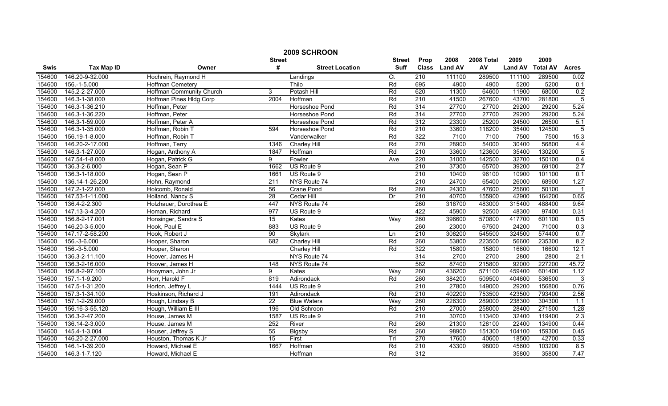| 2009 SCHROON |                   |                          |                 |                        |               |                  |                |            |                |                 |                |
|--------------|-------------------|--------------------------|-----------------|------------------------|---------------|------------------|----------------|------------|----------------|-----------------|----------------|
|              |                   |                          | <b>Street</b>   |                        | <b>Street</b> | Prop             | 2008           | 2008 Total | 2009           | 2009            |                |
| <b>Swis</b>  | <b>Tax Map ID</b> | Owner                    | #               | <b>Street Location</b> | <b>Suff</b>   | <b>Class</b>     | <b>Land AV</b> | AV         | <b>Land AV</b> | <b>Total AV</b> | <b>Acres</b>   |
| 154600       | 146.20-9-32.000   | Hochrein, Raymond H      |                 | Landings               | Ct            | 210              | 111100         | 289500     | 111100         | 289500          | 0.02           |
| 154600       | 156.-1-5.000      | Hoffman Cemetery         |                 | Thilo                  | Rd            | 695              | 4900           | 4900       | 5200           | 5200            | 0.1            |
| 154600       | 145.2-2-27.000    | Hoffman Community Church | 3               | Potash Hill            | Rd            | 620              | 11300          | 64600      | 11900          | 68000           | 0.2            |
| 154600       | 146.3-1-38.000    | Hoffman Pines Hldg Corp  | 2004            | <b>Hoffman</b>         | Rd            | 210              | 41500          | 267600     | 43700          | 281800          | $\overline{5}$ |
| 154600       | 146.3-1-36.210    | Hoffman, Peter           |                 | Horseshoe Pond         | Rd            | 314              | 27700          | 27700      | 29200          | 29200           | 5.24           |
| 154600       | 146.3-1-36.220    | Hoffman, Peter           |                 | Horseshoe Pond         | Rd            | 314              | 27700          | 27700      | 29200          | 29200           | 5.24           |
| 154600       | 146.3-1-59.000    | Hoffman, Peter A         |                 | Horseshoe Pond         | Rd            | 312              | 23300          | 25200      | 24500          | 26500           | 5.1            |
| 154600       | 146.3-1-35.000    | Hoffman, Robin T         | 594             | Horseshoe Pond         | Rd            | 210              | 33600          | 118200     | 35400          | 124500          | $\overline{5}$ |
| 154600       | 156.19-1-8.000    | Hoffman, Robin T         |                 | Vanderwalker           | Rd            | 322              | 7100           | 7100       | 7500           | 7500            | 15.3           |
| 154600       | 146.20-2-17.000   | Hoffman, Terry           | 1346            | Charley Hill           | Rd            | 270              | 28900          | 54000      | 30400          | 56800           | 4.4            |
| 154600       | 146.3-1-27.000    | Hogan, Anthony A         | 1847            | Hoffman                | Rd            | 210              | 33600          | 123600     | 35400          | 130200          | $\overline{5}$ |
| 154600       | 147.54-1-8.000    | Hogan, Patrick G         | 9               | Fowler                 | Ave           | 220              | 31000          | 142500     | 32700          | 150100          | 0.4            |
| 154600       | 136.3-2-6.000     | Hogan, Sean P            | 1662            | US Route 9             |               | 210              | 37300          | 65700      | 39200          | 69100           | 2.7            |
| 154600       | 136.3-1-18.000    | Hogan, Sean P            | 1661            | US Route 9             |               | 210              | 10400          | 96100      | 10900          | 101100          | 0.1            |
| 154600       | 136.14-1-26.200   | Hohn, Raymond            | 211             | NYS Route 74           |               | 210              | 24700          | 65400      | 26000          | 68900           | 1.27           |
| 154600       | 147.2-1-22.000    | Holcomb, Ronald          | $\overline{56}$ | Crane Pond             | Rd            | 260              | 24300          | 47600      | 25600          | 50100           | $\overline{1}$ |
| 154600       | 147.53-1-11.000   | Holland, Nancy S         | 28              | Cedar Hill             | Dr            | 210              | 40700          | 155900     | 42900          | 164200          | 0.65           |
| 154600       | 136.4-2-2.300     | Holzhauer, Dorothea E    | 447             | NYS Route 74           |               | 260              | 318700         | 483000     | 315400         | 488400          | 9.64           |
| 154600       | 147.13-3-4.200    | Homan, Richard           | 977             | US Route 9             |               | 422              | 45900          | 92500      | 48300          | 97400           | 0.31           |
| 154600       | 156.8-2-17.001    | Honsinger, Sandra S      | 15              | Kates                  | Way           | 260              | 396600         | 570800     | 417700         | 601100          | 0.5            |
| 154600       | 146.20-3-5.000    | Hook, Paul E             | 883             | US Route 9             |               | 260              | 23000          | 67500      | 24200          | 71000           | 0.3            |
| 154600       | 147.17-2-58.200   | Hook, Robert J           | 90              | Skylark                | Ln            | $\overline{210}$ | 308200         | 545500     | 324500         | 574400          | 0.7            |
| 154600       | 156.-3-6.000      | Hooper, Sharon           | 682             | <b>Charley Hill</b>    | Rd            | 260              | 53800          | 223500     | 56600          | 235300          | 8.2            |
| 154600       | 156.-3-5.000      | Hooper, Sharon           |                 | <b>Charley Hill</b>    | Rd            | 322              | 15800          | 15800      | 16600          | 16600           | 12.1           |
| 154600       | 136.3-2-11.100    | Hoover, James H          |                 | NYS Route 74           |               | 314              | 2700           | 2700       | 2800           | 2800            | 2.1            |
| 154600       | 136.3-2-16.000    | Hoover, James H          | 148             | NYS Route 74           |               | 582              | 87400          | 215800     | 92000          | 227200          | 45.72          |
| 154600       | 156.8-2-97.100    | Hooyman, John Jr         | 9               | Kates                  | Way           | 260              | 436200         | 571100     | 459400         | 601400          | 1.12           |
| 154600       | 157.1-1-9.200     | Horr, Harold F           | 819             | Adirondack             | Rd            | 260              | 384200         | 509500     | 404600         | 536500          | 3              |
| 154600       | 147.5-1-31.200    | Horton, Jeffrey L        | 1444            | US Route 9             |               | 210              | 27800          | 149000     | 29200          | 156800          | 0.76           |
| 154600       | 157.3-1-34.100    | Hoskinson, Richard J     | 191             | Adirondack             | Rd            | 210              | 402200         | 753500     | 423500         | 793400          | 2.56           |
| 154600       | 157.1-2-29.000    | Hough, Lindsay B         | $\overline{22}$ | <b>Blue Waters</b>     | Way           | 260              | 226300         | 289000     | 238300         | 304300          | 1.1            |
| 154600       | 156.16-3-55.120   | Hough, William E III     | 196             | Old Schroon            | Rd            | 210              | 27000          | 258000     | 28400          | 271500          | 1.28           |
| 154600       | 136.3-2-47.200    | House, James M           | 1587            | US Route 9             |               | 210              | 30700          | 113400     | 32400          | 119400          | 2.3            |
| 154600       | 136.14-2-3.000    | House, James M           | 252             | River                  | Rd            | 260              | 21300          | 128100     | 22400          | 134900          | 0.44           |
| 154600       | 145.4-1-3.004     | Houser, Jeffrey S        | 55              | Bigsby                 | Rd            | 260              | 98900          | 151300     | 104100         | 159300          | 0.45           |
| 154600       | 146.20-2-27.000   | Houston, Thomas K Jr     | $\overline{15}$ | First                  | Trl           | 270              | 17600          | 40600      | 18500          | 42700           | 0.33           |
| 154600       | 146.1-1-39.200    | Howard, Michael E        | 1667            | Hoffman                | Rd            | 210              | 43300          | 98000      | 45600          | 103200          | 8.5            |
| 154600       | 146.3-1-7.120     | Howard, Michael E        |                 | Hoffman                | Rd            | 312              |                |            | 35800          | 35800           | 7.47           |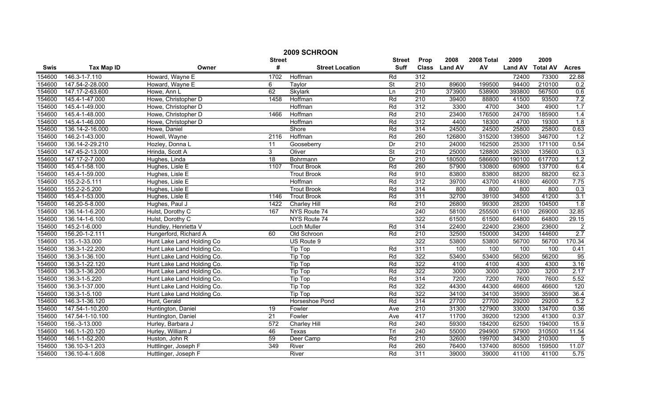| 2009 SCHROON |                   |                            |                  |                        |                          |                  |                |            |                |                 |                |
|--------------|-------------------|----------------------------|------------------|------------------------|--------------------------|------------------|----------------|------------|----------------|-----------------|----------------|
|              |                   |                            | <b>Street</b>    |                        | <b>Street</b>            | Prop             | 2008           | 2008 Total | 2009           | 2009            |                |
| Swis         | <b>Tax Map ID</b> | Owner                      | #                | <b>Street Location</b> | <b>Suff</b>              | <b>Class</b>     | <b>Land AV</b> | AV         | <b>Land AV</b> | <b>Total AV</b> | <b>Acres</b>   |
| 154600       | 146.3-1-7.110     | Howard, Wayne E            | 1702             | Hoffman                | Rd                       | 312              |                |            | 72400          | 73300           | 22.88          |
| 154600       | 147.54-2-28.000   | Howard, Wayne E            | 6                | Taylor                 | St                       | $\overline{210}$ | 89600          | 199500     | 94400          | 210100          | 0.2            |
| 154600       | 147.17-2-63.600   | Howe, Ann L                | 62               | Skylark                | Ln                       | 210              | 373900         | 538900     | 393800         | 567500          | 0.6            |
| 154600       | 145.4-1-47.000    | Howe, Christopher D        | 1458             | Hoffman                | Rd                       | 210              | 39400          | 88800      | 41500          | 93500           | 7.2            |
| 154600       | 145.4-1-49.000    | Howe, Christopher D        |                  | Hoffman                | Rd                       | 312              | 3300           | 4700       | 3400           | 4900            | 1.7            |
| 154600       | 145.4-1-48.000    | Howe, Christopher D        | 1466             | Hoffman                | Rd                       | 210              | 23400          | 176500     | 24700          | 185900          | 1.4            |
| 154600       | 145.4-1-46.000    | Howe, Christopher D        |                  | Hoffman                | Rd                       | 312              | 4400           | 18300      | 4700           | 19300           | 1.8            |
| 154600       | 136.14-2-16.000   | Howe, Daniel               |                  | Shore                  | Rd                       | 314              | 24500          | 24500      | 25800          | 25800           | 0.63           |
| 154600       | 146.2-1-43.000    | Howell, Wayne              | 2116             | Hoffman                | Rd                       | 260              | 126800         | 315200     | 139500         | 346700          | 1.2            |
| 154600       | 136.14-2-29.210   | Hozley, Donna L            | 11               | Gooseberry             | Dr                       | $\overline{210}$ | 24000          | 162500     | 25300          | 171100          | 0.54           |
| 154600       | 147.45-2-13.000   | Hrinda, Scott A            | 3 <sup>1</sup>   | Oliver                 | $\overline{\mathsf{St}}$ | 210              | 25000          | 128800     | 26300          | 135600          | 0.3            |
| 154600       | 147.17-2-7.000    | Hughes, Linda              | 18               | Bohrmann               | Dr                       | 210              | 180500         | 586600     | 190100         | 617700          | 1.2            |
| 154600       | 145.4-1-58.100    | Hughes, Lisle E            | 1107             | <b>Trout Brook</b>     | Rd                       | 260              | 57900          | 130800     | 60900          | 137700          | 6.4            |
| 154600       | 145.4-1-59.000    | Hughes, Lisle E            |                  | <b>Trout Brook</b>     | Rd                       | 910              | 83800          | 83800      | 88200          | 88200           | 62.3           |
| 154600       | 155.2-2-5.111     | Hughes, Lisle E            |                  | Hoffman                | Rd                       | 312              | 39700          | 43700      | 41800          | 46000           | 7.75           |
| 154600       | 155.2-2-5.200     | Hughes, Lisle E            |                  | <b>Trout Brook</b>     | Rd                       | 314              | 800            | 800        | 800            | 800             | 0.3            |
| 154600       | 145.4-1-53.000    | Hughes, Lisle E            | 1146             | <b>Trout Brook</b>     | Rd                       | 311              | 32700          | 39100      | 34500          | 41200           | 3.1            |
| 154600       | 146.20-5-8.000    | Hughes, Paul J             | 1422             | <b>Charley Hill</b>    | Rd                       | 210              | 26800          | 99300      | 28200          | 104500          | 1.8            |
| 154600       | 136.14-1-6.200    | Hulst, Dorothy C           | 167              | NYS Route 74           |                          | 240              | 58100          | 255500     | 61100          | 269000          | 32.85          |
| 154600       | 136.14-1-6.100    | Hulst, Dorothy C           |                  | NYS Route 74           |                          | 322              | 61500          | 61500      | 64800          | 64800           | 29.15          |
| 154600       | 145.2-1-6.000     | Hundley, Henrietta V       |                  | Loch Muller            | Rd                       | 314              | 22400          | 22400      | 23600          | 23600           | $\overline{2}$ |
| 154600       | 156.20-1-2.111    | Hungerford, Richard A      | 60               | Old Schroon            | Rd                       | 210              | 32500          | 150000     | 34200          | 144600          | 2.7            |
| 154600       | 135.-1-33.000     | Hunt Lake Land Holding Co  |                  | US Route 9             |                          | 322              | 53800          | 53800      | 56700          | 56700           | 170.34         |
| 154600       | 136.3-1-22.200    | Hunt Lake Land Holding Co. |                  | <b>Tip Top</b>         | Rd                       | 311              | 100            | 100        | 100            | 100             | 0.41           |
| 154600       | 136.3-1-36.100    | Hunt Lake Land Holding Co. |                  | <b>Tip Top</b>         | Rd                       | 322              | 53400          | 53400      | 56200          | 56200           | 95             |
| 154600       | 136.3-1-22.120    | Hunt Lake Land Holding Co. |                  | Tip Top                | Rd                       | 322              | 4100           | 4100       | 4300           | 4300            | 3.16           |
| 154600       | 136.3-1-36.200    | Hunt Lake Land Holding Co. |                  | <b>Tip Top</b>         | Rd                       | 322              | 3000           | 3000       | 3200           | 3200            | 2.17           |
| 154600       | 136.3-1-5.220     | Hunt Lake Land Holding Co. |                  | <b>Tip Top</b>         | Rd                       | 314              | 7200           | 7200       | 7600           | 7600            | 5.52           |
| 154600       | 136.3-1-37.000    | Hunt Lake Land Holding Co. |                  | <b>Tip Top</b>         | Rd                       | 322              | 44300          | 44300      | 46600          | 46600           | 120            |
| 154600       | 136.3-1-5.100     | Hunt Lake Land Holding Co. |                  | <b>Tip Top</b>         | Rd                       | 322              | 34100          | 34100      | 35900          | 35900           | 36.4           |
| 154600       | 146.3-1-36.120    | Hunt, Gerald               |                  | Horseshoe Pond         | Rd                       | 314              | 27700          | 27700      | 29200          | 29200           | 5.2            |
| 154600       | 147.54-1-10.200   | Huntington, Daniel         | 19               | Fowler                 | Ave                      | 210              | 31300          | 127900     | 33000          | 134700          | 0.36           |
| 154600       | 147.54-1-10.100   | Huntington, Daniel         | $\overline{21}$  | Fowler                 | Ave                      | 417              | 11700          | 39200      | 12300          | 41300           | 0.37           |
| 154600       | 156.-3-13.000     | Hurley, Barbara J          | $\overline{572}$ | <b>Charley Hill</b>    | Rd                       | 240              | 59300          | 184200     | 62500          | 194000          | 15.9           |
| 154600       | 146.1-1-20.120    | Hurley, William J          | 46               | Texas                  | Trl                      | $\overline{240}$ | 55000          | 294900     | 57900          | 310500          | 11.54          |
| 154600       | 146.1-1-52.200    | Huston, John R             | 59               | Deer Camp              | Rd                       | 210              | 32600          | 199700     | 34300          | 210300          | 5              |
| 154600       | 136.10-3-1.203    | Huttlinger, Joseph F       | 349              | River                  | Rd                       | 260              | 76400          | 137400     | 80500          | 159500          | 11.07          |
| 154600       | 136.10-4-1.608    | Huttlinger, Joseph F       |                  | River                  | Rd                       | 311              | 39000          | 39000      | 41100          | 41100           | 5.75           |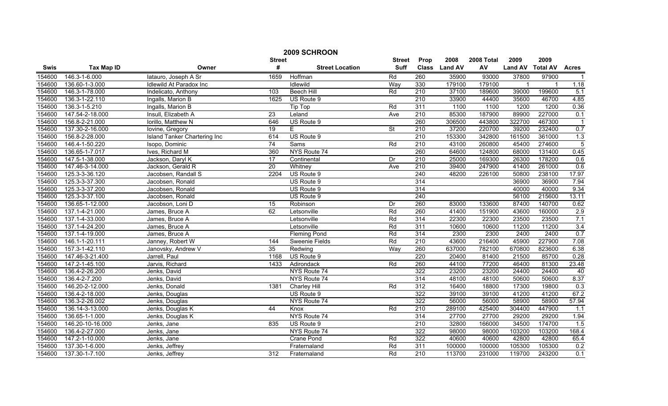|             | 2009 SCHROON      |                              |                  |                        |                          |                  |                |            |                |                 |                |  |
|-------------|-------------------|------------------------------|------------------|------------------------|--------------------------|------------------|----------------|------------|----------------|-----------------|----------------|--|
|             |                   |                              | <b>Street</b>    |                        | <b>Street</b>            | Prop             | 2008           | 2008 Total | 2009           | 2009            |                |  |
| <b>Swis</b> | <b>Tax Map ID</b> | Owner                        | #                | <b>Street Location</b> | <b>Suff</b>              | <b>Class</b>     | <b>Land AV</b> | AV         | <b>Land AV</b> | <b>Total AV</b> | <b>Acres</b>   |  |
| 154600      | 146.3-1-6.000     | latauro, Joseph A Sr         | 1659             | Hoffman                | Rd                       | 260              | 35900          | 93000      | 37800          | 97900           | $\overline{1}$ |  |
| 154600      | 136.60-1-3.000    | Idlewild At Paradox Inc      |                  | Idlewild               | Way                      | 330              | 179100         | 179100     |                | $\mathbf{1}$    | 1.18           |  |
| 154600      | 146.3-1-78.000    | Indelicato, Anthony          | 103              | <b>Beech Hill</b>      | Rd                       | 210              | 37100          | 189600     | 39000          | 199600          | 5.1            |  |
| 154600      | 136.3-1-22.110    | Ingalls, Marion B            | 1625             | US Route 9             |                          | 210              | 33900          | 44400      | 35600          | 46700           | 4.85           |  |
| 154600      | 136.3-1-5.210     | Ingalls, Marion B            |                  | Tip Top                | Rd                       | 311              | 1100           | 1100       | 1200           | 1200            | 0.36           |  |
| 154600      | 147.54-2-18.000   | Insull, Elizabeth A          | 23               | Leland                 | Ave                      | 210              | 85300          | 187900     | 89900          | 227000          | 0.1            |  |
| 154600      | 156.8-2-21.000    | Iorillo, Matthew N           | 646              | US Route 9             |                          | 260              | 306500         | 443800     | 322700         | 467300          |                |  |
| 154600      | 137.30-2-16.000   | lovine, Gregory              | 19               | E.                     | $\overline{\mathsf{St}}$ | 210              | 37200          | 220700     | 39200          | 232400          | 0.7            |  |
| 154600      | 156.8-2-28.000    | Island Tanker Chartering Inc | 614              | US Route 9             |                          | 210              | 153300         | 342800     | 161500         | 361000          | 1.3            |  |
| 154600      | 146.4-1-50.220    | Isopo, Dominic               | 74               | <b>Sams</b>            | Rd                       | 210              | 43100          | 260800     | 45400          | 274600          | 5              |  |
| 154600      | 136.65-1-7.017    | Ives, Richard M              | 360              | NYS Route 74           |                          | 260              | 64600          | 124800     | 68000          | 131400          | 0.45           |  |
| 154600      | 147.5-1-38.000    | Jackson, Daryl K             | $\overline{17}$  | Continental            | Dr                       | 210              | 25000          | 169300     | 26300          | 178200          | 0.6            |  |
| 154600      | 147.46-3-14.000   | Jackson, Gerald R            | $\overline{20}$  | Whitney                | Ave                      | 210              | 39400          | 247900     | 41400          | 261000          | 0.6            |  |
| 154600      | 125.3-3-36.120    | Jacobsen, Randall S          | 2204             | US Route 9             |                          | 240              | 48200          | 226100     | 50800          | 238100          | 17.97          |  |
| 154600      | 125.3-3-37.300    | Jacobsen, Ronald             |                  | US Route 9             |                          | 314              |                |            | 36900          | 36900           | 7.94           |  |
| 154600      | 125.3-3-37.200    | Jacobsen, Ronald             |                  | US Route 9             |                          | 314              |                |            | 40000          | 40000           | 9.34           |  |
| 154600      | 125.3-3-37.100    | Jacobsen, Ronald             |                  | US Route 9             |                          | 240              |                |            | 56100          | 215600          | 13.11          |  |
| 154600      | 136.65-1-12.000   | Jacobson, Loni D             | 15               | Robinson               | Dr                       | 260              | 83000          | 133600     | 87400          | 140700          | 0.62           |  |
| 154600      | 137.1-4-21.000    | James, Bruce A               | 62               | Letsonville            | Rd                       | 260              | 41400          | 151900     | 43600          | 160000          | 2.9            |  |
| 154600      | 137.1-4-33.000    | James, Bruce A               |                  | Letsonville            | Rd                       | 314              | 22300          | 22300      | 23500          | 23500           | 7.1            |  |
| 154600      | 137.1-4-24.200    | James, Bruce A               |                  | Letsonville            | Rd                       | 311              | 10600          | 10600      | 11200          | 11200           | 3.4            |  |
| 154600      | 137.1-4-19.000    | James, Bruce A               |                  | <b>Fleming Pond</b>    | Rd                       | 314              | 2300           | 2300       | 2400           | 2400            | 0.7            |  |
| 154600      | 146.1-1-20.111    | Janney, Robert W             | 144              | Sweenie Fields         | Rd                       | 210              | 43600          | 216400     | 45900          | 227900          | 7.08           |  |
| 154600      | 157.3-1-42.110    | Janovsky, Andrew V           | $\overline{35}$  | Redwing                | Way                      | 260              | 637000         | 782100     | 670800         | 823600          | 6.38           |  |
| 154600      | 147.46-3-21.400   | Jarrell, Paul                | 1168             | US Route 9             |                          | 220              | 20400          | 81400      | 21500          | 85700           | 0.28           |  |
| 154600      | 147.2-1-45.100    | Jarvis, Richard              | 1433             | Adirondack             | Rd                       | 260              | 44100          | 77200      | 46400          | 81300           | 23.48          |  |
| 154600      | 136.4-2-26.200    | Jenks, David                 |                  | NYS Route 74           |                          | 322              | 23200          | 23200      | 24400          | 24400           | 40             |  |
| 154600      | 136.4-2-7.200     | Jenks, David                 |                  | NYS Route 74           |                          | 314              | 48100          | 48100      | 50600          | 50600           | 8.37           |  |
| 154600      | 146.20-2-12.000   | Jenks, Donald                | 1381             | <b>Charley Hill</b>    | Rd                       | 312              | 16400          | 18800      | 17300          | 19800           | 0.3            |  |
| 154600      | 136.4-2-18.000    | Jenks, Douglas               |                  | US Route 9             |                          | 322              | 39100          | 39100      | 41200          | 41200           | 67.2           |  |
| 154600      | 136.3-2-26.002    | Jenks, Douglas               |                  | NYS Route 74           |                          | 322              | 56000          | 56000      | 58900          | 58900           | 57.94          |  |
| 154600      | 136.14-3-13.000   | Jenks, Douglas K             | 44               | Knox                   | Rd                       | 210              | 289100         | 425400     | 304400         | 447900          | 1.1            |  |
| 154600      | 136.65-1-1.000    | Jenks, Douglas K             |                  | NYS Route 74           |                          | 314              | 27700          | 27700      | 29200          | 29200           | 1.94           |  |
| 154600      | 146.20-10-16.000  | Jenks, Jane                  | 835              | US Route 9             |                          | $\overline{210}$ | 32800          | 166000     | 34500          | 174700          | 1.5            |  |
| 154600      | 136.4-2-27.000    | Jenks, Jane                  |                  | NYS Route 74           |                          | 322              | 98000          | 98000      | 103200         | 103200          | 168.4          |  |
| 154600      | 147.2-1-10.000    | Jenks, Jane                  |                  | Crane Pond             | Rd                       | 322              | 40600          | 40600      | 42800          | 42800           | 65.4           |  |
| 154600      | 137.30-1-6.000    | Jenks, Jeffrey               |                  | Fraternaland           | Rd                       | 311              | 100000         | 100000     | 105300         | 105300          | 0.2            |  |
| 154600      | 137.30-1-7.100    | Jenks, Jeffrey               | $\overline{312}$ | Fraternaland           | Rd                       | 210              | 113700         | 231000     | 119700         | 243200          | 0.1            |  |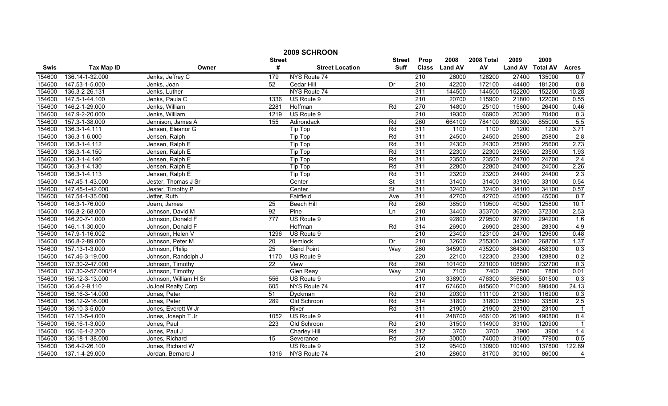| 2009 SCHROON |                    |                       |                  |                        |                          |                  |               |            |                |                 |                |
|--------------|--------------------|-----------------------|------------------|------------------------|--------------------------|------------------|---------------|------------|----------------|-----------------|----------------|
|              |                    |                       | <b>Street</b>    |                        | <b>Street</b>            | Prop             | 2008          | 2008 Total | 2009           | 2009            |                |
| <b>Swis</b>  | <b>Tax Map ID</b>  | Owner                 | #                | <b>Street Location</b> | Suff                     |                  | Class Land AV | AV         | <b>Land AV</b> | <b>Total AV</b> | <b>Acres</b>   |
| 154600       | 136.14-1-32.000    | Jenks, Jeffrey C      | 179              | NYS Route 74           |                          | 210              | 26000         | 128200     | 27400          | 135000          | 0.7            |
| 154600       | 147.53-1-5.000     | Jenks, Joan           | 52               | Cedar Hill             | Dr                       | $\overline{210}$ | 42200         | 172100     | 44400          | 181200          | 0.8            |
| 154600       | 136.3-2-26.131     | Jenks, Luther         |                  | NYS Route 74           |                          | 311              | 144500        | 144500     | 152200         | 152200          | 10.28          |
| 154600       | 147.5-1-44.100     | Jenks, Paula C        | 1336             | US Route 9             |                          | 210              | 20700         | 115900     | 21800          | 122000          | 0.55           |
| 154600       | 146.2-1-29.000     | Jenks, William        | 2281             | Hoffman                | Rd                       | 270              | 14800         | 25100      | 15600          | 26400           | 0.46           |
| 154600       | 147.9-2-20.000     | Jenks, William        | 1219             | US Route 9             |                          | 210              | 19300         | 66900      | 20300          | 70400           | 0.3            |
| 154600       | 157.3-1-38.000     | Jennison, James A     | 155              | Adirondack             | Rd                       | 260              | 664100        | 784100     | 699300         | 855000          | 5.5            |
| 154600       | 136.3-1-4.111      | Jensen, Eleanor G     |                  | Tip Top                | Rd                       | 311              | 1100          | 1100       | 1200           | 1200            | 3.71           |
| 154600       | 136.3-1-6.000      | Jensen, Ralph         |                  | <b>Tip Top</b>         | Rd                       | 311              | 24500         | 24500      | 25800          | 25800           | 2.8            |
| 154600       | 136.3-1-4.112      | Jensen, Ralph E       |                  | Tip Top                | Rd                       | 311              | 24300         | 24300      | 25600          | 25600           | 2.73           |
| 154600       | 136.3-1-4.150      | Jensen, Ralph E       |                  | <b>Tip Top</b>         | Rd                       | 311              | 22300         | 22300      | 23500          | 23500           | 1.93           |
| 154600       | 136.3-1-4.140      | Jensen, Ralph E       |                  | <b>Tip Top</b>         | Rd                       | 311              | 23500         | 23500      | 24700          | 24700           | 2.4            |
| 154600       | 136.3-1-4.130      | Jensen, Ralph E       |                  | Tip Top                | Rd                       | 311              | 22800         | 22800      | 24000          | 24000           | 2.26           |
| 154600       | 136.3-1-4.113      | Jensen, Ralph E       |                  | <b>Tip Top</b>         | Rd                       | 311              | 23200         | 23200      | 24400          | 24400           | 2.3            |
| 154600       | 147.45-1-43.000    | Jester, Thomas J Sr   |                  | Center                 | St                       | 311              | 31400         | 31400      | 33100          | 33100           | 0.54           |
| 154600       | 147.45-1-42.000    | Jester, Timothy P     |                  | Center                 | $\overline{\mathsf{St}}$ | 311              | 32400         | 32400      | 34100          | 34100           | 0.57           |
| 154600       | 147.54-1-35.000    | Jetter, Ruth          |                  | Fairfield              | Ave                      | 311              | 42700         | 42700      | 45000          | 45000           | 0.7            |
| 154600       | 146.3-1-76.000     | Joern, James          | 25               | <b>Beech Hill</b>      | Rd                       | 260              | 38500         | 119500     | 40500          | 125800          | 10.1           |
| 154600       | 156.8-2-68.000     | Johnson, David M      | 92               | Pine                   | Ln                       | 210              | 34400         | 353700     | 36200          | 372300          | 2.53           |
| 154600       | 146.20-7-1.000     | Johnson, Donald F     | 777              | US Route 9             |                          | 210              | 92800         | 279500     | 97700          | 294200          | 1.6            |
| 154600       | 146.1-1-30.000     | Johnson, Donald F     |                  | Hoffman                | Rd                       | 314              | 26900         | 26900      | 28300          | 28300           | 4.9            |
| 154600       | 147.9-1-16.002     | Johnson, Helen V      | 1296             | US Route 9             |                          | 210              | 23400         | 123100     | 24700          | 129600          | 0.48           |
| 154600       | 156.8-2-89.000     | Johnson, Peter M      | $\overline{20}$  | Hemlock                | Dr                       | 210              | 32600         | 255300     | 34300          | 268700          | 1.37           |
| 154600       | 157.13-1-3.000     | Johnson, Philip       | 25               | <b>Sand Point</b>      | Way                      | 260              | 345900        | 435200     | 364300         | 458300          | 0.3            |
| 154600       | 147.46-3-19.000    | Johnson, Randolph J   | 1170             | US Route 9             |                          | 220              | 22100         | 122300     | 23300          | 128800          | 0.2            |
| 154600       | 137.30-2-47.000    | Johnson, Timothy      | $\overline{22}$  | View                   | Rd                       | 260              | 101400        | 221000     | 106800         | 232700          | 0.3            |
| 154600       | 137.30-2-57.000/14 | Johnson, Timothy      |                  | Glen Reay              | Way                      | 330              | 7100          | 7400       | 7500           | 7800            | 0.01           |
| 154600       | 156.12-3-13.000    | Johnson, William H Sr | 556              | US Route 9             |                          | 210              | 338900        | 476300     | 356800         | 501500          | 0.3            |
| 154600       | 136.4-2-9.110      | JoJoel Realty Corp    | 605              | NYS Route 74           |                          | 417              | 674600        | 845600     | 710300         | 890400          | 24.13          |
| 154600       | 156.16-3-14.000    | Jonas, Peter          | 51               | Dyckman                | Rd                       | 210              | 20300         | 111100     | 21300          | 116900          | 0.3            |
| 154600       | 156.12-2-16.000    | Jonas, Peter          | 289              | Old Schroon            | Rd                       | 314              | 31800         | 31800      | 33500          | 33500           | 2.5            |
| 154600       | 136.10-3-5.000     | Jones, Everett W Jr   |                  | River                  | Rd                       | 311              | 21900         | 21900      | 23100          | 23100           | $\overline{1}$ |
| 154600       | 147.13-5-4.000     | Jones, Joseph T Jr    | 1052             | US Route 9             |                          | 411              | 248700        | 466100     | 261900         | 490800          | 0.4            |
| 154600       | 156.16-1-3.000     | Jones, Paul           | $\overline{223}$ | Old Schroon            | Rd                       | $\overline{210}$ | 31500         | 114900     | 33100          | 120900          | $\overline{1}$ |
| 154600       | 156.16-1-2.200     | Jones, Paul J         |                  | Charley Hill           | Rd                       | 312              | 3700          | 3700       | 3900           | 3900            | 1.4            |
| 154600       | 136.18-1-38.000    | Jones, Richard        | 15               | Severance              | Rd                       | 260              | 30000         | 74000      | 31600          | 77900           | 0.5            |
| 154600       | 136.4-2-26.100     | Jones, Richard W      |                  | US Route 9             |                          | 312              | 95400         | 130900     | 100400         | 137800          | 122.89         |
| 154600       | 137.1-4-29.000     | Jordan, Bernard J     | 1316             | NYS Route 74           |                          | $\overline{210}$ | 28600         | 81700      | 30100          | 86000           | $\overline{4}$ |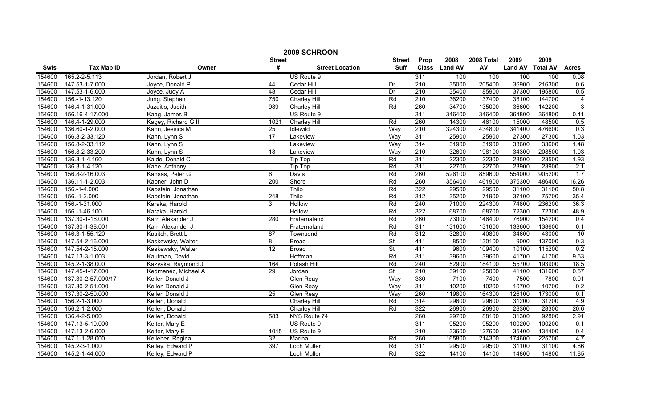|        | 2009 SCHROON       |                      |                 |                               |                          |                  |                |            |                |                 |                |
|--------|--------------------|----------------------|-----------------|-------------------------------|--------------------------|------------------|----------------|------------|----------------|-----------------|----------------|
|        |                    |                      | <b>Street</b>   |                               | <b>Street</b>            | Prop             | 2008           | 2008 Total | 2009           | 2009            |                |
| Swis   | <b>Tax Map ID</b>  | Owner                | #               | <b>Street Location</b>        | <b>Suff</b>              | <b>Class</b>     | <b>Land AV</b> | AV         | <b>Land AV</b> | <b>Total AV</b> | <b>Acres</b>   |
| 154600 | 165.2-2-5.113      | Jordan, Robert J     |                 | US Route 9                    |                          | 311              | 100            | 100        | 100            | 100             | 0.08           |
| 154600 | 147.53-1-7.000     | Joyce, Donald P      | 44              | Cedar Hill                    | Dr                       | $\overline{210}$ | 35000          | 205400     | 36900          | 216300          | 0.6            |
| 154600 | 147.53-1-6.000     | Joyce, Judy A        | 48              | Cedar Hill                    | Dr                       | $\overline{210}$ | 35400          | 185900     | 37300          | 195800          | 0.5            |
| 154600 | 156.-1-13.120      | Jung, Stephen        | 750             | <b>Charley Hill</b>           | Rd                       | 210              | 36200          | 137400     | 38100          | 144700          | $\overline{4}$ |
| 154600 | 146.4-1-31.000     | Juzaitis, Judith     | 989             | Charley Hill                  | Rd                       | 260              | 34700          | 135000     | 36600          | 142200          | 3              |
| 154600 | 156.16-4-17.000    | Kaag, James B        |                 | US Route 9                    |                          | 311              | 346400         | 346400     | 364800         | 364800          | 0.41           |
| 154600 | 146.4-1-29.000     | Kagey, Richard G III | 1021            | <b>Charley Hill</b>           | Rd                       | 260              | 14300          | 46100      | 15000          | 48500           | 0.5            |
| 154600 | 136.60-1-2.000     | Kahn, Jessica M      | 25              | Idlewild                      | Way                      | $\overline{210}$ | 324300         | 434800     | 341400         | 476600          | 0.3            |
| 154600 | 156.8-2-33.120     | Kahn, Lynn S         | $\overline{17}$ | Lakeview                      | Way                      | 311              | 25900          | 25900      | 27300          | 27300           | 1.03           |
| 154600 | 156.8-2-33.112     | Kahn, Lynn S         |                 | Lakeview                      | Way                      | 314              | 31900          | 31900      | 33600          | 33600           | 1.48           |
| 154600 | 156.8-2-33.200     | Kahn, Lynn S         | $\overline{18}$ | Lakeview                      | Way                      | $\overline{210}$ | 32600          | 198100     | 34300          | 208500          | 1.03           |
| 154600 | 136.3-1-4.160      | Kalde, Donald C      |                 | $\overline{\mathsf{Tip}}$ Top | Rd                       | 311              | 22300          | 22300      | 23500          | 23500           | 1.93           |
| 154600 | 136.3-1-4.120      | Kane, Anthony        |                 | Tip Top                       | Rd                       | 311              | 22700          | 22700      | 23900          | 23900           | 2.1            |
| 154600 | 156.8-2-16.003     | Kansas, Peter G      | 6               | Davis                         | Rd                       | 260              | 526100         | 859600     | 554000         | 905200          | 1.7            |
| 154600 | 136.11-1-2.003     | Kapner, John D       | 200             | Shore                         | Rd                       | 260              | 356400         | 461900     | 375300         | 486400          | 16.26          |
| 154600 | 156.-1-4.000       | Kapstein, Jonathan   |                 | Thilo                         | Rd                       | 322              | 29500          | 29500      | 31100          | 31100           | 50.8           |
| 154600 | 156.-1-2.000       | Kapstein, Jonathan   | 248             | Thilo                         | Rd                       | 312              | 35200          | 71900      | 37100          | 75700           | 35.4           |
| 154600 | 156.-1-31.000      | Karaka, Harold       | 3               | <b>Hollow</b>                 | Rd                       | 240              | 71000          | 224300     | 74800          | 236200          | 36.3           |
| 154600 | 156.-1-46.100      | Karaka, Harold       |                 | Hollow                        | Rd                       | 322              | 68700          | 68700      | 72300          | 72300           | 48.9           |
| 154600 | 137.30-1-16.000    | Karr, Alexander J    | 280             | Fraternaland                  | Rd                       | 260              | 73000          | 146400     | 76900          | 154200          | 0.4            |
| 154600 | 137.30-1-38.001    | Karr, Alexander J    |                 | Fraternaland                  | Rd                       | 311              | 131600         | 131600     | 138600         | 138600          | 0.1            |
| 154600 | 146.3-1-55.120     | Kasitch, Brett L     | 87              | Townsend                      | Rd                       | 312              | 32800          | 40800      | 34600          | 43000           | 10             |
| 154600 | 147.54-2-16.000    | Kaskewsky, Walter    | 8               | <b>Broad</b>                  | $\overline{\mathsf{St}}$ | 411              | 8500           | 130100     | 9000           | 137000          | 0.3            |
| 154600 | 147.54-2-15.000    | Kaskewsky, Walter    | 12              | <b>Broad</b>                  | <b>St</b>                | 411              | 9600           | 109400     | 10100          | 115200          | 0.2            |
| 154600 | 147.13-3-1.003     | Kaufman, David       |                 | Hoffman                       | Rd                       | 311              | 39600          | 39600      | 41700          | 41700           | 9.53           |
| 154600 | 145.2-1-38.000     | Kazyaka, Raymond J   | 164             | Potash Hill                   | Rd                       | 240              | 52900          | 184100     | 55700          | 193900          | 18.5           |
| 154600 | 147.45-1-17.000    | Kedmenec, Michael A  | $\overline{29}$ | Jordan                        | <b>St</b>                | $\overline{210}$ | 39100          | 125000     | 41100          | 131600          | 0.57           |
| 154600 | 137.30-2-57.000/17 | Keilen Donald J      |                 | <b>Glen Reay</b>              | Way                      | 330              | 7100           | 7400       | 7500           | 7800            | 0.01           |
| 154600 | 137.30-2-51.000    | Keilen Donald J      |                 | <b>Glen Reay</b>              | Way                      | 311              | 10200          | 10200      | 10700          | 10700           | 0.2            |
| 154600 | 137.30-2-50.000    | Keilen Donald J      | $\overline{25}$ | <b>Glen Reay</b>              | Way                      | 260              | 119800         | 164300     | 126100         | 173000          | 0.1            |
| 154600 | 156.2-1-3.000      | Keilen, Donald       |                 | Charley Hill                  | Rd                       | 314              | 29600          | 29600      | 31200          | 31200           | 4.9            |
| 154600 | 156.2-1-2.000      | Keilen, Donald       |                 | Charley Hill                  | Rd                       | 322              | 26900          | 26900      | 28300          | 28300           | 20.6           |
| 154600 | 136.4-2-5.000      | Keilen, Donald       | 583             | NYS Route 74                  |                          | 260              | 29700          | 88100      | 31300          | 92800           | 2.91           |
| 154600 | 147.13-5-10.000    | Keiter, Mary E       |                 | US Route 9                    |                          | 311              | 95200          | 95200      | 100200         | 100200          | 0.1            |
| 154600 | 147.13-2-6.000     | Keiter, Mary E       | 1015            | US Route 9                    |                          | 210              | 33600          | 127600     | 35400          | 134400          | 0.4            |
| 154600 | 147.1-1-28.000     | Kelleher, Regina     | 32              | Marina                        | Rd                       | 260              | 165800         | 214300     | 174600         | 225700          | 4.7            |
| 154600 | 145.2-3-1.000      | Kelley, Edward P     | 397             | Loch Muller                   | Rd                       | 311              | 29500          | 29500      | 31100          | 31100           | 4.86           |
| 154600 | 145.2-1-44.000     | Kelley, Edward P     |                 | <b>Loch Muller</b>            | Rd                       | 322              | 14100          | 14100      | 14800          | 14800           | 11.85          |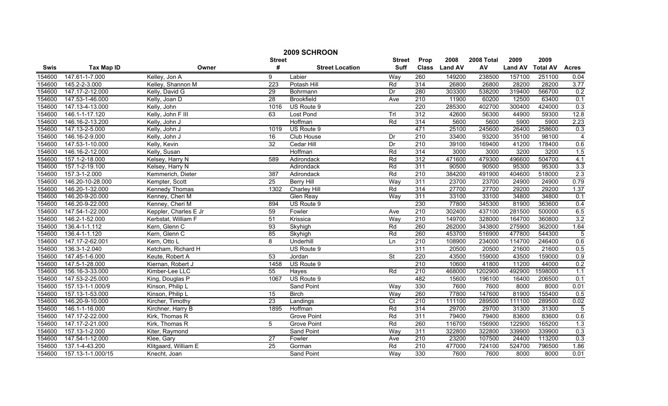|             | 2009 SCHROON      |                       |                 |                        |                          |                  |                |            |                |                 |                |  |
|-------------|-------------------|-----------------------|-----------------|------------------------|--------------------------|------------------|----------------|------------|----------------|-----------------|----------------|--|
|             |                   |                       | <b>Street</b>   |                        | <b>Street</b>            | Prop             | 2008           | 2008 Total | 2009           | 2009            |                |  |
| <b>Swis</b> | <b>Tax Map ID</b> | Owner                 | #               | <b>Street Location</b> | <b>Suff</b>              | <b>Class</b>     | <b>Land AV</b> | AV         | <b>Land AV</b> | <b>Total AV</b> | <b>Acres</b>   |  |
| 154600      | 147.61-1-7.000    | Kelley, Jon A         | 9               | Labier                 | Way                      | 260              | 149200         | 238500     | 157100         | 251100          | 0.04           |  |
| 154600      | 145.2-2-3.000     | Kelley, Shannon M     | 223             | Potash Hill            | Rd                       | 314              | 26800          | 26800      | 28200          | 28200           | 3.77           |  |
| 154600      | 147.17-2-12.000   | Kelly, David G        | 29              | Bohrmann               | Dr                       | 280              | 303300         | 538200     | 319400         | 566700          | 0.2            |  |
| 154600      | 147.53-1-46.000   | Kelly, Joan D         | 28              | <b>Brookfield</b>      | Ave                      | 210              | 11900          | 60200      | 12500          | 63400           | 0.1            |  |
| 154600      | 147.13-4-13.000   | Kelly, John           | 1016            | US Route 9             |                          | 220              | 285300         | 402700     | 300400         | 424000          | 0.3            |  |
| 154600      | 146.1-1-17.120    | Kelly, John F III     | 63              | <b>Lost Pond</b>       | Trl                      | 312              | 42600          | 56300      | 44900          | 59300           | 12.8           |  |
| 154600      | 146.16-2-13.200   | Kelly, John J         |                 | Hoffman                | Rd                       | 314              | 5600           | 5600       | 5900           | 5900            | 2.23           |  |
| 154600      | 147.13-2-5.000    | Kelly, John J         | 1019            | US Route 9             |                          | 471              | 25100          | 245600     | 26400          | 258600          | 0.3            |  |
| 154600      | 146.16-2-9.000    | Kelly, John J         | 16              | Club House             | Dr                       | $\overline{210}$ | 33400          | 93200      | 35100          | 98100           | $\overline{4}$ |  |
| 154600      | 147.53-1-10.000   | Kelly, Kevin          | $\overline{32}$ | Cedar Hill             | Dr                       | $\overline{210}$ | 39100          | 169400     | 41200          | 178400          | 0.6            |  |
| 154600      | 146.16-2-12.000   | Kelly, Susan          |                 | Hoffman                | Rd                       | 314              | 3000           | 3000       | 3200           | 3200            | 1.5            |  |
| 154600      | 157.1-2-18.000    | Kelsey, Harry N       | 589             | Adirondack             | Rd                       | 312              | 471600         | 479300     | 496600         | 504700          | 4.1            |  |
| 154600      | 157.1-2-19.100    | Kelsey, Harry N       |                 | Adirondack             | Rd                       | 311              | 90500          | 90500      | 95300          | 95300           | 3.3            |  |
| 154600      | 157.3-1-2.000     | Kemmerich, Dieter     | 387             | Adirondack             | Rd                       | 210              | 384200         | 491900     | 404600         | 518000          | 2.3            |  |
| 154600      | 146.20-10-28.000  | Kempter, Scott        | $\overline{25}$ | <b>Berry Hill</b>      | Way                      | 311              | 23700          | 23700      | 24900          | 24900           | 0.79           |  |
| 154600      | 146.20-1-32.000   | Kennedy Thomas        | 1302            | <b>Charley Hill</b>    | Rd                       | 314              | 27700          | 27700      | 29200          | 29200           | 1.37           |  |
| 154600      | 146.20-9-20.000   | Kenney, Cheri M       |                 | Glen Reay              | Way                      | 311              | 33100          | 33100      | 34800          | 34800           | 0.1            |  |
| 154600      | 146.20-9-22.000   | Kenney, Cheri M       | 894             | US Route 9             |                          | 230              | 77800          | 345300     | 81900          | 363600          | 0.4            |  |
| 154600      | 147.54-1-22.000   | Keppler, Charles E Jr | 59              | Fowler                 | Ave                      | 210              | 302400         | 437100     | 281500         | 500000          | 6.5            |  |
| 154600      | 146.2-1-52.000    | Kerbstat, William F   | 51              | Krissica               | Way                      | 210              | 149700         | 328000     | 164700         | 360800          | 3.2            |  |
| 154600      | 136.4-1-1.112     | Kern, Glenn C         | 93              | Skyhigh                | Rd                       | 260              | 262000         | 343800     | 275900         | 362000          | 1.64           |  |
| 154600      | 136.4-1-1.120     | Kern, Glenn C         | 85              | Skyhigh                | Rd                       | 260              | 453700         | 516900     | 477800         | 544300          | 5              |  |
| 154600      | 147.17-2-62.001   | Kern, Otto L          | 8               | Underhill              | Ln                       | 210              | 108900         | 234000     | 114700         | 246400          | 0.6            |  |
| 154600      | 136.3-1-2.040     | Ketcham, Richard H    |                 | US Route 9             |                          | 311              | 20500          | 20500      | 21600          | 21600           | 0.5            |  |
| 154600      | 147.45-1-6.000    | Keute, Robert A       | $\overline{53}$ | Jordan                 | $\overline{\mathsf{St}}$ | 220              | 43500          | 159000     | 43500          | 159000          | 0.9            |  |
| 154600      | 147.5-1-28.000    | Kiernan, Robert J     | 1458            | US Route 9             |                          | $\overline{210}$ | 10600          | 41800      | 11200          | 44000           | 0.2            |  |
| 154600      | 156.16-3-33.000   | Kimber-Lee LLC        | 55              | Hayes                  | Rd                       | 210              | 468000         | 1202900    | 492900         | 1598000         | 1.1            |  |
| 154600      | 147.53-2-25.000   | King, Douglas P       | 1067            | US Route 9             |                          | 482              | 15600          | 196100     | 16400          | 206500          | 0.1            |  |
| 154600      | 157.13-1-1.000/9  | Kinson, Philip L      |                 | <b>Sand Point</b>      | Way                      | 330              | 7600           | 7600       | 8000           | 8000            | 0.01           |  |
| 154600      | 157.13-1-53.000   | Kinson, Philip L      | $\overline{15}$ | <b>Birch</b>           | Way                      | 260              | 77800          | 147600     | 81900          | 155400          | 0.5            |  |
| 154600      | 146.20-9-10.000   | Kircher, Timothy      | $\overline{23}$ | Landings               | $\overline{C}$           | 210              | 111100         | 289500     | 111100         | 289500          | 0.02           |  |
| 154600      | 146.1-1-16.000    | Kirchner, Harry B     | 1895            | Hoffman                | Rd                       | 314              | 29700          | 29700      | 31300          | 31300           | $\overline{5}$ |  |
| 154600      | 147.17-2-22.000   | Kirk, Thomas R        |                 | <b>Grove Point</b>     | Rd                       | 311              | 79400          | 79400      | 83600          | 83600           | 0.6            |  |
| 154600      | 147.17-2-21.000   | Kirk, Thomas R        | 5               | <b>Grove Point</b>     | Rd                       | 260              | 116700         | 156900     | 122900         | 165200          | 1.3            |  |
| 154600      | 157.13-1-2.000    | Kiter, Raymond        |                 | Sand Point             | Way                      | 311              | 322800         | 322800     | 339900         | 339900          | 0.3            |  |
| 154600      | 147.54-1-12.000   | Klee, Gary            | 27              | Fowler                 | Ave                      | 210              | 23200          | 107500     | 24400          | 113200          | 0.3            |  |
| 154600      | 137.1-4-43.200    | Klitgaard, William E  | $\overline{25}$ | Gorman                 | Rd                       | 210              | 477000         | 724100     | 524700         | 796500          | 1.86           |  |
| 154600      | 157.13-1-1.000/15 | Knecht, Joan          |                 | <b>Sand Point</b>      | Way                      | 330              | 7600           | 7600       | 8000           | 8000            | 0.01           |  |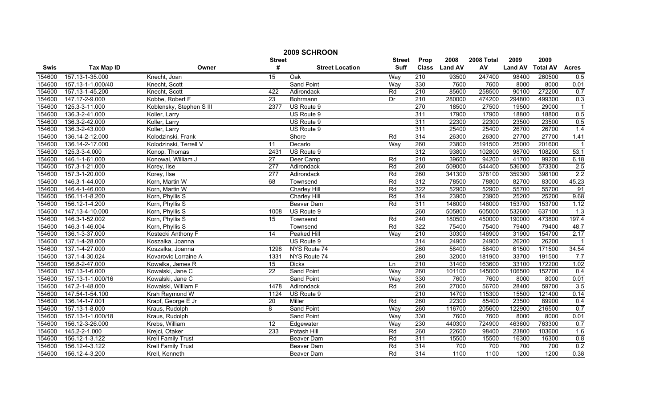|        | 2009 SCHROON      |                           |                  |                        |               |                  |               |            |                |                 |                  |  |
|--------|-------------------|---------------------------|------------------|------------------------|---------------|------------------|---------------|------------|----------------|-----------------|------------------|--|
|        |                   |                           | <b>Street</b>    |                        | <b>Street</b> | Prop             | 2008          | 2008 Total | 2009           | 2009            |                  |  |
| Swis   | <b>Tax Map ID</b> | Owner                     | #                | <b>Street Location</b> | <b>Suff</b>   |                  | Class Land AV | AV         | <b>Land AV</b> | <b>Total AV</b> | <b>Acres</b>     |  |
| 154600 | 157.13-1-35.000   | Knecht, Joan              | 15               | Oak                    | Way           | 210              | 93500         | 247400     | 98400          | 260500          | 0.5              |  |
| 154600 | 157.13-1-1.000/40 | Knecht, Scott             |                  | <b>Sand Point</b>      | Way           | 330              | 7600          | 7600       | 8000           | 8000            | 0.01             |  |
| 154600 | 157.13-1-45.200   | Knecht, Scott             | 422              | Adirondack             | Rd            | $\overline{210}$ | 85600         | 258500     | 90100          | 272200          | 0.7              |  |
| 154600 | 147.17-2-9.000    | Kobbe, Robert F           | $\overline{23}$  | Bohrmann               | Dr            | 210              | 280000        | 474200     | 294800         | 499300          | 0.3              |  |
| 154600 | 125.3-3-11.000    | Koblensky, Stephen S III  | 2377             | US Route 9             |               | 270              | 18500         | 27500      | 19500          | 29000           | $\overline{1}$   |  |
| 154600 | 136.3-2-41.000    | Koller, Larry             |                  | US Route 9             |               | 311              | 17900         | 17900      | 18800          | 18800           | 0.5              |  |
| 154600 | 136.3-2-42.000    | Koller, Larry             |                  | US Route 9             |               | 311              | 22300         | 22300      | 23500          | 23500           | 0.5              |  |
| 154600 | 136.3-2-43.000    | Koller, Larry             |                  | US Route 9             |               | 311              | 25400         | 25400      | 26700          | 26700           | 1.4              |  |
| 154600 | 136.14-2-12.000   | Kolodzinski, Frank        |                  | Shore                  | Rd            | 314              | 26300         | 26300      | 27700          | 27700           | 1.41             |  |
| 154600 | 136.14-2-17.000   | Kolodzinski, Terrell V    | 11               | Decarlo                | Way           | 260              | 23800         | 191500     | 25000          | 201600          |                  |  |
| 154600 | 125.3-3-4.000     | Konop, Thomas             | 2431             | US Route 9             |               | 312              | 93800         | 102800     | 98700          | 108200          | 53.1             |  |
| 154600 | 146.1-1-61.000    | Konowal, William J        | $\overline{27}$  | Deer Camp              | Rd            | $\overline{210}$ | 39600         | 94200      | 41700          | 99200           | 6.18             |  |
| 154600 | 157.3-1-21.000    | Korey, Ilse               | $\overline{277}$ | Adirondack             | Rd            | 260              | 509000        | 544400     | 536000         | 573300          | 2.5              |  |
| 154600 | 157.3-1-20.000    | Korey, Ilse               | $\overline{277}$ | Adirondack             | Rd            | 260              | 341300        | 378100     | 359300         | 398100          | 2.2              |  |
| 154600 | 146.3-1-44.000    | Korn, Martin W            | 68               | Townsend               | Rd            | $\overline{312}$ | 78500         | 78800      | 82700          | 83000           | 45.23            |  |
| 154600 | 146.4-1-46.000    | Korn, Martin W            |                  | Charley Hill           | Rd            | 322              | 52900         | 52900      | 55700          | 55700           | 91               |  |
| 154600 | 156.11-1-8.200    | Korn, Phyllis S           |                  | Charley Hill           | Rd            | 314              | 23900         | 23900      | 25200          | 25200           | 9.68             |  |
| 154600 | 156.12-1-4.200    | Korn, Phyllis S           |                  | <b>Beaver Dam</b>      | Rd            | 311              | 146000        | 146000     | 153700         | 153700          | 1.12             |  |
| 154600 | 147.13-4-10.000   | Korn, Phyllis S           | 1008             | US Route 9             |               | 260              | 505800        | 605000     | 532600         | 637100          | $\overline{1.3}$ |  |
| 154600 | 146.3-1-52.002    | Korn, Phyllis S           | 15               | Townsend               | Rd            | 240              | 180500        | 450000     | 190000         | 473800          | 197.4            |  |
| 154600 | 146.3-1-46.004    | Korn, Phyllis S           |                  | Townsend               | Rd            | 322              | 75400         | 75400      | 79400          | 79400           | 48.7             |  |
| 154600 | 136.1-3-37.000    | Kostecki Anthony F        | 14               | <b>Peaked Hill</b>     | Way           | $\overline{210}$ | 30300         | 146900     | 31900          | 154700          | 2.17             |  |
| 154600 | 137.1-4-28.000    | Koszalka, Joanna          |                  | US Route 9             |               | 314              | 24900         | 24900      | 26200          | 26200           |                  |  |
| 154600 | 137.1-4-27.000    | Koszalka, Joanna          | 1298             | NYS Route 74           |               | 260              | 58400         | 58400      | 61500          | 171500          | 34.54            |  |
| 154600 | 137.1-4-30.024    | Kovarovic Lorraine A      | 1331             | NYS Route 74           |               | 280              | 32000         | 181900     | 33700          | 191500          | 7.7              |  |
| 154600 | 156.8-2-47.000    | Kowalka, James R          | 15               | <b>Dicks</b>           | Ln            | $\overline{210}$ | 31400         | 163600     | 33100          | 172200          | 1.02             |  |
| 154600 | 157.13-1-6.000    | Kowalski, Jane C          | $\overline{22}$  | Sand Point             | Way           | 260              | 101100        | 145000     | 106500         | 152700          | 0.4              |  |
| 154600 | 157.13-1-1.000/16 | Kowalski, Jane C          |                  | Sand Point             | Way           | 330              | 7600          | 7600       | 8000           | 8000            | 0.01             |  |
| 154600 | 147.2-1-48.000    | Kowalski, William F       | 1478             | Adirondack             | Rd            | 260              | 27000         | 56700      | 28400          | 59700           | 3.5              |  |
| 154600 | 147.54-1-54.100   | Krah Raymond W            | 1124             | US Route 9             |               | 210              | 14700         | 115300     | 15500          | 121400          | 0.14             |  |
| 154600 | 136.14-1-7.001    | Krapf, George E Jr        | 20               | Miller                 | Rd            | 260              | 22300         | 85400      | 23500          | 89900           | 0.4              |  |
| 154600 | 157.13-1-8.000    | Kraus, Rudolph            | 8                | Sand Point             | Way           | 260              | 116700        | 205600     | 122900         | 216500          | 0.7              |  |
| 154600 | 157.13-1-1.000/18 | Kraus, Rudolph            |                  | <b>Sand Point</b>      | Way           | 330              | 7600          | 7600       | 8000           | 8000            | 0.01             |  |
| 154600 | 156.12-3-26.000   | Krebs, William            | 12               | Edgewater              | Way           | 230              | 440300        | 724900     | 463600         | 763300          | 0.7              |  |
| 154600 | 145.2-2-1.000     | Krejci, Otaker            | 233              | Potash Hill            | Rd            | 260              | 22600         | 98400      | 23800          | 103600          | 1.6              |  |
| 154600 | 156.12-1-3.122    | <b>Krell Family Trust</b> |                  | Beaver Dam             | Rd            | 311              | 15500         | 15500      | 16300          | 16300           | 0.8              |  |
| 154600 | 156.12-4-3.122    | Krell Family Trust        |                  | Beaver Dam             | Rd            | 314              | 700           | 700        | 700            | 700             | 0.2              |  |
| 154600 | 156.12-4-3.200    | Krell, Kenneth            |                  | Beaver Dam             | Rd            | 314              | 1100          | 1100       | 1200           | 1200            | 0.38             |  |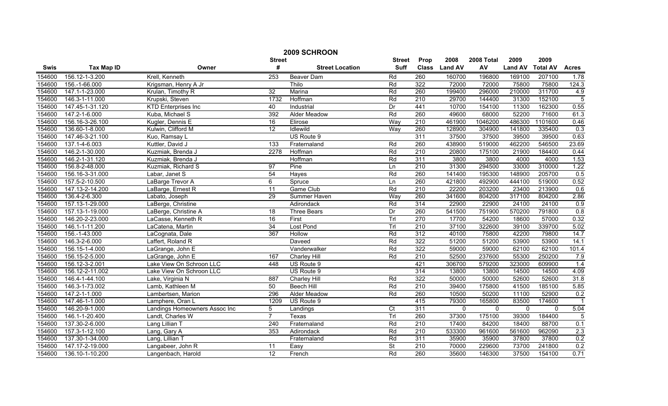|        | 2009 SCHROON      |                               |                 |                        |                 |                  |                |             |                |                 |                |  |
|--------|-------------------|-------------------------------|-----------------|------------------------|-----------------|------------------|----------------|-------------|----------------|-----------------|----------------|--|
|        |                   |                               | <b>Street</b>   |                        | <b>Street</b>   | Prop             | 2008           | 2008 Total  | 2009           | 2009            |                |  |
| Swis   | <b>Tax Map ID</b> | Owner                         | #               | <b>Street Location</b> | <b>Suff</b>     | <b>Class</b>     | <b>Land AV</b> | AV          | <b>Land AV</b> | <b>Total AV</b> | <b>Acres</b>   |  |
| 154600 | 156.12-1-3.200    | Krell, Kenneth                | 253             | Beaver Dam             | Rd              | 260              | 160700         | 196800      | 169100         | 207100          | 1.78           |  |
| 154600 | 156.-1-66.000     | Krigsman, Henry A Jr          |                 | Thilo                  | Rd              | 322              | 72000          | 72000       | 75800          | 75800           | 124.3          |  |
| 154600 | 147.1-1-23.000    | Krulan, Timothy R             | 32              | Marina                 | Rd              | 260              | 199400         | 296000      | 210000         | 311700          | 4.9            |  |
| 154600 | 146.3-1-11.000    | Krupski, Steven               | 1732            | Hoffman                | Rd              | 210              | 29700          | 144400      | 31300          | 152100          | $\overline{5}$ |  |
| 154600 | 147.45-1-31.120   | <b>KTD Enterprises Inc</b>    | 40              | Industrial             | Dr              | 441              | 10700          | 154100      | 11300          | 162300          | 0.55           |  |
| 154600 | 147.2-1-6.000     | Kuba, Michael S               | 392             | <b>Alder Meadow</b>    | Rd              | 260              | 49600          | 68000       | 52200          | 71600           | 61.3           |  |
| 154600 | 156.16-3-26.100   | Kugler, Dennis E              | 16              | Elirose                | Way             | 210              | 461900         | 1046200     | 486300         | 1101600         | 0.46           |  |
| 154600 | 136.60-1-8.000    | Kulwin, Clifford M            | $\overline{12}$ | Idlewild               | Way             | 260              | 128900         | 304900      | 141800         | 335400          | 0.3            |  |
| 154600 | 147.46-3-21.100   | Kuo, Ramsay L                 |                 | US Route 9             |                 | 311              | 37500          | 37500       | 39500          | 39500           | 0.63           |  |
| 154600 | 137.1-4-6.003     | Kuttler, David J              | 133             | Fraternaland           | Rd              | 260              | 438900         | 519000      | 462200         | 546500          | 23.69          |  |
| 154600 | 146.2-1-30.000    | Kuzmiak, Brenda J             | 2278            | Hoffman                | Rd              | $\overline{210}$ | 20800          | 175100      | 21900          | 184400          | 0.44           |  |
| 154600 | 146.2-1-31.120    | Kuzmiak, Brenda J             |                 | Hoffman                | Rd              | 311              | 3800           | 3800        | 4000           | 4000            | 1.53           |  |
| 154600 | 156.8-2-48.000    | Kuzmiak, Richard S            | 97              | Pine                   | Ln              | 210              | 31300          | 294500      | 33000          | 310000          | 1.22           |  |
| 154600 | 156.16-3-31.000   | Labar, Janet S                | 54              | Hayes                  | Rd              | 260              | 141400         | 195300      | 148900         | 205700          | 0.5            |  |
| 154600 | 157.5-2-10.500    | LaBarge Trevor A              | 6               | Spruce                 | Ln              | 260              | 421800         | 492900      | 444100         | 519000          | 0.52           |  |
| 154600 | 147.13-2-14.200   | LaBarge, Ernest R             | $\overline{11}$ | Game Club              | Rd              | $\overline{210}$ | 22200          | 203200      | 23400          | 213900          | 0.6            |  |
| 154600 | 136.4-2-6.300     | Labato, Joseph                | 29              | Summer Haven           | Way             | 260              | 341600         | 804200      | 317100         | 804200          | 2.86           |  |
| 154600 | 157.13-1-29.000   | LaBerge, Christine            |                 | Adirondack             | Rd              | 314              | 22900          | 22900       | 24100          | 24100           | 0.9            |  |
| 154600 | 157.13-1-19.000   | LaBerge, Christine A          | 18              | <b>Three Bears</b>     | Dr              | 260              | 541500         | 751900      | 570200         | 791800          | 0.8            |  |
| 154600 | 146.20-2-23.000   | LaCasse, Kenneth R            | 16              | First                  | Trl             | 270              | 17700          | 54200       | 18600          | 57000           | 0.32           |  |
| 154600 | 146.1-1-11.200    | LaCatena, Martin              | 34              | Lost Pond              | Trl             | $\overline{210}$ | 37100          | 322600      | 39100          | 339700          | 5.02           |  |
| 154600 | 156.-1-43.000     | LaCognata, Dale               | 367             | Hollow                 | Rd              | 312              | 40100          | 75800       | 42200          | 79800           | 14.7           |  |
| 154600 | 146.3-2-6.000     | Laffert, Roland R             |                 | Daveed                 | Rd              | 322              | 51200          | 51200       | 53900          | 53900           | 14.1           |  |
| 154600 | 156.15-1-4.000    | LaGrange, John E              |                 | Vanderwalker           | Rd              | 322              | 59000          | 59000       | 62100          | 62100           | 101.4          |  |
| 154600 | 156.15-2-5.000    | LaGrange, John E              | 167             | Charley Hill           | Rd              | $\overline{210}$ | 52500          | 237600      | 55300          | 250200          | 7.9            |  |
| 154600 | 156.12-3-2.001    | Lake View On Schroon LLC      | 448             | US Route 9             |                 | 421              | 306700         | 579200      | 323000         | 609900          | 1.4            |  |
| 154600 | 156.12-2-11.002   | Lake View On Schroon LLC      |                 | US Route 9             |                 | 314              | 13800          | 13800       | 14500          | 14500           | 4.09           |  |
| 154600 | 146.4-1-44.100    | Lake, Virginia N              | 887             | <b>Charley Hill</b>    | Rd              | 322              | 50000          | 50000       | 52600          | 52600           | 31.8           |  |
| 154600 | 146.3-1-73.002    | Lamb, Kathleen M              | 50              | <b>Beech Hill</b>      | Rd              | 210              | 39400          | 175800      | 41500          | 185100          | 5.85           |  |
| 154600 | 147.2-1-1.000     | Lambertsen, Marion            | 296             | Alder Meadow           | Rd              | 260              | 10500          | 50200       | 11100          | 52900           | 0.2            |  |
| 154600 | 147.46-1-1.000    | Lamphere, Oran L              | 1209            | US Route 9             |                 | 415              | 79300          | 165800      | 83500          | 174600          |                |  |
| 154600 | 146.20-9-1.000    | Landings Homeowners Assoc Inc | 5               | Landings               | $\overline{C}t$ | 311              | $\mathbf 0$    | $\mathbf 0$ | $\mathbf 0$    | $\Omega$        | 5.04           |  |
| 154600 | 146.1-1-20.400    | Landt, Charles W              | $\overline{7}$  | Texas                  | Trl             | 260              | 37300          | 175100      | 39300          | 184400          | $\overline{5}$ |  |
| 154600 | 137.30-2-6.000    | Lang Lillian T                | 240             | Fraternaland           | Rd              | $\overline{210}$ | 17400          | 84200       | 18400          | 88700           | 0.1            |  |
| 154600 | 157.3-1-12.100    | Lang, Gary A                  | 353             | Adirondack             | Rd              | $\overline{210}$ | 533300         | 961600      | 561600         | 962090          | 2.3            |  |
| 154600 | 137.30-1-34.000   | Lang, Lillian T               |                 | Fraternaland           | Rd              | 311              | 35900          | 35900       | 37800          | 37800           | 0.2            |  |
| 154600 | 147.17-2-19.000   | Langabeer, John R             | 11              | Easy                   | St              | 210              | 70000          | 229600      | 73700          | 241800          | 0.2            |  |
| 154600 | 136.10-1-10.200   | Langenbach, Harold            | 12              | French                 | Rd              | 260              | 35600          | 146300      | 37500          | 154100          | 0.71           |  |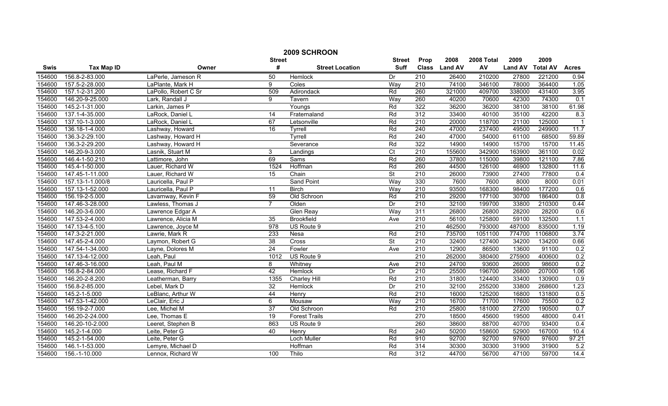|        | 2009 SCHROON      |                      |                 |                        |                          |                  |                |            |                |                 |                  |  |
|--------|-------------------|----------------------|-----------------|------------------------|--------------------------|------------------|----------------|------------|----------------|-----------------|------------------|--|
|        |                   |                      | <b>Street</b>   |                        | <b>Street</b>            | Prop             | 2008           | 2008 Total | 2009           | 2009            |                  |  |
| Swis   | <b>Tax Map ID</b> | Owner                | #               | <b>Street Location</b> | <b>Suff</b>              | <b>Class</b>     | <b>Land AV</b> | AV         | <b>Land AV</b> | <b>Total AV</b> | <b>Acres</b>     |  |
| 154600 | 156.8-2-83.000    | LaPerle, Jameson R   | 50              | Hemlock                | Dr                       | 210              | 26400          | 210200     | 27800          | 221200          | 0.94             |  |
| 154600 | 157.5-2-28.000    | LaPlante, Mark H     | 9               | Coles                  | Way                      | $\overline{210}$ | 74100          | 346100     | 78000          | 364400          | 1.05             |  |
| 154600 | 157.1-2-31.200    | LaPollo, Robert C Sr | 509             | Adirondack             | Rd                       | 260              | 321000         | 409700     | 338000         | 431400          | 3.95             |  |
| 154600 | 146.20-9-25.000   | Lark, Randall J      | 9               | Tavern                 | Way                      | 260              | 40200          | 70600      | 42300          | 74300           | 0.1              |  |
| 154600 | 145.2-1-31.000    | Larkin, James P      |                 | Youngs                 | Rd                       | 322              | 36200          | 36200      | 38100          | 38100           | 61.98            |  |
| 154600 | 137.1-4-35.000    | LaRock, Daniel L     | $\overline{14}$ | Fraternaland           | Rd                       | 312              | 33400          | 40100      | 35100          | 42200           | 8.3              |  |
| 154600 | 137.10-1-3.000    | LaRock, Daniel L     | 67              | Letsonville            | Rd                       | 210              | 20000          | 118700     | 21100          | 125000          |                  |  |
| 154600 | 136.18-1-4.000    | Lashway, Howard      | 16              | Tyrrell                | Rd                       | 240              | 47000          | 237400     | 49500          | 249900          | 11.7             |  |
| 154600 | 136.3-2-29.100    | Lashway, Howard H    |                 | Tyrrell                | Rd                       | 240              | 47000          | 54000      | 61100          | 68500           | 59.89            |  |
| 154600 | 136.3-2-29.200    | Lashway, Howard H    |                 | Severance              | Rd                       | 322              | 14900          | 14900      | 15700          | 15700           | 11.45            |  |
| 154600 | 146.20-9-3.000    | Lasnik, Stuart M     | 3               | Landings               | $\overline{C}t$          | $\overline{210}$ | 155600         | 342900     | 163900         | 361100          | 0.02             |  |
| 154600 | 146.4-1-50.210    | Lattimore, John      | 69              | Sams                   | Rd                       | 260              | 37800          | 115000     | 39800          | 121100          | 7.86             |  |
| 154600 | 145.4-1-50.000    | Lauer, Richard W     | 1524            | Hoffman                | Rd                       | 260              | 44500          | 126100     | 46900          | 132800          | 11.6             |  |
| 154600 | 147.45-1-11.000   | Lauer, Richard W     | $\overline{15}$ | Chain                  | St                       | 210              | 26000          | 73900      | 27400          | 77800           | 0.4              |  |
| 154600 | 157.13-1-1.000/8  | Lauricella, Paul P   |                 | <b>Sand Point</b>      | Way                      | 330              | 7600           | 7600       | 8000           | 8000            | 0.01             |  |
| 154600 | 157.13-1-52.000   | Lauricella, Paul P   | 11              | <b>Birch</b>           | Way                      | 210              | 93500          | 168300     | 98400          | 177200          | 0.6              |  |
| 154600 | 156.19-2-5.000    | Lavarnway, Kevin F   | 59              | Old Schroon            | Rd                       | 210              | 29200          | 177100     | 30700          | 186400          | 0.8              |  |
| 154600 | 147.46-3-28.000   | Lawless, Thomas J    | $\overline{7}$  | Olden                  | Dr                       | 210              | 32100          | 199700     | 33800          | 210300          | 0.44             |  |
| 154600 | 146.20-3-6.000    | Lawrence Edgar A     |                 | <b>Glen Reay</b>       | Way                      | 311              | 26800          | 26800      | 28200          | 28200           | 0.6              |  |
| 154600 | 147.53-2-4.000    | Lawrence, Alicia M   | 35              | <b>Brookfield</b>      | Ave                      | 210              | 56100          | 125800     | 59100          | 132500          | 1.1              |  |
| 154600 | 147.13-4-5.100    | Lawrence, Joyce M    | 978             | US Route 9             |                          | 210              | 462500         | 793000     | 487000         | 835000          | 1.19             |  |
| 154600 | 147.3-2-21.000    | Lawrie, Mark R       | 233             | Nesa                   | Rd                       | 210              | 735700         | 1051100    | 774700         | 1106800         | 3.74             |  |
| 154600 | 147.45-2-4.000    | Laymon, Robert G     | $\overline{38}$ | Cross                  | $\overline{\mathsf{St}}$ | 210              | 32400          | 127400     | 34200          | 134200          | 0.66             |  |
| 154600 | 147.54-1-34.000   | Layne, Dolores M     | 24              | Fowler                 | Ave                      | 210              | 12900          | 86500      | 13600          | 91100           | 0.2              |  |
| 154600 | 147.13-4-12.000   | Leah, Paul           | 1012            | US Route 9             |                          | 210              | 262000         | 380400     | 275900         | 400600          | 0.2              |  |
| 154600 | 147.46-3-16.000   | Leah, Paul M         | 8               | Whitney                | Ave                      | 210              | 24700          | 93600      | 26000          | 98600           | 0.2              |  |
| 154600 | 156.8-2-84.000    | Lease, Richard F     | 42              | Hemlock                | Dr                       | 210              | 25500          | 196700     | 26800          | 207000          | 1.06             |  |
| 154600 | 146.20-2-8.200    | Leatherman, Barry    | 1355            | <b>Charley Hill</b>    | Rd                       | 210              | 31800          | 124400     | 33400          | 130900          | 0.9              |  |
| 154600 | 156.8-2-85.000    | Lebel, Mark D        | 32              | <b>Hemlock</b>         | Dr                       | 210              | 32100          | 255200     | 33800          | 268600          | 1.23             |  |
| 154600 | 145.2-1-5.000     | LeBlanc, Arthur W    | 44              | Henry                  | Rd                       | 210              | 16000          | 125200     | 16800          | 131800          | 0.5              |  |
| 154600 | 147.53-1-42.000   | LeClair, Eric J      | 6               | Mousaw                 | Way                      | 210              | 16700          | 71700      | 17600          | 75500           | 0.2              |  |
| 154600 | 156.19-2-7.000    | Lee, Michel M        | $\overline{37}$ | Old Schroon            | Rd                       | 210              | 25800          | 181000     | 27200          | 190500          | 0.7              |  |
| 154600 | 146.20-2-24.000   | Lee, Thomas E        | 19              | <b>Forest Trails</b>   |                          | 270              | 18500          | 45600      | 19500          | 48000           | 0.41             |  |
| 154600 | 146.20-10-2.000   | Leeret, Stephen B    | 863             | US Route 9             |                          | 260              | 38600          | 88700      | 40700          | 93400           | $\overline{0.4}$ |  |
| 154600 | 145.2-1-4.000     | Leite, Peter G       | 40              | Henry                  | Rd                       | 240              | 50200          | 158600     | 52900          | 167000          | 10.4             |  |
| 154600 | 145.2-1-54.000    | Leite, Peter G       |                 | Loch Muller            | Rd                       | 910              | 92700          | 92700      | 97600          | 97600           | 97.21            |  |
| 154600 | 146.1-1-53.000    | Lemyre, Michael D    |                 | Hoffman                | Rd                       | 314              | 30300          | 30300      | 31900          | 31900           | 5.2              |  |
| 154600 | 156.-1-10.000     | Lennox, Richard W    | 100             | Thilo                  | Rd                       | 312              | 44700          | 56700      | 47100          | 59700           | 14.4             |  |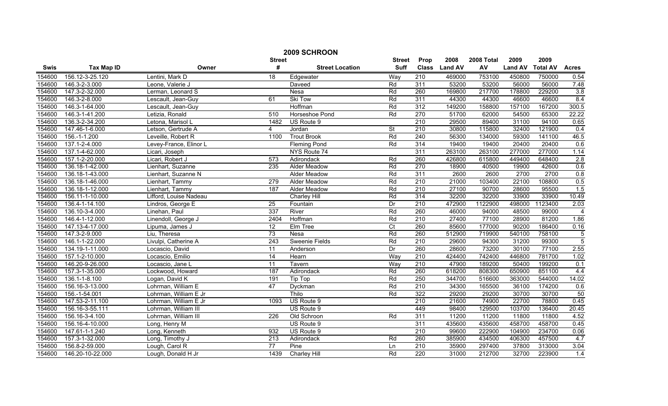| 2009 SCHROON |                   |                        |                  |                        |                 |                  |                |            |                |                 |                  |
|--------------|-------------------|------------------------|------------------|------------------------|-----------------|------------------|----------------|------------|----------------|-----------------|------------------|
|              |                   |                        | <b>Street</b>    |                        | <b>Street</b>   | Prop             | 2008           | 2008 Total | 2009           | 2009            |                  |
| <b>Swis</b>  | <b>Tax Map ID</b> | Owner                  | #                | <b>Street Location</b> | <b>Suff</b>     | <b>Class</b>     | <b>Land AV</b> | AV         | <b>Land AV</b> | <b>Total AV</b> | <b>Acres</b>     |
| 154600       | 156.12-3-25.120   | Lentini, Mark D        | $\overline{18}$  | Edgewater              | Way             | $\overline{210}$ | 469000         | 753100     | 450800         | 750000          | 0.54             |
| 154600       | 146.3-2-3.000     | Leone, Valerie J       |                  | <b>Daveed</b>          | Rd              | 311              | 53200          | 53200      | 56000          | 56000           | 7.48             |
| 154600       | 147.3-2-32.000    | Lerman, Leonard S      |                  | <b>Nesa</b>            | Rd              | 260              | 169800         | 217700     | 178800         | 229200          | 3.8              |
| 154600       | 146.3-2-8.000     | Lescault, Jean-Guy     | 61               | Ski Tow                | Rd              | 311              | 44300          | 44300      | 46600          | 46600           | 8.4              |
| 154600       | 146.3-1-64.000    | Lescault, Jean-Guy     |                  | Hoffman                | Rd              | 312              | 149200         | 158800     | 157100         | 167200          | 300.5            |
| 154600       | 146.3-1-41.200    | Letizia, Ronald        | 510              | Horseshoe Pond         | Rd              | 270              | 51700          | 62000      | 54500          | 65300           | 22.22            |
| 154600       | 136.3-2-34.200    | Letona, Marisol L      | 1482             | US Route 9             |                 | 210              | 29500          | 89400      | 31100          | 94100           | 0.65             |
| 154600       | 147.46-1-6.000    | Letson, Gertrude A     | 4                | Jordan                 | <b>St</b>       | 210              | 30800          | 115800     | 32400          | 121900          | 0.4              |
| 154600       | 156.-1-1.200      | Leveille, Robert R     | 1100             | <b>Trout Brook</b>     | Rd              | 240              | 56300          | 134000     | 59300          | 141100          | 46.5             |
| 154600       | 137.1-2-4.000     | Levey-France, Elinor L |                  | <b>Fleming Pond</b>    | Rd              | 314              | 19400          | 19400      | 20400          | 20400           | 0.6              |
| 154600       | 137.1-4-62.000    | Licari, Joseph         |                  | NYS Route 74           |                 | 311              | 263100         | 263100     | 277000         | 277000          | 1.14             |
| 154600       | 157.1-2-20.000    | Licari, Robert J       | $\overline{573}$ | Adirondack             | Rd              | 260              | 426800         | 615800     | 449400         | 648400          | 2.8              |
| 154600       | 136.18-1-42.000   | Lienhart, Suzanne      | 235              | <b>Alder Meadow</b>    | Rd              | 270              | 18900          | 40500      | 19900          | 42600           | 0.6              |
| 154600       | 136.18-1-43.000   | Lienhart, Suzanne N    |                  | Alder Meadow           | Rd              | 311              | 2600           | 2600       | 2700           | 2700            | 0.8              |
| 154600       | 136.18-1-46.000   | Lienhart, Tammy        | 279              | Alder Meadow           | Rd              | 210              | 21000          | 103400     | 22100          | 108800          | 0.5              |
| 154600       | 136.18-1-12.000   | Lienhart, Tammy        | 187              | Alder Meadow           | Rd              | $\overline{210}$ | 27100          | 90700      | 28600          | 95500           | 1.5              |
| 154600       | 156.11-1-10.000   | Lifford, Louise Nadeau |                  | Charley Hill           | Rd              | 314              | 32200          | 32200      | 33900          | 33900           | 10.49            |
| 154600       | 136.4-1-14.100    | Lindros, George E      | 25               | Fountain               | $\overline{Dr}$ | 210              | 472900         | 1122900    | 498000         | 1123400         | 2.03             |
| 154600       | 136.10-3-4.000    | Linehan, Paul          | 337              | River                  | Rd              | 260              | 46000          | 94000      | 48500          | 99000           | $\overline{4}$   |
| 154600       | 146.4-1-12.000    | Linendoll, George J    | 2404             | Hoffman                | Rd              | 210              | 27400          | 77100      | 28900          | 81200           | 1.86             |
| 154600       | 147.13-4-17.000   | Lipuma, James J        | 12               | Elm Tree               | $\overline{C}t$ | 260              | 85600          | 177000     | 90200          | 186400          | 0.16             |
| 154600       | 147.3-2-9.000     | Liu, Theresa           | 73               | Nesa                   | Rd              | 260              | 512900         | 719900     | 540100         | 758100          | $\overline{5}$   |
| 154600       | 146.1-1-22.000    | Livulpi, Catherine A   | 243              | <b>Sweenie Fields</b>  | Rd              | 210              | 29600          | 94300      | 31200          | 99300           | $\overline{5}$   |
| 154600       | 134.19-1-11.000   | Locascio, David        | 11               | Anderson               | Dr              | 260              | 28600          | 73200      | 30100          | 77100           | 2.55             |
| 154600       | 157.1-2-10.000    | Locascio, Emilio       | $\overline{14}$  | Hearn                  | Way             | 210              | 424400         | 742400     | 446800         | 781700          | 1.02             |
| 154600       | 146.20-9-26.000   | Locascio, Jane L       | 11               | Tavern                 | Way             | $\overline{210}$ | 47900          | 189200     | 50400          | 199200          | 0.1              |
| 154600       | 157.3-1-35.000    | Lockwood, Howard       | 187              | Adirondack             | Rd              | 260              | 618200         | 808300     | 650900         | 851100          | 4.4              |
| 154600       | 136.1-1-8.100     | Logan, David K         | 191              | <b>Tip Top</b>         | Rd              | 250              | 344700         | 516600     | 363000         | 544000          | 14.02            |
| 154600       | 156.16-3-13.000   | Lohrman, William E     | 47               | Dyckman                | Rd              | 210              | 34300          | 165500     | 36100          | 174200          | 0.6              |
| 154600       | 156.-1-54.001     | Lohrman, William E Jr  |                  | Thilo                  | Rd              | 322              | 29200          | 29200      | 30700          | 30700           | 50               |
| 154600       | 147.53-2-11.100   | Lohrman, William E Jr  | 1093             | US Route 9             |                 | 210              | 21600          | 74900      | 22700          | 78800           | 0.45             |
| 154600       | 156.16-3-55.111   | Lohrman, William III   |                  | US Route 9             |                 | 449              | 98400          | 129500     | 103700         | 136400          | 20.45            |
| 154600       | 156.16-3-4.100    | Lohrman, William III   | 226              | Old Schroon            | Rd              | 311              | 11200          | 11200      | 11800          | 11800           | 4.52             |
| 154600       | 156.16-4-10.000   | Long, Henry M          |                  | US Route 9             |                 | $\overline{311}$ | 435600         | 435600     | 458700         | 458700          | 0.45             |
| 154600       | 147.61-1-1.240    | Long, Kenneth          | 932              | US Route 9             |                 | 210              | 99600          | 222900     | 104900         | 234700          | 0.06             |
| 154600       | 157.3-1-32.000    | Long, Timothy J        | 213              | Adirondack             | Rd              | 260              | 385900         | 434500     | 406300         | 457500          | 4.7              |
| 154600       | 156.8-2-59.000    | Lough, Carol R         | $\overline{77}$  | Pine                   | Ln              | 210              | 35900          | 297400     | 37800          | 313000          | 3.04             |
| 154600       | 146.20-10-22.000  | Lough, Donald H Jr     | 1439             | <b>Charley Hill</b>    | Rd              | 220              | 31000          | 212700     | 32700          | 223900          | $\overline{1.4}$ |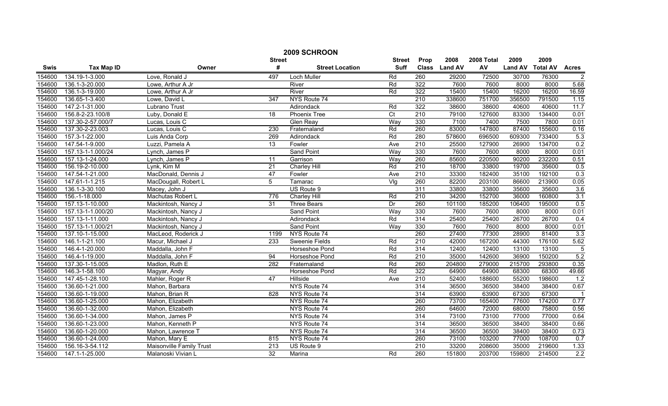|             | 2009 SCHROON      |                          |                  |                        |                |                  |               |            |                |                 |                |
|-------------|-------------------|--------------------------|------------------|------------------------|----------------|------------------|---------------|------------|----------------|-----------------|----------------|
|             |                   |                          | <b>Street</b>    |                        | <b>Street</b>  | Prop             | 2008          | 2008 Total | 2009           | 2009            |                |
| <b>Swis</b> | <b>Tax Map ID</b> | Owner                    | #                | <b>Street Location</b> | <b>Suff</b>    |                  | Class Land AV | AV         | <b>Land AV</b> | <b>Total AV</b> | <b>Acres</b>   |
| 154600      | 134.19-1-3.000    | Love, Ronald J           | 497              | Loch Muller            | Rd             | 260              | 29200         | 72500      | 30700          | 76300           | $\overline{c}$ |
| 154600      | 136.1-3-20.000    | Lowe, Arthur A Jr        |                  | River                  | Rd             | 322              | 7600          | 7600       | 8000           | 8000            | 5.68           |
| 154600      | 136.1-3-19.000    | Lowe, Arthur A Jr        |                  | River                  | Rd             | 322              | 15400         | 15400      | 16200          | 16200           | 16.59          |
| 154600      | 136.65-1-3.400    | Lowe, David L            | $\overline{347}$ | NYS Route 74           |                | 210              | 338600        | 751700     | 356500         | 791500          | 1.15           |
| 154600      | 147.2-1-31.000    | Lubrano Trust            |                  | Adirondack             | Rd             | 322              | 38600         | 38600      | 40600          | 40600           | 11.7           |
| 154600      | 156.8-2-23.100/8  | Luby, Donald E           | 18               | <b>Phoenix Tree</b>    | $\overline{C}$ | 210              | 79100         | 127600     | 83300          | 134400          | 0.01           |
| 154600      | 137.30-2-57.000/7 | Lucas, Louis C           |                  | <b>Glen Reay</b>       | Way            | 330              | 7100          | 7400       | 7500           | 7800            | 0.01           |
| 154600      | 137.30-2-23.003   | Lucas, Louis C           | 230              | Fraternaland           | Rd             | 260              | 83000         | 147800     | 87400          | 155600          | 0.16           |
| 154600      | 157.3-1-22.000    | Luis Anda Corp           | 269              | Adirondack             | Rd             | 280              | 578600        | 696500     | 609300         | 733400          | 5.3            |
| 154600      | 147.54-1-9.000    | Luzzi, Pamela A          | 13               | Fowler                 | Ave            | $\overline{210}$ | 25500         | 127900     | 26900          | 134700          | 0.2            |
| 154600      | 157.13-1-1.000/24 | Lynch, James P           |                  | Sand Point             | Way            | 330              | 7600          | 7600       | 8000           | 8000            | 0.01           |
| 154600      | 157.13-1-24.000   | Lynch, James P           | 11               | Garrison               | Way            | 260              | 85600         | 220500     | 90200          | 232200          | 0.51           |
| 154600      | 156.19-2-10.000   | Lynk, Kim M              | 21               | Charley Hill           | Rd             | 210              | 18700         | 33800      | 19700          | 35600           | 0.5            |
| 154600      | 147.54-1-21.000   | MacDonald, Dennis J      | 47               | Fowler                 | Ave            | 210              | 33300         | 182400     | 35100          | 192100          | 0.3            |
| 154600      | 147.61-1-1.215    | MacDougall, Robert L     | 5                | Tamarac                | Vlg            | 260              | 82200         | 203100     | 86600          | 213900          | 0.05           |
| 154600      | 136.1-3-30.100    | Macey, John J            |                  | US Route 9             |                | 311              | 33800         | 33800      | 35600          | 35600           | 3.6            |
| 154600      | 156.-1-18.000     | Machutas Robert L        | 776              | <b>Charley Hill</b>    | Rd             | $\overline{210}$ | 34200         | 152700     | 36000          | 160800          | 3.1            |
| 154600      | 157.13-1-10.000   | Mackintosh, Nancy J      | 31               | <b>Three Bears</b>     | Dr             | 260              | 101100        | 185200     | 106400         | 195000          | 0.5            |
| 154600      | 157.13-1-1.000/20 | Mackintosh, Nancy J      |                  | <b>Sand Point</b>      | Way            | 330              | 7600          | 7600       | 8000           | 8000            | 0.01           |
| 154600      | 157.13-1-11.000   | Mackintosh, Nancy J      |                  | Adirondack             | Rd             | 314              | 25400         | 25400      | 26700          | 26700           | 0.4            |
| 154600      | 157.13-1-1.000/21 | Mackintosh, Nancy J      |                  | Sand Point             | Way            | 330              | 7600          | 7600       | 8000           | 8000            | 0.01           |
| 154600      | 137.10-1-15.000   | MacLeod, Roderick J      | 1199             | NYS Route 74           |                | 260              | 27400         | 77300      | 28900          | 81400           | 3.3            |
| 154600      | 146.1-1-21.100    | Macur, Michael J         | 233              | <b>Sweenie Fields</b>  | Rd             | $\overline{210}$ | 42000         | 167200     | 44300          | 176100          | 5.62           |
| 154600      | 146.4-1-20.000    | Maddalla, John F         |                  | Horseshoe Pond         | Rd             | 314              | 12400         | 12400      | 13100          | 13100           | $\overline{5}$ |
| 154600      | 146.4-1-19.000    | Maddalla, John F         | 94               | Horseshoe Pond         | Rd             | $\overline{210}$ | 35000         | 142600     | 36900          | 150200          | 5.2            |
| 154600      | 137.30-1-15.005   | Madlon, Ruth E           | 282              | Fraternaland           | Rd             | 260              | 204800        | 279000     | 215700         | 293800          | 0.35           |
| 154600      | 146.3-1-58.100    | Magyar, Andy             |                  | Horseshoe Pond         | Rd             | 322              | 64900         | 64900      | 68300          | 68300           | 49.66          |
| 154600      | 147.45-1-28.100   | Mahler, Roger R          | 47               | Hillside               | Ave            | $\overline{210}$ | 52400         | 188600     | 55200          | 198600          | 1.2            |
| 154600      | 136.60-1-21.000   | Mahon, Barbara           |                  | NYS Route 74           |                | 314              | 36500         | 36500      | 38400          | 38400           | 0.67           |
| 154600      | 136.60-1-19.000   | Mahon, Brian R           | 828              | NYS Route 74           |                | 314              | 63900         | 63900      | 67300          | 67300           |                |
| 154600      | 136.60-1-25.000   | Mahon, Elizabeth         |                  | NYS Route 74           |                | 260              | 73700         | 165400     | 77600          | 174200          | 0.77           |
| 154600      | 136.60-1-32.000   | Mahon, Elizabeth         |                  | NYS Route 74           |                | 260              | 64600         | 72000      | 68000          | 75800           | 0.56           |
| 154600      | 136.60-1-34.000   | Mahon, James P           |                  | NYS Route 74           |                | 314              | 73100         | 73100      | 77000          | 77000           | 0.64           |
| 154600      | 136.60-1-23.000   | Mahon, Kenneth P         |                  | NYS Route 74           |                | 314              | 36500         | 36500      | 38400          | 38400           | 0.66           |
| 154600      | 136.60-1-20.000   | Mahon, Lawrence T        |                  | NYS Route 74           |                | 314              | 36500         | 36500      | 38400          | 38400           | 0.73           |
| 154600      | 136.60-1-24.000   | Mahon, Mary E            | 815              | NYS Route 74           |                | 260              | 73100         | 103200     | 77000          | 108700          | 0.7            |
| 154600      | 156.16-3-54.112   | Maisonville Family Trust | 213              | US Route 9             |                | 210              | 33200         | 208600     | 35000          | 219600          | 1.33           |
| 154600      | 147.1-1-25.000    | Malanoski Vivian L       | 32               | Marina                 | Rd             | 260              | 151800        | 203700     | 159800         | 214500          | 2.2            |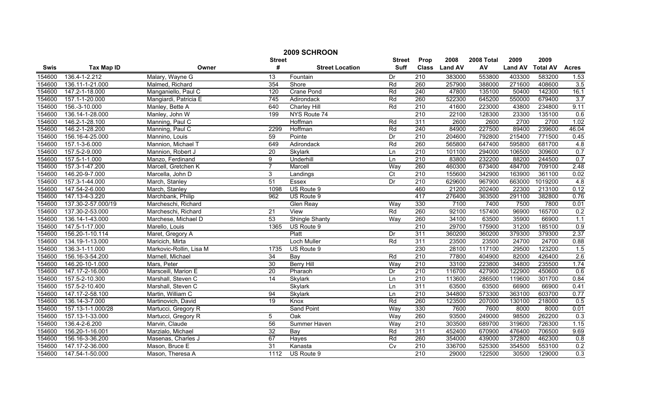|        | 2009 SCHROON       |                         |                 |                        |                  |                  |                |            |                |                 |              |  |
|--------|--------------------|-------------------------|-----------------|------------------------|------------------|------------------|----------------|------------|----------------|-----------------|--------------|--|
|        |                    |                         | <b>Street</b>   |                        | <b>Street</b>    | Prop             | 2008           | 2008 Total | 2009           | 2009            |              |  |
| Swis   | <b>Tax Map ID</b>  | Owner                   | #               | <b>Street Location</b> | <b>Suff</b>      | <b>Class</b>     | <b>Land AV</b> | AV         | <b>Land AV</b> | <b>Total AV</b> | <b>Acres</b> |  |
| 154600 | 136.4-1-2.212      | Malary, Wayne G         | $\overline{13}$ | Fountain               | Dr               | $\overline{210}$ | 383000         | 553800     | 403300         | 583200          | 1.53         |  |
| 154600 | 136.11-1-21.000    | Malmed, Richard         | 354             | Shore                  | Rd               | 260              | 257900         | 388000     | 271600         | 408600          | 3.5          |  |
| 154600 | 147.2-1-18.000     | Manganiello, Paul C     | 120             | Crane Pond             | Rd               | 240              | 47800          | 135100     | 50400          | 142300          | 16.1         |  |
| 154600 | 157.1-1-20.000     | Mangiardi, Patricia E   | 745             | Adirondack             | Rd               | 260              | 522300         | 645200     | 550000         | 679400          | 3.7          |  |
| 154600 | 156.-3-10.000      | Manley, Bette A         | 640             | <b>Charley Hill</b>    | Rd               | 210              | 41600          | 223000     | 43800          | 234800          | 9.11         |  |
| 154600 | 136.14-1-28.000    | Manley, John W          | 199             | NYS Route 74           |                  | 210              | 22100          | 128300     | 23300          | 135100          | 0.6          |  |
| 154600 | 146.2-1-28.100     | Manning, Paul C         |                 | Hoffman                | Rd               | 311              | 2600           | 2600       | 2700           | 2700            | 1.02         |  |
| 154600 | 146.2-1-28.200     | Manning, Paul C         | 2299            | Hoffman                | Rd               | 240              | 84900          | 227500     | 89400          | 239600          | 46.04        |  |
| 154600 | 156.16-4-25.000    | Mannino, Louis          | 59              | Pointe                 | Dr               | 210              | 204600         | 792800     | 215400         | 771500          | 0.45         |  |
| 154600 | 157.1-3-6.000      | Mannion, Michael T      | 649             | Adirondack             | Rd               | 260              | 565800         | 647400     | 595800         | 681700          | 4.8          |  |
| 154600 | 157.5-2-9.000      | Mannion, Robert J       | $\overline{20}$ | Skylark                | Ln               | 210              | 101100         | 294000     | 106500         | 309600          | 0.7          |  |
| 154600 | 157.5-1-1.000      | Manzo, Ferdinand        | 9               | Underhill              | $\overline{\ln}$ | 210              | 83800          | 232200     | 88200          | 244500          | 0.7          |  |
| 154600 | 157.3-1-47.200     | Marcell, Gretchen K     | $\overline{7}$  | Marcell                | Way              | 260              | 460300         | 673400     | 484700         | 709100          | 2.48         |  |
| 154600 | 146.20-9-7.000     | Marcella, John D        | 3               | Landings               | Ct               | 210              | 155600         | 342900     | 163900         | 361100          | 0.02         |  |
| 154600 | 157.3-1-44.000     | March, Stanley          | 51              | Essex                  | Dr               | $\overline{210}$ | 629600         | 967900     | 663000         | 1019200         | 4.8          |  |
| 154600 | 147.54-2-6.000     | March, Stanley          | 1098            | US Route 9             |                  | 460              | 21200          | 202400     | 22300          | 213100          | 0.12         |  |
| 154600 | 147.13-4-3.220     | Marchbank, Philip       | 962             | US Route 9             |                  | 417              | 276400         | 363500     | 291100         | 382800          | 0.76         |  |
| 154600 | 137.30-2-57.000/19 | Marcheschi, Richard     |                 | Glen Reay              | Way              | 330              | 7100           | 7400       | 7500           | 7800            | 0.01         |  |
| 154600 | 137.30-2-53.000    | Marcheschi, Richard     | 21              | View                   | Rd               | 260              | 92100          | 157400     | 96900          | 165700          | 0.2          |  |
| 154600 | 136.14-1-43.000    | Marchese, Michael D     | 53              | <b>Shingle Shanty</b>  | Way              | 260              | 34100          | 63500      | 35900          | 66900           | 1.1          |  |
| 154600 | 147.5-1-17.000     | Marello, Louis          | 1365            | US Route 9             |                  | 210              | 29700          | 175900     | 31200          | 185100          | 0.9          |  |
| 154600 | 156.20-1-10.114    | Maret, Gregory A        |                 | Platt                  | Dr               | 311              | 360200         | 360200     | 379300         | 379300          | 2.37         |  |
| 154600 | 134.19-1-13.000    | Maricich, Mirta         |                 | <b>Loch Muller</b>     | Rd               | 311              | 23500          | 23500      | 24700          | 24700           | 0.88         |  |
| 154600 | 136.3-1-11.000     | Markovic-Rollin, Lisa M | 1735            | US Route 9             |                  | 230              | 28100          | 117100     | 29500          | 123200          | 1.5          |  |
| 154600 | 156.16-3-54.200    | Marnell, Michael        | 34              | Bay                    | Rd               | $\overline{210}$ | 77800          | 404900     | 82000          | 426400          | 2.6          |  |
| 154600 | 146.20-10-1.000    | Mars, Peter             | 30              | <b>Berry Hill</b>      | Way              | $\overline{210}$ | 33100          | 223800     | 34800          | 235500          | 1.74         |  |
| 154600 | 147.17-2-16.000    | Marsceill, Marion E     | 20              | Pharaoh                | Dr               | 210              | 116700         | 427900     | 122900         | 450600          | 0.6          |  |
| 154600 | 157.5-2-10.300     | Marshall, Steven C      | $\overline{14}$ | Skylark                | $\overline{\ln}$ | 210              | 113600         | 286500     | 119600         | 301700          | 0.84         |  |
| 154600 | 157.5-2-10.400     | Marshall, Steven C      |                 | Skylark                | Ln               | 311              | 63500          | 63500      | 66900          | 66900           | 0.41         |  |
| 154600 | 147.17-2-58.100    | Martin, William C       | 94              | Skylark                | Ln               | 210              | 344800         | 573300     | 363100         | 603700          | 0.77         |  |
| 154600 | 136.14-3-7.000     | Martinovich, David      | 19              | Knox                   | Rd               | 260              | 123500         | 207000     | 130100         | 218000          | 0.5          |  |
| 154600 | 157.13-1-1.000/28  | Martucci, Gregory R     |                 | Sand Point             | Way              | 330              | 7600           | 7600       | 8000           | 8000            | 0.01         |  |
| 154600 | 157.13-1-33.000    | Martucci, Gregory R     | 5               | Oak                    | Way              | 260              | 93500          | 249000     | 98500          | 262200          | 0.3          |  |
| 154600 | 136.4-2-6.200      | Marvin, Claude          | 56              | Summer Haven           | Way              | 210              | 303500         | 689700     | 319600         | 726300          | 1.15         |  |
| 154600 | 156.20-1-16.001    | Marzialo, Michael       | $\overline{32}$ | Bay                    | Rd               | 311              | 452400         | 670900     | 476400         | 706500          | 9.69         |  |
| 154600 | 156.16-3-36.200    | Masenas, Charles J      | 67              | Hayes                  | Rd               | 260              | 354000         | 439000     | 372800         | 462300          | 0.8          |  |
| 154600 | 147.17-2-36.000    | Mason, Bruce E          | $\overline{31}$ | Kanasta                | Cv               | 210              | 336700         | 525300     | 354500         | 553100          | 0.2          |  |
| 154600 | 147.54-1-50.000    | Mason, Theresa A        | 1112            | US Route 9             |                  | 210              | 29000          | 122500     | 30500          | 129000          | 0.3          |  |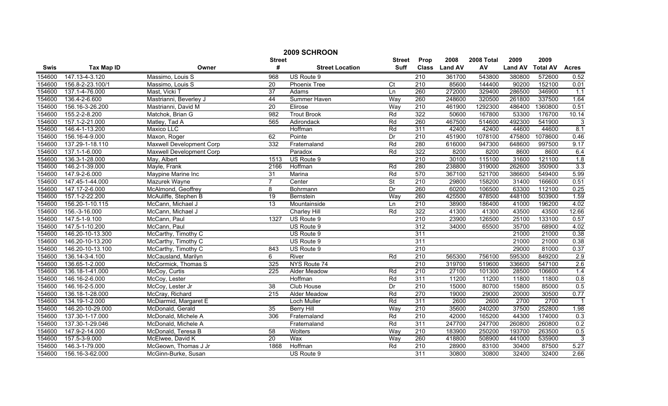|        | 2009 SCHROON      |                          |                 |                        |                          |                  |                |            |                |                 |                         |
|--------|-------------------|--------------------------|-----------------|------------------------|--------------------------|------------------|----------------|------------|----------------|-----------------|-------------------------|
|        |                   |                          | <b>Street</b>   |                        | <b>Street</b>            | Prop             | 2008           | 2008 Total | 2009           | 2009            |                         |
| Swis   | <b>Tax Map ID</b> | Owner                    | #               | <b>Street Location</b> | <b>Suff</b>              | <b>Class</b>     | <b>Land AV</b> | AV         | <b>Land AV</b> | <b>Total AV</b> | <b>Acres</b>            |
| 154600 | 147.13-4-3.120    | Massimo, Louis S         | 968             | US Route 9             |                          | $\overline{210}$ | 361700         | 543800     | 380800         | 572600          | 0.52                    |
| 154600 | 156.8-2-23.100/1  | Massimo, Louis S         | $\overline{20}$ | Phoenix Tree           | $\overline{C}$           | $\overline{210}$ | 85600          | 144400     | 90200          | 152100          | 0.01                    |
| 154600 | 137.1-4-76.000    | Mast, Vicki T            | $\overline{37}$ | Adams                  | Ln                       | 260              | 272000         | 329400     | 286500         | 346900          | $\overline{1.1}$        |
| 154600 | 136.4-2-6.600     | Mastrianni, Beverley J   | 44              | Summer Haven           | Way                      | 260              | 248600         | 320500     | 261800         | 337500          | 1.64                    |
| 154600 | 156.16-3-26.200   | Mastrianni, David M      | $\overline{20}$ | Elirose                | Way                      | 210              | 461900         | 1292300    | 486400         | 1360800         | 0.51                    |
| 154600 | 155.2-2-8.200     | Matchok, Brian G         | 982             | <b>Trout Brook</b>     | Rd                       | 322              | 50600          | 167800     | 53300          | 176700          | 10.14                   |
| 154600 | 157.1-2-21.000    | Matley, Tad A            | 565             | Adirondack             | Rd                       | 260              | 467500         | 514600     | 492300         | 541900          | 3                       |
| 154600 | 146.4-1-13.200    | Maxico LLC               |                 | Hoffman                | Rd                       | 311              | 42400          | 42400      | 44600          | 44600           | 8.1                     |
| 154600 | 156.16-4-9.000    | Maxon, Roger             | 62              | Pointe                 | Dr                       | 210              | 451900         | 1078100    | 475800         | 1078600         | 0.46                    |
| 154600 | 137.29-1-18.110   | Maxwell Development Corp | 332             | Fraternaland           | Rd                       | 280              | 616000         | 947300     | 648600         | 997500          | 9.17                    |
| 154600 | 137.1-1-6.000     | Maxwell Development Corp |                 | Paradox                | Rd                       | 322              | 8200           | 8200       | 8600           | 8600            | 6.4                     |
| 154600 | 136.3-1-28.000    | May, Albert              | 1513            | US Route 9             |                          | 210              | 30100          | 115100     | 31600          | 121100          | 1.8                     |
| 154600 | 146.2-1-39.000    | Mayle, Frank             | 2166            | Hoffman                | Rd                       | 280              | 238800         | 319000     | 262600         | 350900          | 3.3                     |
| 154600 | 147.9-2-6.000     | Maypine Marine Inc       | 31              | Marina                 | Rd                       | 570              | 367100         | 521700     | 386600         | 549400          | 5.99                    |
| 154600 | 147.45-1-44.000   | Mazurek Wayne            | $\overline{7}$  | Center                 | $\overline{\mathsf{St}}$ | $\overline{210}$ | 29800          | 158200     | 31400          | 166600          | 0.51                    |
| 154600 | 147.17-2-6.000    | McAlmond, Geoffrey       | 8               | Bohrmann               | Dr                       | 260              | 60200          | 106500     | 63300          | 112100          | 0.25                    |
| 154600 | 157.1-2-22.200    | McAuliffe, Stephen B     | 19              | Bernstein              | Way                      | 260              | 425500         | 478500     | 448100         | 503900          | 1.59                    |
| 154600 | 156.20-1-10.115   | McCann, Michael J        | 13              | Mountainside           | Ln                       | 210              | 38900          | 186400     | 41000          | 196200          | 4.02                    |
| 154600 | 156.-3-16.000     | McCann, Michael J        |                 | <b>Charley Hill</b>    | Rd                       | 322              | 41300          | 41300      | 43500          | 43500           | 12.66                   |
| 154600 | 147.5-1-9.100     | McCann, Paul             | 1327            | US Route 9             |                          | 210              | 23900          | 126500     | 25100          | 133100          | 0.57                    |
| 154600 | 147.5-1-10.200    | McCann, Paul             |                 | US Route 9             |                          | 312              | 34000          | 65500      | 35700          | 68900           | 4.02                    |
| 154600 | 146.20-10-13.300  | McCarthy, Timothy C      |                 | US Route 9             |                          | 311              |                |            | 21000          | 21000           | 0.38                    |
| 154600 | 146.20-10-13.200  | McCarthy, Timothy C      |                 | US Route 9             |                          | 311              |                |            | 21000          | 21000           | 0.38                    |
| 154600 | 146.20-10-13.100  | McCarthy, Timothy C      | 843             | US Route 9             |                          | 210              |                |            | 29000          | 81000           | 0.37                    |
| 154600 | 136.14-3-4.100    | McCausland, Marilyn      | 6               | River                  | Rd                       | $\overline{210}$ | 565300         | 756100     | 595300         | 849200          | 2.9                     |
| 154600 | 136.65-1-2.000    | McCormick, Thomas S      | 325             | NYS Route 74           |                          | $\overline{210}$ | 319700         | 519600     | 336600         | 547100          | 2.6                     |
| 154600 | 136.18-1-41.000   | McCoy, Curtis            | 225             | Alder Meadow           | Rd                       | $\overline{210}$ | 27100          | 101300     | 28500          | 106600          | 1.4                     |
| 154600 | 146.16-2-6.000    | McCoy, Lester            |                 | Hoffman                | Rd                       | 311              | 11200          | 11200      | 11800          | 11800           | 0.8                     |
| 154600 | 146.16-2-5.000    | McCoy, Lester Jr         | 38              | Club House             | Dr                       | 210              | 15000          | 80700      | 15800          | 85000           | 0.5                     |
| 154600 | 136.18-1-28.000   | McCray, Richard          | 215             | <b>Alder Meadow</b>    | Rd                       | 270              | 19000          | 29000      | 20000          | 30500           | 0.77                    |
| 154600 | 134.19-1-2.000    | McDiarmid, Margaret E    |                 | Loch Muller            | Rd                       | 311              | 2600           | 2600       | 2700           | 2700            | $\overline{\mathbf{1}}$ |
| 154600 | 146.20-10-29.000  | McDonald, Gerald         | 35              | <b>Berry Hill</b>      | Way                      | 210              | 35600          | 240200     | 37500          | 252800          | 1.98                    |
| 154600 | 137.30-1-17.000   | McDonald, Michele A      | 306             | Fraternaland           | Rd                       | 210              | 42000          | 165200     | 44300          | 174000          | 0.3                     |
| 154600 | 137.30-1-29.046   | McDonald. Michele A      |                 | Fraternaland           | Rd                       | 311              | 247700         | 247700     | 260800         | 260800          | 0.2                     |
| 154600 | 147.9-2-14.000    | McDonald, Teresa B       | 58              | Wolters                | Way                      | $\overline{210}$ | 183900         | 250200     | 193700         | 263500          | 0.5                     |
| 154600 | 157.5-3-9.000     | McElwee, David K         | 20              | Wax                    | Way                      | 260              | 418800         | 508900     | 441000         | 535900          | 3                       |
| 154600 | 146.3-1-79.000    | McGeown, Thomas J Jr     | 1868            | Hoffman                | Rd                       | 210              | 28900          | 83100      | 30400          | 87500           | 5.27                    |
| 154600 | 156.16-3-62.000   | McGinn-Burke, Susan      |                 | US Route 9             |                          | 311              | 30800          | 30800      | 32400          | 32400           | 2.66                    |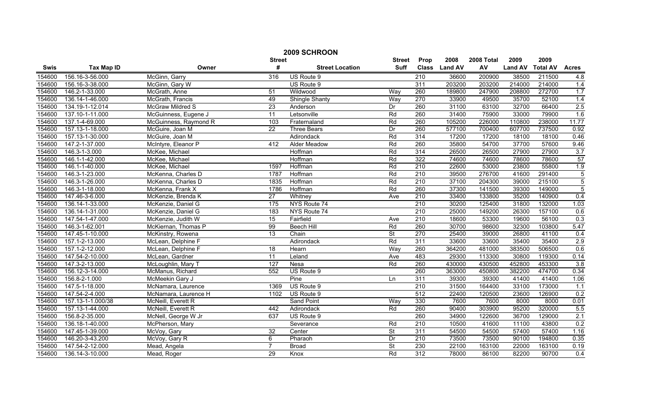|        | 2009 SCHROON      |                         |                 |                        |                          |                  |                |            |                |                 |                |  |
|--------|-------------------|-------------------------|-----------------|------------------------|--------------------------|------------------|----------------|------------|----------------|-----------------|----------------|--|
|        |                   |                         | <b>Street</b>   |                        | <b>Street</b>            | Prop             | 2008           | 2008 Total | 2009           | 2009            |                |  |
| Swis   | <b>Tax Map ID</b> | Owner                   | #               | <b>Street Location</b> | <b>Suff</b>              | <b>Class</b>     | <b>Land AV</b> | AV         | <b>Land AV</b> | <b>Total AV</b> | <b>Acres</b>   |  |
| 154600 | 156.16-3-56.000   | McGinn, Garry           | 316             | US Route 9             |                          | $\overline{210}$ | 36600          | 200900     | 38500          | 211500          | 4.8            |  |
| 154600 | 156.16-3-38.000   | McGinn, Gary W          |                 | US Route 9             |                          | $\overline{311}$ | 203200         | 203200     | 214000         | 214000          | 1.4            |  |
| 154600 | 146.2-1-33.000    | McGrath, Anne           | $\overline{51}$ | Wildwood               | Way                      | 260              | 189800         | 247900     | 208800         | 272700          | 1.7            |  |
| 154600 | 136.14-1-46.000   | McGrath, Francis        | 49              | <b>Shingle Shanty</b>  | Way                      | 270              | 33900          | 49500      | 35700          | 52100           | 1.4            |  |
| 154600 | 134.19-1-12.014   | <b>McGraw Mildred S</b> | $\overline{23}$ | Anderson               | Dr                       | 260              | 31100          | 63100      | 32700          | 66400           | 2.5            |  |
| 154600 | 137.10-1-11.000   | McGuinness, Eugene J    | 11              | Letsonville            | Rd                       | 260              | 31400          | 75900      | 33000          | 79900           | 1.6            |  |
| 154600 | 137.1-4-69.000    | McGuinness, Raymond R   | 103             | Fraternaland           | Rd                       | 260              | 105200         | 226000     | 110800         | 238000          | 11.77          |  |
| 154600 | 157.13-1-18.000   | McGuire, Joan M         | $\overline{22}$ | <b>Three Bears</b>     | Dr                       | 260              | 577100         | 700400     | 607700         | 737500          | 0.92           |  |
| 154600 | 157.13-1-30.000   | McGuire, Joan M         |                 | Adirondack             | Rd                       | 314              | 17200          | 17200      | 18100          | 18100           | 0.46           |  |
| 154600 | 147.2-1-37.000    | McIntyre, Eleanor P     | 412             | Alder Meadow           | Rd                       | 260              | 35800          | 54700      | 37700          | 57600           | 9.46           |  |
| 154600 | 146.3-1-3.000     | McKee, Michael          |                 | Hoffman                | Rd                       | 314              | 26500          | 26500      | 27900          | 27900           | 3.7            |  |
| 154600 | 146.1-1-42.000    | McKee, Michael          |                 | Hoffman                | Rd                       | 322              | 74600          | 74600      | 78600          | 78600           | 57             |  |
| 154600 | 146.1-1-40.000    | McKee, Michael          | 1597            | Hoffman                | Rd                       | 210              | 22600          | 53000      | 23800          | 55800           | 1.9            |  |
| 154600 | 146.3-1-23.000    | McKenna, Charles D      | 1787            | Hoffman                | Rd                       | 210              | 39500          | 276700     | 41600          | 291400          | $\overline{5}$ |  |
| 154600 | 146.3-1-26.000    | McKenna, Charles D      | 1835            | Hoffman                | Rd                       | $\overline{210}$ | 37100          | 204300     | 39000          | 215100          | $\overline{5}$ |  |
| 154600 | 146.3-1-18.000    | McKenna, Frank X        | 1786            | Hoffman                | Rd                       | 260              | 37300          | 141500     | 39300          | 149000          | $\overline{5}$ |  |
| 154600 | 147.46-3-6.000    | McKenzie, Brenda K      | 27              | Whitney                | Ave                      | 210              | 33400          | 133800     | 35200          | 140900          | 0.4            |  |
| 154600 | 136.14-1-33.000   | McKenzie, Daniel G      | 175             | NYS Route 74           |                          | 210              | 30200          | 125400     | 31800          | 132000          | 1.03           |  |
| 154600 | 136.14-1-31.000   | McKenzie, Daniel G      | 183             | NYS Route 74           |                          | 210              | 25000          | 149200     | 26300          | 157100          | 0.6            |  |
| 154600 | 147.54-1-47.000   | McKenzie, Judith W      | 15              | Fairfield              | Ave                      | 210              | 18600          | 53300      | 19600          | 56100           | 0.3            |  |
| 154600 | 146.3-1-62.001    | McKiernan, Thomas P     | 99              | <b>Beech Hill</b>      | Rd                       | 260              | 30700          | 98600      | 32300          | 103800          | 5.47           |  |
| 154600 | 147.45-1-10.000   | McKinstry, Rowena       | 13              | Chain                  | $\overline{\mathsf{St}}$ | 270              | 25400          | 39000      | 26800          | 41100           | 0.4            |  |
| 154600 | 157.1-2-13.000    | McLean, Delphine F      |                 | Adirondack             | Rd                       | 311              | 33600          | 33600      | 35400          | 35400           | 2.9            |  |
| 154600 | 157.1-2-12.000    | McLean, Delphine F      | 18              | Hearn                  | Way                      | 260              | 364200         | 481000     | 383500         | 506500          | 0.6            |  |
| 154600 | 147.54-2-10.000   | McLean, Gardner         | $\overline{11}$ | Leland                 | Ave                      | 483              | 29300          | 113300     | 30800          | 119300          | 0.14           |  |
| 154600 | 147.3-2-13.000    | McLoughlin, Mary T      | 127             | Nesa                   | Rd                       | 260              | 430000         | 430500     | 452800         | 453300          | 3.8            |  |
| 154600 | 156.12-3-14.000   | McManus, Richard        | 552             | US Route 9             |                          | 260              | 363000         | 450800     | 382200         | 474700          | 0.34           |  |
| 154600 | 156.8-2-1.000     | McMeekin Gary J         |                 | Pine                   | Ln                       | 311              | 39300          | 39300      | 41400          | 41400           | 1.06           |  |
| 154600 | 147.5-1-18.000    | McNamara, Laurence      | 1369            | US Route 9             |                          | 210              | 31500          | 164400     | 33100          | 173000          | 1.1            |  |
| 154600 | 147.54-2-4.000    | McNamara, Laurence H    | 1102            | US Route 9             |                          | 512              | 22400          | 120500     | 23600          | 126900          | 0.2            |  |
| 154600 | 157.13-1-1.000/38 | McNeill, Everett R      |                 | <b>Sand Point</b>      | Way                      | 330              | 7600           | 7600       | 8000           | 8000            | 0.01           |  |
| 154600 | 157.13-1-44.000   | McNeill, Everett R      | 442             | Adirondack             | Rd                       | 260              | 90400          | 303900     | 95200          | 320000          | 5.5            |  |
| 154600 | 156.8-2-35.000    | McNell, George W Jr     | 637             | US Route 9             |                          | 260              | 34900          | 122600     | 36700          | 129000          | 2.1            |  |
| 154600 | 136.18-1-40.000   | McPherson, Mary         |                 | Severance              | Rd                       | 210              | 10500          | 41600      | 11100          | 43800           | 0.2            |  |
| 154600 | 147.45-1-39.000   | McVoy, Gary             | $\overline{32}$ | Center                 | St                       | 311              | 54500          | 54500      | 57400          | 57400           | 1.16           |  |
| 154600 | 146.20-3-43.200   | McVoy, Gary R           | 6               | Pharaoh                | Dr                       | 210              | 73500          | 73500      | 90100          | 194800          | 0.35           |  |
| 154600 | 147.54-2-12.000   | Mead, Angela            | 7               | <b>Broad</b>           | $\overline{\mathsf{St}}$ | 230              | 22100          | 163100     | 22000          | 163100          | 0.19           |  |
| 154600 | 136.14-3-10.000   | Mead, Roger             | $\overline{29}$ | Knox                   | Rd                       | 312              | 78000          | 86100      | 82200          | 90700           | 0.4            |  |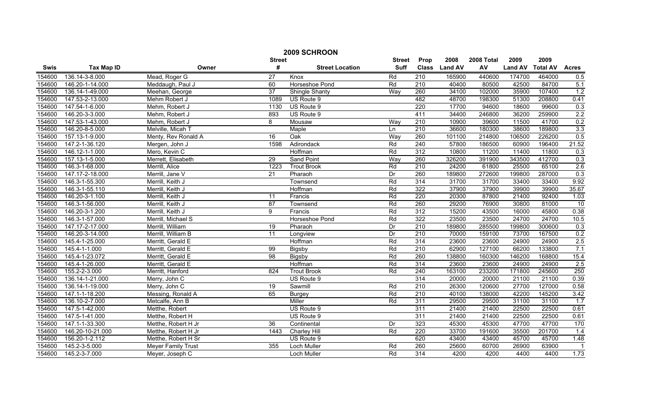|             | 2009 SCHROON      |                           |                 |                        |               |                  |                |            |                |                 |              |  |
|-------------|-------------------|---------------------------|-----------------|------------------------|---------------|------------------|----------------|------------|----------------|-----------------|--------------|--|
|             |                   |                           | <b>Street</b>   |                        | <b>Street</b> | Prop             | 2008           | 2008 Total | 2009           | 2009            |              |  |
| <b>Swis</b> | <b>Tax Map ID</b> | Owner                     | #               | <b>Street Location</b> | <b>Suff</b>   | <b>Class</b>     | <b>Land AV</b> | AV         | <b>Land AV</b> | <b>Total AV</b> | <b>Acres</b> |  |
| 154600      | 136.14-3-8.000    | Mead, Roger G             | $\overline{27}$ | Knox                   | Rd            | 210              | 165900         | 440600     | 174700         | 464000          | 0.5          |  |
| 154600      | 146.20-1-14.000   | Meddaugh, Paul J          | 60              | Horseshoe Pond         | Rd            | $\overline{210}$ | 40400          | 80500      | 42500          | 84700           | 5.1          |  |
| 154600      | 136.14-1-49.000   | Meehan, George            | $\overline{37}$ | <b>Shingle Shanty</b>  | Way           | 260              | 34100          | 102000     | 35900          | 107400          | 1.2          |  |
| 154600      | 147.53-2-13.000   | Mehm Robert J             | 1089            | US Route 9             |               | 482              | 48700          | 198300     | 51300          | 208800          | 0.41         |  |
| 154600      | 147.54-1-6.000    | Mehm, Robert J            | 1130            | US Route 9             |               | 220              | 17700          | 94600      | 18600          | 99600           | 0.3          |  |
| 154600      | 146.20-3-3.000    | Mehm, Robert J            | 893             | US Route 9             |               | 411              | 34400          | 246800     | 36200          | 259900          | 2.2          |  |
| 154600      | 147.53-1-43.000   | Mehm, Robert J            | 8               | Mousaw                 | Way           | 210              | 10900          | 39600      | 11500          | 41700           | 0.2          |  |
| 154600      | 146.20-8-5.000    | Melville, Micah T         |                 | <b>Maple</b>           | <b>Ln</b>     | 210              | 36600          | 180300     | 38600          | 189800          | 3.3          |  |
| 154600      | 157.13-1-9.000    | Menty, Rev Ronald A       | 16              | Oak                    | Way           | 260              | 101100         | 214800     | 106500         | 226200          | 0.5          |  |
| 154600      | 147.2-1-36.120    | Mergen, John J            | 1598            | Adirondack             | Rd            | $\overline{240}$ | 57800          | 186500     | 60900          | 196400          | 21.52        |  |
| 154600      | 146.12-1-1.000    | Mero, Kevin C             |                 | Hoffman                | Rd            | 312              | 10800          | 11200      | 11400          | 11800           | 0.3          |  |
| 154600      | 157.13-1-5.000    | Merrett, Elisabeth        | 29              | <b>Sand Point</b>      | Way           | 260              | 326200         | 391900     | 343500         | 412700          | 0.3          |  |
| 154600      | 146.3-1-68.000    | Merrill, Alice            | 1223            | <b>Trout Brook</b>     | Rd            | $\overline{210}$ | 24200          | 61800      | 25500          | 65100           | 2.6          |  |
| 154600      | 147.17-2-18.000   | Merrill, Jane V           | 21              | Pharaoh                | Dr            | 260              | 189800         | 272600     | 199800         | 287000          | 0.3          |  |
| 154600      | 146.3-1-55.300    | Merrill, Keith J          |                 | Townsend               | Rd            | 314              | 31700          | 31700      | 33400          | 33400           | 9.92         |  |
| 154600      | 146.3-1-55.110    | Merrill, Keith J          |                 | Hoffman                | Rd            | 322              | 37900          | 37900      | 39900          | 39900           | 35.67        |  |
| 154600      | 146.20-3-1.100    | Merrill, Keith J          | 11              | Francis                | Rd            | 220              | 20300          | 87800      | 21400          | 92400           | 1.03         |  |
| 154600      | 146.3-1-56.000    | Merrill, Keith J          | $\overline{87}$ | Townsend               | Rd            | 260              | 29200          | 76900      | 30800          | 81000           | 10           |  |
| 154600      | 146.20-3-1.200    | Merrill, Keith J          | 9               | Francis                | Rd            | 312              | 15200          | 43500      | 16000          | 45800           | 0.38         |  |
| 154600      | 146.3-1-57.000    | Merrill, Michael S        |                 | Horseshoe Pond         | Rd            | 322              | 23500          | 23500      | 24700          | 24700           | 10.5         |  |
| 154600      | 147.17-2-17.000   | Merrill, William          | 19              | Pharaoh                | Dr            | 210              | 189800         | 285500     | 199800         | 300600          | 0.3          |  |
| 154600      | 146.20-3-14.000   | Merrill, William B        | 11              | Longview               | Dr            | 210              | 70000          | 159100     | 73700          | 167500          | 0.2          |  |
| 154600      | 145.4-1-25.000    | Merritt, Gerald E         |                 | Hoffman                | Rd            | 314              | 23600          | 23600      | 24900          | 24900           | 2.5          |  |
| 154600      | 145.4-1-1.000     | Merritt, Gerald E         | 99              | Bigsby                 | Rd            | 210              | 62900          | 127100     | 66200          | 133800          | 7.1          |  |
| 154600      | 145.4-1-23.072    | Merritt, Gerald E         | 98              | Bigsby                 | Rd            | 260              | 138800         | 160300     | 146200         | 168800          | 15.4         |  |
| 154600      | 145.4-1-26.000    | Merritt, Gerald E         |                 | Hoffman                | Rd            | 314              | 23600          | 23600      | 24900          | 24900           | 2.5          |  |
| 154600      | 155.2-2-3.000     | Merritt, Hanford          | 824             | <b>Trout Brook</b>     | Rd            | 240              | 163100         | 233200     | 171800         | 245600          | 250          |  |
| 154600      | 136.14-1-21.000   | Merry, John C             |                 | US Route 9             |               | 314              | 20000          | 20000      | 21100          | 21100           | 0.39         |  |
| 154600      | 136.14-1-19.000   | Merry, John C             | 19              | Sawmill                | Rd            | 210              | 26300          | 120600     | 27700          | 127000          | 0.58         |  |
| 154600      | 147.1-1-18.200    | Messing, Ronald A         | 65              | <b>Burgey</b>          | Rd            | 210              | 40100          | 138000     | 42200          | 145200          | 3.42         |  |
| 154600      | 136.10-2-7.000    | Metcalfe, Ann B           |                 | Miller                 | Rd            | 311              | 29500          | 29500      | 31100          | 31100           | 1.7          |  |
| 154600      | 147.5-1-42.000    | Metthe, Robert            |                 | US Route 9             |               | 311              | 21400          | 21400      | 22500          | 22500           | 0.61         |  |
| 154600      | 147.5-1-41.000    | Metthe, Robert H          |                 | US Route 9             |               | 311              | 21400          | 21400      | 22500          | 22500           | 0.61         |  |
| 154600      | 147.1-1-33.300    | Metthe, Robert H Jr       | $\overline{36}$ | Continental            | Dr            | 323              | 45300          | 45300      | 47700          | 47700           | 170          |  |
| 154600      | 146.20-10-21.000  | Metthe, Robert H Jr       | 1443            | <b>Charley Hill</b>    | Rd            | 220              | 33700          | 191600     | 35500          | 201700          | 1.4          |  |
| 154600      | 156.20-1-2.112    | Metthe, Robert H Sr       |                 | US Route 9             |               | 620              | 43400          | 43400      | 45700          | 45700           | 1.48         |  |
| 154600      | 145.2-3-5.000     | <b>Meyer Family Trust</b> | 355             | Loch Muller            | Rd            | 260              | 25600          | 60700      | 26900          | 63900           |              |  |
| 154600      | 145.2-3-7.000     | Meyer, Joseph C           |                 | <b>Loch Muller</b>     | Rd            | 314              | 4200           | 4200       | 4400           | 4400            | 1.73         |  |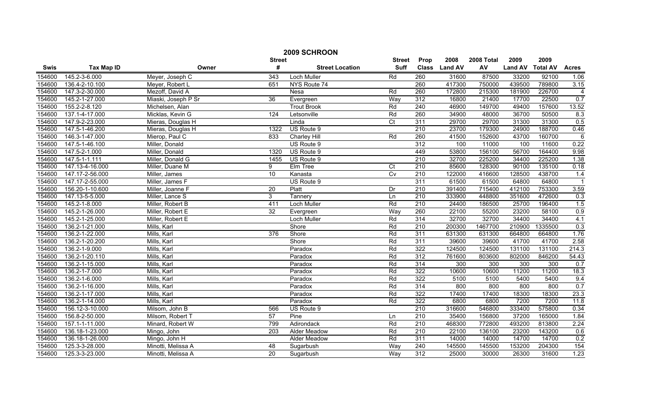| 2009 SCHROON |                   |                     |                 |                        |                |                  |               |            |                |                 |                |
|--------------|-------------------|---------------------|-----------------|------------------------|----------------|------------------|---------------|------------|----------------|-----------------|----------------|
|              |                   |                     | <b>Street</b>   |                        | <b>Street</b>  | Prop             | 2008          | 2008 Total | 2009           | 2009            |                |
| Swis         | <b>Tax Map ID</b> | Owner               | #               | <b>Street Location</b> | <b>Suff</b>    |                  | Class Land AV | AV         | <b>Land AV</b> | <b>Total AV</b> | <b>Acres</b>   |
| 154600       | 145.2-3-6.000     | Meyer, Joseph C     | 343             | Loch Muller            | Rd             | 260              | 31600         | 87500      | 33200          | 92100           | 1.06           |
| 154600       | 136.4-2-10.100    | Meyer, Robert L     | 651             | NYS Route 74           |                | 260              | 417300        | 750000     | 439500         | 789800          | 3.15           |
| 154600       | 147.3-2-30.000    | Mezoff, David A     |                 | Nesa                   | Rd             | 260              | 172800        | 215300     | 181900         | 226700          | $\overline{4}$ |
| 154600       | 145.2-1-27.000    | Miaski, Joseph P Sr | 36              | Evergreen              | Way            | 312              | 16800         | 21400      | 17700          | 22500           | 0.7            |
| 154600       | 155.2-2-8.120     | Michelsen, Alan     |                 | <b>Trout Brook</b>     | Rd             | 240              | 46900         | 149700     | 49400          | 157600          | 13.52          |
| 154600       | 137.1-4-17.000    | Micklas, Kevin G    | 124             | Letsonville            | Rd             | 260              | 34900         | 48000      | 36700          | 50500           | 8.3            |
| 154600       | 147.9-2-23.000    | Mieras, Douglas H   |                 | Linda                  | $\overline{C}$ | 311              | 29700         | 29700      | 31300          | 31300           | 0.5            |
| 154600       | 147.5-1-46.200    | Mieras, Douglas H   | 1322            | US Route 9             |                | 210              | 23700         | 179300     | 24900          | 188700          | 0.46           |
| 154600       | 146.3-1-47.000    | Mierop, Paul C      | 833             | <b>Charley Hill</b>    | Rd             | 260              | 41500         | 152600     | 43700          | 160700          | $\overline{6}$ |
| 154600       | 147.5-1-46.100    | Miller, Donald      |                 | US Route 9             |                | 312              | 100           | 11000      | 100            | 11600           | 0.22           |
| 154600       | 147.5-2-1.000     | Miller, Donald      | 1320            | US Route 9             |                | 449              | 53800         | 156100     | 56700          | 164400          | 9.98           |
| 154600       | 147.5-1-1.111     | Miller, Donald G    | 1455            | US Route 9             |                | 210              | 32700         | 225200     | 34400          | 225200          | 1.38           |
| 154600       | 147.13-4-16.000   | Miller, Duane M     | 9               | Elm Tree               | Ct             | 210              | 85600         | 128300     | 90100          | 135100          | 0.18           |
| 154600       | 147.17-2-56.000   | Miller, James       | 10              | Kanasta                | Cv             | 210              | 122000        | 416600     | 128500         | 438700          | 1.4            |
| 154600       | 147.17-2-55.000   | Miller, James F     |                 | US Route 9             |                | 311              | 61500         | 61500      | 64800          | 64800           |                |
| 154600       | 156.20-1-10.600   | Miller, Joanne F    | $\overline{20}$ | Platt                  | Dr             | $\overline{210}$ | 391400        | 715400     | 412100         | 753300          | 3.59           |
| 154600       | 147.13-5-5.000    | Miller, Lance S     | 3               | Tannery                | Ln             | 210              | 333900        | 448800     | 351600         | 472600          | 0.3            |
| 154600       | 145.2-1-8.000     | Miller, Robert B    | 411             | <b>Loch Muller</b>     | Rd             | 210              | 24400         | 186500     | 25700          | 196400          | 1.5            |
| 154600       | 145.2-1-26.000    | Miller, Robert E    | 32              | Evergreen              | Way            | 260              | 22100         | 55200      | 23200          | 58100           | 0.9            |
| 154600       | 145.2-1-25.000    | Miller, Robert E    |                 | <b>Loch Muller</b>     | Rd             | 314              | 32700         | 32700      | 34400          | 34400           | 4.1            |
| 154600       | 136.2-1-21.000    | Mills, Karl         |                 | Shore                  | Rd             | 210              | 200300        | 1467700    | 210900         | 1335500         | 0.3            |
| 154600       | 136.2-1-22.000    | Mills, Karl         | 376             | Shore                  | Rd             | 311              | 631300        | 631300     | 664800         | 664800          | 1.76           |
| 154600       | 136.2-1-20.200    | Mills, Karl         |                 | Shore                  | Rd             | 311              | 39600         | 39600      | 41700          | 41700           | 2.58           |
| 154600       | 136.2-1-9.000     | Mills, Karl         |                 | Paradox                | Rd             | 322              | 124500        | 124500     | 131100         | 131100          | 214.3          |
| 154600       | 136.2-1-20.110    | Mills, Karl         |                 | Paradox                | Rd             | 312              | 761600        | 803600     | 802000         | 846200          | 54.43          |
| 154600       | 136.2-1-15.000    | Mills, Karl         |                 | Paradox                | Rd             | 314              | 300           | 300        | 300            | 300             | 0.7            |
| 154600       | 136.2-1-7.000     | Mills, Karl         |                 | Paradox                | Rd             | 322              | 10600         | 10600      | 11200          | 11200           | 18.3           |
| 154600       | 136.2-1-6.000     | Mills, Karl         |                 | Paradox                | Rd             | 322              | 5100          | 5100       | 5400           | 5400            | 9.4            |
| 154600       | 136.2-1-16.000    | Mills, Karl         |                 | Paradox                | Rd             | 314              | 800           | 800        | 800            | 800             | 0.7            |
| 154600       | 136.2-1-17.000    | Mills, Karl         |                 | Paradox                | Rd             | 322              | 17400         | 17400      | 18300          | 18300           | 23.3           |
| 154600       | 136.2-1-14.000    | Mills, Karl         |                 | Paradox                | Rd             | 322              | 6800          | 6800       | 7200           | 7200            | 11.8           |
| 154600       | 156.12-3-10.000   | Milsom, John B      | 566             | US Route 9             |                | 210              | 316600        | 546800     | 333400         | 575800          | 0.34           |
| 154600       | 156.8-2-50.000    | Milsom, Robert T    | 57              | Pine                   | Ln             | 210              | 35400         | 156800     | 37200          | 165000          | 1.84           |
| 154600       | 157.1-1-11.000    | Minard, Robert W    | 799             | Adirondack             | Rd             | $\overline{210}$ | 468300        | 772800     | 493200         | 813800          | 2.24           |
| 154600       | 136.18-1-23.000   | Mingo, John         | 203             | Alder Meadow           | Rd             | $\overline{210}$ | 22100         | 136100     | 23200          | 143200          | 0.6            |
| 154600       | 136.18-1-26.000   | Mingo, John H       |                 | Alder Meadow           | Rd             | 311              | 14000         | 14000      | 14700          | 14700           | 0.2            |
| 154600       | 125.3-3-28.000    | Minotti, Melissa A  | $\overline{48}$ | Sugarbush              | Way            | 240              | 145500        | 145500     | 153200         | 204300          | 154            |
| 154600       | 125.3-3-23.000    | Minotti, Melissa A  | $\overline{20}$ | Sugarbush              | Way            | 312              | 25000         | 30000      | 26300          | 31600           | 1.23           |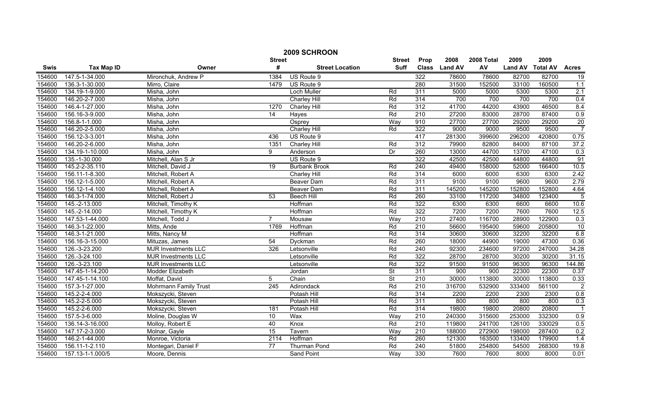| 2009 SCHROON |                   |                            |                 |                        |                          |                  |                  |            |                |                 |                |
|--------------|-------------------|----------------------------|-----------------|------------------------|--------------------------|------------------|------------------|------------|----------------|-----------------|----------------|
|              |                   |                            | <b>Street</b>   |                        | <b>Street</b>            | Prop             | 2008             | 2008 Total | 2009           | 2009            |                |
| Swis         | <b>Tax Map ID</b> | Owner                      | #               | <b>Street Location</b> | <b>Suff</b>              | <b>Class</b>     | <b>Land AV</b>   | AV         | <b>Land AV</b> | <b>Total AV</b> | <b>Acres</b>   |
| 154600       | 147.5-1-34.000    | Mironchuk, Andrew P        | 1384            | US Route 9             |                          | 322              | 78600            | 78600      | 82700          | 82700           | 19             |
| 154600       | 136.3-1-30.000    | Mirro, Claire              | 1479            | US Route 9             |                          | 280              | 31500            | 152500     | 33100          | 160500          | 1.1            |
| 154600       | 134.19-1-9.000    | Misha, John                |                 | Loch Muller            | Rd                       | $\overline{311}$ | 5000             | 5000       | 5300           | 5300            | 2.1            |
| 154600       | 146.20-2-7.000    | Misha, John                |                 | <b>Charley Hill</b>    | Rd                       | 314              | 700              | 700        | 700            | 700             | 0.4            |
| 154600       | 146.4-1-27.000    | Misha, John                | 1270            | <b>Charley Hill</b>    | Rd                       | 312              | 41700            | 44200      | 43900          | 46500           | 8.4            |
| 154600       | 156.16-3-9.000    | Misha, John                | 14              | Hayes                  | Rd                       | 210              | 27200            | 83000      | 28700          | 87400           | 0.9            |
| 154600       | 156.8-1-1.000     | Misha, John                |                 | Osprey                 | Way                      | 910              | 27700            | 27700      | 29200          | 29200           | 20             |
| 154600       | 146.20-2-5.000    | Misha, John                |                 | <b>Charley Hill</b>    | Rd                       | 322              | 9000             | 9000       | 9500           | 9500            | $\overline{7}$ |
| 154600       | 156.12-3-3.001    | Misha, John                | 436             | US Route 9             |                          | 417              | 281300           | 399600     | 296200         | 420800          | 0.75           |
| 154600       | 146.20-2-6.000    | Misha, John                | 1351            | Charley Hill           | Rd                       | 312              | 79900            | 82800      | 84000          | 87100           | 37.2           |
| 154600       | 134.19-1-10.000   | Misha, John                | 9               | Anderson               | Dr                       | 260              | 13000            | 44700      | 13700          | 47100           | 0.3            |
| 154600       | 135.-1-30.000     | Mitchell, Alan S Jr        |                 | US Route 9             |                          | 322              | 42500            | 42500      | 44800          | 44800           | 91             |
| 154600       | 145.2-2-35.110    | Mitchell, David J          | $\overline{19}$ | <b>Burbank Brook</b>   | Rd                       | 240              | 49400            | 158000     | 52000          | 166400          | 10.5           |
| 154600       | 156.11-1-8.300    | Mitchell, Robert A         |                 | Charley Hill           | Rd                       | 314              | 6000             | 6000       | 6300           | 6300            | 2.42           |
| 154600       | 156.12-1-5.000    | Mitchell, Robert A         |                 | <b>Beaver Dam</b>      | Rd                       | 311              | 9100             | 9100       | 9600           | 9600            | 2.79           |
| 154600       | 156.12-1-4.100    | Mitchell, Robert A         |                 | Beaver Dam             | Rd                       | 311              | 145200           | 145200     | 152800         | 152800          | 4.64           |
| 154600       | 146.3-1-74.000    | Mitchell, Robert J         | 53              | <b>Beech Hill</b>      | Rd                       | 260              | 33100            | 117200     | 34800          | 123400          | $\overline{5}$ |
| 154600       | 145.-2-13.000     | Mitchell, Timothy K        |                 | Hoffman                | Rd                       | 322              | 6300             | 6300       | 6600           | 6600            | 10.6           |
| 154600       | 145.-2-14.000     | Mitchell, Timothy K        |                 | Hoffman                | Rd                       | 322              | 7200             | 7200       | 7600           | 7600            | 12.5           |
| 154600       | 147.53-1-44.000   | Mitchell, Todd J           | 7               | Mousaw                 | Way                      | 210              | 27400            | 116700     | 28900          | 122900          | 0.3            |
| 154600       | 146.3-1-22.000    | Mitts, Ande                | 1769            | Hoffman                | Rd                       | $\overline{210}$ | 56600            | 195400     | 59600          | 205800          | 10             |
| 154600       | 146.3-1-21.000    | Mitts, Nancy M             |                 | Hoffman                | Rd                       | 314              | 30600            | 30600      | 32200          | 32200           | 6.8            |
| 154600       | 156.16-3-15.000   | Mituzas, James             | 54              | Dyckman                | Rd                       | 260              | 18000            | 44900      | 19000          | 47300           | 0.36           |
| 154600       | 126.-3-23.200     | <b>MJR Investments LLC</b> | 326             | Letsonville            | Rd                       | 240              | 92300            | 234600     | 97200          | 247000          | 34.28          |
| 154600       | 126.-3-24.100     | <b>MJR Investments LLC</b> |                 | Letsonville            | Rd                       | 322              | 28700            | 28700      | 30200          | 30200           | 31.15          |
| 154600       | 126.-3-23.100     | <b>MJR Investments LLC</b> |                 | Letsonville            | Rd                       | 322              | 91500            | 91500      | 96300          | 96300           | 144.86         |
| 154600       | 147.45-1-14.200   | Modder Elizabeth           |                 | Jordan                 | <b>St</b>                | 311              | $\overline{900}$ | 900        | 22300          | 22300           | 0.37           |
| 154600       | 147.45-1-14.100   | Moffat, David              | 5               | Chain                  | $\overline{\mathsf{St}}$ | 210              | 30000            | 113800     | 30000          | 113800          | 0.33           |
| 154600       | 157.3-1-27.000    | Mohrmann Family Trust      | 245             | Adirondack             | Rd                       | 210              | 316700           | 532900     | 333400         | 561100          | $\overline{2}$ |
| 154600       | 145.2-2-4.000     | Mokszycki, Steven          |                 | Potash Hill            | Rd                       | 314              | 2200             | 2200       | 2300           | 2300            | 0.8            |
| 154600       | 145.2-2-5.000     | Mokszycki, Steven          |                 | Potash Hill            | Rd                       | 311              | 800              | 800        | 800            | 800             | 0.3            |
| 154600       | 145.2-2-6.000     | Mokszycki, Steven          | 181             | Potash Hill            | Rd                       | 314              | 19800            | 19800      | 20800          | 20800           |                |
| 154600       | 157.5-3-6.000     | Moline, Douglas W          | 10              | Wax                    | Way                      | 210              | 240300           | 315600     | 253000         | 332300          | 0.9            |
| 154600       | 136.14-3-16.000   | Molloy, Robert E           | 40              | Knox                   | Rd                       | 210              | 119800           | 241700     | 126100         | 330029          | 0.5            |
| 154600       | 147.17-2-3.000    | Molnar, Gayle              | 15              | Tavern                 | Way                      | 210              | 188000           | 272900     | 198000         | 287400          | 0.2            |
| 154600       | 146.2-1-44.000    | Monroe, Victoria           | 2114            | Hoffman                | Rd                       | 260              | 121300           | 163500     | 133400         | 179900          | 1.4            |
| 154600       | 156.11-1-2.110    | Montegari, Daniel F        | 77              | Thurman Pond           | Rd                       | 240              | 51800            | 254800     | 54500          | 268300          | 19.8           |
| 154600       | 157.13-1-1.000/5  | Moore, Dennis              |                 | Sand Point             | Way                      | 330              | 7600             | 7600       | 8000           | 8000            | 0.01           |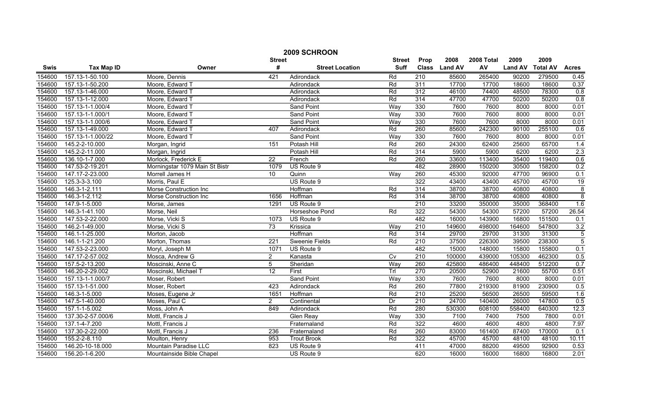|        | 2009 SCHROON      |                                |                      |                        |                |                  |               |            |                |                 |                |  |
|--------|-------------------|--------------------------------|----------------------|------------------------|----------------|------------------|---------------|------------|----------------|-----------------|----------------|--|
|        |                   |                                | <b>Street</b>        |                        | <b>Street</b>  | Prop             | 2008          | 2008 Total | 2009           | 2009            |                |  |
| Swis   | <b>Tax Map ID</b> | Owner                          | #                    | <b>Street Location</b> | <b>Suff</b>    |                  | Class Land AV | AV         | <b>Land AV</b> | <b>Total AV</b> | <b>Acres</b>   |  |
| 154600 | 157.13-1-50.100   | Moore, Dennis                  | 421                  | Adirondack             | Rd             | $\overline{210}$ | 85600         | 265400     | 90200          | 279500          | 0.45           |  |
| 154600 | 157.13-1-50.200   | Moore, Edward T                |                      | Adirondack             | Rd             | 311              | 17700         | 17700      | 18600          | 18600           | 0.37           |  |
| 154600 | 157.13-1-46.000   | Moore, Edward T                |                      | Adirondack             | Rd             | $\overline{312}$ | 46100         | 74400      | 48500          | 78300           | 0.8            |  |
| 154600 | 157.13-1-12.000   | Moore, Edward T                |                      | Adirondack             | Rd             | 314              | 47700         | 47700      | 50200          | 50200           | 0.8            |  |
| 154600 | 157.13-1-1.000/4  | Moore, Edward T                |                      | <b>Sand Point</b>      | Way            | 330              | 7600          | 7600       | 8000           | 8000            | 0.01           |  |
| 154600 | 157.13-1-1.000/1  | Moore, Edward T                |                      | <b>Sand Point</b>      | Way            | 330              | 7600          | 7600       | 8000           | 8000            | 0.01           |  |
| 154600 | 157.13-1-1.000/6  | Moore, Edward T                |                      | <b>Sand Point</b>      | Way            | 330              | 7600          | 7600       | 8000           | 8000            | 0.01           |  |
| 154600 | 157.13-1-49.000   | Moore, Edward T                | 407                  | Adirondack             | Rd             | 260              | 85600         | 242300     | 90100          | 255100          | 0.6            |  |
| 154600 | 157.13-1-1.000/22 | Moore, Edward T                |                      | Sand Point             | Way            | 330              | 7600          | 7600       | 8000           | 8000            | 0.01           |  |
| 154600 | 145.2-2-10.000    | Morgan, Ingrid                 | 151                  | Potash Hill            | Rd             | 260              | 24300         | 62400      | 25600          | 65700           | 1.4            |  |
| 154600 | 145.2-2-11.000    | Morgan, Ingrid                 |                      | Potash Hill            | Rd             | 314              | 5900          | 5900       | 6200           | 6200            | 2.3            |  |
| 154600 | 136.10-1-7.000    | Morlock, Frederick E           | $\overline{22}$      | French                 | Rd             | 260              | 33600         | 113400     | 35400          | 119400          | 0.6            |  |
| 154600 | 147.53-2-19.201   | Morningstar 1079 Main St Bistr | 1079                 | US Route 9             |                | 482              | 28900         | 150200     | 30500          | 158200          | 0.2            |  |
| 154600 | 147.17-2-23.000   | Morrell James H                | 10                   | Quinn                  | Way            | 260              | 45300         | 92000      | 47700          | 96900           | 0.1            |  |
| 154600 | 125.3-3-3.100     | Morris, Paul E                 |                      | US Route 9             |                | 322              | 43400         | 43400      | 45700          | 45700           | 19             |  |
| 154600 | 146.3-1-2.111     | Morse Construction Inc         |                      | Hoffman                | Rd             | 314              | 38700         | 38700      | 40800          | 40800           | $\overline{8}$ |  |
| 154600 | 146.3-1-2.112     | Morse Construction Inc         | 1656                 | Hoffman                | Rd             | 314              | 38700         | 38700      | 40800          | 40800           | $\overline{8}$ |  |
| 154600 | 147.9-1-5.000     | Morse, James                   | 1291                 | US Route 9             |                | 210              | 33200         | 350000     | 35000          | 368400          | 1.6            |  |
| 154600 | 146.3-1-41.100    | Morse, Neil                    |                      | Horseshoe Pond         | Rd             | 322              | 54300         | 54300      | 57200          | 57200           | 26.54          |  |
| 154600 | 147.53-2-22.000   | Morse, Vicki S                 | 1073                 | US Route 9             |                | 482              | 16000         | 143900     | 16800          | 151500          | 0.1            |  |
| 154600 | 146.2-1-49.000    | Morse, Vicki S                 | 73                   | Krissica               | Wav            | 210              | 149600        | 498000     | 164600         | 547800          | 3.2            |  |
| 154600 | 146.1-1-25.000    | Morton, Jacob                  |                      | Hoffman                | Rd             | 314              | 29700         | 29700      | 31300          | 31300           | 5              |  |
| 154600 | 146.1-1-21.200    | Morton, Thomas                 | $\overline{221}$     | <b>Sweenie Fields</b>  | Rd             | $\overline{210}$ | 37500         | 226300     | 39500          | 238300          | $\overline{5}$ |  |
| 154600 | 147.53-2-23.000   | Moryl, Joseph M                | 1071                 | US Route 9             |                | 482              | 15000         | 148000     | 15800          | 155800          | 0.1            |  |
| 154600 | 147.17-2-57.002   | Mosca, Andrew G                | $\overline{2}$       | Kanasta                | $\overline{C}$ | $\overline{210}$ | 100000        | 439000     | 105300         | 462300          | 0.5            |  |
| 154600 | 157.5-2-13.200    | Moscinski, Anne C              | 5                    | Sheridan               | Way            | 260              | 425800        | 486400     | 448400         | 512200          | 0.7            |  |
| 154600 | 146.20-2-29.002   | Moscinski, Michael T           | $\overline{12}$      | First                  | TrI            | 270              | 20500         | 52900      | 21600          | 55700           | 0.51           |  |
| 154600 | 157.13-1-1.000/7  | Moser, Robert                  |                      | <b>Sand Point</b>      | Way            | 330              | 7600          | 7600       | 8000           | 8000            | 0.01           |  |
| 154600 | 157.13-1-51.000   | Moser, Robert                  | 423                  | Adirondack             | Rd             | 260              | 77800         | 219300     | 81900          | 230900          | 0.5            |  |
| 154600 | 146.3-1-5.000     | Moses, Eugene Jr               | 1651                 | Hoffman                | Rd             | 210              | 25200         | 56500      | 26500          | 59500           | 1.6            |  |
| 154600 | 147.5-1-40.000    | Moses, Paul C                  | $\mathbf{2}^{\circ}$ | Continental            | Dr             | 210              | 24700         | 140400     | 26000          | 147800          | 0.5            |  |
| 154600 | 157.1-1-5.002     | Moss, John A                   | 849                  | Adirondack             | Rd             | 280              | 530300        | 608100     | 558400         | 640300          | 12.3           |  |
| 154600 | 137.30-2-57.000/6 | Mottl, Francis J               |                      | <b>Glen Reay</b>       | Way            | 330              | 7100          | 7400       | 7500           | 7800            | 0.01           |  |
| 154600 | 137.1-4-7.200     | Mottl, Francis J               |                      | Fraternaland           | Rd             | 322              | 4600          | 4600       | 4800           | 4800            | 7.97           |  |
| 154600 | 137.30-2-22.000   | Mottl, Francis J               | 236                  | Fraternaland           | Rd             | 260              | 83000         | 161400     | 87400          | 170000          | 0.1            |  |
| 154600 | 155.2-2-8.110     | Moulton, Henry                 | 953                  | <b>Trout Brook</b>     | Rd             | 322              | 45700         | 45700      | 48100          | 48100           | 10.11          |  |
| 154600 | 146.20-10-18.000  | Mountain Paradise LLC          | 823                  | US Route 9             |                | 411              | 47000         | 88200      | 49500          | 92900           | 0.53           |  |
| 154600 | 156.20-1-6.200    | Mountainside Bible Chapel      |                      | US Route 9             |                | 620              | 16000         | 16000      | 16800          | 16800           | 2.01           |  |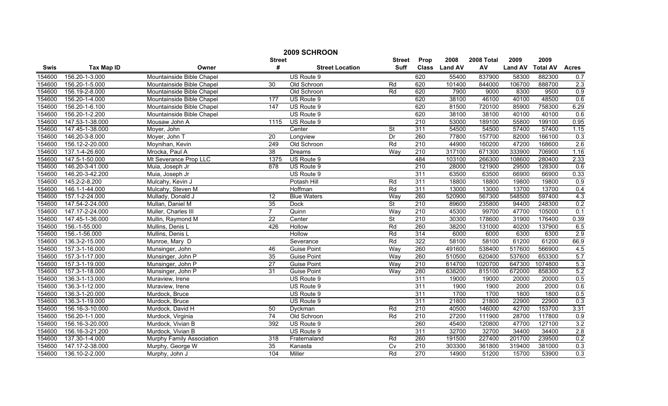| 2009 SCHROON |                   |                           |                 |                        |                |                  |                |            |                |                 |              |
|--------------|-------------------|---------------------------|-----------------|------------------------|----------------|------------------|----------------|------------|----------------|-----------------|--------------|
|              |                   |                           | <b>Street</b>   |                        | <b>Street</b>  | Prop             | 2008           | 2008 Total | 2009           | 2009            |              |
| <b>Swis</b>  | <b>Tax Map ID</b> | Owner                     | #               | <b>Street Location</b> | <b>Suff</b>    | <b>Class</b>     | <b>Land AV</b> | AV         | <b>Land AV</b> | <b>Total AV</b> | <b>Acres</b> |
| 154600       | 156.20-1-3.000    | Mountainside Bible Chapel |                 | US Route 9             |                | 620              | 55400          | 837900     | 58300          | 882300          | 0.7          |
| 154600       | 156.20-1-5.000    | Mountainside Bible Chapel | 30              | Old Schroon            | Rd             | 620              | 101400         | 844000     | 106700         | 888700          | 2.3          |
| 154600       | 156.19-2-8.000    | Mountainside Bible Chapel |                 | Old Schroon            | Rd             | 620              | 7900           | 9000       | 8300           | 9500            | 0.9          |
| 154600       | 156.20-1-4.000    | Mountainside Bible Chapel | 177             | US Route 9             |                | 620              | 38100          | 46100      | 40100          | 48500           | 0.6          |
| 154600       | 156.20-1-6.100    | Mountainside Bible Chapel | 147             | US Route 9             |                | 620              | 81500          | 720100     | 85900          | 758300          | 6.29         |
| 154600       | 156.20-1-2.200    | Mountainside Bible Chapel |                 | US Route 9             |                | 620              | 38100          | 38100      | 40100          | 40100           | 0.6          |
| 154600       | 147.53-1-38.000   | Mousaw John A             | 1115            | US Route 9             |                | 210              | 53000          | 189100     | 55800          | 199100          | 0.95         |
| 154600       | 147.45-1-38.000   | Moyer, John               |                 | Center                 | St             | 311              | 54500          | 54500      | 57400          | 57400           | 1.15         |
| 154600       | 146.20-3-8.000    | Moyer, John T             | $\overline{20}$ | Longview               | Dr             | 260              | 77800          | 157700     | 82000          | 166100          | 0.3          |
| 154600       | 156.12-2-20.000   | Moynihan, Kevin           | 249             | Old Schroon            | Rd             | 210              | 44900          | 160200     | 47200          | 168600          | 2.6          |
| 154600       | 137.1-4-26.600    | Mrocka, Paul A            | $\overline{38}$ | Dreams                 | Way            | 210              | 317100         | 671300     | 333900         | 706900          | 1.16         |
| 154600       | 147.5-1-50.000    | Mt Severance Prop LLC     | 1375            | US Route 9             |                | 484              | 103100         | 266300     | 108600         | 280400          | 2.33         |
| 154600       | 146.20-3-41.000   | Muia, Joseph Jr           | 878             | US Route 9             |                | 210              | 28000          | 121900     | 29500          | 128300          | 0.6          |
| 154600       | 146.20-3-42.200   | Muia, Joseph Jr           |                 | US Route 9             |                | 311              | 63500          | 63500      | 66900          | 66900           | 0.33         |
| 154600       | 145.2-2-8.200     | Mulcahy, Kevin J          |                 | Potash Hill            | Rd             | 311              | 18800          | 18800      | 19800          | 19800           | 0.9          |
| 154600       | 146.1-1-44.000    | Mulcahy, Steven M         |                 | Hoffman                | Rd             | 311              | 13000          | 13000      | 13700          | 13700           | 0.4          |
| 154600       | 157.1-2-24.000    | Mullady, Donald J         | $\overline{12}$ | <b>Blue Waters</b>     | Way            | 260              | 520900         | 567300     | 548500         | 597400          | 4.3          |
| 154600       | 147.54-2-24.000   | Mullan, Daniel M          | 35              | <b>Dock</b>            | <b>St</b>      | 210              | 89600          | 235800     | 94400          | 248300          | 0.2          |
| 154600       | 147.17-2-24.000   | Muller, Charles III       | $\overline{7}$  | Quinn                  | Way            | 210              | 45300          | 99700      | 47700          | 105000          | 0.1          |
| 154600       | 147.45-1-36.000   | Mullin, Raymond M         | $\overline{22}$ | Center                 | <b>St</b>      | 210              | 30300          | 178600     | 31900          | 176400          | 0.39         |
| 154600       | 156.-1-55.000     | Mullins, Denis L          | 426             | Hollow                 | Rd             | 260              | 38200          | 131000     | 40200          | 137900          | 6.5          |
| 154600       | 156.-1-56.000     | Mullins, Denis L          |                 | Hollow                 | Rd             | 314              | 6000           | 6000       | 6300           | 6300            | 2.9          |
| 154600       | 136.3-2-15.000    | Munroe, Mary D            |                 | Severance              | Rd             | 322              | 58100          | 58100      | 61200          | 61200           | 66.9         |
| 154600       | 157.3-1-16.000    | Munsinger, John           | 46              | <b>Guise Point</b>     | Way            | 260              | 491600         | 538400     | 517600         | 566900          | 4.5          |
| 154600       | 157.3-1-17.000    | Munsinger, John P         | $\overline{35}$ | <b>Guise Point</b>     | Way            | 260              | 510500         | 620400     | 537600         | 653300          | 5.7          |
| 154600       | 157.3-1-19.000    | Munsinger, John P         | $\overline{27}$ | Guise Point            | Way            | $\overline{210}$ | 614700         | 1020700    | 647300         | 1074800         | 5.3          |
| 154600       | 157.3-1-18.000    | Munsinger, John P         | 31              | <b>Guise Point</b>     | Way            | 280              | 638200         | 815100     | 672000         | 858300          | 5.2          |
| 154600       | 136.3-1-13.000    | Muraview, Irene           |                 | US Route 9             |                | $\overline{311}$ | 19000          | 19000      | 20000          | 20000           | 0.5          |
| 154600       | 136.3-1-12.000    | Muraview, Irene           |                 | US Route 9             |                | 311              | 1900           | 1900       | 2000           | 2000            | 0.6          |
| 154600       | 136.3-1-20.000    | Murdock, Bruce            |                 | US Route 9             |                | 311              | 1700           | 1700       | 1800           | 1800            | 0.5          |
| 154600       | 136.3-1-19.000    | Murdock, Bruce            |                 | US Route 9             |                | 311              | 21800          | 21800      | 22900          | 22900           | 0.3          |
| 154600       | 156.16-3-10.000   | Murdock, David H          | 50              | Dyckman                | Rd             | 210              | 40500          | 146000     | 42700          | 153700          | 3.31         |
| 154600       | 156.20-1-1.000    | Murdock, Virginia         | 74              | Old Schroon            | Rd             | 210              | 27200          | 111900     | 28700          | 117800          | 0.9          |
| 154600       | 156.16-3-20.000   | Murdock, Vivian B         | 392             | US Route 9             |                | 260              | 45400          | 120800     | 47700          | 127100          | 3.2          |
| 154600       | 156.16-3-21.200   | Murdock, Vivian B         |                 | US Route 9             |                | 311              | 32700          | 32700      | 34400          | 34400           | 2.8          |
| 154600       | 137.30-1-4.000    | Murphy Family Association | 318             | Fraternaland           | Rd             | 260              | 191500         | 227400     | 201700         | 239500          | 0.2          |
| 154600       | 147.17-2-38.000   | Murphy, George W          | $\overline{35}$ | Kanasta                | $\overline{C}$ | 210              | 303300         | 361800     | 319400         | 381000          | 0.3          |
| 154600       | 136.10-2-2.000    | Murphy, John J            | 104             | Miller                 | Rd             | 270              | 14900          | 51200      | 15700          | 53900           | 0.3          |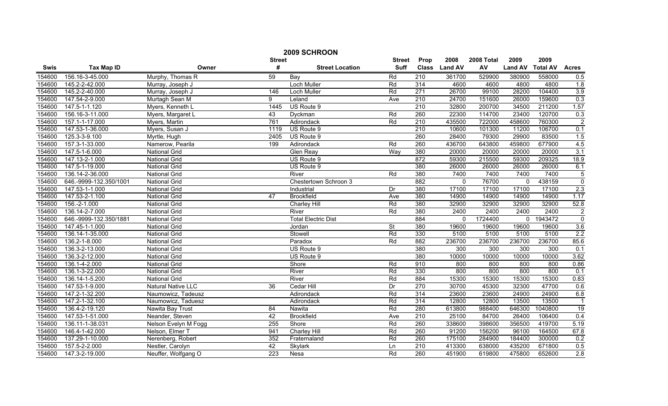|        | 2009 SCHROON           |                           |               |                            |                          |                  |                |            |                |                 |                  |  |
|--------|------------------------|---------------------------|---------------|----------------------------|--------------------------|------------------|----------------|------------|----------------|-----------------|------------------|--|
|        |                        |                           | <b>Street</b> |                            | <b>Street</b>            | Prop             | 2008           | 2008 Total | 2009           | 2009            |                  |  |
| Swis   | <b>Tax Map ID</b>      | Owner                     | #             | <b>Street Location</b>     | <b>Suff</b>              | <b>Class</b>     | <b>Land AV</b> | AV         | <b>Land AV</b> | <b>Total AV</b> | <b>Acres</b>     |  |
| 154600 | 156.16-3-45.000        | Murphy, Thomas R          | 59            | Bay                        | Rd                       | 210              | 361700         | 529900     | 380900         | 558000          | 0.5              |  |
| 154600 | 145.2-2-42.000         | Murray, Joseph J          |               | <b>Loch Muller</b>         | Rd                       | 314              | 4600           | 4600       | 4800           | 4800            | 1.8              |  |
| 154600 | 145.2-2-40.000         | Murray, Joseph J          | 146           | <b>Loch Muller</b>         | Rd                       | 271              | 26700          | 99100      | 28200          | 104400          | 3.9              |  |
| 154600 | 147.54-2-9.000         | Murtagh Sean M            | 9             | Leland                     | Ave                      | 210              | 24700          | 151600     | 26000          | 159600          | 0.3              |  |
| 154600 | 147.5-1-1.120          | Myers, Kenneth L          | 1445          | US Route 9                 |                          | 210              | 32800          | 200700     | 34500          | 211200          | 1.57             |  |
| 154600 | 156.16-3-11.000        | Myers, Margaret L         | 43            | Dyckman                    | Rd                       | 260              | 22300          | 114700     | 23400          | 120700          | 0.3              |  |
| 154600 | 157.1-1-17.000         | Myers, Martin             | 761           | Adirondack                 | Rd                       | 210              | 435500         | 722000     | 458600         | 760300          | $\overline{2}$   |  |
| 154600 | 147.53-1-36.000        | Myers, Susan J            | 1119          | US Route 9                 |                          | 210              | 10600          | 101300     | 11200          | 106700          | 0.1              |  |
| 154600 | 125.3-3-9.100          | Myrtle, Hugh              | 2405          | US Route 9                 |                          | 260              | 28400          | 79300      | 29900          | 83500           | 1.5              |  |
| 154600 | 157.3-1-33.000         | Namerow, Pearila          | 199           | Adirondack                 | Rd                       | 260              | 436700         | 643800     | 459800         | 677900          | 4.5              |  |
| 154600 | 147.5-1-6.000          | <b>National Grid</b>      |               | Glen Reay                  | Way                      | 380              | 20000          | 20000      | 20000          | 20000           | 3.1              |  |
| 154600 | 147.13-2-1.000         | National Grid             |               | US Route 9                 |                          | 872              | 59300          | 215500     | 59300          | 209325          | 18.9             |  |
| 154600 | 147.5-1-19.000         | National Grid             |               | US Route 9                 |                          | 380              | 26000          | 26000      | 26000          | 26000           | 6.1              |  |
| 154600 | 136.14-2-36.000        | <b>National Grid</b>      |               | River                      | Rd                       | 380              | 7400           | 7400       | 7400           | 7400            | $\overline{5}$   |  |
| 154600 | 646.-9999-132.350/1001 | <b>National Grid</b>      |               | Chestertown Schroon 3      |                          | 882              | $\Omega$       | 76700      | $\mathbf{0}$   | 438159          | $\overline{0}$   |  |
| 154600 | 147.53-1-1.000         | National Grid             |               | Industrial                 | Dr                       | 380              | 17100          | 17100      | 17100          | 17100           | $\overline{2.3}$ |  |
| 154600 | 147.53-2-1.100         | <b>National Grid</b>      | 47            | <b>Brookfield</b>          | Ave                      | 380              | 14900          | 14900      | 14900          | 14900           | 1.17             |  |
| 154600 | 156.-2-1.000           | <b>National Grid</b>      |               | <b>Charley Hill</b>        | Rd                       | 380              | 32900          | 32900      | 32900          | 32900           | 52.8             |  |
| 154600 | 136.14-2-7.000         | <b>National Grid</b>      |               | River                      | Rd                       | 380              | 2400           | 2400       | 2400           | 2400            | $\overline{2}$   |  |
| 154600 | 646.-9999-132.350/1881 | National Grid             |               | <b>Total Electric Dist</b> |                          | 884              | $\mathbf{0}$   | 1724400    | 0              | 1943472         | $\overline{0}$   |  |
| 154600 | 147.45-1-1.000         | <b>National Grid</b>      |               | Jordan                     | $\overline{\mathsf{St}}$ | 380              | 19600          | 19600      | 19600          | 19600           | 3.6              |  |
| 154600 | 136.14-1-35.000        | <b>National Grid</b>      |               | Stowell                    | Rd                       | 330              | 5100           | 5100       | 5100           | 5100            | 2.2              |  |
| 154600 | 136.2-1-8.000          | <b>National Grid</b>      |               | Paradox                    | Rd                       | 882              | 236700         | 236700     | 236700         | 236700          | 85.6             |  |
| 154600 | 136.3-2-13.000         | National Grid             |               | US Route 9                 |                          | 380              | 300            | 300        | 300            | 300             | 0.1              |  |
| 154600 | 136.3-2-12.000         | National Grid             |               | US Route 9                 |                          | 380              | 10000          | 10000      | 10000          | 10000           | 3.62             |  |
| 154600 | 136.1-4-2.000          | <b>National Grid</b>      |               | Shore                      | Rd                       | 910              | 800            | 800        | 800            | 800             | 0.86             |  |
| 154600 | 136.1-3-22.000         | <b>National Grid</b>      |               | River                      | Rd                       | 330              | 800            | 800        | 800            | 800             | 0.1              |  |
| 154600 | 136.14-1-5.200         | <b>National Grid</b>      |               | River                      | Rd                       | 884              | 15300          | 15300      | 15300          | 15300           | 0.83             |  |
| 154600 | 147.53-1-9.000         | <b>Natural Native LLC</b> | 36            | Cedar Hill                 | Dr                       | 270              | 30700          | 45300      | 32300          | 47700           | 0.6              |  |
| 154600 | 147.2-1-32.200         | Naumowicz, Tadeusz        |               | Adirondack                 | Rd                       | 314              | 23600          | 23600      | 24900          | 24900           | 6.8              |  |
| 154600 | 147.2-1-32.100         | Naumowicz, Taduesz        |               | Adirondack                 | Rd                       | 314              | 12800          | 12800      | 13500          | 13500           | $\mathbf{1}$     |  |
| 154600 | 136.4-2-19.120         | Nawita Bay Trust          | 84            | Nawita                     | Rd                       | 280              | 613800         | 988400     | 646300         | 1040800         | 19               |  |
| 154600 | 147.53-1-51.000        | Neander, Steven           | 42            | <b>Brookfield</b>          | Ave                      | 210              | 25100          | 84700      | 26400          | 106400          | 0.4              |  |
| 154600 | 136.11-1-38.031        | Nelson Evelyn M Fogg      | 255           | Shore                      | Rd                       | 260              | 338600         | 398600     | 356500         | 419700          | 5.19             |  |
| 154600 | 146.4-1-42.000         | Nelson, Elmer T           | 941           | Charley Hill               | Rd                       | 260              | 91200          | 156200     | 96100          | 164500          | 67.8             |  |
| 154600 | 137.29-1-10.000        | Nerenberg, Robert         | 352           | Fraternaland               | Rd                       | 260              | 175100         | 284900     | 184400         | 300000          | 0.2              |  |
| 154600 | 157.5-2-2.000          | Nestler, Carolyn          | 42            | Skylark                    | Ln                       | $\overline{210}$ | 413300         | 638000     | 435200         | 671800          | 0.5              |  |
| 154600 | 147.3-2-19.000         | Neuffer, Wolfgang O       | 223           | Nesa                       | Rd                       | 260              | 451900         | 619800     | 475800         | 652600          | 2.8              |  |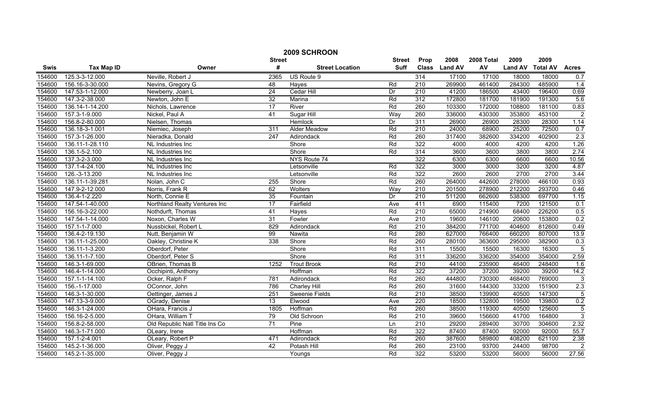|        | 2009 SCHROON      |                                |                 |                        |                  |                  |                |            |                |                 |                |  |
|--------|-------------------|--------------------------------|-----------------|------------------------|------------------|------------------|----------------|------------|----------------|-----------------|----------------|--|
|        |                   |                                | <b>Street</b>   |                        | <b>Street</b>    | Prop             | 2008           | 2008 Total | 2009           | 2009            |                |  |
| Swis   | <b>Tax Map ID</b> | Owner                          | #               | <b>Street Location</b> | <b>Suff</b>      | <b>Class</b>     | <b>Land AV</b> | AV         | <b>Land AV</b> | <b>Total AV</b> | <b>Acres</b>   |  |
| 154600 | 125.3-3-12.000    | Neville, Robert J              | 2365            | US Route 9             |                  | 314              | 17100          | 17100      | 18000          | 18000           | 0.7            |  |
| 154600 | 156.16-3-30.000   | Nevins, Gregory G              | 48              | Hayes                  | Rd               | $\overline{210}$ | 269900         | 461400     | 284300         | 485900          | 1.4            |  |
| 154600 | 147.53-1-12.000   | Newberry, Joan L               | $\overline{24}$ | Cedar Hill             | Dr               | $\overline{210}$ | 41200          | 186500     | 43400          | 196400          | 0.69           |  |
| 154600 | 147.3-2-38.000    | Newton, John E                 | 32              | Marina                 | Rd               | 312              | 172800         | 181700     | 181900         | 191300          | 5.6            |  |
| 154600 | 136.14-1-14.200   | Nichols, Lawrence              | 17              | River                  | Rd               | 260              | 103300         | 172000     | 108800         | 181100          | 0.83           |  |
| 154600 | 157.3-1-9.000     | Nickel, Paul A                 | 41              | Sugar Hill             | Way              | 260              | 336000         | 430300     | 353800         | 453100          | $\overline{2}$ |  |
| 154600 | 156.8-2-80.000    | Nielsen, Thomas                |                 | Hemlock                | Dr               | 311              | 26900          | 26900      | 28300          | 28300           | 1.14           |  |
| 154600 | 136.18-3-1.001    | Niemiec, Joseph                | 311             | <b>Alder Meadow</b>    | Rd               | 210              | 24000          | 68900      | 25200          | 72500           | 0.7            |  |
| 154600 | 157.3-1-26.000    | Nieradka, Donald               | 247             | Adirondack             | Rd               | 260              | 317400         | 382600     | 334200         | 402900          | 2.3            |  |
| 154600 | 136.11-1-28.110   | NL Industries Inc              |                 | Shore                  | Rd               | 322              | 4000           | 4000       | 4200           | 4200            | 1.26           |  |
| 154600 | 136.1-5-2.100     | NL Industries Inc              |                 | Shore                  | Rd               | 314              | 3600           | 3600       | 3800           | 3800            | 2.74           |  |
| 154600 | 137.3-2-3.000     | NL Industries Inc              |                 | NYS Route 74           |                  | 322              | 6300           | 6300       | 6600           | 6600            | 10.56          |  |
| 154600 | 137.1-4-24.100    | NL Industries Inc              |                 | Letsonville            | Rd               | 322              | 3000           | 3000       | 3200           | 3200            | 4.87           |  |
| 154600 | 126.-3-13.200     | NL Industries Inc              |                 | Letsonville            | Rd               | 322              | 2600           | 2600       | 2700           | 2700            | 3.44           |  |
| 154600 | 136.11-1-39.281   | Nolan, John C                  | 255             | Shore                  | Rd               | 260              | 264000         | 442600     | 278000         | 466100          | 0.93           |  |
| 154600 | 147.9-2-12.000    | Norris, Frank R                | 62              | Wolters                | Way              | $\overline{210}$ | 201500         | 278900     | 212200         | 293700          | 0.46           |  |
| 154600 | 136.4-1-2.220     | North, Connie E                | 35              | Fountain               | Dr               | 210              | 511200         | 662600     | 538300         | 697700          | 1.15           |  |
| 154600 | 147.54-1-40.000   | Northland Realty Ventures Inc  | 17              | Fairfield              | Ave              | 411              | 6900           | 115400     | 7200           | 121500          | 0.1            |  |
| 154600 | 156.16-3-22.000   | Nothdurft, Thomas              | 41              | <b>Hayes</b>           | Rd               | 210              | 65000          | 214900     | 68400          | 226200          | 0.5            |  |
| 154600 | 147.54-1-14.000   | Noxon, Charles W               | 31              | Fowler                 | Ave              | 210              | 19600          | 146100     | 20600          | 153800          | 0.2            |  |
| 154600 | 157.1-1-7.000     | Nussbickel, Robert L           | 829             | Adirondack             | Rd               | $\overline{210}$ | 384200         | 771700     | 404600         | 812600          | 0.49           |  |
| 154600 | 136.4-2-19.130    | Nutt, Benjamin W               | 99              | Nawita                 | Rd               | 280              | 627000         | 766400     | 660200         | 807000          | 13.9           |  |
| 154600 | 136.11-1-25.000   | Oakley, Christine K            | 338             | Shore                  | Rd               | 260              | 280100         | 363600     | 295000         | 382900          | 0.3            |  |
| 154600 | 136.11-1-3.200    | Oberdorf, Peter                |                 | Shore                  | Rd               | 311              | 15500          | 15500      | 16300          | 16300           | $\overline{5}$ |  |
| 154600 | 136.11-1-7.100    | Oberdorf, Peter S              |                 | Shore                  | Rd               | 311              | 336200         | 336200     | 354000         | 354000          | 2.59           |  |
| 154600 | 146.3-1-69.000    | OBrien, Thomas B               | 1252            | <b>Trout Brook</b>     | Rd               | 210              | 44100          | 235900     | 46400          | 248400          | 1.6            |  |
| 154600 | 146.4-1-14.000    | Occhipinti, Anthony            |                 | Hoffman                | Rd               | 322              | 37200          | 37200      | 39200          | 39200           | 14.2           |  |
| 154600 | 157.1-1-14.100    | Ocker, Ralph F                 | 781             | Adirondack             | Rd               | 260              | 444800         | 730300     | 468400         | 769000          | 3              |  |
| 154600 | 156.-1-17.000     | OConnor, John                  | 786             | <b>Charley Hill</b>    | Rd               | 260              | 31600          | 144300     | 33200          | 151900          | 2.3            |  |
| 154600 | 146.3-1-30.000    | Oettinger, James J             | 251             | <b>Sweenie Fields</b>  | Rd               | 210              | 38500          | 139900     | 40500          | 147300          | 5              |  |
| 154600 | 147.13-3-9.000    | OGrady, Denise                 | 13              | Elwood                 | Ave              | 220              | 18500          | 132800     | 19500          | 139800          | 0.2            |  |
| 154600 | 146.3-1-24.000    | OHara, Francis J               | 1805            | Hoffman                | Rd               | 260              | 38500          | 119300     | 40500          | 125600          | $\overline{5}$ |  |
| 154600 | 156.16-2-5.000    | OHara, William T               | 79              | Old Schroon            | Rd               | 210              | 39600          | 156600     | 41700          | 164800          | $\overline{3}$ |  |
| 154600 | 156.8-2-58.000    | Old Republic Natl Title Ins Co | 71              | Pine                   | $\overline{\ln}$ | 210              | 29200          | 289400     | 30700          | 304600          | 2.32           |  |
| 154600 | 146.3-1-71.000    | OLeary, Irene                  |                 | Hoffman                | Rd               | 322              | 87400          | 87400      | 92000          | 92000           | 55.7           |  |
| 154600 | 157.1-2-4.001     | OLeary, Robert P               | 471             | Adirondack             | Rd               | 260              | 387600         | 589800     | 408200         | 621100          | 2.38           |  |
| 154600 | 145.2-1-36.000    | Oliver, Peggy J                | 42              | Potash Hill            | Rd               | 260              | 23100          | 93700      | 24400          | 98700           | $\overline{2}$ |  |
| 154600 | 145.2-1-35.000    | Oliver, Peggy J                |                 | Youngs                 | Rd               | 322              | 53200          | 53200      | 56000          | 56000           | 27.56          |  |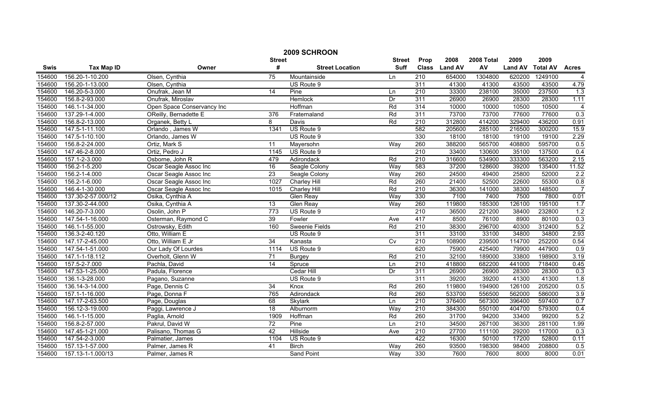|        | 2009 SCHROON       |                            |                 |                        |               |                  |                |            |                |                 |                  |
|--------|--------------------|----------------------------|-----------------|------------------------|---------------|------------------|----------------|------------|----------------|-----------------|------------------|
|        |                    |                            | <b>Street</b>   |                        | <b>Street</b> | Prop             | 2008           | 2008 Total | 2009           | 2009            |                  |
| Swis   | <b>Tax Map ID</b>  | Owner                      | #               | <b>Street Location</b> | <b>Suff</b>   | <b>Class</b>     | <b>Land AV</b> | AV         | <b>Land AV</b> | <b>Total AV</b> | <b>Acres</b>     |
| 154600 | 156.20-1-10.200    | Olsen, Cynthia             | $\overline{75}$ | Mountainside           | Ln            | $\overline{210}$ | 654000         | 1304800    | 620200         | 1249100         | $\overline{4}$   |
| 154600 | 156.20-1-13.000    | Olsen, Cynthia             |                 | US Route 9             |               | 311              | 41300          | 41300      | 43500          | 43500           | 4.79             |
| 154600 | 146.20-5-3.000     | Onufrak, Jean M            | 14              | Pine                   | Ln            | $\overline{210}$ | 33300          | 238100     | 35000          | 237500          | 1.3              |
| 154600 | 156.8-2-93.000     | Onufrak, Miroslav          |                 | <b>Hemlock</b>         | Dr            | 311              | 26900          | 26900      | 28300          | 28300           | 1.11             |
| 154600 | 146.1-1-34.000     | Open Space Conservancy Inc |                 | Hoffman                | Rd            | 314              | 10000          | 10000      | 10500          | 10500           | $\overline{4}$   |
| 154600 | 137.29-1-4.000     | OReilly, Bernadette E      | 376             | Fraternaland           | Rd            | 311              | 73700          | 73700      | 77600          | 77600           | 0.3              |
| 154600 | 156.8-2-13.000     | Organek, Betty L           | 8               | Davis                  | Rd            | 210              | 312800         | 414200     | 329400         | 436200          | 0.91             |
| 154600 | 147.5-1-11.100     | Orlando, James W           | 1341            | US Route 9             |               | 582              | 205600         | 285100     | 216500         | 300200          | 15.9             |
| 154600 | 147.5-1-10.100     | Orlando, James W           |                 | US Route 9             |               | 330              | 18100          | 18100      | 19100          | 19100           | 2.29             |
| 154600 | 156.8-2-24.000     | Ortiz, Mark S              | 11              | Mayersohn              | Way           | 260              | 388200         | 565700     | 408800         | 595700          | 0.5              |
| 154600 | 147.46-2-8.000     | Ortiz, Pedro J             | 1145            | US Route 9             |               | 210              | 33400          | 130600     | 35100          | 137500          | 0.4              |
| 154600 | 157.1-2-3.000      | Osborne, John R            | 479             | Adirondack             | Rd            | 210              | 316600         | 534900     | 333300         | 563200          | 2.15             |
| 154600 | 156.2-1-5.200      | Oscar Seagle Assoc Inc     | 16              | Seagle Colony          | Way           | 583              | 37200          | 128600     | 39200          | 135400          | 11.52            |
| 154600 | 156.2-1-4.000      | Oscar Seagle Assoc Inc     | $\overline{23}$ | Seagle Colony          | Way           | 260              | 24500          | 49400      | 25800          | 52000           | $\overline{2.2}$ |
| 154600 | 156.2-1-6.000      | Oscar Seagle Assoc Inc     | 1027            | Charley Hill           | Rd            | 260              | 21400          | 52500      | 22600          | 55300           | 0.8              |
| 154600 | 146.4-1-30.000     | Oscar Seagle Assoc Inc     | 1015            | Charley Hill           | Rd            | 210              | 36300          | 141000     | 38300          | 148500          | $\overline{7}$   |
| 154600 | 137.30-2-57.000/12 | Osika, Cynthia A           |                 | <b>Glen Reay</b>       | Way           | 330              | 7100           | 7400       | 7500           | 7800            | 0.01             |
| 154600 | 137.30-2-44.000    | Osika, Cynthia A           | 13              | <b>Glen Reay</b>       | Way           | 260              | 119800         | 185300     | 126100         | 195100          | 1.7              |
| 154600 | 146.20-7-3.000     | Osolin, John P             | 773             | US Route 9             |               | 210              | 36500          | 221200     | 38400          | 232800          | 1.2              |
| 154600 | 147.54-1-16.000    | Osterman, Raymond C        | 39              | Fowler                 | Ave           | 417              | 8500           | 76100      | 8900           | 80100           | 0.3              |
| 154600 | 146.1-1-55.000     | Ostrowsky, Edith           | 160             | <b>Sweenie Fields</b>  | Rd            | $\overline{210}$ | 38300          | 296700     | 40300          | 312400          | 5.2              |
| 154600 | 136.3-2-40.120     | Otto, William E            |                 | US Route 9             |               | 311              | 33100          | 33100      | 34800          | 34800           | 2.93             |
| 154600 | 147.17-2-45.000    | Otto, William E Jr         | 34              | Kanasta                | Cv            | 210              | 108900         | 239500     | 114700         | 252200          | 0.54             |
| 154600 | 147.54-1-51.000    | Our Lady Of Lourdes        | 1114            | US Route 9             |               | 620              | 75900          | 425400     | 79900          | 447900          | 0.9              |
| 154600 | 147.1-1-18.112     | Overholt, Glenn W          | 71              | <b>Burgey</b>          | Rd            | $\overline{210}$ | 32100          | 189000     | 33800          | 198900          | 3.19             |
| 154600 | 157.5-2-7.000      | Pachla, David              | 14              | Spruce                 | Ln            | $\overline{210}$ | 418800         | 682200     | 441000         | 718400          | 0.45             |
| 154600 | 147.53-1-25.000    | Padula, Florence           |                 | Cedar Hill             | Dr            | 311              | 26900          | 26900      | 28300          | 28300           | 0.3              |
| 154600 | 136.1-3-28.000     | Pagano, Suzanne            |                 | US Route 9             |               | 311              | 39200          | 39200      | 41300          | 41300           | 1.8              |
| 154600 | 136.14-3-14.000    | Page, Dennis C             | 34              | Knox                   | Rd            | 260              | 119800         | 194900     | 126100         | 205200          | 0.5              |
| 154600 | 157.1-1-16.000     | Page, Donna F              | 765             | Adirondack             | Rd            | 260              | 533700         | 556500     | 562000         | 586000          | 3.9              |
| 154600 | 147.17-2-63.500    | Page, Douglas              | 68              | <b>Skylark</b>         | Ln            | 210              | 376400         | 567300     | 396400         | 597400          | 0.7              |
| 154600 | 156.12-3-19.000    | Paggi, Lawrence J          | 18              | Alburnorm              | Way           | 210              | 384300         | 550100     | 404700         | 579300          | 0.4              |
| 154600 | 146.1-1-15.000     | Paglia, Arnold             | 1909            | Hoffman                | Rd            | 260              | 31700          | 94200      | 33400          | 99200           | 5.2              |
| 154600 | 156.8-2-57.000     | Pakrul, David W            | $\overline{72}$ | Pine                   | Ln            | $\overline{210}$ | 34500          | 267100     | 36300          | 281100          | 1.99             |
| 154600 | 147.45-1-21.000    | Palisano, Thomas G         | 42              | Hillside               | Ave           | $\overline{210}$ | 27700          | 111100     | 29200          | 117000          | 0.3              |
| 154600 | 147.54-2-3.000     | Palmatier, James           | 1104            | US Route 9             |               | 422              | 16300          | 50100      | 17200          | 52800           | 0.11             |
| 154600 | 157.13-1-57.000    | Palmer, James R            | 41              | <b>Birch</b>           | Way           | 260              | 93500          | 198300     | 98400          | 208800          | 0.5              |
| 154600 | 157.13-1-1.000/13  | Palmer, James R            |                 | <b>Sand Point</b>      | Way           | 330              | 7600           | 7600       | 8000           | 8000            | 0.01             |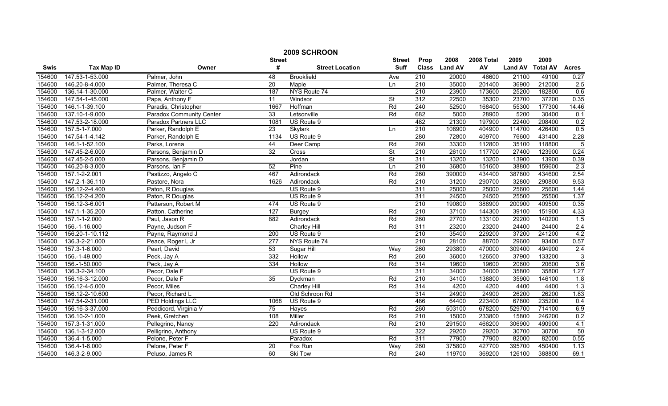|        | 2009 SCHROON      |                                 |                  |                        |                          |                  |               |            |                |                 |                |  |
|--------|-------------------|---------------------------------|------------------|------------------------|--------------------------|------------------|---------------|------------|----------------|-----------------|----------------|--|
|        |                   |                                 | <b>Street</b>    |                        | <b>Street</b>            | Prop             | 2008          | 2008 Total | 2009           | 2009            |                |  |
| Swis   | <b>Tax Map ID</b> | Owner                           | #                | <b>Street Location</b> | <b>Suff</b>              |                  | Class Land AV | AV         | <b>Land AV</b> | <b>Total AV</b> | <b>Acres</b>   |  |
| 154600 | 147.53-1-53.000   | Palmer, John                    | 48               | <b>Brookfield</b>      | Ave                      | $\overline{210}$ | 20000         | 46600      | 21100          | 49100           | 0.27           |  |
| 154600 | 146.20-8-4.000    | Palmer, Theresa C               | $\overline{20}$  | Maple                  | Ln                       | $\overline{210}$ | 35000         | 201400     | 36900          | 212000          | 2.5            |  |
| 154600 | 136.14-1-30.000   | Palmer, Walter C                | 187              | NYS Route 74           |                          | 210              | 23900         | 173600     | 25200          | 182800          | 0.6            |  |
| 154600 | 147.54-1-45.000   | Papa, Anthony F                 | 11               | Windsor                | $\overline{\mathsf{St}}$ | 312              | 22500         | 35300      | 23700          | 37200           | 0.35           |  |
| 154600 | 146.1-1-39.100    | Paradis, Christopher            | 1667             | Hoffman                | Rd                       | 240              | 52500         | 168400     | 55300          | 177300          | 14.46          |  |
| 154600 | 137.10-1-9.000    | <b>Paradox Community Center</b> | 33               | Letsonville            | Rd                       | 682              | 5000          | 28900      | 5200           | 30400           | 0.1            |  |
| 154600 | 147.53-2-18.000   | <b>Paradox Partners LLC</b>     | 1081             | US Route 9             |                          | 482              | 21300         | 197900     | 22400          | 208400          | 0.2            |  |
| 154600 | 157.5-1-7.000     | Parker, Randolph E              | 23               | Skylark                | Ln                       | $\overline{210}$ | 108900        | 404900     | 114700         | 426400          | 0.5            |  |
| 154600 | 147.54-1-4.142    | Parker, Randolph E              | 1134             | US Route 9             |                          | 280              | 72800         | 409700     | 76600          | 431400          | 2.28           |  |
| 154600 | 146.1-1-52.100    | Parks, Lorena                   | 44               | Deer Camp              | Rd                       | 260              | 33300         | 112800     | 35100          | 118800          | 5              |  |
| 154600 | 147.45-2-6.000    | Parsons, Benjamin D             | 32               | Cross                  | $\overline{\mathsf{St}}$ | $\overline{210}$ | 26100         | 117700     | 27400          | 123900          | 0.24           |  |
| 154600 | 147.45-2-5.000    | Parsons, Benjamin D             |                  | Jordan                 | $\overline{\mathsf{St}}$ | 311              | 13200         | 13200      | 13900          | 13900           | 0.39           |  |
| 154600 | 146.20-8-3.000    | Parsons, Ian F                  | 52               | Pine                   | Ln                       | $\overline{210}$ | 36800         | 151600     | 38800          | 159600          | 2.3            |  |
| 154600 | 157.1-2-2.001     | Pastizzo, Angelo C              | 467              | Adirondack             | Rd                       | 260              | 390000        | 434400     | 387800         | 434600          | 2.54           |  |
| 154600 | 147.2-1-36.110    | Pastore, Nora                   | 1626             | Adirondack             | Rd                       | $\overline{210}$ | 31200         | 290700     | 32800          | 290800          | 9.53           |  |
| 154600 | 156.12-2-4.400    | Paton, R Douglas                |                  | US Route 9             |                          | 311              | 25000         | 25000      | 25600          | 25600           | 1.44           |  |
| 154600 | 156.12-2-4.200    | Paton, R Douglas                |                  | US Route 9             |                          | 311              | 24500         | 24500      | 25500          | 25500           | 1.37           |  |
| 154600 | 156.12-3-6.001    | Patterson, Robert M             | 474              | US Route 9             |                          | 210              | 190800        | 388900     | 200900         | 409500          | 0.35           |  |
| 154600 | 147.1-1-35.200    | Patton, Catherine               | 127              | <b>Burgey</b>          | Rd                       | 210              | 37100         | 144300     | 39100          | 151900          | 4.33           |  |
| 154600 | 157.1-1-2.000     | Paul, Jason R                   | 882              | Adirondack             | Rd                       | 260              | 27700         | 133100     | 29200          | 140200          | 1.5            |  |
| 154600 | 156.-1-16.000     | Payne, Judson F                 |                  | Charley Hill           | Rd                       | 311              | 23200         | 23200      | 24400          | 24400           | 2.4            |  |
| 154600 | 156.20-1-10.112   | Payne, Raymond J                | 200              | US Route 9             |                          | $\overline{210}$ | 35400         | 229200     | 37200          | 241200          | 4.2            |  |
| 154600 | 136.3-2-21.000    | Peace, Roger L Jr               | $\overline{277}$ | NYS Route 74           |                          | 210              | 28100         | 88700      | 29600          | 93400           | 0.57           |  |
| 154600 | 157.3-1-6.000     | Pearl, David                    | 53               | Sugar Hill             | Way                      | 260              | 293800        | 470000     | 309400         | 494900          | 2.4            |  |
| 154600 | 156.-1-49.000     | Peck, Jay A                     | 332              | Hollow                 | Rd                       | 260              | 36000         | 126500     | 37900          | 133200          | $\overline{3}$ |  |
| 154600 | 156.-1-50.000     | Peck, Jay A                     | 334              | Hollow                 | Rd                       | 314              | 19600         | 19600      | 20600          | 20600           | 3.6            |  |
| 154600 | 136.3-2-34.100    | Pecor, Dale F                   |                  | US Route 9             |                          | 311              | 34000         | 34000      | 35800          | 35800           | 1.27           |  |
| 154600 | 156.16-3-12.000   | Pecor, Dale F                   | 35               | Dyckman                | Rd                       | $\overline{210}$ | 34100         | 138800     | 35900          | 146100          | 1.8            |  |
| 154600 | 156.12-4-5.000    | Pecor, Miles                    |                  | <b>Charley Hill</b>    | Rd                       | 314              | 4200          | 4200       | 4400           | 4400            | 1.3            |  |
| 154600 | 156.12-2-10.600   | Pecor, Richard L                |                  | Old Schroon Rd         |                          | 314              | 24900         | 24900      | 26200          | 26200           | 1.83           |  |
| 154600 | 147.54-2-31.000   | <b>PED Holdings LLC</b>         | 1068             | US Route 9             |                          | 486              | 64400         | 223400     | 67800          | 235200          | 0.4            |  |
| 154600 | 156.16-3-37.000   | Peddicord, Virginia V           | 75               | Hayes                  | Rd                       | 260              | 503100        | 678200     | 529700         | 714100          | 6.9            |  |
| 154600 | 136.10-2-1.000    | Peek, Gretchen                  | 108              | Miller                 | Rd                       | 210              | 15000         | 233800     | 15800          | 246200          | 0.2            |  |
| 154600 | 157.3-1-31.000    | Pellegrino, Nancy               | 220              | Adirondack             | Rd                       | 210              | 291500        | 466200     | 306900         | 490900          | 4.1            |  |
| 154600 | 136.1-3-12.000    | Pelligrino, Anthony             |                  | US Route 9             |                          | 322              | 29200         | 29200      | 30700          | 30700           | 50             |  |
| 154600 | 136.4-1-5.000     | Pelone, Peter F                 |                  | Paradox                | Rd                       | 311              | 77900         | 77900      | 82000          | 82000           | 0.55           |  |
| 154600 | 136.4-1-6.000     | Pelone, Peter F                 | 20               | Fox Run                | Way                      | 260              | 375800        | 427700     | 395700         | 450400          | 1.13           |  |
| 154600 | 146.3-2-9.000     | Peluso, James R                 | 60               | <b>Ski Tow</b>         | Rd                       | 240              | 119700        | 369200     | 126100         | 388800          | 69.1           |  |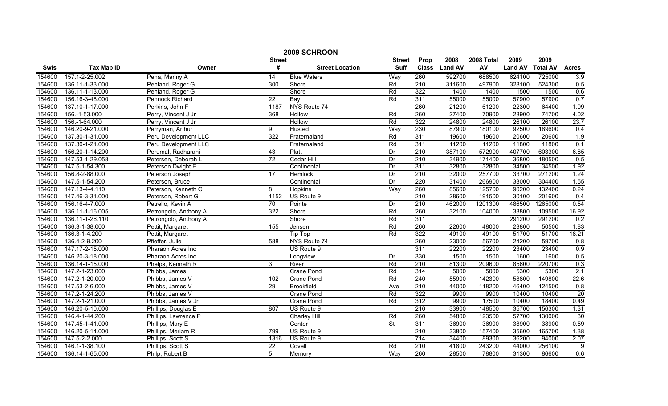|        | 2009 SCHROON      |                       |                 |                        |                          |                  |                |            |                |                 |              |  |
|--------|-------------------|-----------------------|-----------------|------------------------|--------------------------|------------------|----------------|------------|----------------|-----------------|--------------|--|
|        |                   |                       | <b>Street</b>   |                        | <b>Street</b>            | Prop             | 2008           | 2008 Total | 2009           | 2009            |              |  |
| Swis   | <b>Tax Map ID</b> | Owner                 | #               | <b>Street Location</b> | <b>Suff</b>              | <b>Class</b>     | <b>Land AV</b> | AV         | <b>Land AV</b> | <b>Total AV</b> | <b>Acres</b> |  |
| 154600 | 157.1-2-25.002    | Pena, Manny A         | $\overline{14}$ | <b>Blue Waters</b>     | Way                      | 260              | 592700         | 688500     | 624100         | 725000          | 3.9          |  |
| 154600 | 136.11-1-33.000   | Penland, Roger G      | 300             | Shore                  | Rd                       | $\overline{210}$ | 311600         | 497900     | 328100         | 524300          | 0.5          |  |
| 154600 | 136.11-1-13.000   | Penland, Roger G      |                 | Shore                  | Rd                       | 322              | 1400           | 1400       | 1500           | 1500            | 0.6          |  |
| 154600 | 156.16-3-48.000   | Pennock Richard       | $\overline{22}$ | Bay                    | Rd                       | 311              | 55000          | 55000      | 57900          | 57900           | 0.7          |  |
| 154600 | 137.10-1-17.000   | Perkins, John F       | 1187            | NYS Route 74           |                          | 260              | 21200          | 61200      | 22300          | 64400           | 1.09         |  |
| 154600 | 156.-1-53.000     | Perry, Vincent J Jr   | 368             | Hollow                 | Rd                       | 260              | 27400          | 70900      | 28900          | 74700           | 4.02         |  |
| 154600 | 156.-1-64.000     | Perry, Vincent J Jr   |                 | Hollow                 | Rd                       | 322              | 24800          | 24800      | 26100          | 26100           | 23.7         |  |
| 154600 | 146.20-9-21.000   | Perryman, Arthur      | 9               | Husted                 | Way                      | 230              | 87900          | 180100     | 92500          | 189600          | 0.4          |  |
| 154600 | 137.30-1-31.000   | Peru Development LLC  | 322             | Fraternaland           | Rd                       | 311              | 19600          | 19600      | 20600          | 20600           | 1.9          |  |
| 154600 | 137.30-1-21.000   | Peru Development LLC  |                 | Fraternaland           | Rd                       | 311              | 11200          | 11200      | 11800          | 11800           | 0.1          |  |
| 154600 | 156.20-1-14.200   | Perumal, Radharani    | 43              | Platt                  | Dr                       | $\overline{210}$ | 387100         | 572900     | 407700         | 603300          | 6.85         |  |
| 154600 | 147.53-1-29.058   | Petersen, Deborah L   | $\overline{72}$ | Cedar Hill             | Dr                       | 210              | 34900          | 171400     | 36800          | 180500          | 0.5          |  |
| 154600 | 147.5-1-54.300    | Peterson Dwight E     |                 | Continental            | Dr                       | 311              | 32800          | 32800      | 34500          | 34500           | 1.92         |  |
| 154600 | 156.8-2-88.000    | Peterson Joseph       | 17              | Hemlock                | Dr                       | 210              | 32000          | 257700     | 33700          | 271200          | 1.24         |  |
| 154600 | 147.5-1-54.200    | Peterson, Bruce       |                 | Continental            | Dr                       | 220              | 31400          | 266900     | 33000          | 304400          | 1.55         |  |
| 154600 | 147.13-4-4.110    | Peterson, Kenneth C   | 8               | Hopkins                | Way                      | 260              | 85600          | 125700     | 90200          | 132400          | 0.24         |  |
| 154600 | 147.46-3-31.000   | Peterson, Robert G    | 1152            | US Route 9             |                          | 210              | 28600          | 191500     | 30100          | 201600          | 0.4          |  |
| 154600 | 156.16-4-7.000    | Petrello, Kevin A     | 70              | Pointe                 | Dr                       | 210              | 462000         | 1201300    | 486500         | 1265000         | 0.54         |  |
| 154600 | 136.11-1-16.005   | Petrongolo, Anthony A | 322             | Shore                  | Rd                       | 260              | 32100          | 104000     | 33800          | 109500          | 16.92        |  |
| 154600 | 136.11-1-26.110   | Petrongolo, Anthony A |                 | Shore                  | Rd                       | 311              |                |            | 291200         | 291200          | 0.2          |  |
| 154600 | 136.3-1-38.000    | Pettit, Margaret      | 155             | Jensen                 | Rd                       | 260              | 22600          | 48000      | 23800          | 50500           | 1.83         |  |
| 154600 | 136.3-1-4.200     | Pettit, Margaret      |                 | Tip Top                | Rd                       | 322              | 49100          | 49100      | 51700          | 51700           | 18.21        |  |
| 154600 | 136.4-2-9.200     | Pfieffer, Julie       | 588             | NYS Route 74           |                          | 260              | 23000          | 56700      | 24200          | 59700           | 0.8          |  |
| 154600 | 147.17-2-15.000   | Pharaoh Acres Inc     |                 | US Route 9             |                          | 311              | 22200          | 22200      | 23400          | 23400           | 0.9          |  |
| 154600 | 146.20-3-18.000   | Pharaoh Acres Inc     |                 | Longview               | Dr                       | 330              | 1500           | 1500       | 1600           | 1600            | 0.5          |  |
| 154600 | 136.14-1-15.000   | Phelps, Kenneth R     | 3               | River                  | Rd                       | $\overline{210}$ | 81300          | 209600     | 85600          | 220700          | 0.3          |  |
| 154600 | 147.2-1-23.000    | Phibbs, James         |                 | Crane Pond             | Rd                       | 314              | 5000           | 5000       | 5300           | 5300            | 2.1          |  |
| 154600 | 147.2-1-20.000    | Phibbs, James V       | 102             | Crane Pond             | Rd                       | 240              | 55900          | 142300     | 58800          | 149800          | 22.6         |  |
| 154600 | 147.53-2-6.000    | Phibbs, James V       | 29              | <b>Brookfield</b>      | Ave                      | 210              | 44000          | 118200     | 46400          | 124500          | 0.8          |  |
| 154600 | 147.2-1-24.200    | Phibbs, James V       |                 | Crane Pond             | Rd                       | 322              | 9900           | 9900       | 10400          | 10400           | 20           |  |
| 154600 | 147.2-1-21.000    | Phibbs, James V Jr    |                 | <b>Crane Pond</b>      | Rd                       | 312              | 9900           | 17500      | 10400          | 18400           | 0.49         |  |
| 154600 | 146.20-5-10.000   | Phillips, Douglas E   | 807             | US Route 9             |                          | 210              | 33900          | 148500     | 35700          | 156300          | 1.31         |  |
| 154600 | 146.4-1-44.200    | Phillips, Lawrence P  |                 | <b>Charley Hill</b>    | Rd                       | 260              | 54800          | 123500     | 57700          | 130000          | 30           |  |
| 154600 | 147.45-1-41.000   | Phillips, Mary E      |                 | Center                 | $\overline{\mathsf{St}}$ | 311              | 36900          | 36900      | 38900          | 38900           | 0.59         |  |
| 154600 | 146.20-5-14.000   | Phillips, Meriam R    | 799             | US Route 9             |                          | $\overline{210}$ | 33800          | 157400     | 35600          | 165700          | 1.38         |  |
| 154600 | 147.5-2-2.000     | Phillips, Scott S     | 1316            | US Route 9             |                          | 714              | 34400          | 89300      | 36200          | 94000           | 2.07         |  |
| 154600 | 146.1-1-38.100    | Phillips, Scott S     | $\overline{22}$ | Covell                 | Rd                       | 210              | 41800          | 243200     | 44000          | 256100          | 9            |  |
| 154600 | 136.14-1-65.000   | Philp, Robert B       | 5               | Memory                 | Way                      | 260              | 28500          | 78800      | 31300          | 86600           | 0.6          |  |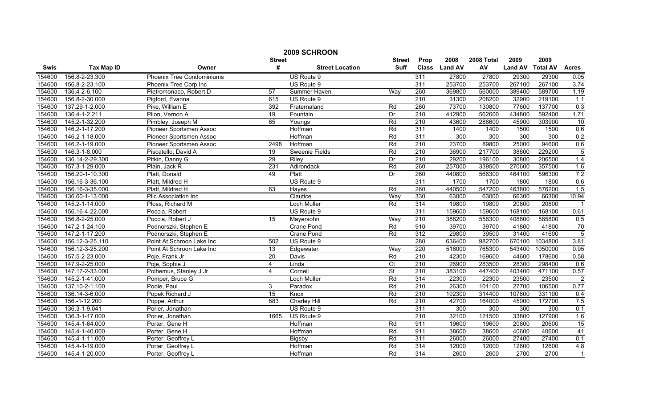|        | 2009 SCHROON      |                                  |                 |                        |                          |                  |               |            |                |                 |                |
|--------|-------------------|----------------------------------|-----------------|------------------------|--------------------------|------------------|---------------|------------|----------------|-----------------|----------------|
|        |                   |                                  | <b>Street</b>   |                        | <b>Street</b>            | Prop             | 2008          | 2008 Total | 2009           | 2009            |                |
| Swis   | <b>Tax Map ID</b> | Owner                            | #               | <b>Street Location</b> | <b>Suff</b>              |                  | Class Land AV | AV         | <b>Land AV</b> | <b>Total AV</b> | <b>Acres</b>   |
| 154600 | 156.8-2-23.300    | <b>Phoenix Tree Condominiums</b> |                 | US Route 9             |                          | 311              | 27800         | 27800      | 29300          | 29300           | 0.05           |
| 154600 | 156.8-2-23.100    | Phoenix Tree Corp Inc            |                 | US Route 9             |                          | $\overline{311}$ | 253700        | 253700     | 267100         | 267100          | 3.74           |
| 154600 | 136.4-2-6.100     | Pietromonaco, Robert D           | 57              | Summer Haven           | Way                      | 260              | 369800        | 560000     | 389400         | 589700          | 1.19           |
| 154600 | 156.8-2-30.000    | Pigford, Evanna                  | 615             | US Route 9             |                          | 210              | 31300         | 208200     | 32900          | 219100          | 1.1            |
| 154600 | 137.29-1-2.000    | Pike, William E                  | 392             | Fraternaland           | Rd                       | 260              | 73700         | 130800     | 77600          | 137700          | 0.3            |
| 154600 | 136.4-1-2.211     | Pilon, Vernon A                  | 19              | Fountain               | Dr                       | 210              | 412900        | 562600     | 434800         | 592400          | 1.71           |
| 154600 | 145.2-1-32.200    | Pimbley, Joseph M                | 65              | Youngs                 | Rd                       | 210              | 43600         | 288600     | 45900          | 303900          | 10             |
| 154600 | 146.2-1-17.200    | Pioneer Sportsmen Assoc          |                 | Hoffman                | Rd                       | 311              | 1400          | 1400       | 1500           | 1500            | 0.6            |
| 154600 | 146.2-1-18.000    | Pioneer Sportsmen Assoc          |                 | Hoffman                | Rd                       | $\overline{311}$ | 300           | 300        | 300            | 300             | 0.2            |
| 154600 | 146.2-1-19.000    | Pioneer Sportsmen Assoc          | 2498            | Hoffman                | Rd                       | 210              | 23700         | 89800      | 25000          | 94600           | 0.6            |
| 154600 | 146.3-1-8.000     | Piscatello, David A              | 19              | Sweenie Fields         | Rd                       | $\overline{210}$ | 36900         | 217700     | 38800          | 229200          | $\overline{5}$ |
| 154600 | 136.14-2-29.300   | Pitkin, Danny G                  | 29              | Riley                  | Dr                       | 210              | 29200         | 196100     | 30800          | 206500          | 1.4            |
| 154600 | 157.3-1-29.000    | Plain, Jack R                    | 231             | Adirondack             | Rd                       | 260              | 257000        | 339500     | 270600         | 357500          | 1.6            |
| 154600 | 156.20-1-10.300   | Platt, Donald                    | 49              | Platt                  | Dr                       | 260              | 440800        | 566300     | 464100         | 596300          | 7.2            |
| 154600 | 156.16-3-36.100   | Platt, Mildred H                 |                 | US Route 9             |                          | 311              | 1700          | 1700       | 1800           | 1800            | 0.6            |
| 154600 | 156.16-3-35.000   | Platt, Mildred H                 | 63              | Hayes                  | Rd                       | 260              | 440500        | 547200     | 463800         | 576200          | 1.5            |
| 154600 | 136.60-1-13.000   | Plic Association Inc             |                 | Clautice               | Way                      | 330              | 63000         | 63000      | 66300          | 66300           | 10.94          |
| 154600 | 145.2-1-14.000    | Ploss, Richard M                 |                 | <b>Loch Muller</b>     | Rd                       | 314              | 19800         | 19800      | 20800          | 20800           | $\overline{1}$ |
| 154600 | 156.16-4-22.000   | Poccia, Robert                   |                 | US Route 9             |                          | 311              | 159600        | 159600     | 168100         | 168100          | 0.61           |
| 154600 | 156.8-2-25.000    | Poccia, Robert J                 | 15              | Mayersohn              | Way                      | 210              | 388200        | 556300     | 408800         | 585800          | 0.5            |
| 154600 | 147.2-1-24.100    | Podnorszki, Stephen E            |                 | Crane Pond             | Rd                       | 910              | 39700         | 39700      | 41800          | 41800           | 70             |
| 154600 | 147.2-1-17.200    | Podnorszki, Stephen E            |                 | Crane Pond             | Rd                       | 312              | 29800         | 39500      | 31400          | 41600           | $\overline{5}$ |
| 154600 | 156.12-3-25.110   | Point At Schroon Lake Inc        | 502             | US Route 9             |                          | 280              | 636400        | 982700     | 670100         | 1034800         | 3.81           |
| 154600 | 156.12-3-25.200   | Point At Schroon Lake Inc        | 13              | Edgewater              | Wav                      | 220              | 516000        | 765300     | 543400         | 1050000         | 0.95           |
| 154600 | 157.5-2-23.000    | Poje, Frank Jr                   | $\overline{20}$ | Davis                  | Rd                       | $\overline{210}$ | 42300         | 169600     | 44600          | 178600          | 0.58           |
| 154600 | 147.9-2-25.000    | Poje, Sophie J                   | 4               | Linda                  | Ct                       | 210              | 26900         | 283500     | 28300          | 298400          | 0.6            |
| 154600 | 147.17-2-33.000   | Polhemus, Stanley J Jr           | $\overline{4}$  | Cornell                | $\overline{\mathsf{St}}$ | 210              | 383100        | 447400     | 403400         | 471100          | 0.57           |
| 154600 | 145.2-1-41.000    | Pomper, Bruce G                  |                 | <b>Loch Muller</b>     | Rd                       | 314              | 22300         | 22300      | 23500          | 23500           | $\overline{2}$ |
| 154600 | 137.10-2-1.100    | Poole, Paul                      | 3               | Paradox                | Rd                       | 210              | 26300         | 101100     | 27700          | 106500          | 0.77           |
| 154600 | 136.14-3-6.000    | Popek Richard J                  | 15              | Knox                   | Rd                       | 210              | 102300        | 314400     | 107800         | 331100          | 0.4            |
| 154600 | 156.-1-12.200     | Poppe, Arthur                    | 683             | <b>Charley Hill</b>    | Rd                       | 210              | 42700         | 164000     | 45000          | 172700          | 7.5            |
| 154600 | 136.3-1-9.041     | Porier, Jonathan                 |                 | US Route 9             |                          | 311              | 300           | 300        | 300            | 300             | 0.1            |
| 154600 | 136.3-1-17.000    | Porier, Jonathan                 | 1665            | US Route 9             |                          | 210              | 32100         | 121500     | 33800          | 127900          | 1.6            |
| 154600 | 145.4-1-64.000    | Porter, Gene H                   |                 | Hoffman                | Rd                       | 911              | 19600         | 19600      | 20600          | 20600           | 15             |
| 154600 | 145.4-1-40.000    | Porter, Gene H                   |                 | Hoffman                | Rd                       | 911              | 38600         | 38600      | 40600          | 40600           | 41             |
| 154600 | 145.4-1-11.000    | Porter, Geoffrey L               |                 | Bigsby                 | Rd                       | 311              | 26000         | 26000      | 27400          | 27400           | 0.1            |
| 154600 | 145.4-1-19.000    | Porter, Geoffrey L               |                 | Hoffman                | Rd                       | 314              | 12000         | 12000      | 12600          | 12600           | 4.8            |
| 154600 | 145.4-1-20.000    | Porter, Geoffrey L               |                 | Hoffman                | Rd                       | 314              | 2600          | 2600       | 2700           | 2700            | $\mathbf{1}$   |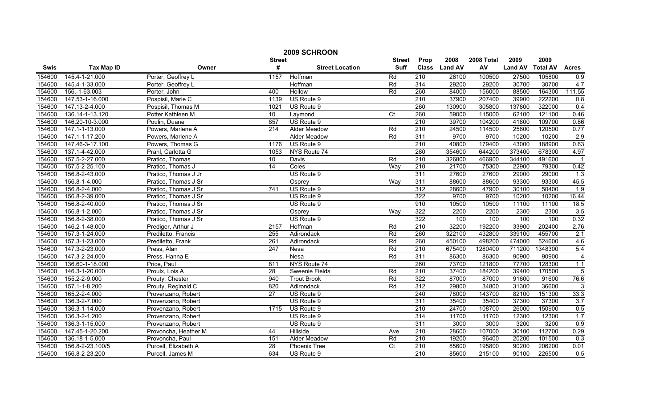|             | 2009 SCHROON      |                      |                  |                        |                 |                  |                |            |                |                 |                  |  |
|-------------|-------------------|----------------------|------------------|------------------------|-----------------|------------------|----------------|------------|----------------|-----------------|------------------|--|
|             |                   |                      | <b>Street</b>    |                        | <b>Street</b>   | Prop             | 2008           | 2008 Total | 2009           | 2009            |                  |  |
| <b>Swis</b> | <b>Tax Map ID</b> | Owner                | #                | <b>Street Location</b> | <b>Suff</b>     | <b>Class</b>     | <b>Land AV</b> | AV         | <b>Land AV</b> | <b>Total AV</b> | <b>Acres</b>     |  |
| 154600      | 145.4-1-21.000    | Porter, Geoffrey L   | 1157             | Hoffman                | Rd              | 210              | 26100          | 100500     | 27500          | 105800          | 0.9              |  |
| 154600      | 145.4-1-33.000    | Porter, Geoffrey L   |                  | Hoffman                | Rd              | 314              | 29200          | 29200      | 30700          | 30700           | 4.7              |  |
| 154600      | 156.-1-63.003     | Porter, John         | 400              | <b>Hollow</b>          | Rd              | 260              | 84000          | 156000     | 88500          | 164300          | 111.55           |  |
| 154600      | 147.53-1-16.000   | Pospisil, Marie C    | 1139             | US Route 9             |                 | 210              | 37900          | 207400     | 39900          | 222200          | 0.8              |  |
| 154600      | 147.13-2-4.000    | Pospisil, Thomas M   | 1021             | US Route 9             |                 | 260              | 130900         | 305800     | 137800         | 322000          | 0.4              |  |
| 154600      | 136.14-1-13.120   | Potter Kathleen M    | 10               | Laymond                | $\overline{C}$  | 260              | 59000          | 115000     | 62100          | 121100          | 0.46             |  |
| 154600      | 146.20-10-3.000   | Poulin, Duane        | 857              | US Route 9             |                 | 210              | 39700          | 104200     | 41800          | 109700          | 0.86             |  |
| 154600      | 147.1-1-13.000    | Powers, Marlene A    | 214              | <b>Alder Meadow</b>    | Rd              | 210              | 24500          | 114500     | 25800          | 120500          | 0.77             |  |
| 154600      | 147.1-1-17.200    | Powers, Marlene A    |                  | Alder Meadow           | Rd              | 311              | 9700           | 9700       | 10200          | 10200           | 2.9              |  |
| 154600      | 147.46-3-17.100   | Powers, Thomas G     | 1176             | US Route 9             |                 | 210              | 40800          | 179400     | 43000          | 188900          | 0.63             |  |
| 154600      | 137.1-4-42.000    | Prahl, Carlotta G    | 1053             | NYS Route 74           |                 | 280              | 354600         | 644200     | 373400         | 678300          | 4.97             |  |
| 154600      | 157.5-2-27.000    | Pratico, Thomas      | 10               | Davis                  | Rd              | 210              | 326800         | 466900     | 344100         | 491600          | $\overline{1}$   |  |
| 154600      | 157.5-2-25.100    | Pratico, Thomas J    | 14               | Coles                  | Way             | 210              | 21700          | 75300      | 22900          | 79300           | 0.42             |  |
| 154600      | 156.8-2-43.000    | Pratico, Thomas J Jr |                  | US Route 9             |                 | 311              | 27600          | 27600      | 29000          | 29000           | 1.3              |  |
| 154600      | 156.8-1-4.000     | Pratico, Thomas J Sr |                  | Osprey                 | Way             | 311              | 88600          | 88600      | 93300          | 93300           | 45.5             |  |
| 154600      | 156.8-2-4.000     | Pratico, Thomas J Sr | 741              | US Route 9             |                 | $\overline{312}$ | 28600          | 47900      | 30100          | 50400           | $\overline{1.9}$ |  |
| 154600      | 156.8-2-39.000    | Pratico, Thomas J Sr |                  | US Route 9             |                 | 322              | 9700           | 9700       | 10200          | 10200           | 16.44            |  |
| 154600      | 156.8-2-40.000    | Pratico, Thomas J Sr |                  | US Route 9             |                 | 910              | 10500          | 10500      | 11100          | 11100           | 18.5             |  |
| 154600      | 156.8-1-2.000     | Pratico, Thomas J Sr |                  | Osprey                 | Way             | 322              | 2200           | 2200       | 2300           | 2300            | 3.5              |  |
| 154600      | 156.8-2-38.000    | Pratico, Thomas J Sr |                  | US Route 9             |                 | 322              | 100            | 100        | 100            | 100             | 0.32             |  |
| 154600      | 146.2-1-48.000    | Prediger, Arthur J   | 2157             | Hoffman                | Rd              | 210              | 32200          | 192200     | 33900          | 202400          | 2.76             |  |
| 154600      | 157.3-1-24.000    | Prediletto, Francis  | 255              | Adirondack             | Rd              | 260              | 322100         | 432800     | 339100         | 455700          | 2.1              |  |
| 154600      | 157.3-1-23.000    | Prediletto, Frank    | 261              | Adirondack             | Rd              | 260              | 450100         | 498200     | 474000         | 524600          | 4.6              |  |
| 154600      | 147.3-2-23.000    | Press, Alan          | $\overline{247}$ | Nesa                   | Rd              | 210              | 675400         | 1280400    | 711200         | 1348300         | 5.4              |  |
| 154600      | 147.3-2-24.000    | Press, Hanna E       |                  | Nesa                   | Rd              | 311              | 86300          | 86300      | 90900          | 90900           | 4                |  |
| 154600      | 136.60-1-18.000   | Price, Paul          | 811              | NYS Route 74           |                 | 260              | 73700          | 121800     | 77700          | 128300          | 1.1              |  |
| 154600      | 146.3-1-20.000    | Proulx, Lois A       | 28               | Sweenie Fields         | Rd              | $\overline{210}$ | 37400          | 184200     | 39400          | 170500          | 5                |  |
| 154600      | 155.2-2-9.000     | Prouty, Chester      | 940              | <b>Trout Brook</b>     | Rd              | 322              | 87000          | 87000      | 91600          | 91600           | 76.6             |  |
| 154600      | 157.1-1-8.200     | Prouty, Reginald C   | 820              | Adirondack             | Rd              | 312              | 29800          | 34800      | 31300          | 36600           | $\overline{3}$   |  |
| 154600      | 165.2-2-4.000     | Provenzano, Robert   | 27               | US Route 9             |                 | 240              | 78000          | 143700     | 82100          | 151300          | 33.3             |  |
| 154600      | 136.3-2-7.000     | Provenzano, Robert   |                  | US Route 9             |                 | 311              | 35400          | 35400      | 37300          | 37300           | 3.7              |  |
| 154600      | 136.3-1-14.000    | Provenzano, Robert   | 1715             | US Route 9             |                 | 210              | 24700          | 108700     | 26000          | 150900          | 0.5              |  |
| 154600      | 136.3-2-1.200     | Provenzano, Robert   |                  | US Route 9             |                 | 314              | 11700          | 11700      | 12300          | 12300           | 1.7              |  |
| 154600      | 136.3-1-15.000    | Provenzano, Robert   |                  | US Route 9             |                 | 311              | 3000           | 3000       | 3200           | 3200            | 0.9              |  |
| 154600      | 147.45-1-20.200   | Provoncha, Heather M | 44               | Hillside               | Ave             | 210              | 28600          | 107000     | 30100          | 112700          | 0.29             |  |
| 154600      | 136.18-1-5.000    | Provoncha, Paul      | 151              | Alder Meadow           | Rd              | 210              | 19200          | 96400      | 20200          | 101500          | 0.3              |  |
| 154600      | 156.8-2-23.100/5  | Purcell, Elizabeth A | $\overline{28}$  | Phoenix Tree           | $\overline{C}t$ | $\overline{210}$ | 85600          | 195800     | 90200          | 206200          | 0.01             |  |
| 154600      | 156.8-2-23.200    | Purcell, James M     | 634              | US Route 9             |                 | $\overline{210}$ | 85600          | 215100     | 90100          | 226500          | 0.5              |  |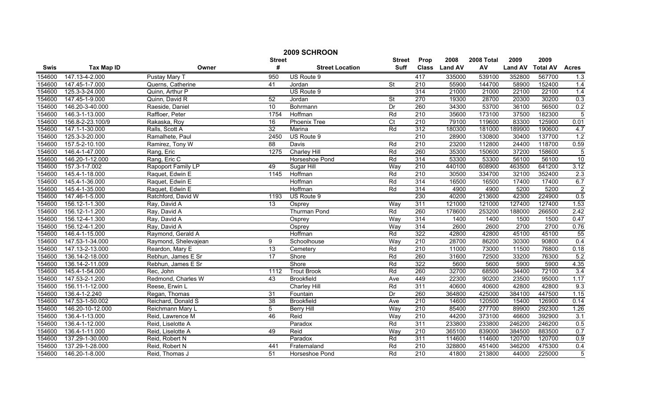|             | 2009 SCHROON      |                      |                 |                        |                          |                  |                |            |                |                 |                |  |
|-------------|-------------------|----------------------|-----------------|------------------------|--------------------------|------------------|----------------|------------|----------------|-----------------|----------------|--|
|             |                   |                      | <b>Street</b>   |                        | <b>Street</b>            | Prop             | 2008           | 2008 Total | 2009           | 2009            |                |  |
| <b>Swis</b> | <b>Tax Map ID</b> | Owner                | #               | <b>Street Location</b> | <b>Suff</b>              | <b>Class</b>     | <b>Land AV</b> | AV         | <b>Land AV</b> | <b>Total AV</b> | <b>Acres</b>   |  |
| 154600      | 147.13-4-2.000    | Pustay Mary T        | 950             | US Route 9             |                          | 417              | 335000         | 539100     | 352800         | 567700          | 1.3            |  |
| 154600      | 147.45-1-7.000    | Querns, Catherine    | 41              | Jordan                 | $\overline{\mathsf{St}}$ | $\overline{210}$ | 55900          | 144700     | 58900          | 152400          | 1.4            |  |
| 154600      | 125.3-3-24.000    | Quinn, Arthur P      |                 | US Route 9             |                          | 314              | 21000          | 21000      | 22100          | 22100           | 1.4            |  |
| 154600      | 147.45-1-9.000    | Quinn, David R       | 52              | Jordan                 | <b>St</b>                | 270              | 19300          | 28700      | 20300          | 30200           | 0.3            |  |
| 154600      | 146.20-3-40.000   | Raeside, Daniel      | 10              | Bohrmann               | Dr                       | 260              | 34300          | 53700      | 36100          | 56500           | 0.2            |  |
| 154600      | 146.3-1-13.000    | Raffloer, Peter      | 1754            | Hoffman                | Rd                       | 210              | 35600          | 173100     | 37500          | 182300          | $\overline{5}$ |  |
| 154600      | 156.8-2-23.100/9  | Rakaska, Roy         | 16              | <b>Phoenix Tree</b>    | $\overline{C}$ t         | 210              | 79100          | 119600     | 83300          | 125900          | 0.01           |  |
| 154600      | 147.1-1-30.000    | Ralls, Scott A       | 32              | Marina                 | Rd                       | 312              | 180300         | 181000     | 189900         | 190600          | 4.7            |  |
| 154600      | 125.3-3-20.000    | Ramalhete, Paul      | 2450            | US Route 9             |                          | 210              | 28900          | 130800     | 30400          | 137700          | 1.2            |  |
| 154600      | 157.5-2-10.100    | Ramirez, Tony W      | 88              | Davis                  | Rd                       | 210              | 23200          | 112800     | 24400          | 118700          | 0.59           |  |
| 154600      | 146.4-1-47.000    | Rang, Eric           | 1275            | <b>Charley Hill</b>    | Rd                       | 260              | 35300          | 150600     | 37200          | 158600          | $\overline{5}$ |  |
| 154600      | 146.20-1-12.000   | Rang, Eric C         |                 | Horseshoe Pond         | Rd                       | 314              | 53300          | 53300      | 56100          | 56100           | 10             |  |
| 154600      | 157.3-1-7.002     | Rapoport Family LP   | 49              | Sugar Hill             | Way                      | 210              | 440100         | 608900     | 463500         | 641200          | 3.12           |  |
| 154600      | 145.4-1-18.000    | Raquet, Edwin E      | 1145            | Hoffman                | Rd                       | 210              | 30500          | 334700     | 32100          | 352400          | 2.3            |  |
| 154600      | 145.4-1-36.000    | Raquet, Edwin E      |                 | Hoffman                | Rd                       | 314              | 16500          | 16500      | 17400          | 17400           | 6.7            |  |
| 154600      | 145.4-1-35.000    | Raquet, Edwin E      |                 | Hoffman                | Rd                       | 314              | 4900           | 4900       | 5200           | 5200            | $\overline{2}$ |  |
| 154600      | 147.46-1-5.000    | Ratchford, David W   | 1193            | US Route 9             |                          | 230              | 40200          | 213600     | 42300          | 224900          | 0.5            |  |
| 154600      | 156.12-1-1.300    | Ray, David A         | 13              | Osprey                 | Way                      | 311              | 121000         | 121000     | 127400         | 127400          | 1.53           |  |
| 154600      | 156.12-1-1.200    | Ray, David A         |                 | <b>Thurman Pond</b>    | Rd                       | 260              | 178600         | 253200     | 188000         | 266500          | 2.42           |  |
| 154600      | 156.12-4-1.300    | Ray, David A         |                 | Osprey                 | Way                      | 314              | 1400           | 1400       | 1500           | 1500            | 0.47           |  |
| 154600      | 156.12-4-1.200    | Ray, David A         |                 | Osprey                 | Wav                      | 314              | 2600           | 2600       | 2700           | 2700            | 0.76           |  |
| 154600      | 146.4-1-15.000    | Raymond, Gerald A    |                 | Hoffman                | Rd                       | 322              | 42800          | 42800      | 45100          | 45100           | 55             |  |
| 154600      | 147.53-1-34.000   | Raymond, Shelevajean | 9               | Schoolhouse            | Way                      | 210              | 28700          | 86200      | 30300          | 90800           | 0.4            |  |
| 154600      | 147.13-2-13.000   | Reardon, Mary E      | $\overline{13}$ | Cemetery               | Rd                       | 210              | 11000          | 73000      | 11500          | 76800           | 0.18           |  |
| 154600      | 136.14-2-18.000   | Rebhun, James E Sr   | $\overline{17}$ | Shore                  | Rd                       | 260              | 31600          | 72500      | 33200          | 76300           | 5.2            |  |
| 154600      | 136.14-2-11.009   | Rebhun, James E Sr   |                 | Shore                  | Rd                       | 322              | 5600           | 5600       | 5900           | 5900            | 4.35           |  |
| 154600      | 145.4-1-54.000    | Rec, John            | 1112            | <b>Trout Brook</b>     | Rd                       | 260              | 32700          | 68500      | 34400          | 72100           | 3.4            |  |
| 154600      | 147.53-2-1.200    | Redmond, Charles W   | 43              | <b>Brookfield</b>      | Ave                      | 449              | 22300          | 90200      | 23500          | 95000           | 1.17           |  |
| 154600      | 156.11-1-12.000   | Reese, Erwin L       |                 | <b>Charley Hill</b>    | Rd                       | 311              | 40600          | 40600      | 42800          | 42800           | 9.3            |  |
| 154600      | 136.4-1-2.240     | Regan, Thomas        | 31              | Fountain               | Dr                       | 260              | 364800         | 425000     | 384100         | 447500          | 1.15           |  |
| 154600      | 147.53-1-50.002   | Reichard, Donald S   | 38              | <b>Brookfield</b>      | Ave                      | 210              | 14600          | 120500     | 15400          | 126900          | 0.14           |  |
| 154600      | 146.20-10-12.000  | Reichmann Mary L     | 5               | <b>Berry Hill</b>      | Way                      | 210              | 85400          | 277700     | 89900          | 292300          | 1.26           |  |
| 154600      | 136.4-1-13.000    | Reid, Lawrence M     | 46              | Reid                   | Way                      | 210              | 44200          | 373100     | 46600          | 392900          | 3.1            |  |
| 154600      | 136.4-1-12.000    | Reid, Liselotte A    |                 | Paradox                | Rd                       | 311              | 233800         | 233800     | 246200         | 246200          | 0.5            |  |
| 154600      | 136.4-1-11.000    | Reid, Liselotte A    | 49              | Reid                   | Way                      | $\overline{210}$ | 365100         | 839000     | 384500         | 883500          | 0.7            |  |
| 154600      | 137.29-1-30.000   | Reid, Robert N       |                 | Paradox                | Rd                       | 311              | 114600         | 114600     | 120700         | 120700          | 0.9            |  |
| 154600      | 137.29-1-28.000   | Reid, Robert N       | 441             | Fraternaland           | Rd                       | 210              | 328800         | 451400     | 346200         | 475300          | 0.4            |  |
| 154600      | 146.20-1-8.000    | Reid, Thomas J       | $\overline{51}$ | Horseshoe Pond         | Rd                       | 210              | 41800          | 213800     | 44000          | 225000          | $\overline{5}$ |  |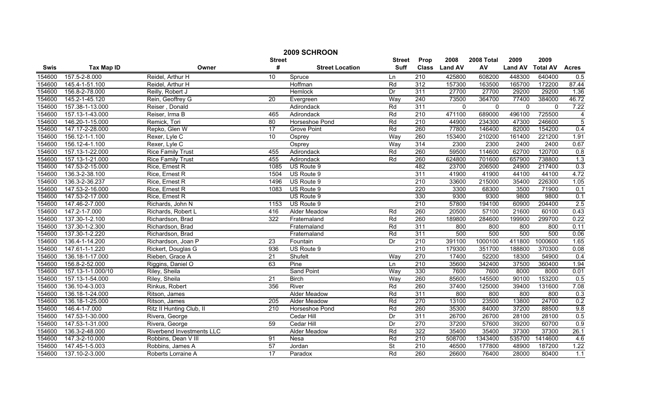|        | 2009 SCHROON      |                           |               |                        |                 |                  |                |             |                |                 |                |  |
|--------|-------------------|---------------------------|---------------|------------------------|-----------------|------------------|----------------|-------------|----------------|-----------------|----------------|--|
|        |                   |                           | <b>Street</b> |                        | <b>Street</b>   | Prop             | 2008           | 2008 Total  | 2009           | 2009            |                |  |
| Swis   | <b>Tax Map ID</b> | Owner                     | #             | <b>Street Location</b> | <b>Suff</b>     | <b>Class</b>     | <b>Land AV</b> | AV          | <b>Land AV</b> | <b>Total AV</b> | <b>Acres</b>   |  |
| 154600 | 157.5-2-8.000     | Reidel, Arthur H          | 10            | Spruce                 | Ln              | $\overline{210}$ | 425800         | 608200      | 448300         | 640400          | 0.5            |  |
| 154600 | 145.4-1-51.100    | Reidel, Arthur H          |               | Hoffman                | Rd              | 312              | 157300         | 163500      | 165700         | 172200          | 87.44          |  |
| 154600 | 156.8-2-78.000    | Reilly, Robert J          |               | <b>Hemlock</b>         | Dr              | 311              | 27700          | 27700       | 29200          | 29200           | 1.36           |  |
| 154600 | 145.2-1-45.120    | Rein, Geoffrey G          | 20            | Evergreen              | Way             | 240              | 73500          | 364700      | 77400          | 384000          | 46.72          |  |
| 154600 | 157.38-1-13.000   | Reiser, Donald            |               | Adirondack             | Rd              | 311              | $\mathbf 0$    | $\mathbf 0$ | $\mathbf{0}$   | $\mathbf{0}$    | 7.22           |  |
| 154600 | 157.13-1-43.000   | Reiser, Irma B            | 465           | Adirondack             | Rd              | 210              | 471100         | 689000      | 496100         | 725500          | $\overline{4}$ |  |
| 154600 | 146.20-1-15.000   | Remick, Tori              | 80            | Horseshoe Pond         | Rd              | 210              | 44900          | 234300      | 47300          | 246600          | $\overline{5}$ |  |
| 154600 | 147.17-2-28.000   | Repko, Glen W             | 17            | <b>Grove Point</b>     | Rd              | 260              | 77800          | 146400      | 82000          | 154200          | 0.4            |  |
| 154600 | 156.12-1-1.100    | Rexer, Lyle C             | 10            | Osprey                 | Way             | 260              | 153400         | 210200      | 161400         | 221200          | 1.91           |  |
| 154600 | 156.12-4-1.100    | Rexer, Lyle C             |               | Osprey                 | Way             | 314              | 2300           | 2300        | 2400           | 2400            | 0.67           |  |
| 154600 | 157.13-1-22.000   | <b>Rice Family Trust</b>  | 455           | Adirondack             | Rd              | 260              | 59500          | 114600      | 62700          | 120700          | 0.8            |  |
| 154600 | 157.13-1-21.000   | <b>Rice Family Trust</b>  | 455           | Adirondack             | Rd              | 260              | 624800         | 701600      | 657900         | 738800          | 1.3            |  |
| 154600 | 147.53-2-15.000   | Rice, Ernest R            | 1085          | US Route 9             |                 | 482              | 23700          | 206500      | 24900          | 217400          | 0.3            |  |
| 154600 | 136.3-2-38.100    | Rice, Ernest R            | 1504          | US Route 9             |                 | 311              | 41900          | 41900       | 44100          | 44100           | 4.72           |  |
| 154600 | 136.3-2-36.237    | Rice, Ernest R            | 1496          | US Route 9             |                 | 210              | 33600          | 215000      | 35400          | 226300          | 1.05           |  |
| 154600 | 147.53-2-16.000   | Rice, Ernest R            | 1083          | US Route 9             |                 | 220              | 3300           | 68300       | 3500           | 71900           | 0.1            |  |
| 154600 | 147.53-2-17.000   | Rice, Ernest R            |               | US Route 9             |                 | 330              | 9300           | 9300        | 9800           | 9800            | 0.1            |  |
| 154600 | 147.46-2-7.000    | Richards, John N          | 1153          | US Route 9             |                 | 210              | 57800          | 194100      | 60900          | 204400          | 2.5            |  |
| 154600 | 147.2-1-7.000     | Richards, Robert L        | 416           | <b>Alder Meadow</b>    | Rd              | 260              | 20500          | 57100       | 21600          | 60100           | 0.43           |  |
| 154600 | 137.30-1-2.100    | Richardson, Brad          | 322           | Fraternaland           | Rd              | 260              | 189800         | 284600      | 199900         | 299700          | 0.22           |  |
| 154600 | 137.30-1-2.300    | Richardson, Brad          |               | Fraternaland           | Rd              | 311              | 800            | 800         | 800            | 800             | 0.11           |  |
| 154600 | 137.30-1-2.220    | Richardson, Brad          |               | Fraternaland           | Rd              | 311              | 500            | 500         | 500            | 500             | 0.06           |  |
| 154600 | 136.4-1-14.200    | Richardson, Joan P        | 23            | Fountain               | Dr              | 210              | 391100         | 1000100     | 411800         | 1000600         | 1.65           |  |
| 154600 | 147.61-1-1.220    | Rickert, Douglas G        | 936           | US Route 9             |                 | 210              | 179300         | 351700      | 188800         | 370300          | 0.08           |  |
| 154600 | 136.18-1-17.000   | Rieben, Grace A           | 21            | Shufelt                | Way             | 270              | 17400          | 52200       | 18300          | 54900           | 0.4            |  |
| 154600 | 156.8-2-52.000    | Riggins, Daniel O         | 63            | Pine                   | Ln              | 210              | 35600          | 342400      | 37500          | 360400          | 1.94           |  |
| 154600 | 157.13-1-1.000/10 | Riley, Sheila             |               | <b>Sand Point</b>      | Way             | 330              | 7600           | 7600        | 8000           | 8000            | 0.01           |  |
| 154600 | 157.13-1-54.000   | Riley, Sheila             | 21            | <b>Birch</b>           | Way             | 260              | 85600          | 145500      | 90100          | 153200          | 0.5            |  |
| 154600 | 136.10-4-3.003    | Rinkus, Robert            | 356           | River                  | Rd              | 260              | 37400          | 125000      | 39400          | 131600          | 7.08           |  |
| 154600 | 136.18-1-24.000   | Ritson, James             |               | <b>Alder Meadow</b>    | Rd              | 311              | 800            | 800         | 800            | 800             | 0.3            |  |
| 154600 | 136.18-1-25.000   | Ritson, James             | 205           | <b>Alder Meadow</b>    | Rd              | 270              | 13100          | 23500       | 13800          | 24700           | 0.2            |  |
| 154600 | 146.4-1-7.000     | Ritz II Hunting Club, II  | 210           | Horseshoe Pond         | Rd              | 260              | 35300          | 84000       | 37200          | 88500           | 9.8            |  |
| 154600 | 147.53-1-30.000   | Rivera, George            |               | Cedar Hill             | $\overline{Dr}$ | 311              | 26700          | 26700       | 28100          | 28100           | 0.5            |  |
| 154600 | 147.53-1-31.000   | Rivera, George            | 59            | Cedar Hill             | Dr              | 270              | 37200          | 57600       | 39200          | 60700           | 0.9            |  |
| 154600 | 136.3-2-48.000    | Riverbend Investments LLC |               | Alder Meadow           | Rd              | 322              | 35400          | 35400       | 37300          | 37300           | 26.1           |  |
| 154600 | 147.3-2-10.000    | Robbins, Dean V III       | 91            | Nesa                   | Rd              | 210              | 508700         | 1343400     | 535700         | 1414600         | 4.6            |  |
| 154600 | 147.45-1-5.003    | Robbins, James A          | 57            | Jordan                 | <b>St</b>       | $\overline{210}$ | 46500          | 177800      | 48900          | 187200          | 1.22           |  |
| 154600 | 137.10-2-3.000    | Roberts Lorraine A        | 17            | Paradox                | Rd              | 260              | 26600          | 76400       | 28000          | 80400           | 1.1            |  |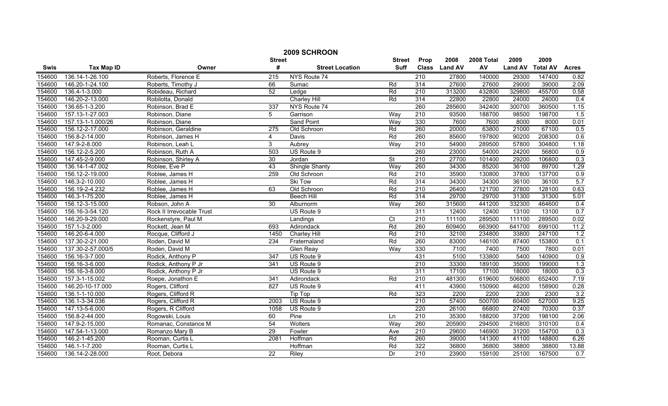|        | 2009 SCHROON      |                           |                  |                        |                 |                  |               |            |                |                 |                  |
|--------|-------------------|---------------------------|------------------|------------------------|-----------------|------------------|---------------|------------|----------------|-----------------|------------------|
|        |                   |                           | <b>Street</b>    |                        | <b>Street</b>   | Prop             | 2008          | 2008 Total | 2009           | 2009            |                  |
| Swis   | <b>Tax Map ID</b> | Owner                     | #                | <b>Street Location</b> | Suff            |                  | Class Land AV | AV         | <b>Land AV</b> | <b>Total AV</b> | <b>Acres</b>     |
| 154600 | 136.14-1-26.100   | Roberts, Florence E       | $\overline{215}$ | NYS Route 74           |                 | $\overline{210}$ | 27800         | 140000     | 29300          | 147400          | 0.82             |
| 154600 | 146.20-1-24.100   | Roberts, Timothy J        | 66               | Sumac                  | Rd              | 314              | 27600         | 27600      | 29000          | 39000           | 2.09             |
| 154600 | 136.4-1-3.000     | Robideau, Richard         | 52               | Ledge                  | Rd              | 210              | 313200        | 432800     | 329800         | 455700          | 0.58             |
| 154600 | 146.20-2-13.000   | Robilotta, Donald         |                  | <b>Charley Hill</b>    | Rd              | 314              | 22800         | 22800      | 24000          | 24000           | 0.4              |
| 154600 | 136.65-1-3.200    | Robinson, Brad E          | 337              | NYS Route 74           |                 | 260              | 285600        | 342400     | 300700         | 360500          | 1.15             |
| 154600 | 157.13-1-27.003   | Robinson, Diane           | 5                | Garrison               | Way             | 210              | 93500         | 188700     | 98500          | 198700          | 1.5              |
| 154600 | 157.13-1-1.000/26 | Robinson, Diane           |                  | <b>Sand Point</b>      | Way             | 330              | 7600          | 7600       | 8000           | 8000            | 0.01             |
| 154600 | 156.12-2-17.000   | Robinson, Geraldine       | 275              | Old Schroon            | Rd              | 260              | 20000         | 63800      | 21000          | 67100           | 0.5              |
| 154600 | 156.8-2-14.000    | Robinson, James H         | $\overline{4}$   | Davis                  | Rd              | 260              | 85600         | 197800     | 90200          | 208300          | 0.6              |
| 154600 | 147.9-2-8.000     | Robinson, Leah L          | 3                | Aubrey                 | Way             | 210              | 54900         | 289500     | 57800          | 304800          | 1.18             |
| 154600 | 156.12-2-5.200    | Robinson, Ruth A          | 503              | US Route 9             |                 | 260              | 23000         | 54000      | 24200          | 56800           | 0.9              |
| 154600 | 147.45-2-9.000    | Robinson, Shirley A       | 30               | Jordan                 | St              | 210              | 27700         | 101400     | 29200          | 106800          | 0.3              |
| 154600 | 136.14-1-47.002   | Roblee, Eve P             | 43               | Shingle Shanty         | Way             | 260              | 34300         | 85200      | 36100          | 89700           | 1.29             |
| 154600 | 156.12-2-19.000   | Roblee, James H           | 259              | Old Schroon            | Rd              | 210              | 35900         | 130800     | 37800          | 137700          | 0.9              |
| 154600 | 146.3-2-10.000    | Roblee, James H           |                  | Ski Tow                | Rd              | 314              | 34300         | 34300      | 36100          | 36100           | 5.7              |
| 154600 | 156.19-2-4.232    | Roblee, James H           | 63               | Old Schroon            | Rd              | 210              | 26400         | 121700     | 27800          | 128100          | 0.63             |
| 154600 | 146.3-1-75.200    | Roblee, James H           |                  | <b>Beech Hill</b>      | Rd              | 314              | 29700         | 29700      | 31300          | 31300           | 5.01             |
| 154600 | 156.12-3-15.000   | Robson, John A            | 30               | Alburnorm              | Way             | 260              | 315600        | 441200     | 332300         | 464600          | 0.4              |
| 154600 | 156.16-3-54.120   | Rock II Irrevocable Trust |                  | US Route 9             |                 | 311              | 12400         | 12400      | 13100          | 13100           | 0.7              |
| 154600 | 146.20-9-29.000   | Rockenstyre, Paul M       |                  | Landings               | $\overline{C}t$ | 210              | 111100        | 289500     | 111100         | 289500          | 0.02             |
| 154600 | 157.1-3-2.000     | Rockett, Jean M           | 693              | Adirondack             | Rd              | 260              | 609400        | 663900     | 641700         | 699100          | 11.2             |
| 154600 | 146.20-6-4.000    | Rocque, Clifford J        | 1450             | Charley Hill           | Rd              | 210              | 32100         | 234800     | 33800          | 247100          | 1.2              |
| 154600 | 137.30-2-21.000   | Roden, David M            | 234              | Fraternaland           | Rd              | 260              | 83000         | 146100     | 87400          | 153800          | 0.1              |
| 154600 | 137.30-2-57.000/5 | Roden, David M            |                  | <b>Glen Reay</b>       | Way             | 330              | 7100          | 7400       | 7500           | 7800            | 0.01             |
| 154600 | 156.16-3-7.000    | Rodick, Anthony P         | $\overline{347}$ | US Route 9             |                 | 431              | 5100          | 133800     | 5400           | 140900          | 0.9              |
| 154600 | 156.16-3-6.000    | Rodick, Anthony P Jr      | 341              | US Route 9             |                 | 210              | 33300         | 189100     | 35000          | 199000          | 1.3              |
| 154600 | 156.16-3-8.000    | Rodick, Anthony P Jr      |                  | US Route 9             |                 | 311              | 17100         | 17100      | 18000          | 18000           | 0.3              |
| 154600 | 157.3-1-15.002    | Roepe, Jonathon E         | 341              | Adirondack             | Rd              | $\overline{210}$ | 481300        | 619600     | 506800         | 652400          | 7.19             |
| 154600 | 146.20-10-17.000  | Rogers, Clifford          | 827              | US Route 9             |                 | 411              | 43900         | 150900     | 46200          | 158900          | 0.28             |
| 154600 | 136.1-1-10.000    | Rogers, Clifford R        |                  | Tip Top                | Rd              | 323              | 2200          | 2200       | 2300           | 2300            | 3.2              |
| 154600 | 136.1-3-34.036    | Rogers, Clifford R        | 2003             | US Route 9             |                 | 210              | 57400         | 500700     | 60400          | 527000          | 9.25             |
| 154600 | 147.13-5-6.000    | Rogers, R Clifford        | 1058             | US Route 9             |                 | 220              | 26100         | 66800      | 27400          | 70300           | 0.37             |
| 154600 | 156.8-2-44.000    | Rogowski, Louis           | 60               | Pine                   | Ln              | 210              | 35300         | 188200     | 37200          | 198100          | 2.06             |
| 154600 | 147.9-2-15.000    | Romanac, Constance M      | $\overline{54}$  | Wolters                | Way             | 260              | 205900        | 294500     | 216800         | 310100          | 0.4              |
| 154600 | 147.54-1-13.000   | Romanzo Mary B            | 29               | Fowler                 | Ave             | 210              | 29600         | 146900     | 31200          | 154700          | 0.3              |
| 154600 | 146.2-1-45.200    | Rooman, Curtis L          | 2081             | Hoffman                | Rd              | 260              | 39000         | 141300     | 41100          | 148800          | 6.26             |
| 154600 | 146.1-1-7.200     | Rooman, Curtis L          |                  | Hoffman                | Rd              | 322              | 36800         | 36800      | 38800          | 38800           | 13.88            |
| 154600 | 136.14-2-28.000   | Root, Debora              | $\overline{22}$  | Riley                  | Dr              | 210              | 23900         | 159100     | 25100          | 167500          | $\overline{0.7}$ |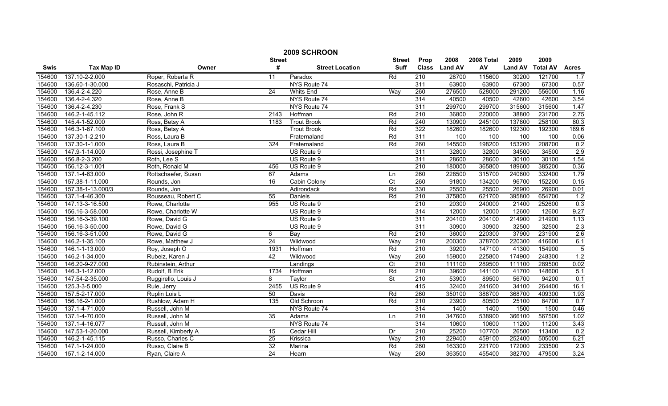|             | 2009 SCHROON      |                      |                 |                        |                          |                  |               |            |                |                 |                |  |
|-------------|-------------------|----------------------|-----------------|------------------------|--------------------------|------------------|---------------|------------|----------------|-----------------|----------------|--|
|             |                   |                      | <b>Street</b>   |                        | <b>Street</b>            | Prop             | 2008          | 2008 Total | 2009           | 2009            |                |  |
| <b>Swis</b> | <b>Tax Map ID</b> | Owner                | #               | <b>Street Location</b> | <b>Suff</b>              |                  | Class Land AV | AV         | <b>Land AV</b> | <b>Total AV</b> | <b>Acres</b>   |  |
| 154600      | 137.10-2-2.000    | Roper, Roberta R     | 11              | Paradox                | Rd                       | 210              | 28700         | 115600     | 30200          | 121700          | 1.7            |  |
| 154600      | 136.60-1-30.000   | Rosaschi, Patricia J |                 | NYS Route 74           |                          | 311              | 63900         | 63900      | 67300          | 67300           | 0.57           |  |
| 154600      | 136.4-2-4.220     | Rose, Anne B         | $\overline{24}$ | <b>Whits End</b>       | Way                      | 260              | 276500        | 528000     | 291200         | 556000          | 1.16           |  |
| 154600      | 136.4-2-4.320     | Rose, Anne B         |                 | NYS Route 74           |                          | 314              | 40500         | 40500      | 42600          | 42600           | 3.54           |  |
| 154600      | 136.4-2-4.230     | Rose, Frank S        |                 | NYS Route 74           |                          | 311              | 299700        | 299700     | 315600         | 315600          | 1.47           |  |
| 154600      | 146.2-1-45.112    | Rose, John R         | 2143            | Hoffman                | Rd                       | 210              | 36800         | 220000     | 38800          | 231700          | 2.75           |  |
| 154600      | 145.4-1-52.000    | Ross, Betsy A        | 1183            | <b>Trout Brook</b>     | Rd                       | 240              | 130900        | 245100     | 137800         | 258100          | 80.3           |  |
| 154600      | 146.3-1-67.100    | Ross, Betsy A        |                 | <b>Trout Brook</b>     | Rd                       | 322              | 182600        | 182600     | 192300         | 192300          | 189.6          |  |
| 154600      | 137.30-1-2.210    | Ross, Laura B        |                 | Fraternaland           | Rd                       | 311              | 100           | 100        | 100            | 100             | 0.06           |  |
| 154600      | 137.30-1-1.000    | Ross, Laura B        | 324             | Fraternaland           | Rd                       | 260              | 145500        | 198200     | 153200         | 208700          | 0.2            |  |
| 154600      | 147.9-1-14.000    | Rossi, Josephine T   |                 | US Route 9             |                          | 311              | 32800         | 32800      | 34500          | 34500           | 2.9            |  |
| 154600      | 156.8-2-3.200     | Roth, Lee S          |                 | US Route 9             |                          | 311              | 28600         | 28600      | 30100          | 30100           | 1.54           |  |
| 154600      | 156.12-3-1.001    | Roth, Ronald M       | 456             | US Route 9             |                          | 210              | 180000        | 365800     | 189600         | 385200          | 0.36           |  |
| 154600      | 137.1-4-63.000    | Rottschaefer, Susan  | 67              | Adams                  | Ln                       | 260              | 228500        | 315700     | 240600         | 332400          | 1.79           |  |
| 154600      | 157.38-1-11.000   | Rounds, Jon          | 16              | Cabin Colony           | $\overline{C}$           | 260              | 91800         | 134200     | 96700          | 152200          | 0.15           |  |
| 154600      | 157.38-1-13.000/3 | Rounds, Jon          |                 | Adirondack             | Rd                       | 330              | 25500         | 25500      | 26900          | 26900           | 0.01           |  |
| 154600      | 137.1-4-46.300    | Rousseau, Robert C   | 55              | Daniels                | Rd                       | 210              | 375800        | 621700     | 395800         | 654700          | 1.2            |  |
| 154600      | 147.13-3-16.500   | Rowe, Charlotte      | 955             | US Route 9             |                          | 210              | 20300         | 240000     | 21400          | 252600          | 0.3            |  |
| 154600      | 156.16-3-58.000   | Rowe, Charlotte W    |                 | US Route 9             |                          | 314              | 12000         | 12000      | 12600          | 12600           | 9.27           |  |
| 154600      | 156.16-3-39.100   | Rowe, David G        |                 | US Route 9             |                          | 311              | 204100        | 204100     | 214900         | 214900          | 1.13           |  |
| 154600      | 156.16-3-50.000   | Rowe, David G        |                 | US Route 9             |                          | 311              | 30900         | 30900      | 32500          | 32500           | 2.3            |  |
| 154600      | 156.16-3-51.000   | Rowe, David G        | 6               | Bay                    | Rd                       | 210              | 36000         | 220300     | 37900          | 231900          | 2.6            |  |
| 154600      | 146.2-1-35.100    | Rowe, Matthew J      | 24              | Wildwood               | Way                      | 210              | 200300        | 378700     | 220300         | 416600          | 6.1            |  |
| 154600      | 146.1-1-13.000    | Roy, Joseph O        | 1931            | Hoffman                | Rd                       | 210              | 39200         | 147100     | 41300          | 154900          | $\overline{5}$ |  |
| 154600      | 146.2-1-34.000    | Rubeiz, Karen J      | 42              | Wildwood               | Way                      | 260              | 159000        | 225800     | 174900         | 248300          | 1.2            |  |
| 154600      | 146.20-9-27.000   | Rubinstein, Arthur   |                 | Landings               | $\overline{C}$           | $\overline{210}$ | 111100        | 289500     | 111100         | 289500          | 0.02           |  |
| 154600      | 146.3-1-12.000    | Rudolf, B Erik       | 1734            | Hoffman                | Rd                       | $\overline{210}$ | 39600         | 141100     | 41700          | 148600          | 5.1            |  |
| 154600      | 147.54-2-35.000   | Ruggirello, Louis J  | 8               | Taylor                 | $\overline{\mathsf{St}}$ | 210              | 53900         | 89500      | 56700          | 94200           | 0.1            |  |
| 154600      | 125.3-3-5.000     | Rule, Jerry          | 2455            | US Route 9             |                          | 415              | 32400         | 241600     | 34100          | 264400          | 16.1           |  |
| 154600      | 157.5-2-17.000    | Ruplin Lois L        | 50              | <b>Davis</b>           | Rd                       | 260              | 350100        | 388700     | 368700         | 409300          | 1.93           |  |
| 154600      | 156.16-2-1.000    | Rushlow, Adam H      | 135             | Old Schroon            | Rd                       | 210              | 23900         | 80500      | 25100          | 84700           | 0.7            |  |
| 154600      | 137.1-4-71.000    | Russell, John M      |                 | NYS Route 74           |                          | 314              | 1400          | 1400       | 1500           | 1500            | 0.46           |  |
| 154600      | 137.1-4-70.000    | Russell, John M      | 35              | Adams                  | Ln                       | 210              | 347600        | 538900     | 366100         | 567500          | 1.02           |  |
| 154600      | 137.1-4-16.077    | Russell, John M      |                 | NYS Route 74           |                          | 314              | 10600         | 10600      | 11200          | 11200           | 3.43           |  |
| 154600      | 147.53-1-20.000   | Russell, Kimberly A  | 15              | Cedar Hill             | Dr                       | $\overline{210}$ | 25200         | 107700     | 26500          | 113400          | 0.2            |  |
| 154600      | 146.2-1-45.115    | Russo, Charles C     | 25              | Krissica               | Way                      | 210              | 229400        | 459100     | 252400         | 505000          | 6.21           |  |
| 154600      | 147.1-1-24.000    | Russo, Claire B      | 32              | Marina                 | Rd                       | 260              | 163300        | 221700     | 172000         | 233500          | 2.3            |  |
| 154600      | 157.1-2-14.000    | Ryan, Claire A       | 24              | Hearn                  | Way                      | 260              | 363500        | 455400     | 382700         | 479500          | 3.24           |  |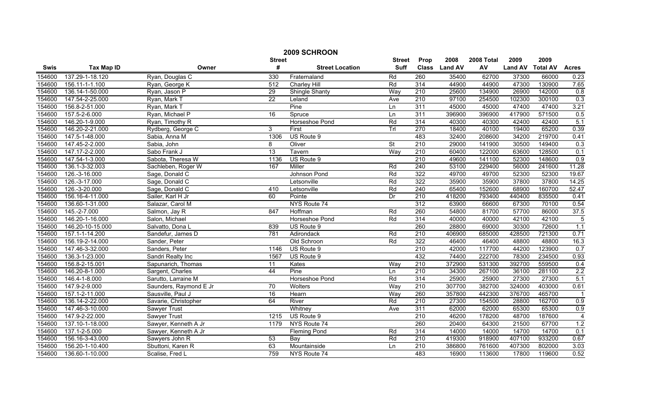|        | 2009 SCHROON      |                        |                  |                        |                          |                  |               |            |                |                 |                  |
|--------|-------------------|------------------------|------------------|------------------------|--------------------------|------------------|---------------|------------|----------------|-----------------|------------------|
|        |                   |                        | <b>Street</b>    |                        | <b>Street</b>            | Prop             | 2008          | 2008 Total | 2009           | 2009            |                  |
| Swis   | <b>Tax Map ID</b> | Owner                  | #                | <b>Street Location</b> | <b>Suff</b>              |                  | Class Land AV | AV         | <b>Land AV</b> | <b>Total AV</b> | <b>Acres</b>     |
| 154600 | 137.29-1-18.120   | Ryan, Douglas C        | 330              | Fraternaland           | Rd                       | 260              | 35400         | 62700      | 37300          | 66000           | 0.23             |
| 154600 | 156.11-1-1.100    | Ryan, George K         | $\overline{512}$ | Charley Hill           | Rd                       | 314              | 44900         | 44900      | 47300          | 130900          | 7.65             |
| 154600 | 136.14-1-50.000   | Ryan, Jason P          | 29               | Shingle Shanty         | Way                      | 210              | 25600         | 134900     | 26900          | 142000          | $\overline{0.8}$ |
| 154600 | 147.54-2-25.000   | Ryan, Mark T           | $\overline{22}$  | Leland                 | Ave                      | 210              | 97100         | 254500     | 102300         | 300100          | 0.3              |
| 154600 | 156.8-2-51.000    | Ryan, Mark T           |                  | Pine                   | Ln                       | 311              | 45000         | 45000      | 47400          | 47400           | 3.21             |
| 154600 | 157.5-2-6.000     | Ryan, Michael P        | 16               | Spruce                 | Ln                       | 311              | 396900        | 396900     | 417900         | 571500          | 0.5              |
| 154600 | 146.20-1-9.000    | Ryan, Timothy R        |                  | Horseshoe Pond         | Rd                       | 314              | 40300         | 40300      | 42400          | 42400           | 5.1              |
| 154600 | 146.20-2-21.000   | Rydberg, George C      | 3                | First                  | Trl                      | 270              | 18400         | 40100      | 19400          | 65200           | 0.39             |
| 154600 | 147.5-1-48.000    | Sabia, Anna M          | 1306             | US Route 9             |                          | 483              | 32400         | 208600     | 34200          | 219700          | 0.41             |
| 154600 | 147.45-2-2.000    | Sabia, John            | 8                | Oliver                 | $\overline{\mathsf{St}}$ | $\overline{210}$ | 29000         | 141900     | 30500          | 149400          | 0.3              |
| 154600 | 147.17-2-2.000    | Sabo Frank J           | $\overline{13}$  | Tavern                 | Way                      | $\overline{210}$ | 60400         | 122000     | 63600          | 128500          | 0.1              |
| 154600 | 147.54-1-3.000    | Sabota, Theresa W      | 1136             | US Route 9             |                          | 210              | 49600         | 141100     | 52300          | 148600          | 0.9              |
| 154600 | 136.1-3-32.003    | Sachleben, Roger W     | 167              | Miller                 | Rd                       | 240              | 53100         | 229400     | 56000          | 241600          | 11.28            |
| 154600 | 126.-3-16.000     | Sage, Donald C         |                  | Johnson Pond           | Rd                       | 322              | 49700         | 49700      | 52300          | 52300           | 19.67            |
| 154600 | 126.-3-17.000     | Sage, Donald C         |                  | Letsonville            | Rd                       | 322              | 35900         | 35900      | 37800          | 37800           | 14.25            |
| 154600 | 126.-3-20.000     | Sage, Donald C         | 410              | Letsonville            | Rd                       | $\overline{240}$ | 65400         | 152600     | 68900          | 160700          | 52.47            |
| 154600 | 156.16-4-11.000   | Sailer, Karl H Jr      | 60               | Pointe                 | Dr                       | 210              | 418200        | 793400     | 440400         | 835500          | 0.41             |
| 154600 | 136.60-1-31.000   | Salazar, Carol M       |                  | NYS Route 74           |                          | 312              | 63900         | 66600      | 67300          | 70100           | 0.54             |
| 154600 | 145.-2-7.000      | Salmon, Jay R          | 847              | Hoffman                | Rd                       | 260              | 54800         | 81700      | 57700          | 86000           | 37.5             |
| 154600 | 146.20-1-16.000   | Salon, Michael         |                  | Horseshoe Pond         | Rd                       | 314              | 40000         | 40000      | 42100          | 42100           | $\overline{5}$   |
| 154600 | 146.20-10-15.000  | Salvatto, Dona L       | 839              | US Route 9             |                          | 260              | 28800         | 69000      | 30300          | 72600           | 1.1              |
| 154600 | 157.1-1-14.200    | Sandefur, James D      | 781              | Adirondack             | Rd                       | 210              | 406900        | 685000     | 428500         | 721300          | 0.71             |
| 154600 | 156.19-2-14.000   | Sander, Peter          |                  | Old Schroon            | Rd                       | 322              | 46400         | 46400      | 48800          | 48800           | 16.3             |
| 154600 | 147.46-3-32.000   | Sanders, Peter         | 1146             | US Route 9             |                          | $\overline{210}$ | 42000         | 117700     | 44200          | 123900          | 0.7              |
| 154600 | 136.3-1-23.000    | Sandri Realty Inc      | 1567             | US Route 9             |                          | 432              | 74400         | 222700     | 78300          | 234500          | 0.93             |
| 154600 | 156.8-2-15.001    | Sapunarich, Thomas     | 11               | Kates                  | Wav                      | 210              | 372900        | 531300     | 392700         | 559500          | $\overline{0.4}$ |
| 154600 | 146.20-8-1.000    | Sargent, Charles       | 44               | Pine                   | Ln                       | $\overline{210}$ | 34300         | 267100     | 36100          | 281100          | 2.2              |
| 154600 | 146.4-1-8.000     | Sarutto, Larraine M    |                  | Horseshoe Pond         | Rd                       | 314              | 25900         | 25900      | 27300          | 27300           | 5.1              |
| 154600 | 147.9-2-9.000     | Saunders, Raymond E Jr | 70               | <b>Wolters</b>         | Way                      | 210              | 307700        | 382700     | 324000         | 403000          | 0.61             |
| 154600 | 157.1-2-11.000    | Sausville, Paul J      | 16               | Hearn                  | Way                      | 260              | 357800        | 442300     | 376700         | 465700          | -1               |
| 154600 | 136.14-2-22.000   | Savarie, Christopher   | 64               | River                  | Rd                       | 210              | 27300         | 154500     | 28800          | 162700          | 0.9              |
| 154600 | 147.46-3-10.000   | Sawyer Trust           |                  | Whitney                | Ave                      | 311              | 62000         | 62000      | 65300          | 65300           | 0.9              |
| 154600 | 147.9-2-22.000    | <b>Sawyer Trust</b>    | 1215             | US Route 9             |                          | 210              | 46200         | 178200     | 48700          | 187600          | $\overline{4}$   |
| 154600 | 137.10-1-18.000   | Sawyer, Kenneth A Jr   | 1179             | NYS Route 74           |                          | 260              | 20400         | 64300      | 21500          | 67700           | 1.2              |
| 154600 | 137.1-2-5.000     | Sawyer, Kenneth A Jr   |                  | <b>Fleming Pond</b>    | Rd                       | 314              | 14000         | 14000      | 14700          | 14700           | 0.1              |
| 154600 | 156.16-3-43.000   | Sawyers John R         | 53               | Bay                    | Rd                       | 210              | 419300        | 918900     | 407100         | 933200          | 0.67             |
| 154600 | 156.20-1-10.400   | Sbuttoni, Karen R      | 63               | Mountainside           | Ln                       | $\overline{210}$ | 386800        | 761600     | 407300         | 802000          | 3.03             |
| 154600 | 136.60-1-10.000   | Scalise, Fred L        | 759              | NYS Route 74           |                          | 483              | 16900         | 113600     | 17800          | 119600          | 0.52             |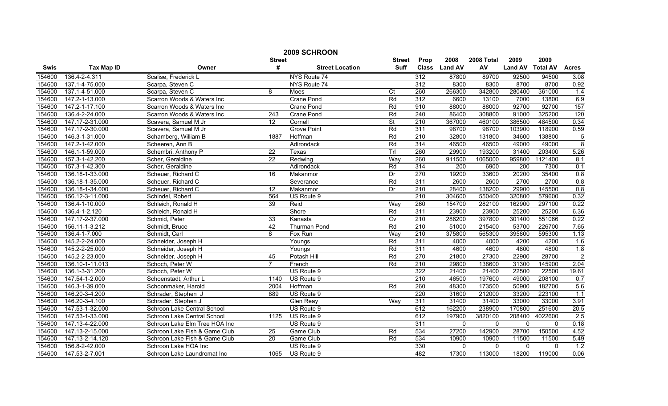| 2009 SCHROON |                   |                               |                  |                        |                          |                  |                  |              |                |                 |                  |
|--------------|-------------------|-------------------------------|------------------|------------------------|--------------------------|------------------|------------------|--------------|----------------|-----------------|------------------|
|              |                   |                               | <b>Street</b>    |                        | <b>Street</b>            | Prop             | 2008             | 2008 Total   | 2009           | 2009            |                  |
| <b>Swis</b>  | <b>Tax Map ID</b> | Owner                         | #                | <b>Street Location</b> | Suff                     | <b>Class</b>     | <b>Land AV</b>   | AV           | <b>Land AV</b> | <b>Total AV</b> | <b>Acres</b>     |
| 154600       | 136.4-2-4.311     | Scalise, Frederick L          |                  | NYS Route 74           |                          | 312              | 87800            | 89700        | 92500          | 94500           | 3.08             |
| 154600       | 137.1-4-75.000    | Scarpa, Steven C              |                  | NYS Route 74           |                          | 312              | 8300             | 8300         | 8700           | 8700            | 0.92             |
| 154600       | 137.1-4-51.000    | Scarpa, Steven C              | 8                | Moes                   | Ct                       | 260              | 266300           | 342800       | 280400         | 361000          | 1.4              |
| 154600       | 147.2-1-13.000    | Scarron Woods & Waters Inc    |                  | <b>Crane Pond</b>      | Rd                       | 312              | 6600             | 13100        | 7000           | 13800           | 6.9              |
| 154600       | 147.2-1-17.100    | Scarron Woods & Waters Inc    |                  | Crane Pond             | Rd                       | 910              | 88000            | 88000        | 92700          | 92700           | 157              |
| 154600       | 136.4-2-24.000    | Scarron Woods & Waters Inc    | $\overline{243}$ | <b>Crane Pond</b>      | Rd                       | 240              | 86400            | 308800       | 91000          | 325200          | 120              |
| 154600       | 147.17-2-31.000   | Scavera, Samuel M Jr          | 12               | Cornell                | $\overline{\mathsf{St}}$ | 210              | 367000           | 460100       | 386500         | 484500          | 0.34             |
| 154600       | 147.17-2-30.000   | Scavera, Samuel M Jr          |                  | <b>Grove Point</b>     | Rd                       | 311              | 98700            | 98700        | 103900         | 118900          | 0.59             |
| 154600       | 146.3-1-31.000    | Schamberg, William B          | 1887             | Hoffman                | Rd                       | 210              | 32800            | 131800       | 34600          | 138800          | $\sqrt{5}$       |
| 154600       | 147.2-1-42.000    | Scheeren, Ann B               |                  | Adirondack             | Rd                       | 314              | 46500            | 46500        | 49000          | 49000           | $\overline{8}$   |
| 154600       | 146.1-1-59.000    | Schembri, Anthony P           | $\overline{22}$  | Texas                  | Trl                      | 260              | 29900            | 193200       | 31400          | 203400          | 5.26             |
| 154600       | 157.3-1-42.200    | Scher, Geraldine              | $\overline{22}$  | Redwing                | Way                      | 260              | 911500           | 1065000      | 959800         | 1121400         | 8.1              |
| 154600       | 157.3-1-42.300    | Scher, Geraldine              |                  | Adirondack             | Rd                       | 314              | $\overline{200}$ | 6900         | 200            | 7300            | 0.1              |
| 154600       | 136.18-1-33.000   | Scheuer, Richard C            | 16               | Makanmor               | Dr                       | 270              | 19200            | 33600        | 20200          | 35400           | 0.8              |
| 154600       | 136.18-1-35.000   | Scheuer, Richard C            |                  | Severance              | Rd                       | 311              | 2600             | 2600         | 2700           | 2700            | 0.8              |
| 154600       | 136.18-1-34.000   | Scheuer, Richard C            | 12               | Makanmor               | Dr                       | $\overline{210}$ | 28400            | 138200       | 29900          | 145500          | 0.8              |
| 154600       | 156.12-3-11.000   | Schindel, Robert              | 564              | US Route 9             |                          | 210              | 304600           | 550400       | 320800         | 579600          | 0.32             |
| 154600       | 136.4-1-10.000    | Schleich, Ronald H            | 39               | Reid                   | Way                      | 260              | 154700           | 282100       | 162900         | 297100          | 0.22             |
| 154600       | 136.4-1-2.120     | Schleich, Ronald H            |                  | Shore                  | Rd                       | 311              | 23900            | 23900        | 25200          | 25200           | 6.36             |
| 154600       | 147.17-2-37.000   | Schmid, Peter                 | 33               | Kanasta                | Cv                       | 210              | 286200           | 397800       | 301400         | 551066          | 0.22             |
| 154600       | 156.11-1-3.212    | Schmidt, Bruce                | 42               | Thurman Pond           | Rd                       | $\overline{210}$ | 51000            | 215400       | 53700          | 226700          | 7.65             |
| 154600       | 136.4-1-7.000     | Schmidt, Carl                 | 8                | Fox Run                | Way                      | $\overline{210}$ | 375800           | 565300       | 395800         | 595300          | 1.13             |
| 154600       | 145.2-2-24.000    | Schneider, Joseph H           |                  | Youngs                 | Rd                       | 311              | 4000             | 4000         | 4200           | 4200            | 1.6              |
| 154600       | 145.2-2-25.000    | Schneider, Joseph H           |                  | Youngs                 | Rd                       | 311              | 4600             | 4600         | 4800           | 4800            | 1.8              |
| 154600       | 145.2-2-23.000    | Schneider, Joseph H           | 45               | Potash Hill            | Rd                       | 270              | 21800            | 27300        | 22900          | 28700           | $\overline{2}$   |
| 154600       | 136.10-1-11.013   | Schoch, Peter W               | $\overline{7}$   | French                 | Rd                       | 210              | 29800            | 138600       | 31300          | 145900          | 2.04             |
| 154600       | 136.1-3-31.200    | Schoch, Peter W               |                  | US Route 9             |                          | 322              | 21400            | 21400        | 22500          | 22500           | 19.61            |
| 154600       | 147.54-1-2.000    | Schoenstadt, Arthur L         | 1140             | US Route 9             |                          | 210              | 46500            | 197600       | 49000          | 208100          | 0.7              |
| 154600       | 146.3-1-39.000    | Schoonmaker, Harold           | 2004             | Hoffman                | Rd                       | 260              | 48300            | 173500       | 50900          | 182700          | 5.6              |
| 154600       | 146.20-3-4.200    | Schrader, Stephen J           | 889              | US Route 9             |                          | 220              | 31600            | 212000       | 33200          | 223100          | 1.1              |
| 154600       | 146.20-3-4.100    | Schrader, Stephen J           |                  | <b>Glen Reay</b>       | Way                      | 311              | 31400            | 31400        | 33000          | 33000           | 3.91             |
| 154600       | 147.53-1-32.000   | Schroon Lake Central School   |                  | US Route 9             |                          | 612              | 162200           | 238900       | 170800         | 251600          | 20.5             |
| 154600       | 147.53-1-33.000   | Schroon Lake Central School   | 1125             | US Route 9             |                          | 612              | 197900           | 3820100      | 208400         | 4022600         | 2.5              |
| 154600       | 147.13-4-22.000   | Schroon Lake Elm Tree HOA Inc |                  | US Route 9             |                          | 311              | $\mathbf{0}$     | $\mathbf{0}$ | $\mathbf{0}$   | $\mathbf{0}$    | 0.18             |
| 154600       | 147.13-2-15.000   | Schroon Lake Fish & Game Club | $\overline{25}$  | Game Club              | Rd                       | 534              | 27200            | 142900       | 28700          | 150500          | 4.52             |
| 154600       | 147.13-2-14.120   | Schroon Lake Fish & Game Club | 20               | Game Club              | Rd                       | 534              | 10900            | 10900        | 11500          | 11500           | 5.49             |
| 154600       | 156.8-2-42.000    | Schroon Lake HOA Inc          |                  | US Route 9             |                          | 330              | $\mathbf 0$      | $\mathbf{0}$ | $\mathbf 0$    | $\Omega$        | $\overline{1.2}$ |
| 154600       | 147.53-2-7.001    | Schroon Lake Laundromat Inc   | 1065             | US Route 9             |                          | 482              | 17300            | 113000       | 18200          | 119000          | 0.06             |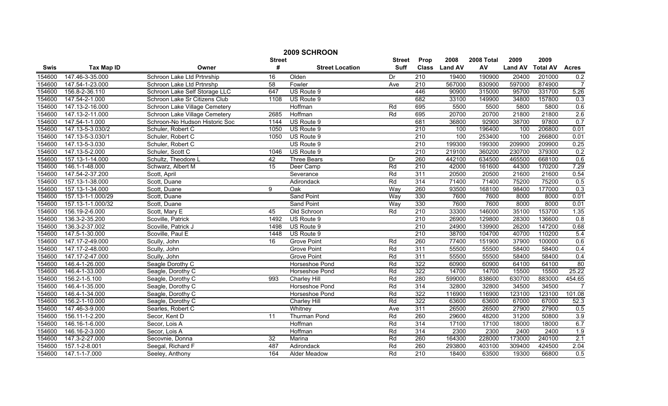|        | 2009 SCHROON                 |                                |                 |                        |               |                  |                |            |                |                 |                 |  |
|--------|------------------------------|--------------------------------|-----------------|------------------------|---------------|------------------|----------------|------------|----------------|-----------------|-----------------|--|
|        |                              |                                | <b>Street</b>   |                        | <b>Street</b> | Prop             | 2008           | 2008 Total | 2009           | 2009            |                 |  |
| Swis   | <b>Tax Map ID</b>            | Owner                          | #               | <b>Street Location</b> | <b>Suff</b>   | <b>Class</b>     | <b>Land AV</b> | AV         | <b>Land AV</b> | <b>Total AV</b> | <b>Acres</b>    |  |
| 154600 | 147.46-3-35.000              | Schroon Lake Ltd Prtnrship     | 16              | Olden                  | Dr            | 210              | 19400          | 190900     | 20400          | 201000          | 0.2             |  |
| 154600 | 147.54-1-23.000              | Schroon Lake Ltd Prtnrshp      | $\overline{58}$ | Fowler                 | Ave           | $\overline{210}$ | 567000         | 830900     | 597000         | 874900          | $\overline{7}$  |  |
| 154600 | 156.8-2-36.110               | Schroon Lake Self Storage LLC  | 647             | US Route 9             |               | 446              | 90900          | 315000     | 95700          | 331700          | 5.26            |  |
| 154600 | 147.54-2-1.000               | Schroon Lake Sr Citizens Club  | 1108            | US Route 9             |               | 682              | 33100          | 149900     | 34800          | 157800          | 0.3             |  |
| 154600 | 147.13-2-16.000              | Schroon Lake Village Cemetery  |                 | Hoffman                | Rd            | 695              | 5500           | 5500       | 5800           | 5800            | 0.6             |  |
| 154600 | 147.13-2-11.000              | Schroon Lake Village Cemetery  | 2685            | Hoffman                | Rd            | 695              | 20700          | 20700      | 21800          | 21800           | 2.6             |  |
| 154600 | 147.54-1-1.000               | Schroon-No Hudson Historic Soc | 1144            | US Route 9             |               | 681              | 36800          | 92900      | 38700          | 97800           | 0.7             |  |
| 154600 | 147.13-5-3.030/2             | Schuler, Robert C              | 1050            | US Route 9             |               | 210              | 100            | 196400     | 100            | 206800          | 0.01            |  |
| 154600 | 147.13-5-3.030/1             | Schuler, Robert C              | 1050            | US Route 9             |               | $\overline{210}$ | 100            | 253400     | 100            | 266800          | 0.01            |  |
| 154600 | 147.13-5-3.030               | Schuler, Robert C              |                 | US Route 9             |               | 210              | 199300         | 199300     | 209900         | 209900          | 0.25            |  |
| 154600 | 147.13-5-2.000               | Schuler, Scott C               | 1046            | US Route 9             |               | $\overline{210}$ | 219100         | 360200     | 230700         | 379300          | 0.2             |  |
| 154600 | 157.13-1-14.000              | Schultz, Theodore L            | 42              | <b>Three Bears</b>     | Dr            | 260              | 442100         | 634500     | 465500         | 668100          | 0.6             |  |
| 154600 | 146.1-1-48.000               | Schwarz, Albert M              | 15              | Deer Camp              | Rd            | 210              | 42000          | 161600     | 44300          | 170200          | 7.29            |  |
| 154600 | 147.54-2-37.200              | Scott, April                   |                 | Severance              | Rd            | 311              | 20500          | 20500      | 21600          | 21600           | 0.54            |  |
| 154600 | 157.13-1-38.000              | Scott, Duane                   |                 | Adirondack             | Rd            | 314              | 71400          | 71400      | 75200          | 75200           | 0.5             |  |
| 154600 | 157.13-1-34.000              | Scott, Duane                   | 9               | Oak                    | Way           | 260              | 93500          | 168100     | 98400          | 177000          | 0.3             |  |
| 154600 | 157.13-1-1.000/29            | Scott, Duane                   |                 | Sand Point             | Way           | 330              | 7600           | 7600       | 8000           | 8000            | 0.01            |  |
| 154600 | 157.13-1-1.000/32            | Scott, Duane                   |                 | Sand Point             | Way           | 330              | 7600           | 7600       | 8000           | 8000            | 0.01            |  |
| 154600 | 156.19-2-6.000               | Scott, Mary E                  | 45              | Old Schroon            | Rd            | 210              | 33300          | 146000     | 35100          | 153700          | 1.35            |  |
| 154600 | 136.3-2-35.200               | Scoville, Patrick              | 1492            | US Route 9             |               | 210              | 26900          | 129800     | 28300          | 136600          | 0.8             |  |
| 154600 | 136.3-2-37.002               | Scoville, Patrick J            | 1498            | US Route 9             |               | 210              | 24900          | 139900     | 26200          | 147200          | 0.68            |  |
| 154600 | $\overline{147.5}$ -1-30.000 | Scoville, Paul E               | 1448            | US Route 9             |               | 210              | 38700          | 104700     | 40700          | 110200          | 5.4             |  |
| 154600 | 147.17-2-49.000              | Scully, John                   | 16              | <b>Grove Point</b>     | Rd            | 260              | 77400          | 151900     | 37900          | 100000          | 0.6             |  |
| 154600 | 147.17-2-48.000              | Scully, John                   |                 | <b>Grove Point</b>     | Rd            | 311              | 55500          | 55500      | 58400          | 58400           | 0.4             |  |
| 154600 | 147.17-2-47.000              | Scully, John                   |                 | <b>Grove Point</b>     | Rd            | 311              | 55500          | 55500      | 58400          | 58400           | 0.4             |  |
| 154600 | 146.4-1-26.000               | Seagle Dorothy C               |                 | Horseshoe Pond         | Rd            | 322              | 60900          | 60900      | 64100          | 64100           | $\overline{80}$ |  |
| 154600 | 146.4-1-33.000               | Seagle, Dorothy C              |                 | Horseshoe Pond         | Rd            | 322              | 14700          | 14700      | 15500          | 15500           | 25.22           |  |
| 154600 | 156.2-1-5.100                | Seagle, Dorothy C              | 993             | Charley Hill           | Rd            | 280              | 599000         | 838600     | 630700         | 883000          | 454.65          |  |
| 154600 | 146.4-1-35.000               | Seagle, Dorothy C              |                 | Horseshoe Pond         | Rd            | 314              | 32800          | 32800      | 34500          | 34500           | $\overline{7}$  |  |
| 154600 | 146.4-1-34.000               | Seagle, Dorothy C              |                 | Horseshoe Pond         | Rd            | 322              | 116900         | 116900     | 123100         | 123100          | 101.08          |  |
| 154600 | 156.2-1-10.000               | Seagle, Dorothy C              |                 | Charley Hill           | Rd            | 322              | 63600          | 63600      | 67000          | 67000           | 52.3            |  |
| 154600 | 147.46-3-9.000               | Searles, Robert C              |                 | Whitney                | Ave           | 311              | 26500          | 26500      | 27900          | 27900           | 0.5             |  |
| 154600 | 156.11-1-2.200               | Secor, Kent D                  | $\overline{11}$ | <b>Thurman Pond</b>    | Rd            | 260              | 29600          | 48200      | 31200          | 50800           | 3.9             |  |
| 154600 | 146.16-1-6.000               | Secor, Lois A                  |                 | Hoffman                | Rd            | 314              | 17100          | 17100      | 18000          | 18000           | 6.7             |  |
| 154600 | 146.16-2-3.000               | Secor, Lois A                  |                 | Hoffman                | Rd            | 314              | 2300           | 2300       | 2400           | 2400            | 1.9             |  |
| 154600 | 147.3-2-27.000               | Secovnie, Donna                | 32              | Marina                 | Rd            | 260              | 164300         | 228000     | 173000         | 240100          | 2.1             |  |
| 154600 | 157.1-2-8.001                | Seegal, Richard F              | 487             | Adirondack             | Rd            | 260              | 293800         | 403100     | 309400         | 424500          | 2.04            |  |
| 154600 | 147.1-1-7.000                | Seeley, Anthony                | 164             | Alder Meadow           | Rd            | 210              | 18400          | 63500      | 19300          | 66800           | 0.5             |  |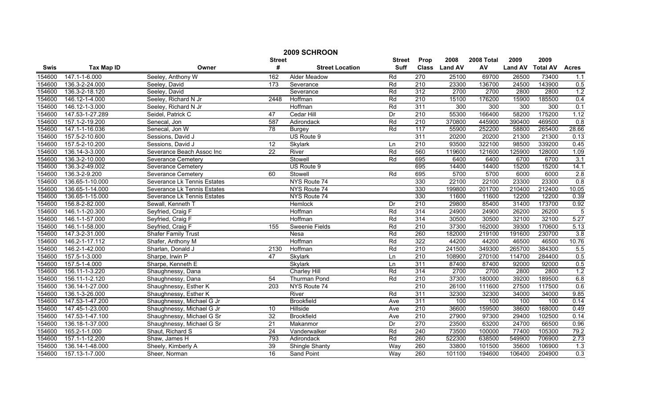|        | 2009 SCHROON      |                             |                  |                        |               |                  |                |            |                |                 |                |  |
|--------|-------------------|-----------------------------|------------------|------------------------|---------------|------------------|----------------|------------|----------------|-----------------|----------------|--|
|        |                   |                             | <b>Street</b>    |                        | <b>Street</b> | Prop             | 2008           | 2008 Total | 2009           | 2009            |                |  |
| Swis   | <b>Tax Map ID</b> | Owner                       | #                | <b>Street Location</b> | <b>Suff</b>   | <b>Class</b>     | <b>Land AV</b> | AV         | <b>Land AV</b> | <b>Total AV</b> | <b>Acres</b>   |  |
| 154600 | 147.1-1-6.000     | Seeley, Anthony W           | 162              | <b>Alder Meadow</b>    | Rd            | 270              | 25100          | 69700      | 26500          | 73400           | 1.1            |  |
| 154600 | 136.3-2-24.000    | Seeley, David               | $\overline{173}$ | Severance              | Rd            | 210              | 23300          | 136700     | 24500          | 143900          | 0.5            |  |
| 154600 | 136.3-2-18.120    | Seeley, David               |                  | Severance              | Rd            | 312              | 2700           | 2700       | 2800           | 2800            | 1.2            |  |
| 154600 | 146.12-1-4.000    | Seeley, Richard N Jr        | 2448             | Hoffman                | Rd            | 210              | 15100          | 176200     | 15900          | 185500          | 0.4            |  |
| 154600 | 146.12-1-3.000    | Seeley, Richard N Jr        |                  | Hoffman                | Rd            | 311              | 300            | 300        | 300            | 300             | 0.1            |  |
| 154600 | 147.53-1-27.289   | Seidel, Patrick C           | 47               | Cedar Hill             | Dr            | 210              | 55300          | 166400     | 58200          | 175200          | 1.12           |  |
| 154600 | 157.1-2-19.200    | Senecal, Jon                | 587              | Adirondack             | Rd            | 210              | 370800         | 445900     | 390400         | 469500          | 0.8            |  |
| 154600 | 147.1-1-16.036    | Senecal, Jon W              | 78               | <b>Burgey</b>          | Rd            | $\overline{117}$ | 55900          | 252200     | 58800          | 265400          | 28.66          |  |
| 154600 | 157.5-2-10.600    | Sessions, David J           |                  | US Route 9             |               | 311              | 20200          | 20200      | 21300          | 21300           | 0.13           |  |
| 154600 | 157.5-2-10.200    | Sessions, David J           | 12               | Skylark                | Ln            | 210              | 93500          | 322100     | 98500          | 339200          | 0.45           |  |
| 154600 | 136.14-3-3.000    | Severance Beach Assoc Inc   | $\overline{22}$  | River                  | Rd            | 560              | 119600         | 121600     | 125900         | 128000          | 1.09           |  |
| 154600 | 136.3-2-10.000    | Severance Cemetery          |                  | Stowell                | Rd            | 695              | 6400           | 6400       | 6700           | 6700            | 3.1            |  |
| 154600 | 136.3-2-49.002    | Severance Cemetery          |                  | US Route 9             |               | 695              | 14400          | 14400      | 15200          | 15200           | 14.1           |  |
| 154600 | 136.3-2-9.200     | <b>Severance Cemetery</b>   | 60               | Stowell                | Rd            | 695              | 5700           | 5700       | 6000           | 6000            | 2.8            |  |
| 154600 | 136.65-1-10.000   | Severance Lk Tennis Estates |                  | NYS Route 74           |               | 330              | 22100          | 22100      | 23300          | 23300           | 0.8            |  |
| 154600 | 136.65-1-14.000   | Severance Lk Tennis Estates |                  | NYS Route 74           |               | 330              | 199800         | 201700     | 210400         | 212400          | 10.05          |  |
| 154600 | 136.65-1-15.000   | Severance Lk Tennis Estates |                  | NYS Route 74           |               | 330              | 11600          | 11600      | 12200          | 12200           | 0.39           |  |
| 154600 | 156.8-2-82.000    | Sewall, Kenneth T           |                  | <b>Hemlock</b>         | Dr            | 210              | 29800          | 85400      | 31400          | 173700          | 0.92           |  |
| 154600 | 146.1-1-20.300    | Seyfried, Craig F           |                  | Hoffman                | Rd            | 314              | 24900          | 24900      | 26200          | 26200           | $\overline{5}$ |  |
| 154600 | 146.1-1-57.000    | Seyfried, Craig F           |                  | Hoffman                | Rd            | 314              | 30500          | 30500      | 32100          | 32100           | 5.27           |  |
| 154600 | 146.1-1-58.000    | Seyfried, Craig F           | 155              | Sweenie Fields         | Rd            | 210              | 37300          | 162000     | 39300          | 170600          | 5.13           |  |
| 154600 | 147.3-2-31.000    | <b>Shafer Family Trust</b>  |                  | Nesa                   | Rd            | 260              | 182000         | 219100     | 191600         | 230700          | 3.8            |  |
| 154600 | 146.2-1-17.112    | Shafer, Anthony M           |                  | Hoffman                | Rd            | 322              | 44200          | 44200      | 46500          | 46500           | 10.76          |  |
| 154600 | 146.2-1-42.000    | Sharlan, Donald J           | 2130             | Hoffman                | Rd            | 210              | 241500         | 349300     | 265700         | 384300          | 5.5            |  |
| 154600 | 157.5-1-3.000     | Sharpe, Irwin P             | 47               | Skylark                | Ln            | $\overline{210}$ | 108900         | 270100     | 114700         | 284400          | 0.5            |  |
| 154600 | 157.5-1-4.000     | Sharpe, Kenneth E           |                  | <b>Skylark</b>         | Ln            | 311              | 87400          | 87400      | 92000          | 92000           | 0.5            |  |
| 154600 | 156.11-1-3.220    | Shaughnessy, Dana           |                  | Charley Hill           | Rd            | 314              | 2700           | 2700       | 2800           | 2800            | 1.2            |  |
| 154600 | 156.11-1-2.120    | Shaughnessy, Dana           | $\overline{54}$  | <b>Thurman Pond</b>    | Rd            | 210              | 37300          | 180000     | 39200          | 189500          | 6.8            |  |
| 154600 | 136.14-1-27.000   | Shaughnessy, Esther K       | 203              | NYS Route 74           |               | 210              | 26100          | 111600     | 27500          | 117500          | 0.6            |  |
| 154600 | 136.1-3-26.000    | Shaughnessy, Esther K       |                  | River                  | Rd            | 311              | 32300          | 32300      | 34000          | 34000           | 9.85           |  |
| 154600 | 147.53-1-47.200   | Shaughnessy, Michael G Jr   |                  | <b>Brookfield</b>      | Ave           | 311              | 100            | 100        | 100            | 100             | 0.14           |  |
| 154600 | 147.45-1-23.000   | Shaughnessy, Michael G Jr   | 10               | Hillside               | Ave           | 210              | 36600          | 159500     | 38600          | 168000          | 0.49           |  |
| 154600 | 147.53-1-47.100   | Shaughnessy, Michael G Sr   | 32               | <b>Brookfield</b>      | Ave           | 210              | 27900          | 97300      | 29400          | 102500          | 0.14           |  |
| 154600 | 136.18-1-37.000   | Shaughnessy, Michael G Sr   | $\overline{21}$  | Makanmor               | Dr            | 270              | 23500          | 63200      | 24700          | 66500           | 0.96           |  |
| 154600 | 165.2-1-1.000     | Shaut, Richard S            | $\overline{24}$  | Vanderwalker           | Rd            | $\overline{240}$ | 73500          | 100000     | 77400          | 105300          | 79.2           |  |
| 154600 | 157.1-1-12.200    | Shaw, James H               | 793              | Adirondack             | Rd            | 260              | 522300         | 638500     | 549900         | 706900          | 2.73           |  |
| 154600 | 136.14-1-48.000   | Sheely, Kimberly A          | 39               | Shingle Shanty         | Way           | 260              | 33800          | 101500     | 35600          | 106900          | 1.3            |  |
| 154600 | 157.13-1-7.000    | Sheer, Norman               | 16               | <b>Sand Point</b>      | Way           | 260              | 101100         | 194600     | 106400         | 204900          | 0.3            |  |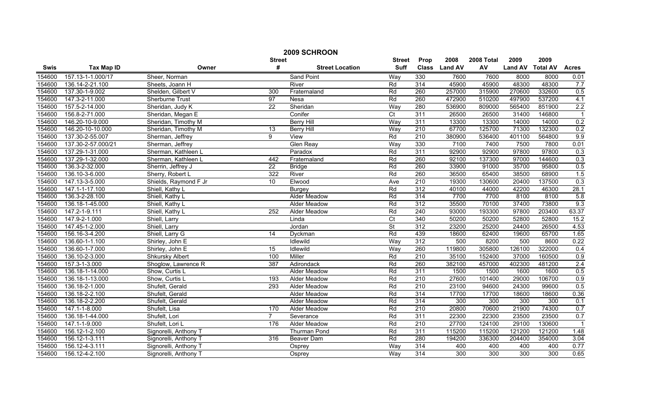|        | 2009 SCHROON       |                        |                 |                        |                 |                  |                |            |                |                 |                |  |
|--------|--------------------|------------------------|-----------------|------------------------|-----------------|------------------|----------------|------------|----------------|-----------------|----------------|--|
|        |                    |                        | <b>Street</b>   |                        | <b>Street</b>   | Prop             | 2008           | 2008 Total | 2009           | 2009            |                |  |
| Swis   | <b>Tax Map ID</b>  | Owner                  | #               | <b>Street Location</b> | <b>Suff</b>     | <b>Class</b>     | <b>Land AV</b> | AV         | <b>Land AV</b> | <b>Total AV</b> | <b>Acres</b>   |  |
| 154600 | 157.13-1-1.000/17  | Sheer, Norman          |                 | Sand Point             | Way             | 330              | 7600           | 7600       | 8000           | 8000            | 0.01           |  |
| 154600 | 136.14-2-21.100    | Sheets, Joann H        |                 | River                  | Rd              | 314              | 45900          | 45900      | 48300          | 48300           | 7.7            |  |
| 154600 | 137.30-1-9.002     | Shelden, Gilbert V     | 300             | Fraternaland           | Rd              | 260              | 257000         | 315900     | 270600         | 332600          | 0.5            |  |
| 154600 | 147.3-2-11.000     | <b>Sherburne Trust</b> | 97              | Nesa                   | Rd              | 260              | 472900         | 510200     | 497900         | 537200          | 4.1            |  |
| 154600 | 157.5-2-14.000     | Sheridan, Judy K       | $\overline{22}$ | Sheridan               | Way             | 280              | 536900         | 809000     | 565400         | 851900          | 2.2            |  |
| 154600 | 156.8-2-71.000     | Sheridan, Megan E      |                 | Conifer                | $\overline{C}$  | 311              | 26500          | 26500      | 31400          | 146800          | $\overline{1}$ |  |
| 154600 | 146.20-10-9.000    | Sheridan, Timothy M    |                 | <b>Berry Hill</b>      | Way             | 311              | 13300          | 13300      | 14000          | 14000           | 0.2            |  |
| 154600 | 146.20-10-10.000   | Sheridan, Timothy M    | 13              | <b>Berry Hill</b>      | Way             | 210              | 67700          | 125700     | 71300          | 132300          | 0.2            |  |
| 154600 | 137.30-2-55.007    | Sherman, Jeffrey       | 9               | View                   | Rd              | 210              | 380900         | 536400     | 401100         | 564800          | 9.9            |  |
| 154600 | 137.30-2-57.000/21 | Sherman, Jeffrey       |                 | <b>Glen Reay</b>       | Way             | 330              | 7100           | 7400       | 7500           | 7800            | 0.01           |  |
| 154600 | 137.29-1-31.000    | Sherman, Kathleen L    |                 | Paradox                | Rd              | 311              | 92900          | 92900      | 97800          | 97800           | 0.3            |  |
| 154600 | 137.29-1-32.000    | Sherman, Kathleen L    | 442             | Fraternaland           | Rd              | 260              | 92100          | 137300     | 97000          | 144600          | 0.3            |  |
| 154600 | 136.3-2-32.000     | Sherrin, Jeffrey J     | $\overline{22}$ | <b>Bridge</b>          | Rd              | 260              | 33900          | 91000      | 35700          | 95800           | 0.5            |  |
| 154600 | 136.10-3-6.000     | Sherry, Robert L       | 322             | River                  | Rd              | 260              | 36500          | 65400      | 38500          | 68900           | 1.5            |  |
| 154600 | 147.13-3-5.000     | Shields, Raymond F Jr  | 10 <sup>°</sup> | Elwood                 | Ave             | 210              | 19300          | 130600     | 20400          | 137500          | 0.3            |  |
| 154600 | 147.1-1-17.100     | Shiell, Kathy L        |                 | <b>Burgey</b>          | Rd              | 312              | 40100          | 44000      | 42200          | 46300           | 28.1           |  |
| 154600 | 136.3-2-28.100     | Shiell, Kathy L        |                 | <b>Alder Meadow</b>    | Rd              | 314              | 7700           | 7700       | 8100           | 8100            | 5.8            |  |
| 154600 | 136.18-1-45.000    | Shiell, Kathy L        |                 | Alder Meadow           | Rd              | 312              | 35500          | 70100      | 37400          | 73800           | 9.3            |  |
| 154600 | 147.2-1-9.111      | Shiell, Kathy L        | 252             | <b>Alder Meadow</b>    | Rd              | 240              | 93000          | 193300     | 97800          | 203400          | 63.37          |  |
| 154600 | 147.9-2-1.000      | Shiell, Larry          |                 | Linda                  | $\overline{C}t$ | 340              | 50200          | 50200      | 52800          | 52800           | 15.2           |  |
| 154600 | 147.45-1-2.000     | Shiell, Larry          |                 | Jordan                 | St              | 312              | 23200          | 25200      | 24400          | 26500           | 4.53           |  |
| 154600 | 156.16-3-4.200     | Shiell, Larry G        | 14              | Dyckman                | Rd              | 439              | 18600          | 62400      | 19600          | 65700           | 1.65           |  |
| 154600 | 136.60-1-1.100     | Shirley, John E        |                 | Idlewild               | Way             | 312              | 500            | 8200       | 500            | 8600            | 0.22           |  |
| 154600 | 136.60-1-7.000     | Shirley, John E        | $\overline{15}$ | Idlewild               | Way             | 260              | 119800         | 305800     | 126100         | 322000          | 0.4            |  |
| 154600 | 136.10-2-3.000     | <b>Shkursky Albert</b> | 100             | Miller                 | Rd              | $\overline{210}$ | 35100          | 152400     | 37000          | 160500          | 0.9            |  |
| 154600 | 157.3-1-3.000      | Shoglow, Lawrence R    | 387             | Adirondack             | Rd              | 260              | 382100         | 457000     | 402300         | 481200          | 2.4            |  |
| 154600 | 136.18-1-14.000    | Show, Curtis L         |                 | Alder Meadow           | Rd              | 311              | 1500           | 1500       | 1600           | 1600            | 0.5            |  |
| 154600 | 136.18-1-13.000    | Show, Curtis L         | 193             | Alder Meadow           | Rd              | 210              | 27600          | 101400     | 29000          | 106700          | 0.9            |  |
| 154600 | 136.18-2-1.000     | Shufelt, Gerald        | 293             | <b>Alder Meadow</b>    | Rd              | 210              | 23100          | 94600      | 24300          | 99600           | 0.5            |  |
| 154600 | 136.18-2-2.100     | Shufelt, Gerald        |                 | <b>Alder Meadow</b>    | Rd              | 314              | 17700          | 17700      | 18600          | 18600           | 0.36           |  |
| 154600 | 136.18-2-2.200     | Shufelt, Gerald        |                 | Alder Meadow           | Rd              | 314              | 300            | 300        | 300            | 300             | 0.1            |  |
| 154600 | 147.1-1-8.000      | Shufelt, Lisa          | 170             | Alder Meadow           | Rd              | 210              | 20800          | 70600      | 21900          | 74300           | 0.7            |  |
| 154600 | 136.18-1-44.000    | Shufelt, Lori          | $\overline{7}$  | Severance              | Rd              | 311              | 22300          | 22300      | 23500          | 23500           | 0.7            |  |
| 154600 | 147.1-1-9.000      | Shufelt, Lori L        | 176             | Alder Meadow           | Rd              | 210              | 27700          | 124100     | 29100          | 130600          | $\overline{1}$ |  |
| 154600 | 156.12-1-2.100     | Signorelli, Anthony T  |                 | <b>Thurman Pond</b>    | Rd              | 311              | 115200         | 115200     | 121200         | 121200          | 1.48           |  |
| 154600 | 156.12-1-3.111     | Signorelli, Anthony T  | 316             | Beaver Dam             | Rd              | 280              | 194200         | 336300     | 204400         | 354000          | 3.04           |  |
| 154600 | 156.12-4-3.111     | Signorelli, Anthony T  |                 | Osprey                 | Way             | 314              | 400            | 400        | 400            | 400             | 0.77           |  |
| 154600 | 156.12-4-2.100     | Signorelli, Anthony T  |                 | Osprey                 | Way             | 314              | 300            | 300        | 300            | 300             | 0.65           |  |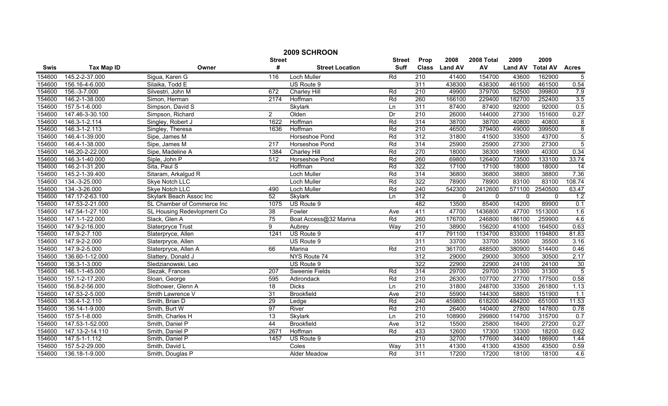| 2009 SCHROON |                   |                            |               |                        |               |                  |                |             |                |                 |                 |
|--------------|-------------------|----------------------------|---------------|------------------------|---------------|------------------|----------------|-------------|----------------|-----------------|-----------------|
|              |                   |                            | <b>Street</b> |                        | <b>Street</b> | Prop             | 2008           | 2008 Total  | 2009           | 2009            |                 |
| Swis         | <b>Tax Map ID</b> | Owner                      | #             | <b>Street Location</b> | <b>Suff</b>   | <b>Class</b>     | <b>Land AV</b> | AV          | <b>Land AV</b> | <b>Total AV</b> | <b>Acres</b>    |
| 154600       | 145.2-2-37.000    | Sigua, Karen G             | 116           | Loch Muller            | Rd            | $\overline{210}$ | 41400          | 154700      | 43600          | 162900          | $\overline{5}$  |
| 154600       | 156.16-4-6.000    | Silaika, Todd E            |               | US Route 9             |               | 311              | 438300         | 438300      | 461500         | 461500          | 0.54            |
| 154600       | 156.-3-7.000      | Silvestri, John M          | 672           | Charley Hill           | Rd            | $\overline{210}$ | 49900          | 379700      | 52500          | 399800          | 7.9             |
| 154600       | 146.2-1-38.000    | Simon, Herman              | 2174          | Hoffman                | Rd            | 260              | 166100         | 229400      | 182700         | 252400          | 3.5             |
| 154600       | 157.5-1-6.000     | Simpson, David S           |               | Skylark                | Ln            | 311              | 87400          | 87400       | 92000          | 92000           | 0.5             |
| 154600       | 147.46-3-30.100   | Simpson, Richard           | $\mathbf{2}$  | Olden                  | Dr            | 210              | 26000          | 144000      | 27300          | 151600          | 0.27            |
| 154600       | 146.3-1-2.114     | Singley, Robert J          | 1622          | Hoffman                | Rd            | 314              | 38700          | 38700       | 40800          | 40800           | $\overline{8}$  |
| 154600       | 146.3-1-2.113     | Singley, Theresa           | 1636          | Hoffman                | Rd            | 210              | 46500          | 379400      | 49000          | 399500          | $\overline{8}$  |
| 154600       | 146.4-1-39.000    | Sipe, James M              |               | Horseshoe Pond         | Rd            | 312              | 31800          | 41500       | 33500          | 43700           | $\overline{5}$  |
| 154600       | 146.4-1-38.000    | Sipe, James M              | 217           | Horseshoe Pond         | Rd            | 314              | 25900          | 25900       | 27300          | 27300           | $\overline{5}$  |
| 154600       | 146.20-2-22.000   | Sipe, Madeline A           | 1384          | Charley Hill           | Rd            | 270              | 18000          | 38300       | 18900          | 40300           | 0.34            |
| 154600       | 146.3-1-40.000    | Siple, John P              | 512           | Horseshoe Pond         | Rd            | 260              | 69800          | 126400      | 73500          | 133100          | 33.74           |
| 154600       | 146.2-1-31.200    | Sita, Paul S               |               | Hoffman                | Rd            | 322              | 17100          | 17100       | 18000          | 18000           | $\overline{14}$ |
| 154600       | 145.2-1-39.400    | Sitaram, Arkalgud R        |               | Loch Muller            | Rd            | 314              | 36800          | 36800       | 38800          | 38800           | 7.36            |
| 154600       | 134.-3-25.000     | Skye Notch LLC             |               | Loch Muller            | Rd            | 322              | 78900          | 78900       | 83100          | 83100           | 108.74          |
| 154600       | 134.-3-26.000     | Skye Notch LLC             | 490           | Loch Muller            | Rd            | 240              | 542300         | 2412600     | 571100         | 2540500         | 63.47           |
| 154600       | 147.17-2-63.100   | Skylark Beach Assoc Inc    | 52            | <b>Skylark</b>         | Ln            | 312              | $\mathbf 0$    | $\mathbf 0$ | $\mathbf 0$    | $\mathbf{0}$    | 1.2             |
| 154600       | 147.53-2-21.000   | SL Chamber of Commerce Inc | 1075          | US Route 9             |               | 482              | 13500          | 85400       | 14200          | 89900           | 0.1             |
| 154600       | 147.54-1-27.100   | SL Housing Redevlopment Co | 38            | Fowler                 | Ave           | 411              | 47700          | 1436800     | 47700          | 1513000         | 1.6             |
| 154600       | 147.1-1-22.000    | Slack, Glen A              | 75            | Boat Access@32 Marina  | Rd            | 260              | 176700         | 246800      | 186100         | 259900          | 4.6             |
| 154600       | 147.9-2-16.000    | <b>Slaterpryce Trust</b>   | 9             | Aubrey                 | Way           | 210              | 38900          | 156200      | 41000          | 164500          | 0.63            |
| 154600       | 147.9-2-7.100     | Slaterpryce, Allen         | 1241          | US Route 9             |               | 417              | 791100         | 1134700     | 833000         | 1194800         | 81.83           |
| 154600       | 147.9-2-2.000     | Slaterpryce, Allen         |               | US Route 9             |               | 311              | 33700          | 33700       | 35500          | 35500           | 3.16            |
| 154600       | 147.9-2-5.000     | Slaterpryce, Allen A       | 66            | Marina                 | Rd            | $\overline{210}$ | 361700         | 488500      | 380900         | 514400          | 0.46            |
| 154600       | 136.60-1-12.000   | Slattery, Donald J         |               | NYS Route 74           |               | 312              | 29000          | 29000       | 30500          | 30500           | 2.17            |
| 154600       | 136.3-1-3.000     | Sledzianowski, Leo         |               | US Route 9             |               | 322              | 22900          | 22900       | 24100          | 24100           | 30              |
| 154600       | 146.1-1-45.000    | Slezak, Frances            | 207           | Sweenie Fields         | Rd            | 314              | 29700          | 29700       | 31300          | 31300           | $\overline{5}$  |
| 154600       | 157.1-2-17.200    | Sloan, George              | 595           | Adirondack             | Rd            | 210              | 26300          | 107700      | 27700          | 177500          | 0.58            |
| 154600       | 156.8-2-56.000    | Slothower, Glenn A         | 18            | <b>Dicks</b>           | Ln            | 210              | 31800          | 248700      | 33500          | 261800          | 1.13            |
| 154600       | 147.53-2-5.000    | Smith Lawrence V           | 31            | <b>Brookfield</b>      | Ave           | 210              | 55900          | 144300      | 58800          | 151900          | 1.1             |
| 154600       | 136.4-1-2.110     | Smith, Brian D             | 29            | Ledge                  | Rd            | 240              | 459800         | 618200      | 484200         | 651000          | 11.53           |
| 154600       | 136.14-1-9.000    | Smith, Burt W              | 97            | River                  | Rd            | 210              | 26400          | 140400      | 27800          | 147800          | 0.78            |
| 154600       | 157.5-1-8.000     | Smith, Charles H           | 13            | Skylark                | Ln            | 210              | 108900         | 299800      | 114700         | 315700          | 0.7             |
| 154600       | 147.53-1-52.000   | Smith, Daniel P            | 44            | <b>Brookfield</b>      | Ave           | 312              | 15500          | 25800       | 16400          | 27200           | 0.27            |
| 154600       | 147.13-2-14.110   | Smith, Daniel P            | 2671          | Hoffman                | Rd            | 433              | 12600          | 17300       | 13300          | 18200           | 0.62            |
| 154600       | 147.5-1-1.112     | Smith, Daniel P            | 1457          | US Route 9             |               | $\overline{210}$ | 32700          | 177600      | 34400          | 186900          | 1.44            |
| 154600       | 157.5-2-29.000    | Smith, David L             |               | Coles                  | Way           | 311              | 41300          | 41300       | 43500          | 43500           | 0.59            |
| 154600       | 136.18-1-9.000    | Smith, Douglas P           |               | <b>Alder Meadow</b>    | Rd            | 311              | 17200          | 17200       | 18100          | 18100           | 4.6             |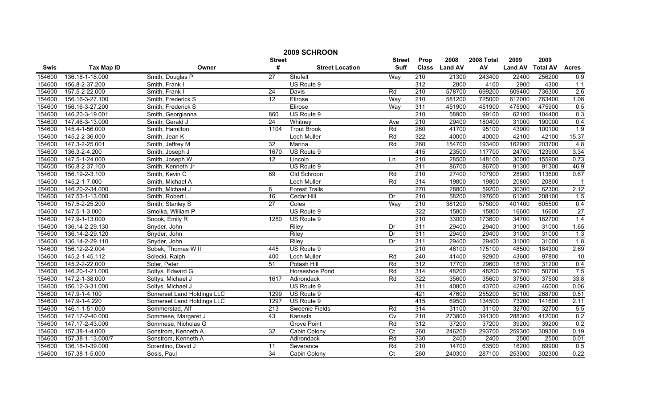|             | 2009 SCHROON      |                            |                 |                        |                 |                  |                |            |                |                 |              |
|-------------|-------------------|----------------------------|-----------------|------------------------|-----------------|------------------|----------------|------------|----------------|-----------------|--------------|
|             |                   |                            | <b>Street</b>   |                        | <b>Street</b>   | Prop             | 2008           | 2008 Total | 2009           | 2009            |              |
| <b>Swis</b> | <b>Tax Map ID</b> | Owner                      | #               | <b>Street Location</b> | <b>Suff</b>     | <b>Class</b>     | <b>Land AV</b> | AV         | <b>Land AV</b> | <b>Total AV</b> | <b>Acres</b> |
| 154600      | 136.18-1-18.000   | Smith, Douglas P           | $\overline{27}$ | Shufelt                | Way             | 210              | 21300          | 243400     | 22400          | 256200          | 0.9          |
| 154600      | 156.8-2-37.200    | Smith, Frank I             |                 | US Route 9             |                 | $\overline{312}$ | 2800           | 4100       | 2900           | 4300            | 1.1          |
| 154600      | 157.5-2-22.000    | Smith, Frank I             | 24              | <b>Davis</b>           | Rd              | 210              | 578700         | 699200     | 609400         | 736300          | 2.6          |
| 154600      | 156.16-3-27.100   | Smith, Frederick S         | $\overline{12}$ | Elirose                | Way             | 210              | 581200         | 725000     | 612000         | 763400          | 1.08         |
| 154600      | 156.16-3-27.200   | Smith, Frederick S         |                 | Elirose                | Way             | 311              | 451900         | 451900     | 475900         | 475900          | 0.5          |
| 154600      | 146.20-3-19.001   | Smith, Georgianna          | 860             | US Route 9             |                 | 210              | 58900          | 99100      | 62100          | 104400          | 0.3          |
| 154600      | 147.46-3-13.000   | Smith, Gerald J            | 24              | Whitney                | Ave             | 210              | 29400          | 180400     | 31000          | 190000          | 0.4          |
| 154600      | 145.4-1-56.000    | Smith, Hamilton            | 1104            | <b>Trout Brook</b>     | Rd              | 260              | 41700          | 95100      | 43900          | 100100          | 1.9          |
| 154600      | 145.2-2-36.000    | Smith, Jean K              |                 | Loch Muller            | Rd              | 322              | 40000          | 40000      | 42100          | 42100           | 15.37        |
| 154600      | 147.3-2-25.001    | Smith, Jeffrey M           | $\overline{32}$ | Marina                 | Rd              | 260              | 154700         | 193400     | 162900         | 203700          | 4.8          |
| 154600      | 136.3-2-4.200     | Smith, Joseph J            | 1670            | US Route 9             |                 | 415              | 23500          | 117700     | 24700          | 123900          | 3.34         |
| 154600      | 147.5-1-24.000    | Smith, Joseph W            | 12              | Lincoln                | Ln              | 210              | 28500          | 148100     | 30000          | 155900          | 0.73         |
| 154600      | 156.8-2-37.100    | Smith, Kenneth Jr          |                 | US Route 9             |                 | 311              | 86700          | 86700      | 91300          | 91300           | 46.9         |
| 154600      | 156.19-2-3.100    | Smith, Kevin C             | 69              | Old Schroon            | Rd              | 210              | 27400          | 107900     | 28900          | 113600          | 0.67         |
| 154600      | 145.2-1-7.000     | Smith, Michael A           |                 | <b>Loch Muller</b>     | Rd              | 314              | 19800          | 19800      | 20800          | 20800           |              |
| 154600      | 146.20-2-34.000   | Smith, Michael J           | 6               | <b>Forest Trails</b>   |                 | 270              | 28800          | 59200      | 30300          | 62300           | 2.12         |
| 154600      | 147.53-1-13.000   | Smith, Robert L            | 16              | Cedar Hill             | Dr              | 210              | 58200          | 197600     | 61300          | 208100          | 1.5          |
| 154600      | 157.5-2-25.200    | Smith, Stanley S           | $\overline{27}$ | Coles                  | Way             | 210              | 381200         | 575000     | 401400         | 605500          | 0.4          |
| 154600      | 147.5-1-3.000     | Smolka, William P          |                 | US Route 9             |                 | 322              | 15800          | 15800      | 16600          | 16600           | 27           |
| 154600      | 147.9-1-13.000    | Snook, Emily R             | 1280            | US Route 9             |                 | 210              | 33000          | 173600     | 34700          | 182700          | 1.4          |
| 154600      | 136.14-2-29.130   | Snyder, John               |                 | Riley                  | Dr              | 311              | 29400          | 29400      | 31000          | 31000           | 1.65         |
| 154600      | 136.14-2-29.120   | Snyder, John               |                 | Riley                  | Dr              | 311              | 29400          | 29400      | 31000          | 31000           | 1.3          |
| 154600      | 136.14-2-29.110   | Snyder, John               |                 | Riley                  | Dr              | 311              | 29400          | 29400      | 31000          | 31000           | 1.8          |
| 154600      | 156.12-2-2.004    | Sobek, Thomas W II         | 445             | US Route 9             |                 | 210              | 46100          | 175100     | 48500          | 184300          | 2.69         |
| 154600      | 145.2-1-45.112    | Solecki, Ralph             | 400             | <b>Loch Muller</b>     | Rd              | 240              | 41400          | 92900      | 43600          | 97800           | 10           |
| 154600      | 145.2-2-22.000    | Soler, Peter               | 51              | Potash Hill            | Rd              | $\overline{312}$ | 17700          | 29600      | 18700          | 31200           | 0.4          |
| 154600      | 146.20-1-21.000   | Soltys, Edward G           |                 | Horseshoe Pond         | Rd              | 314              | 48200          | 48200      | 50700          | 50700           | 7.5          |
| 154600      | 147.2-1-38.000    | Soltys, Michael J          | 1617            | Adirondack             | Rd              | 322              | 35600          | 35600      | 37500          | 37500           | 33.8         |
| 154600      | 156.12-3-31.000   | Soltys, Michael J          |                 | US Route 9             |                 | 311              | 40800          | 43700      | 42900          | 46000           | 0.06         |
| 154600      | 147.9-1-4.100     | Somerset Land Holdings LLC | 1299            | US Route 9             |                 | 421              | 47600          | 255200     | 50100          | 268700          | 0.51         |
| 154600      | 147.9-1-4.220     | Somerset Land Holdings LLC | 1297            | US Route 9             |                 | 415              | 69500          | 134500     | 73200          | 141600          | 2.11         |
| 154600      | 146.1-1-51.000    | Sommerstad, Alf            | 213             | Sweenie Fields         | Rd              | 314              | 31100          | 31100      | 32700          | 32700           | 5.5          |
| 154600      | 147.17-2-40.000   | Sommese, Margaret J        | 43              | Kanasta                | Cv              | 210              | 273800         | 391300     | 288300         | 412000          | 0.2          |
| 154600      | 147.17-2-43.000   | Sommese, Nicholas G        |                 | <b>Grove Point</b>     | Rd              | 312              | 37200          | 37200      | 39200          | 39200           | 0.2          |
| 154600      | 157.38-1-4.000    | Sonstrom, Kenneth A        | $\overline{32}$ | Cabin Colony           | $\overline{C}$  | 260              | 246200         | 293700     | 259300         | 309300          | 0.19         |
| 154600      | 157.38-1-13.000/7 | Sonstrom, Kenneth A        |                 | Adirondack             | Rd              | 330              | 2400           | 2400       | 2500           | 2500            | 0.01         |
| 154600      | 136.18-1-39.000   | Sorentino, David J         | 11              | Severance              | Rd              | 210              | 14700          | 63500      | 16200          | 69900           | 0.5          |
| 154600      | 157.38-1-5.000    | Sosis, Paul                | 34              | Cabin Colony           | $\overline{C}t$ | 260              | 240300         | 287100     | 253000         | 302300          | 0.22         |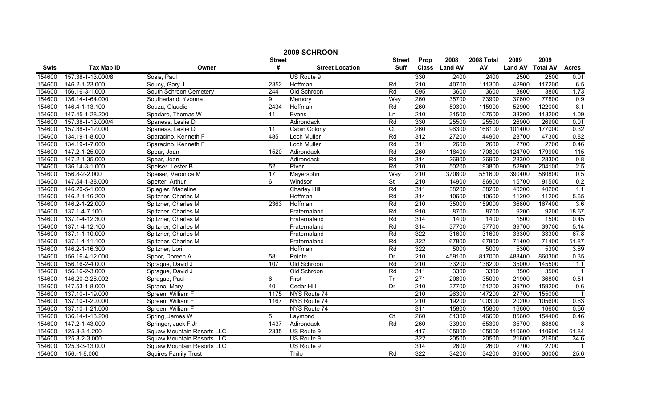|        | 2009 SCHROON      |                                   |                 |                        |                         |                  |                |            |                  |        |                |  |
|--------|-------------------|-----------------------------------|-----------------|------------------------|-------------------------|------------------|----------------|------------|------------------|--------|----------------|--|
|        |                   |                                   | <b>Street</b>   |                        | <b>Street</b>           | Prop             | 2008           | 2008 Total | 2009             | 2009   |                |  |
| Swis   | <b>Tax Map ID</b> | Owner                             | #               | <b>Street Location</b> | <b>Suff</b>             | <b>Class</b>     | <b>Land AV</b> | AV         | Land AV Total AV |        | <b>Acres</b>   |  |
| 154600 | 157.38-1-13.000/8 | Sosis, Paul                       |                 | US Route 9             |                         | 330              | 2400           | 2400       | 2500             | 2500   | 0.01           |  |
| 154600 | 146.2-1-23.000    | Soucy, Gary J                     | 2352            | Hoffman                | Rd                      | $\overline{210}$ | 40700          | 111300     | 42900            | 117200 | 6.5            |  |
| 154600 | 156.16-3-1.000    | South Schroon Cemetery            | 244             | Old Schroon            | Rd                      | 695              | 3600           | 3600       | 3800             | 3800   | 1.73           |  |
| 154600 | 136.14-1-64.000   | Southerland, Yvonne               | 9               | Memory                 | Way                     | 260              | 35700          | 73900      | 37600            | 77800  | 0.9            |  |
| 154600 | 146.4-1-13.100    | Souza, Claudio                    | 2434            | Hoffman                | Rd                      | 260              | 50300          | 115900     | 52900            | 122000 | 8.1            |  |
| 154600 | 147.45-1-28.200   | Spadaro, Thomas W                 | 11              | Evans                  | Ln                      | 210              | 31500          | 107500     | 33200            | 113200 | 1.09           |  |
| 154600 | 157.38-1-13.000/4 | Spaneas, Leslie D                 |                 | Adirondack             | Rd                      | 330              | 25500          | 25500      | 26900            | 26900  | 0.01           |  |
| 154600 | 157.38-1-12.000   | Spaneas, Leslie D                 | 11              | Cabin Colony           | $\overline{\text{C}}$ t | 260              | 96300          | 168100     | 101400           | 177000 | 0.32           |  |
| 154600 | 134.19-1-8.000    | Sparacino, Kenneth F              | 485             | Loch Muller            | Rd                      | $\overline{312}$ | 27200          | 44900      | 28700            | 47300  | 0.82           |  |
| 154600 | 134.19-1-7.000    | Sparacino, Kenneth F              |                 | Loch Muller            | Rd                      | 311              | 2600           | 2600       | 2700             | 2700   | 0.46           |  |
| 154600 | 147.2-1-25.000    | Spear, Joan                       | 1520            | Adirondack             | Rd                      | 260              | 118400         | 170800     | 124700           | 179900 | 115            |  |
| 154600 | 147.2-1-35.000    | Spear, Joan                       |                 | Adirondack             | Rd                      | 314              | 26900          | 26900      | 28300            | 28300  | 0.8            |  |
| 154600 | 136.14-3-1.000    | Speiser, Lester B                 | 52              | River                  | Rd                      | 210              | 50200          | 193800     | 52900            | 204100 | 2.5            |  |
| 154600 | 156.8-2-2.000     | Speiser, Veronica M               | $\overline{17}$ | Mayersohn              | Way                     | 210              | 370800         | 551600     | 390400           | 580800 | 0.5            |  |
| 154600 | 147.54-1-38.000   | Spetter, Arthur                   | 6               | Windsor                | St                      | 210              | 14900          | 86900      | 15700            | 91500  | 0.2            |  |
| 154600 | 146.20-5-1.000    | Spiegler, Madeline                |                 | <b>Charley Hill</b>    | Rd                      | 311              | 38200          | 38200      | 40200            | 40200  | 1.1            |  |
| 154600 | 146.2-1-16.200    | Spitzner, Charles M               |                 | Hoffman                | Rd                      | 314              | 10600          | 10600      | 11200            | 11200  | 5.65           |  |
| 154600 | 146.2-1-22.000    | Spitzner, Charles M               | 2363            | Hoffman                | Rd                      | 210              | 35000          | 159000     | 36800            | 167400 | 3.6            |  |
| 154600 | 137.1-4-7.100     | Spitzner, Charles M               |                 | Fraternaland           | Rd                      | 910              | 8700           | 8700       | 9200             | 9200   | 18.67          |  |
| 154600 | 137.1-4-12.300    | Spitzner, Charles M               |                 | Fraternaland           | Rd                      | 314              | 1400           | 1400       | 1500             | 1500   | 0.45           |  |
| 154600 | 137.1-4-12.100    | Spitzner, Charles M               |                 | Fraternaland           | Rd                      | 314              | 37700          | 37700      | 39700            | 39700  | 5.14           |  |
| 154600 | 137.1-1-10.000    | Spitzner, Charles M               |                 | Fraternaland           | Rd                      | 322              | 31600          | 31600      | 33300            | 33300  | 67.8           |  |
| 154600 | 137.1-4-11.100    | Spitzner, Charles M               |                 | Fraternaland           | Rd                      | 322              | 67800          | 67800      | 71400            | 71400  | 51.87          |  |
| 154600 | 146.2-1-16.300    | Spitzner, Lori                    |                 | Hoffman                | Rd                      | 322              | 5000           | 5000       | 5300             | 5300   | 3.89           |  |
| 154600 | 156.16-4-12.000   | Spoor, Doreen A                   | 58              | Pointe                 | Dr                      | $\overline{210}$ | 459100         | 817000     | 483400           | 860300 | 0.35           |  |
| 154600 | 156.16-2-4.000    | Sprague, David J                  | 107             | Old Schroon            | Rd                      | 210              | 33200          | 138200     | 35000            | 145500 | 1.1            |  |
| 154600 | 156.16-2-3.000    | Sprague, David J                  |                 | Old Schroon            | Rd                      | 311              | 3300           | 3300       | 3500             | 3500   | $\overline{1}$ |  |
| 154600 | 146.20-2-26.002   | Sprague, Paul                     | 6               | First                  | Trl                     | 271              | 20800          | 35000      | 21900            | 36800  | 0.51           |  |
| 154600 | 147.53-1-8.000    | Sprano, Mary                      | 40              | Cedar Hill             | Dr                      | 210              | 37700          | 151200     | 39700            | 159200 | 0.6            |  |
| 154600 | 137.10-1-19.000   | Spreen, William F                 | 1175            | NYS Route 74           |                         | 210              | 26300          | 147200     | 27700            | 155000 |                |  |
| 154600 | 137.10-1-20.000   | Spreen, William F                 | 1167            | NYS Route 74           |                         | 210              | 19200          | 100300     | 20200            | 105600 | 0.63           |  |
| 154600 | 137.10-1-21.000   | Spreen, William F                 |                 | NYS Route 74           |                         | 311              | 15800          | 15800      | 16600            | 16600  | 0.66           |  |
| 154600 | 136.14-1-13.200   | Spring, James W                   | 5               | Laymond                | $\overline{C}$ t        | 260              | 81300          | 146600     | 85600            | 154400 | 0.46           |  |
| 154600 | 147.2-1-43.000    | Springer, Jack F Jr               | 1437            | Adirondack             | Rd                      | 260              | 33900          | 65300      | 35700            | 68800  | 8              |  |
| 154600 | 125.3-3-1.200     | Squaw Mountain Resorts LLC        | 2335            | US Route 9             |                         | 417              | 105000         | 105000     | 110600           | 110600 | 61.84          |  |
| 154600 | 125.3-2-3.000     | <b>Squaw Mountain Resorts LLC</b> |                 | US Route 9             |                         | 322              | 20500          | 20500      | 21600            | 21600  | 34.6           |  |
| 154600 | 125.3-3-13.000    | Squaw Mountain Resorts LLC        |                 | US Route 9             |                         | 314              | 2600           | 2600       | 2700             | 2700   |                |  |
| 154600 | 156.-1-8.000      | <b>Squires Family Trust</b>       |                 | Thilo                  | Rd                      | 322              | 34200          | 34200      | 36000            | 36000  | 25.6           |  |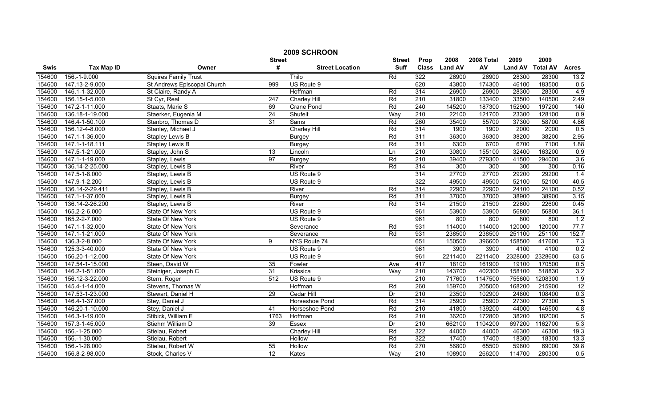|        | 2009 SCHROON                 |                             |                  |                        |               |                  |                |            |                |                 |                |  |
|--------|------------------------------|-----------------------------|------------------|------------------------|---------------|------------------|----------------|------------|----------------|-----------------|----------------|--|
|        |                              |                             | <b>Street</b>    |                        | <b>Street</b> | Prop             | 2008           | 2008 Total | 2009           | 2009            |                |  |
| Swis   | <b>Tax Map ID</b>            | Owner                       | #                | <b>Street Location</b> | <b>Suff</b>   | <b>Class</b>     | <b>Land AV</b> | AV         | <b>Land AV</b> | <b>Total AV</b> | <b>Acres</b>   |  |
| 154600 | 156.-1-9.000                 | <b>Squires Family Trust</b> |                  | Thilo                  | Rd            | 322              | 26900          | 26900      | 28300          | 28300           | 13.2           |  |
| 154600 | 147.13-2-9.000               | St Andrews Episcopal Church | 999              | US Route 9             |               | 620              | 43800          | 174300     | 46100          | 183500          | 0.5            |  |
| 154600 | 146.1-1-32.000               | St Claire, Randy A          |                  | Hoffman                | Rd            | 314              | 26900          | 26900      | 28300          | 28300           | 4.9            |  |
| 154600 | 156.15-1-5.000               | St Cyr, Real                | $\overline{247}$ | <b>Charley Hill</b>    | Rd            | 210              | 31800          | 133400     | 33500          | 140500          | 2.49           |  |
| 154600 | 147.2-1-11.000               | Staats, Marie S             | 69               | <b>Crane Pond</b>      | Rd            | 240              | 145200         | 187300     | 152900         | 197200          | 140            |  |
| 154600 | 136.18-1-19.000              | Staerker, Eugenia M         | 24               | Shufelt                | Way           | 210              | 22100          | 121700     | 23300          | 128100          | 0.9            |  |
| 154600 | 146.4-1-50.100               | Stanbro, Thomas D           | 31               | Sams                   | Rd            | 260              | 35400          | 55700      | 37300          | 58700           | 4.86           |  |
| 154600 | 156.12-4-8.000               | Stanley, Michael J          |                  | <b>Charley Hill</b>    | Rd            | 314              | 1900           | 1900       | 2000           | 2000            | 0.5            |  |
| 154600 | 147.1-1-36.000               | Stapley Lewis B             |                  | <b>Burgey</b>          | Rd            | 311              | 36300          | 36300      | 38200          | 38200           | 2.95           |  |
| 154600 | 147.1-1-18.111               | <b>Stapley Lewis B</b>      |                  | <b>Burgey</b>          | Rd            | 311              | 6300           | 6700       | 6700           | 7100            | 1.88           |  |
| 154600 | 147.5-1-21.000               | Stapley, John S             | 13               | Lincoln                | Ln            | $\overline{210}$ | 30800          | 155100     | 32400          | 163200          | 0.9            |  |
| 154600 | $\overline{147.1}$ -1-19.000 | Stapley, Lewis              | 97               | <b>Burgey</b>          | Rd            | 210              | 39400          | 279300     | 41500          | 294000          | 3.6            |  |
| 154600 | 136.14-2-25.000              | Stapley, Lewis B            |                  | River                  | Rd            | 314              | 300            | 300        | 300            | 300             | 0.16           |  |
| 154600 | 147.5-1-8.000                | Stapley, Lewis B            |                  | US Route 9             |               | 314              | 27700          | 27700      | 29200          | 29200           | 1.4            |  |
| 154600 | 147.9-1-2.200                | Stapley, Lewis B            |                  | US Route 9             |               | 322              | 49500          | 49500      | 52100          | 52100           | 40.5           |  |
| 154600 | 136.14-2-29.411              | Stapley, Lewis B            |                  | River                  | Rd            | 314              | 22900          | 22900      | 24100          | 24100           | 0.52           |  |
| 154600 | 147.1-1-37.000               | Stapley, Lewis B            |                  | <b>Burgey</b>          | Rd            | 311              | 37000          | 37000      | 38900          | 38900           | 3.15           |  |
| 154600 | 136.14-2-26.200              | Stapley, Lewis B            |                  | River                  | Rd            | 314              | 21500          | 21500      | 22600          | 22600           | 0.45           |  |
| 154600 | 165.2-2-6.000                | State Of New York           |                  | US Route 9             |               | 961              | 53900          | 53900      | 56800          | 56800           | 36.1           |  |
| 154600 | 165.2-2-7.000                | State Of New York           |                  | US Route 9             |               | 961              | 800            | 800        | 800            | 800             | 1.2            |  |
| 154600 | 147.1-1-32.000               | State Of New York           |                  | Severance              | Rd            | 931              | 114000         | 114000     | 120000         | 120000          | 77.7           |  |
| 154600 | 147.1-1-21.000               | State Of New York           |                  | Severance              | Rd            | 931              | 238500         | 238500     | 251100         | 251100          | 152.7          |  |
| 154600 | 136.3-2-8.000                | State Of New York           | 9                | NYS Route 74           |               | 651              | 150500         | 396600     | 158500         | 417600          | 7.3            |  |
| 154600 | 125.3-3-40.000               | State Of New York           |                  | US Route 9             |               | 961              | 3900           | 3900       | 4100           | 4100            | 0.2            |  |
| 154600 | 156.20-1-12.000              | State Of New York           |                  | US Route 9             |               | 961              | 2211400        | 2211400    | 2328600        | 2328600         | 63.5           |  |
| 154600 | 147.54-1-15.000              | Steen, David W              | 35               | Fowler                 | Ave           | 417              | 18100          | 161900     | 19100          | 170500          | 0.5            |  |
| 154600 | 146.2-1-51.000               | Steiniger, Joseph C         | 31               | Krissica               | Way           | 210              | 143700         | 402300     | 158100         | 518830          | 3.2            |  |
| 154600 | 156.12-3-22.000              | Stern, Roger                | 512              | US Route 9             |               | 210              | 717600         | 1147500    | 755600         | 1208300         | 1.9            |  |
| 154600 | 145.4-1-14.000               | Stevens, Thomas W           |                  | Hoffman                | Rd            | 260              | 159700         | 205000     | 168200         | 215900          | 12             |  |
| 154600 | 147.53-1-23.000              | Stewart, Daniel H           | 29               | Cedar Hill             | Dr            | 210              | 23500          | 102900     | 24800          | 108400          | 0.3            |  |
| 154600 | 146.4-1-37.000               | Stey, Daniel J              |                  | Horseshoe Pond         | Rd            | 314              | 25900          | 25900      | 27300          | 27300           | $\overline{5}$ |  |
| 154600 | 146.20-1-10.000              | Stey, Daniel J              | 41               | Horseshoe Pond         | Rd            | 210              | 41800          | 139200     | 44000          | 146500          | 4.8            |  |
| 154600 | 146.3-1-19.000               | Stibick, William E          | 1763             | Hoffman                | Rd            | 210              | 36200          | 172800     | 38200          | 182000          | $\overline{5}$ |  |
| 154600 | 157.3-1-45.000               | Stiehm William D            | 39               | Essex                  | Dr            | 210              | 662100         | 1104200    | 697200         | 1162700         | 5.3            |  |
| 154600 | 156.-1-25.000                | Stielau, Robert             |                  | Charley Hill           | Rd            | 322              | 44000          | 44000      | 46300          | 46300           | 19.3           |  |
| 154600 | 156.-1-30.000                | Stielau, Robert             |                  | Hollow                 | Rd            | 322              | 17400          | 17400      | 18300          | 18300           | 13.3           |  |
| 154600 | 156.-1-28.000                | Stielau, Robert W           | 55               | Hollow                 | Rd            | 270              | 56800          | 65500      | 59800          | 69000           | 39.8           |  |
| 154600 | 156.8-2-98.000               | Stock, Charles V            | 12               | Kates                  | Way           | 210              | 108900         | 266200     | 114700         | 280300          | 0.5            |  |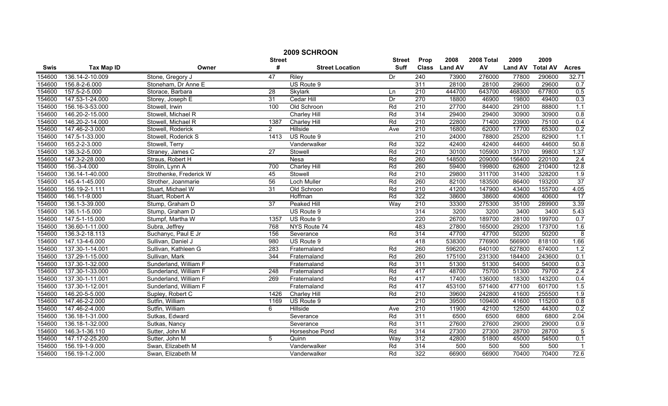|        | 2009 SCHROON      |                         |                 |                        |               |                  |                |            |                |                 |                |  |
|--------|-------------------|-------------------------|-----------------|------------------------|---------------|------------------|----------------|------------|----------------|-----------------|----------------|--|
|        |                   |                         | <b>Street</b>   |                        | <b>Street</b> | Prop             | 2008           | 2008 Total | 2009           | 2009            |                |  |
| Swis   | <b>Tax Map ID</b> | Owner                   | #               | <b>Street Location</b> | <b>Suff</b>   | <b>Class</b>     | <b>Land AV</b> | AV         | <b>Land AV</b> | <b>Total AV</b> | <b>Acres</b>   |  |
| 154600 | 136.14-2-10.009   | Stone, Gregory J        | 47              | <b>Riley</b>           | Dr            | 240              | 73900          | 276000     | 77800          | 290600          | 32.71          |  |
| 154600 | 156.8-2-6.000     | Stoneham, Dr Anne E     |                 | US Route 9             |               | 311              | 28100          | 28100      | 29600          | 29600           | 0.7            |  |
| 154600 | 157.5-2-5.000     | Storace, Barbara        | $\overline{28}$ | Skylark                | Ln            | $\overline{210}$ | 444700         | 643700     | 468300         | 677800          | 0.5            |  |
| 154600 | 147.53-1-24.000   | Storey, Joseph E        | 31              | <b>Cedar Hill</b>      | Dr            | 270              | 18800          | 46900      | 19800          | 49400           | 0.3            |  |
| 154600 | 156.16-3-53.000   | Stowell, Irwin          | 100             | Old Schroon            | Rd            | 210              | 27700          | 84400      | 29100          | 88800           | 1.1            |  |
| 154600 | 146.20-2-15.000   | Stowell, Michael R      |                 | <b>Charley Hill</b>    | Rd            | 314              | 29400          | 29400      | 30900          | 30900           | 0.8            |  |
| 154600 | 146.20-2-14.000   | Stowell, Michael R      | 1387            | <b>Charley Hill</b>    | Rd            | 210              | 22800          | 71400      | 23900          | 75100           | 0.4            |  |
| 154600 | 147.46-2-3.000    | Stowell, Roderick       | $\overline{2}$  | Hillside               | Ave           | 210              | 16800          | 62000      | 17700          | 65300           | 0.2            |  |
| 154600 | 147.5-1-33.000    | Stowell, Roderick S     | 1413            | US Route 9             |               | 210              | 24000          | 78800      | 25200          | 82900           | 1.1            |  |
| 154600 | 165.2-2-3.000     | Stowell, Terry          |                 | Vanderwalker           | Rd            | 322              | 42400          | 42400      | 44600          | 44600           | 50.8           |  |
| 154600 | 136.3-2-5.000     | Straney, James C        | $\overline{27}$ | Stowell                | Rd            | $\overline{210}$ | 30100          | 105900     | 31700          | 99800           | 1.37           |  |
| 154600 | 147.3-2-28.000    | Straus, Robert H        |                 | Nesa                   | Rd            | 260              | 148500         | 209000     | 156400         | 220100          | 2.4            |  |
| 154600 | 156.-3-4.000      | Strolin, Lynn A         | 700             | Charley Hill           | Rd            | 260              | 59400          | 199800     | 62600          | 210400          | 12.8           |  |
| 154600 | 136.14-1-40.000   | Strothenke, Frederick W | 45              | Stowell                | Rd            | 210              | 29800          | 311700     | 31400          | 328200          | 1.9            |  |
| 154600 | 145.4-1-45.000    | Strother, Joanmarie     | 56              | Loch Muller            | Rd            | 260              | 82100          | 183500     | 86400          | 193200          | 37             |  |
| 154600 | 156.19-2-1.111    | Stuart, Michael W       | 31              | Old Schroon            | Rd            | $\overline{210}$ | 41200          | 147900     | 43400          | 155700          | 4.05           |  |
| 154600 | 146.1-1-9.000     | Stuart, Robert A        |                 | Hoffman                | Rd            | 322              | 38600          | 38600      | 40600          | 40600           | 17             |  |
| 154600 | 136.1-3-39.000    | Stump, Graham D         | $\overline{37}$ | <b>Peaked Hill</b>     | Way           | 210              | 33300          | 275300     | 35100          | 289900          | 3.39           |  |
| 154600 | 136.1-1-5.000     | Stump, Graham D         |                 | US Route 9             |               | 314              | 3200           | 3200       | 3400           | 3400            | 5.43           |  |
| 154600 | 147.5-1-15.000    | Stumpf, Martha W        | 1357            | US Route 9             |               | 220              | 26700          | 189700     | 28100          | 199700          | 0.7            |  |
| 154600 | 136.60-1-11.000   | Subra, Jeffrey          | 768             | NYS Route 74           |               | 483              | 27800          | 165000     | 29200          | 173700          | 1.6            |  |
| 154600 | 136.3-2-18.113    | Suchanyc, Paul E Jr     | 156             | Severance              | Rd            | 314              | 47700          | 47700      | 50200          | 50200           | $\overline{8}$ |  |
| 154600 | 147.13-4-6.000    | Sullivan, Daniel J      | 980             | US Route 9             |               | 418              | 538300         | 776900     | 566900         | 818100          | 1.66           |  |
| 154600 | 137.30-1-14.001   | Sullivan, Kathleen G    | 283             | Fraternaland           | Rd            | 260              | 596200         | 640100     | 627800         | 674000          | 1.2            |  |
| 154600 | 137.29-1-15.000   | Sullivan, Mark          | 344             | Fraternaland           | Rd            | 260              | 175100         | 231300     | 184400         | 243600          | 0.1            |  |
| 154600 | 137.30-1-32.000   | Sunderland, William F   |                 | Fraternaland           | Rd            | 311              | 51300          | 51300      | 54000          | 54000           | 0.3            |  |
| 154600 | 137.30-1-33.000   | Sunderland, William F   | 248             | Fraternaland           | Rd            | 417              | 48700          | 75700      | 51300          | 79700           | 2.4            |  |
| 154600 | 137.30-1-11.001   | Sunderland, William F   | 269             | Fraternaland           | Rd            | 417              | 17400          | 136000     | 18300          | 143200          | 0.4            |  |
| 154600 | 137.30-1-12.001   | Sunderland, William F   |                 | Fraternaland           | Rd            | 417              | 453100         | 571400     | 477100         | 601700          | 1.5            |  |
| 154600 | 146.20-5-5.000    | Supley, Robert C        | 1426            | Charley Hill           | Rd            | 210              | 39600          | 242800     | 41600          | 255500          | 1.9            |  |
| 154600 | 147.46-2-2.000    | Sutfin, William         | 1169            | US Route 9             |               | 210              | 39500          | 109400     | 41600          | 115200          | 0.8            |  |
| 154600 | 147.46-2-4.000    | Sutfin, William         | 6               | Hillside               | Ave           | 210              | 11900          | 42100      | 12500          | 44300           | 0.2            |  |
| 154600 | 136.18-1-31.000   | Sutkas, Edward          |                 | Severance              | Rd            | 311              | 6500           | 6500       | 6800           | 6800            | 2.04           |  |
| 154600 | 136.18-1-32.000   | Sutkas, Nancy           |                 | Severance              | Rd            | 311              | 27600          | 27600      | 29000          | 29000           | 0.9            |  |
| 154600 | 146.3-1-36.110    | Sutter, John M          |                 | Horseshoe Pond         | Rd            | 314              | 27300          | 27300      | 28700          | 28700           | 5              |  |
| 154600 | 147.17-2-25.200   | Sutter, John M          | 5               | Quinn                  | Way           | 312              | 42800          | 51800      | 45000          | 54500           | 0.1            |  |
| 154600 | 156.19-1-9.000    | Swan, Elizabeth M       |                 | Vanderwalker           | Rd            | 314              | 500            | 500        | 500            | 500             |                |  |
| 154600 | 156.19-1-2.000    | Swan, Elizabeth M       |                 | Vanderwalker           | Rd            | 322              | 66900          | 66900      | 70400          | 70400           | 72.6           |  |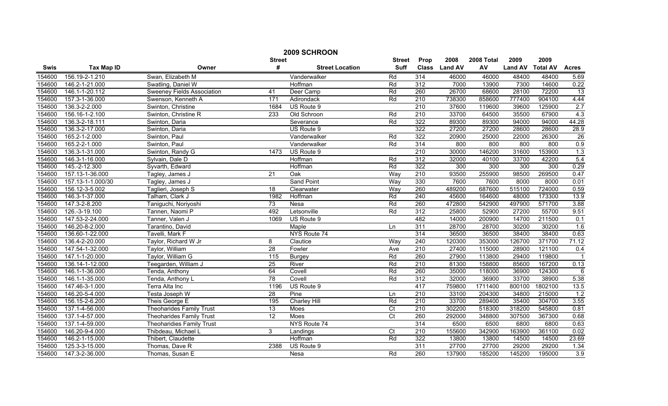| 2009 SCHROON |                                                                              |                                   |                   |                        |                |                  |                |         |                |                 |                         |
|--------------|------------------------------------------------------------------------------|-----------------------------------|-------------------|------------------------|----------------|------------------|----------------|---------|----------------|-----------------|-------------------------|
|              | 2008<br>2008 Total<br>2009<br><b>Street</b><br>Prop<br>2009<br><b>Street</b> |                                   |                   |                        |                |                  |                |         |                |                 |                         |
| <b>Swis</b>  | <b>Tax Map ID</b>                                                            | Owner                             | #                 | <b>Street Location</b> | <b>Suff</b>    | <b>Class</b>     | <b>Land AV</b> | AV      | <b>Land AV</b> | <b>Total AV</b> | <b>Acres</b>            |
| 154600       | 156.19-2-1.210                                                               | Swan, Elizabeth M                 |                   | Vanderwalker           | Rd             | 314              | 46000          | 46000   | 48400          | 48400           | 5.69                    |
| 154600       | 146.2-1-21.000                                                               | Swatling, Daniel W                |                   | Hoffman                | Rd             | 312              | 7000           | 13900   | 7300           | 14600           | 0.22                    |
| 154600       | 146.1-1-20.112                                                               | <b>Sweeney Fields Association</b> | 41                | Deer Camp              | Rd             | 260              | 26700          | 68600   | 28100          | 72200           | $\overline{13}$         |
| 154600       | 157.3-1-36.000                                                               | Swenson, Kenneth A                | 171               | Adirondack             | Rd             | 210              | 738300         | 858600  | 777400         | 904100          | 4.44                    |
| 154600       | 136.3-2-2.000                                                                | Swinton, Christine                | 1684              | US Route 9             |                | 210              | 37600          | 119600  | 39600          | 125900          | 2.7                     |
| 154600       | 156.16-1-2.100                                                               | Swinton, Christine R              | 233               | Old Schroon            | Rd             | 210              | 33700          | 64500   | 35500          | 67900           | 4.3                     |
| 154600       | 136.3-2-18.111                                                               | Swinton, Daria                    |                   | Severance              | Rd             | 322              | 89300          | 89300   | 94000          | 94000           | 44.28                   |
| 154600       | 136.3-2-17.000                                                               | Swinton, Daria                    |                   | US Route 9             |                | 322              | 27200          | 27200   | 28600          | 28600           | 28.9                    |
| 154600       | 165.2-1-2.000                                                                | Swinton, Paul                     |                   | Vanderwalker           | Rd             | 322              | 20900          | 25000   | 22000          | 26300           | 26                      |
| 154600       | 165.2-2-1.000                                                                | Swinton, Paul                     |                   | Vanderwalker           | Rd             | 314              | 800            | 800     | 800            | 800             | 0.9                     |
| 154600       | 136.3-1-31.000                                                               | Swinton, Randy G                  | $\overline{1473}$ | US Route 9             |                | 210              | 30000          | 146200  | 31600          | 153900          | 1.3                     |
| 154600       | 146.3-1-16.000                                                               | Sylvain, Dale D                   |                   | Hoffman                | Rd             | 312              | 32000          | 40100   | 33700          | 42200           | 5.4                     |
| 154600       | 145.-2-12.300                                                                | Syvarth, Edward                   |                   | Hoffman                | Rd             | 322              | 300            | 300     | 300            | 300             | 0.29                    |
| 154600       | 157.13-1-36.000                                                              | Tagley, James J                   | $\overline{21}$   | Oak                    | Way            | 210              | 93500          | 255900  | 98500          | 269500          | 0.47                    |
| 154600       | 157.13-1-1.000/30                                                            | Tagley, James J                   |                   | <b>Sand Point</b>      | Way            | 330              | 7600           | 7600    | 8000           | 8000            | 0.01                    |
| 154600       | 156.12-3-5.002                                                               | Taglieri, Joseph S                | 18                | Clearwater             | Way            | 260              | 489200         | 687600  | 515100         | 724000          | 0.59                    |
| 154600       | 146.3-1-37.000                                                               | Talham, Clark J                   | 1982              | Hoffman                | Rd             | 240              | 45600          | 164600  | 48000          | 173300          | 13.9                    |
| 154600       | 147.3-2-8.200                                                                | Taniguchi, Noriyoshi              | 73                | Nesa                   | Rd             | 260              | 472800         | 542900  | 497900         | 571700          | 3.88                    |
| 154600       | 126.-3-19.100                                                                | Tannen, Naomi P                   | 492               | Letsonville            | Rd             | 312              | 25800          | 52900   | 27200          | 55700           | 9.51                    |
| 154600       | 147.53-2-24.000                                                              | Tanner, Valen J                   | 1069              | US Route 9             |                | 482              | 14000          | 200900  | 14700          | 211500          | 0.1                     |
| 154600       | 146.20-8-2.000                                                               | Tarantino, David                  |                   | Maple                  | Ln             | 311              | 28700          | 28700   | 30200          | 30200           | 1.6                     |
| 154600       | 136.60-1-22.000                                                              | Tavelli, Mark F                   |                   | NYS Route 74           |                | 314              | 36500          | 36500   | 38400          | 38400           | 0.63                    |
| 154600       | 136.4-2-20.000                                                               | Taylor, Richard W Jr              | 8                 | Clautice               | Way            | 240              | 120300         | 353000  | 126700         | 371700          | 71.12                   |
| 154600       | 147.54-1-32.000                                                              | Taylor, William                   | 28                | Fowler                 | Ave            | 210              | 27400          | 115000  | 28900          | 121100          | 0.4                     |
| 154600       | 147.1-1-20.000                                                               | Taylor, William G                 | 115               | <b>Burgey</b>          | Rd             | 260              | 27900          | 113800  | 29400          | 119800          | $\overline{\mathbf{1}}$ |
| 154600       | 136.14-1-12.000                                                              | Teegarden, William J              | $\overline{25}$   | River                  | Rd             | 210              | 81300          | 158800  | 85600          | 167200          | 0.13                    |
| 154600       | 146.1-1-36.000                                                               | Tenda, Anthony                    | 64                | Covell                 | Rd             | 260              | 35000          | 118000  | 36900          | 124300          | $6\phantom{1}6$         |
| 154600       | 146.1-1-35.000                                                               | Tenda, Anthony L                  | 78                | Covell                 | Rd             | $\overline{312}$ | 32000          | 36900   | 33700          | 38900           | 5.38                    |
| 154600       | 147.46-3-1.000                                                               | Terra Alta Inc                    | 1196              | US Route 9             |                | 417              | 759800         | 1711400 | 800100         | 1802100         | 13.5                    |
| 154600       | 146.20-5-4.000                                                               | Testa Joseph W                    | $\overline{28}$   | Pine                   | Ln             | 210              | 33100          | 204300  | 34800          | 215000          | 1.2                     |
| 154600       | 156.15-2-6.200                                                               | Theis George E                    | 195               | <b>Charley Hill</b>    | Rd             | 210              | 33700          | 289400  | 35400          | 304700          | 3.55                    |
| 154600       | 137.1-4-56.000                                                               | <b>Theoharides Family Trust</b>   | 13                | Moes                   | $\overline{C}$ | 210              | 302200         | 518300  | 318200         | 545800          | 0.81                    |
| 154600       | 137.1-4-57.000                                                               | <b>Theoharides Family Trust</b>   | $\overline{12}$   | Moes                   | $\overline{C}$ | 260              | 292000         | 348800  | 307500         | 367300          | 0.68                    |
| 154600       | 137.1-4-59.000                                                               | <b>Theoharidies Family Trust</b>  |                   | NYS Route 74           |                | 314              | 6500           | 6500    | 6800           | 6800            | 0.63                    |
| 154600       | 146.20-9-4.000                                                               | Thibdeau, Michael L               | 3                 | Landings               | Ct             | 210              | 155600         | 342900  | 163900         | 361100          | 0.02                    |
| 154600       | 146.2-1-15.000                                                               | Thibert, Claudette                |                   | Hoffman                | Rd             | 322              | 13800          | 13800   | 14500          | 14500           | 23.69                   |
| 154600       | 125.3-3-15.000                                                               | Thomas, Dave R                    | 2388              | US Route 9             |                | 311              | 27700          | 27700   | 29200          | 29200           | 1.34                    |
| 154600       | 147.3-2-36.000                                                               | Thomas, Susan E                   |                   | <b>Nesa</b>            | Rd             | 260              | 137900         | 185200  | 145200         | 195000          | 3.9                     |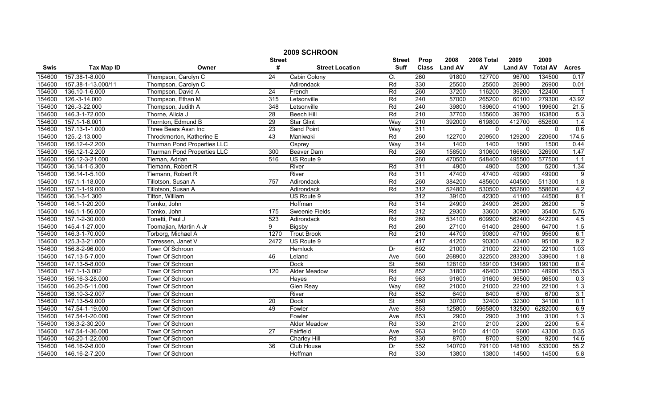|        | 2009 SCHROON       |                             |                 |                        |                          |                  |                |              |                |                 |                  |  |
|--------|--------------------|-----------------------------|-----------------|------------------------|--------------------------|------------------|----------------|--------------|----------------|-----------------|------------------|--|
|        |                    |                             | <b>Street</b>   |                        | <b>Street</b>            | Prop             | 2008           | 2008 Total   | 2009           | 2009            |                  |  |
| Swis   | <b>Tax Map ID</b>  | Owner                       | #               | <b>Street Location</b> | <b>Suff</b>              | <b>Class</b>     | <b>Land AV</b> | AV           | <b>Land AV</b> | <b>Total AV</b> | <b>Acres</b>     |  |
| 154600 | 157.38-1-8.000     | Thompson, Carolyn C         | $\overline{24}$ | Cabin Colony           | Ct                       | 260              | 91800          | 127700       | 96700          | 134500          | 0.17             |  |
| 154600 | 157.38-1-13.000/11 | Thompson, Carolyn C         |                 | Adirondack             | Rd                       | 330              | 25500          | 25500        | 26900          | 26900           | 0.01             |  |
| 154600 | 136.10-1-6.000     | Thompson, David A           | 24              | French                 | Rd                       | 260              | 37200          | 116200       | 39200          | 122400          | $\overline{1}$   |  |
| 154600 | 126.-3-14.000      | Thompson, Ethan M           | 315             | Letsonville            | Rd                       | 240              | 57000          | 265200       | 60100          | 279300          | 43.92            |  |
| 154600 | 126.-3-22.000      | Thompson, Judith A          | 348             | Letsonville            | Rd                       | 240              | 39800          | 189600       | 41900          | 199600          | 21.5             |  |
| 154600 | 146.3-1-72.000     | Thorne, Alicia J            | 28              | <b>Beech Hill</b>      | Rd                       | 210              | 37700          | 155600       | 39700          | 163800          | 5.3              |  |
| 154600 | 157.1-1-6.001      | Thornton, Edmund B          | 29              | <b>Star Glint</b>      | Way                      | 210              | 392000         | 619800       | 412700         | 652600          | 1.4              |  |
| 154600 | 157.13-1-1.000     | Three Bears Assn Inc        | 23              | <b>Sand Point</b>      | Way                      | 311              | $\mathbf{0}$   | $\mathbf{0}$ | $\mathbf{0}$   | $\Omega$        | 0.6              |  |
| 154600 | 125.-2-13.000      | Throckmorton, Katherine E   | 43              | Maniwaki               | Rd                       | 260              | 122700         | 209500       | 129200         | 220600          | 174.5            |  |
| 154600 | 156.12-4-2.200     | Thurman Pond Properties LLC |                 | Osprey                 | Way                      | 314              | 1400           | 1400         | 1500           | 1500            | 0.44             |  |
| 154600 | 156.12-1-2.200     | Thurman Pond Properties LLC | 300             | <b>Beaver Dam</b>      | Rd                       | 260              | 158500         | 310600       | 166800         | 326900          | 1.47             |  |
| 154600 | 156.12-3-21.000    | Tieman, Adrian              | 516             | US Route 9             |                          | 260              | 470500         | 548400       | 495500         | 577500          | 1.1              |  |
| 154600 | 136.14-1-5.300     | Tiemann, Robert R           |                 | River                  | Rd                       | 311              | 4900           | 4900         | 5200           | 5200            | 1.34             |  |
| 154600 | 136.14-1-5.100     | Tiemann, Robert R           |                 | River                  | Rd                       | 311              | 47400          | 47400        | 49900          | 49900           | $\overline{9}$   |  |
| 154600 | 157.1-1-18.000     | Tillotson, Susan A          | 757             | Adirondack             | Rd                       | 260              | 384200         | 485600       | 404500         | 511300          | $\overline{1.8}$ |  |
| 154600 | 157.1-1-19.000     | Tillotson, Susan A          |                 | Adirondack             | Rd                       | $\overline{312}$ | 524800         | 530500       | 552600         | 558600          | 4.2              |  |
| 154600 | 136.1-3-1.300      | Tilton, William             |                 | US Route 9             |                          | 312              | 39100          | 42300        | 41100          | 44500           | 8.1              |  |
| 154600 | 146.1-1-20.200     | Tomko, John                 |                 | Hoffman                | Rd                       | 314              | 24900          | 24900        | 26200          | 26200           | $\overline{5}$   |  |
| 154600 | 146.1-1-56.000     | Tomko, John                 | 175             | Sweenie Fields         | Rd                       | 312              | 29300          | 33600        | 30900          | 35400           | 5.76             |  |
| 154600 | 157.1-2-30.000     | Tonetti, Paul J             | 523             | Adirondack             | Rd                       | 260              | 534100         | 609900       | 562400         | 642200          | 4.5              |  |
| 154600 | 145.4-1-27.000     | Toomajian, Martin A Jr      | 9               | Bigsby                 | Rd                       | 260              | 27100          | 61400        | 28600          | 64700           | 1.5              |  |
| 154600 | 146.3-1-70.000     | Torborg, Michael A          | 1270            | <b>Trout Brook</b>     | Rd                       | 210              | 44700          | 90800        | 47100          | 95600           | 6.1              |  |
| 154600 | 125.3-3-21.000     | Torressen, Janet V          | 2472            | US Route 9             |                          | 417              | 41200          | 90300        | 43400          | 95100           | 9.2              |  |
| 154600 | 156.8-2-96.000     | Town Of Schroon             |                 | Hemlock                | Dr                       | 692              | 21000          | 21000        | 22100          | 22100           | 1.03             |  |
| 154600 | 147.13-5-7.000     | Town Of Schroon             | 46              | Leland                 | Ave                      | 560              | 268900         | 322500       | 283200         | 339600          | $\overline{1.8}$ |  |
| 154600 | 147.13-5-8.000     | Town Of Schroon             |                 | <b>Dock</b>            | $\overline{\mathsf{St}}$ | 560              | 128100         | 189100       | 134900         | 199100          | 0.4              |  |
| 154600 | 147.1-1-3.002      | Town Of Schroon             | 120             | Alder Meadow           | Rd                       | 852              | 31800          | 46400        | 33500          | 48900           | 155.3            |  |
| 154600 | 156.16-3-28.000    | Town Of Schroon             |                 | Hayes                  | Rd                       | 963              | 91600          | 91600        | 96500          | 96500           | 0.3              |  |
| 154600 | 146.20-5-11.000    | Town Of Schroon             |                 | Glen Reay              | Way                      | 692              | 21000          | 21000        | 22100          | 22100           | 1.3              |  |
| 154600 | 136.10-3-2.007     | Town Of Schroon             |                 | River                  | Rd                       | 852              | 6400           | 6400         | 6700           | 6700            | 3.1              |  |
| 154600 | 147.13-5-9.000     | Town Of Schroon             | 20              | Dock                   | St                       | 560              | 30700          | 32400        | 32300          | 34100           | 0.1              |  |
| 154600 | 147.54-1-19.000    | Town Of Schroon             | 49              | Fowler                 | Ave                      | 853              | 125800         | 5965800      | 132500         | 6282000         | 6.9              |  |
| 154600 | 147.54-1-20.000    | Town Of Schroon             |                 | Fowler                 | Ave                      | 853              | 2900           | 2900         | 3100           | 3100            | 1.3              |  |
| 154600 | 136.3-2-30.200     | Town Of Schroon             |                 | Alder Meadow           | Rd                       | 330              | 2100           | 2100         | 2200           | 2200            | 5.4              |  |
| 154600 | 147.54-1-36.000    | Town Of Schroon             | $\overline{27}$ | Fairfield              | Ave                      | 963              | 9100           | 41100        | 9600           | 43300           | 0.35             |  |
| 154600 | 146.20-1-22.000    | Town Of Schroon             |                 | Charley Hill           | Rd                       | 330              | 8700           | 8700         | 9200           | 9200            | 14.6             |  |
| 154600 | 146.16-2-8.000     | Town Of Schroon             | $\overline{36}$ | Club House             | Dr                       | 552              | 140700         | 791100       | 148100         | 833000          | 55.2             |  |
| 154600 | 146.16-2-7.200     | Town Of Schroon             |                 | Hoffman                | Rd                       | 330              | 13800          | 13800        | 14500          | 14500           | 5.8              |  |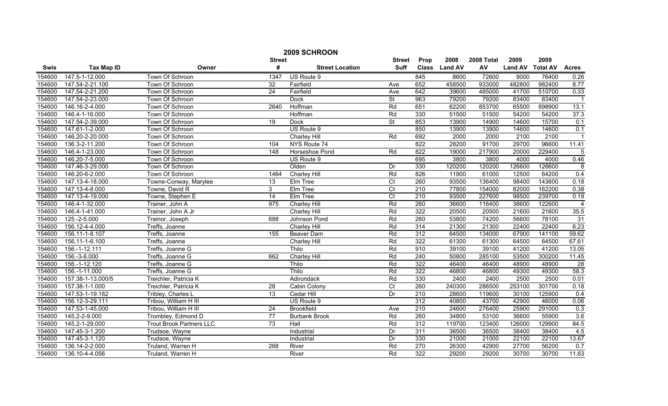|             | 2009 SCHROON      |                                 |                 |                        |                          |                  |                |            |                |                 |                 |
|-------------|-------------------|---------------------------------|-----------------|------------------------|--------------------------|------------------|----------------|------------|----------------|-----------------|-----------------|
|             |                   |                                 | <b>Street</b>   |                        | <b>Street</b>            | Prop             | 2008           | 2008 Total | 2009           | 2009            |                 |
| <b>Swis</b> | <b>Tax Map ID</b> | Owner                           | #               | <b>Street Location</b> | <b>Suff</b>              | <b>Class</b>     | <b>Land AV</b> | AV         | <b>Land AV</b> | <b>Total AV</b> | <b>Acres</b>    |
| 154600      | 147.5-1-12.000    | Town Of Schroon                 | 1347            | US Route 9             |                          | 845              | 8600           | 72600      | 9000           | 76400           | 0.26            |
| 154600      | 147.54-2-21.100   | Town Of Schroon                 | $\overline{32}$ | Fairfield              | Ave                      | 652              | 458500         | 933000     | 482800         | 982400          | 8.77            |
| 154600      | 147.54-2-21.200   | Town Of Schroon                 | $\overline{24}$ | Fairfield              | Ave                      | 642              | 39600          | 485000     | 41700          | 510700          | 0.33            |
| 154600      | 147.54-2-23.000   | Town Of Schroon                 |                 | <b>Dock</b>            | $\overline{\mathsf{St}}$ | 963              | 79200          | 79200      | 83400          | 83400           | $\overline{1}$  |
| 154600      | 146.16-2-4.000    | Town Of Schroon                 | 2640            | Hoffman                | Rd                       | 651              | 62200          | 853700     | 65500          | 898900          | 13.1            |
| 154600      | 146.4-1-16.000    | Town Of Schroon                 |                 | Hoffman                | Rd                       | 330              | 51500          | 51500      | 54200          | 54200           | 37.3            |
| 154600      | 147.54-2-39.000   | Town Of Schroon                 | 19              | Dock                   | <b>St</b>                | 853              | 13900          | 14900      | 14600          | 15700           | 0.1             |
| 154600      | 147.61-1-2.000    | Town Of Schroon                 |                 | US Route 9             |                          | 850              | 13900          | 13900      | 14600          | 14600           | 0.1             |
| 154600      | 146.20-2-20.000   | Town Of Schroon                 |                 | <b>Charley Hill</b>    | Rd                       | 692              | 2000           | 2000       | 2100           | 2100            |                 |
| 154600      | 136.3-2-11.200    | Town Of Schroon                 | 104             | NYS Route 74           |                          | 822              | 28200          | 91700      | 29700          | 96600           | 11.41           |
| 154600      | 146.4-1-23.000    | Town Of Schroon                 | 148             | Horseshoe Pond         | Rd                       | 822              | 19000          | 217900     | 20000          | 229400          | 5               |
| 154600      | 146.20-7-5.000    | Town Of Schroon                 |                 | US Route 9             |                          | 695              | 3800           | 3800       | 4000           | 4000            | 0.46            |
| 154600      | 147.46-3-29.000   | Town Of Schroon                 |                 | Olden                  | Dr                       | 330              | 120200         | 120200     | 126600         | 126600          | 8               |
| 154600      | 146.20-6-2.000    | Town Of Schroon                 | 1464            | Charley Hill           | Rd                       | 826              | 11900          | 61000      | 12500          | 64200           | 0.4             |
| 154600      | 147.13-4-18.000   | Towne-Conway, Marylee           | 13              | Elm Tree               | Ct                       | 260              | 93500          | 136400     | 98400          | 143600          | 0.18            |
| 154600      | 147.13-4-8.000    | Towne, David R                  | 3               | Elm Tree               | $\overline{C}t$          | $\overline{210}$ | 77800          | 154000     | 82000          | 162200          | 0.38            |
| 154600      | 147.13-4-19.000   | Towne, Stephen E                | 14              | Elm Tree               | $\overline{C}$           | 210              | 93500          | 227600     | 98500          | 239700          | 0.19            |
| 154600      | 146.4-1-32.000    | Trainer, John A                 | 975             | <b>Charley Hill</b>    | Rd                       | 260              | 36600          | 116400     | 38600          | 122600          | $\overline{4}$  |
| 154600      | 146.4-1-41.000    | Trainer, John A Jr              |                 | <b>Charley Hill</b>    | Rd                       | 322              | 20500          | 20500      | 21600          | 21600           | 35.5            |
| 154600      | 125.-2-5.000      | Trainor, Joseph                 | 688             | Johnson Pond           | Rd                       | 260              | 53800          | 74200      | 56600          | 78100           | 31              |
| 154600      | 156.12-4-4.000    | Treffs, Joanne                  |                 | Charley Hill           | Rd                       | 314              | 21300          | 21300      | 22400          | 22400           | 6.23            |
| 154600      | 156.11-1-8.107    | Treffs, Joanne                  | 155             | Beaver Dam             | Rd                       | 312              | 64500          | 134000     | 67900          | 141100          | 59.62           |
| 154600      | 156.11-1-6.100    | Treffs, Joanne                  |                 | Charley Hill           | Rd                       | 322              | 61300          | 61300      | 64500          | 64500           | 67.61           |
| 154600      | 156.-1-12.111     | Treffs, Joanne G                |                 | Thilo                  | Rd                       | 910              | 39100          | 39100      | 41200          | 41200           | 13.05           |
| 154600      | 156.-3-8.000      | Treffs, Joanne G                | 662             | <b>Charley Hill</b>    | Rd                       | $\overline{240}$ | 50800          | 285100     | 53500          | 300200          | 11.45           |
| 154600      | 156.-1-12.120     | Treffs, Joanne G                |                 | Thilo                  | Rd                       | 322              | 46400          | 46400      | 48900          | 48900           | $\overline{28}$ |
| 154600      | 156.-1-11.000     | Treffs, Joanne G                |                 | Thilo                  | Rd                       | 322              | 46800          | 46800      | 49300          | 49300           | 58.3            |
| 154600      | 157.38-1-13.000/5 | Treichler, Patricia K           |                 | Adirondack             | Rd                       | 330              | 2400           | 2400       | 2500           | 2500            | 0.01            |
| 154600      | 157.38-1-1.000    | Treichler, Patricia K           | 28              | Cabin Colony           | $\overline{C}t$          | 260              | 240300         | 286500     | 253100         | 301700          | 0.18            |
| 154600      | 147.53-1-19.182   | Tribley, Charles L              | 13              | Cedar Hill             | Dr                       | 210              | 28600          | 119600     | 30100          | 125900          | 0.4             |
| 154600      | 156.12-3-29.111   | Tribou, William H III           |                 | US Route 9             |                          | 312              | 40800          | 43700      | 42900          | 46000           | 0.06            |
| 154600      | 147.53-1-45.000   | Tribou, William H III           | 24              | <b>Brookfield</b>      | Ave                      | 210              | 24600          | 276400     | 25900          | 291000          | 0.3             |
| 154600      | 145.2-2-9.000     | Trombley, Edmond D              | $\overline{77}$ | <b>Burbank Brook</b>   | Rd                       | 260              | 34800          | 53100      | 36600          | 55900           | 3.6             |
| 154600      | 145.2-1-29.000    | <b>Trout Brook Partners LLC</b> | 73              | Hall                   | Rd                       | $\overline{312}$ | 119700         | 123400     | 126000         | 129900          | 84.5            |
| 154600      | 147.45-3-1.200    | Trudsoe, Wayne                  |                 | Industrial             | Dr                       | 311              | 36500          | 36500      | 38400          | 38400           | 4.5             |
| 154600      | 147.45-3-1.120    | Trudsoe, Wayne                  |                 | Industrial             | Dr                       | 330              | 21000          | 21000      | 22100          | 22100           | 13.67           |
| 154600      | 136.14-2-2.000    | Truland, Warren H               | 268             | River                  | Rd                       | 270              | 26300          | 42900      | 27700          | 56200           | 0.7             |
| 154600      | 136.10-4-4.056    | Truland, Warren H               |                 | River                  | Rd                       | 322              | 29200          | 29200      | 30700          | 30700           | 11.63           |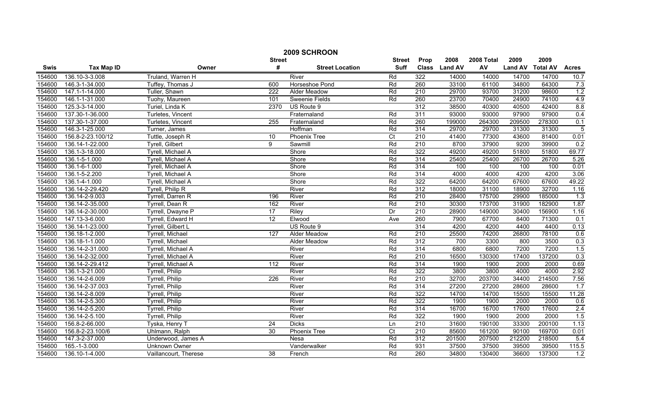|        | 2009 SCHROON      |                        |                  |                        |                |                  |                |            |                |                 |                |  |
|--------|-------------------|------------------------|------------------|------------------------|----------------|------------------|----------------|------------|----------------|-----------------|----------------|--|
|        |                   |                        | <b>Street</b>    |                        | <b>Street</b>  | Prop             | 2008           | 2008 Total | 2009           | 2009            |                |  |
| Swis   | <b>Tax Map ID</b> | Owner                  | #                | <b>Street Location</b> | <b>Suff</b>    | <b>Class</b>     | <b>Land AV</b> | AV         | <b>Land AV</b> | <b>Total AV</b> | <b>Acres</b>   |  |
| 154600 | 136.10-3-3.008    | Truland, Warren H      |                  | River                  | Rd             | 322              | 14000          | 14000      | 14700          | 14700           | 10.7           |  |
| 154600 | 146.3-1-34.000    | Tuffey, Thomas J       | 600              | Horseshoe Pond         | Rd             | 260              | 33100          | 61100      | 34800          | 64300           | 7.3            |  |
| 154600 | 147.1-1-14.000    | Tuller, Shawn          | $\overline{222}$ | <b>Alder Meadow</b>    | Rd             | 210              | 29700          | 93700      | 31200          | 98600           | 1.2            |  |
| 154600 | 146.1-1-31.000    | Tuohy, Maureen         | 101              | Sweenie Fields         | Rd             | 260              | 23700          | 70400      | 24900          | 74100           | 4.9            |  |
| 154600 | 125.3-3-14.000    | Turiel, Linda K        | 2370             | US Route 9             |                | 312              | 38500          | 40300      | 40500          | 42400           | 8.8            |  |
| 154600 | 137.30-1-36.000   | Turletes, Vincent      |                  | Fraternaland           | Rd             | 311              | 93000          | 93000      | 97900          | 97900           | 0.4            |  |
| 154600 | 137.30-1-37.000   | Turletes, Vincent      | 255              | Fraternaland           | Rd             | 260              | 199000         | 264300     | 209500         | 278300          | 0.1            |  |
| 154600 | 146.3-1-25.000    | Turner, James          |                  | Hoffman                | Rd             | 314              | 29700          | 29700      | 31300          | 31300           | $\overline{5}$ |  |
| 154600 | 156.8-2-23.100/12 | Tuttle, Joseph R       | 10               | Phoenix Tree           | $\overline{C}$ | 210              | 41400          | 77300      | 43600          | 81400           | 0.01           |  |
| 154600 | 136.14-1-22.000   | Tyrell, Gilbert        | 9                | Sawmill                | Rd             | $\overline{210}$ | 8700           | 37900      | 9200           | 39900           | 0.2            |  |
| 154600 | 136.1-3-18.000    | Tyrell, Michael A      |                  | Shore                  | Rd             | 322              | 49200          | 49200      | 51800          | 51800           | 69.77          |  |
| 154600 | 136.1-5-1.000     | Tyrell, Michael A      |                  | Shore                  | Rd             | 314              | 25400          | 25400      | 26700          | 26700           | 5.26           |  |
| 154600 | 136.1-6-1.000     | Tyrell, Michael A      |                  | Shore                  | Rd             | 314              | 100            | 100        | 100            | 100             | 0.01           |  |
| 154600 | 136.1-5-2.200     | Tyrell, Michael A      |                  | Shore                  | Rd             | 314              | 4000           | 4000       | 4200           | 4200            | 3.06           |  |
| 154600 | 136.1-4-1.000     | Tyrell, Michael A      |                  | Shore                  | Rd             | 322              | 64200          | 64200      | 67600          | 67600           | 49.22          |  |
| 154600 | 136.14-2-29.420   | Tyrell, Philip R       |                  | River                  | Rd             | 312              | 18000          | 31100      | 18900          | 32700           | 1.16           |  |
| 154600 | 136.14-2-9.003    | Tyrrell, Darren R      | 196              | River                  | Rd             | 210              | 28400          | 175700     | 29900          | 185000          | 1.3            |  |
| 154600 | 136.14-2-35.000   | Tyrrell, Dean R        | 162              | River                  | Rd             | 210              | 30300          | 173700     | 31900          | 182900          | 1.87           |  |
| 154600 | 136.14-2-30.000   | Tyrrell, Dwayne P      | 17               | Riley                  | Dr             | 210              | 28900          | 149000     | 30400          | 156900          | 1.16           |  |
| 154600 | 147.13-3-6.000    | Tyrrell, Edward H      | 12               | Elwood                 | Ave            | 260              | 7900           | 67700      | 8400           | 71300           | 0.1            |  |
| 154600 | 136.14-1-23.000   | Tyrrell, Gilbert L     |                  | US Route 9             |                | 314              | 4200           | 4200       | 4400           | 4400            | 0.13           |  |
| 154600 | 136.18-1-2.000    | Tyrrell, Michael       | 127              | Alder Meadow           | Rd             | 210              | 25500          | 74200      | 26800          | 78100           | 0.6            |  |
| 154600 | 136.18-1-1.000    | Tyrrell, Michael       |                  | Alder Meadow           | Rd             | 312              | 700            | 3300       | 800            | 3500            | 0.3            |  |
| 154600 | 136.14-2-31.000   | Tyrrell, Michael A     |                  | River                  | Rd             | 314              | 6800           | 6800       | 7200           | 7200            | 1.5            |  |
| 154600 | 136.14-2-32.000   | Tyrrell, Michael A     |                  | River                  | Rd             | $\overline{210}$ | 16500          | 130300     | 17400          | 137200          | 0.3            |  |
| 154600 | 136.14-2-29.412   | Tyrrell, Michael A     | 112              | River                  | Rd             | 314              | 1900           | 1900       | 2000           | 2000            | 0.69           |  |
| 154600 | 136.1-3-21.000    | Tyrrell, Philip        |                  | River                  | Rd             | 322              | 3800           | 3800       | 4000           | 4000            | 2.92           |  |
| 154600 | 136.14-2-6.009    | <b>Tyrrell, Philip</b> | $\overline{226}$ | River                  | Rd             | 210              | 32700          | 203700     | 34400          | 214500          | 7.56           |  |
| 154600 | 136.14-2-37.003   | Tyrrell, Philip        |                  | River                  | Rd             | 314              | 27200          | 27200      | 28600          | 28600           | 1.7            |  |
| 154600 | 136.14-2-8.009    | <b>Tyrrell, Philip</b> |                  | River                  | Rd             | 322              | 14700          | 14700      | 15500          | 15500           | 11.28          |  |
| 154600 | 136.14-2-5.300    | Tyrrell, Philip        |                  | River                  | Rd             | 322              | 1900           | 1900       | 2000           | 2000            | 0.6            |  |
| 154600 | 136.14-2-5.200    | <b>Tyrrell, Philip</b> |                  | River                  | Rd             | 314              | 16700          | 16700      | 17600          | 17600           | 2.4            |  |
| 154600 | 136.14-2-5.100    | Tyrrell, Philip        |                  | River                  | Rd             | 322              | 1900           | 1900       | 2000           | 2000            | 1.5            |  |
| 154600 | 156.8-2-66.000    | Tyska, Henry T         | $\overline{24}$  | <b>Dicks</b>           | Ln             | 210              | 31600          | 190100     | 33300          | 200100          | 1.13           |  |
| 154600 | 156.8-2-23.100/6  | Uhlmann, Ralph         | 30               | <b>Phoenix Tree</b>    | $\overline{C}$ | $\overline{210}$ | 85600          | 161200     | 90100          | 169700          | 0.01           |  |
| 154600 | 147.3-2-37.000    | Underwood, James A     |                  | Nesa                   | Rd             | 312              | 201500         | 207500     | 212200         | 218500          | 5.4            |  |
| 154600 | 165.-1-3.000      | Unknown Owner          |                  | Vanderwalker           | Rd             | 931              | 37500          | 37500      | 39500          | 39500           | 115.5          |  |
| 154600 | 136.10-1-4.000    | Vaillancourt, Therese  | $\overline{38}$  | French                 | Rd             | 260              | 34800          | 130400     | 36600          | 137300          | 1.2            |  |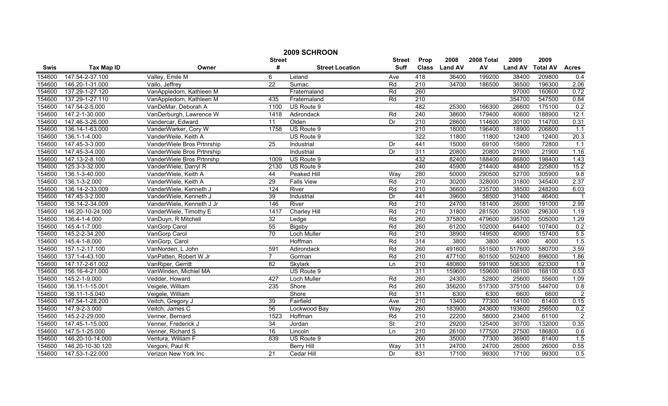|        | 2009 SCHROON      |                            |                 |                        |                          |                  |                |            |                |                 |                |  |
|--------|-------------------|----------------------------|-----------------|------------------------|--------------------------|------------------|----------------|------------|----------------|-----------------|----------------|--|
|        |                   |                            | <b>Street</b>   |                        | <b>Street</b>            | Prop             | 2008           | 2008 Total | 2009           | 2009            |                |  |
| Swis   | <b>Tax Map ID</b> | Owner                      | #               | <b>Street Location</b> | <b>Suff</b>              | <b>Class</b>     | <b>Land AV</b> | AV         | <b>Land AV</b> | <b>Total AV</b> | <b>Acres</b>   |  |
| 154600 | 147.54-2-37.100   | Valley, Emile M            | 6               | Leland                 | Ave                      | 418              | 36400          | 199200     | 38400          | 209800          | 0.4            |  |
| 154600 | 146.20-1-31.000   | Vallo, Jeffrey             | $\overline{22}$ | Sumac                  | Rd                       | $\overline{210}$ | 34700          | 186500     | 36500          | 196300          | 2.06           |  |
| 154600 | 137.29-1-27.120   | VanAppledorn, Kathleen M   |                 | Fraternaland           | Rd                       | 260              |                |            | 97000          | 160600          | 0.72           |  |
| 154600 | 137.29-1-27.110   | VanAppledorn, Kathleen M   | 435             | Fraternaland           | Rd                       | 210              |                |            | 354700         | 547500          | 0.84           |  |
| 154600 | 147.54-2-5.000    | VanDeMar, Deborah A        | 1100            | US Route 9             |                          | 482              | 25300          | 166300     | 26600          | 175100          | 0.2            |  |
| 154600 | 147.2-1-30.000    | VanDerburgh, Lawrence W    | 1418            | Adirondack             | Rd                       | 240              | 38600          | 179400     | 40600          | 188900          | 12.1           |  |
| 154600 | 147.46-3-26.000   | Vandercar, Edward          | 11              | Olden                  | Dr                       | 210              | 28600          | 114600     | 30100          | 114700          | 0.31           |  |
| 154600 | 136.14-1-63.000   | VanderWarker, Cory W       | 1758            | US Route 9             |                          | 210              | 18000          | 196400     | 18900          | 206800          | 1.1            |  |
| 154600 | 136.1-1-4.000     | VanderWeile, Keith A       |                 | US Route 9             |                          | 322              | 11800          | 11800      | 12400          | 12400           | 20.3           |  |
| 154600 | 147.45-3-3.000    | VanderWiele Bros Prtnrship | 25              | Industrial             | Dr                       | 441              | 15000          | 69100      | 15800          | 72800           | 1.1            |  |
| 154600 | 147.45-3-4.000    | VanderWiele Bros Prtnrship |                 | Industrial             | Dr                       | 311              | 20800          | 20800      | 21900          | 21900           | 1.16           |  |
| 154600 | 147.13-2-8.100    | VanderWiele Bros Prtnrshp  | 1009            | US Route 9             |                          | 432              | 82400          | 188400     | 86800          | 198400          | 1.43           |  |
| 154600 | 125.3-3-32.000    | VanderWiele, Darryl R      | 2130            | US Route 9             |                          | 240              | 45900          | 214400     | 48400          | 225800          | 15.2           |  |
| 154600 | 136.1-3-40.000    | VanderWiele, Keith A       | 44              | <b>Peaked Hill</b>     | Way                      | 280              | 50000          | 290500     | 52700          | 305900          | 9.8            |  |
| 154600 | 136.1-3-2.000     | VanderWiele, Keith A       | 29              | <b>Falls View</b>      | Rd                       | 210              | 30200          | 328000     | 31800          | 345400          | 2.37           |  |
| 154600 | 136.14-2-33.009   | VanderWiele, Kenneth J     | 124             | River                  | Rd                       | $\overline{210}$ | 36600          | 235700     | 38500          | 248200          | 6.03           |  |
| 154600 | 147.45-3-2.000    | VanderWiele, Kenneth J     | 39              | Industrial             | Dr                       | 441              | 39600          | 58500      | 31400          | 46400           | $\overline{1}$ |  |
| 154600 | 136.14-2-34.009   | VanderWiele, Kenneth J Jr  | 146             | River                  | Rd                       | 210              | 24700          | 181400     | 26000          | 191000          | 2.99           |  |
| 154600 | 146.20-10-24.000  | VanderWiele, Timothy E     | 1417            | <b>Charley Hill</b>    | Rd                       | 210              | 31800          | 281500     | 33500          | 296300          | 1.19           |  |
| 154600 | 136.4-1-4.000     | VanDuyn, R Mitchell        | 32              | Ledge                  | Rd                       | 260              | 375800         | 479600     | 395700         | 505000          | 1.29           |  |
| 154600 | 145.4-1-7.000     | VanGorp Carol              | 55              | Bigsby                 | Rd                       | 260              | 61200          | 102000     | 64400          | 107400          | 0.2            |  |
| 154600 | 145.2-2-34.200    | VanGorp Carol              | $\overline{70}$ | Loch Muller            | Rd                       | 210              | 38900          | 149500     | 40900          | 157400          | 5.5            |  |
| 154600 | 145.4-1-8.000     | VanGorp, Carol             |                 | Hoffman                | Rd                       | 314              | 3800           | 3800       | 4000           | 4000            | 1.5            |  |
| 154600 | 157.1-2-17.100    | VanNorden, L John          | 591             | Adirondack             | Rd                       | 260              | 491600         | 551500     | 517600         | 580700          | 3.59           |  |
| 154600 | 137.1-4-43.100    | VanPatten, Robert W Jr     | $\overline{7}$  | Gorman                 | Rd                       | $\overline{210}$ | 477100         | 801500     | 502400         | 896000          | 1.86           |  |
| 154600 | 147.17-2-61.002   | VanRiper, Gerritt          | 82              | Skylark                | Ln                       | 210              | 480800         | 591900     | 506300         | 623300          | 1.9            |  |
| 154600 | 156.16-4-21.000   | VanWinden, Michiel MA      |                 | US Route 9             |                          | 311              | 159600         | 159600     | 168100         | 168100          | 0.53           |  |
| 154600 | 145.2-1-9.000     | Vedder, Howard             | 427             | Loch Muller            | Rd                       | 260              | 24300          | 52800      | 25600          | 55600           | 1.09           |  |
| 154600 | 136.11-1-15.001   | Veigele, William           | 235             | Shore                  | Rd                       | 260              | 356200         | 517300     | 375100         | 544700          | 0.8            |  |
| 154600 | 136.11-1-5.040    | Veigele, William           |                 | Shore                  | Rd                       | 311              | 6300           | 6300       | 6600           | 6600            | $\overline{2}$ |  |
| 154600 | 147.54-1-28.200   | Veitch, Gregory J          | 39              | Fairfield              | Ave                      | 210              | 13400          | 77300      | 14100          | 81400           | 0.15           |  |
| 154600 | 147.9-2-3.000     | Veitch, James C            | 56              | Lockwood Bay           | Way                      | 260              | 183900         | 243600     | 193600         | 256500          | 0.2            |  |
| 154600 | 145.2-2-29.000    | Venner, Bernard            | 1523            | Hoffman                | Rd                       | 210              | 22200          | 58000      | 23400          | 61100           | $\overline{2}$ |  |
| 154600 | 147.45-1-15.000   | Venner, Frederick J        | $\overline{34}$ | Jordan                 | $\overline{\mathsf{St}}$ | $\overline{210}$ | 29200          | 125400     | 30700          | 132000          | 0.35           |  |
| 154600 | 147.5-1-25.000    | Venner, Richard S          | 16              | Lincoln                | Ln                       | 210              | 26100          | 177500     | 27500          | 186800          | 0.6            |  |
| 154600 | 146.20-10-14.000  | Ventura, William F         | 839             | US Route 9             |                          | 260              | 35000          | 77300      | 36900          | 81400           | 1.5            |  |
| 154600 | 146.20-10-30.120  | Vergoni, Paul R            |                 | <b>Berry Hill</b>      | Way                      | 311              | 24700          | 24700      | 26000          | 26000           | 0.55           |  |
| 154600 | 147.53-1-22.000   | Verizon New York Inc       | 21              | Cedar Hill             | Dr                       | 831              | 17100          | 99300      | 17100          | 99300           | 0.5            |  |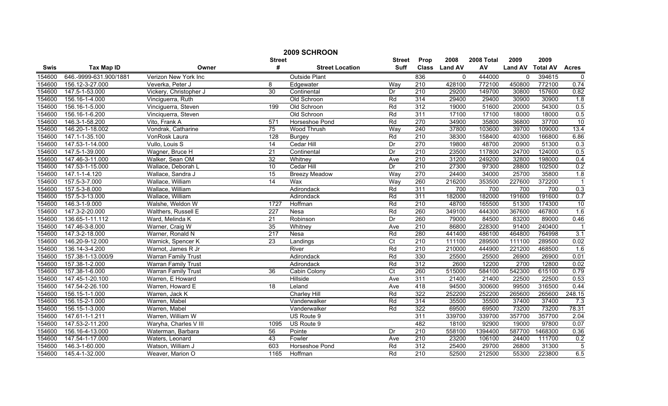|        | 2009 SCHROON           |                            |                 |                        |                 |                  |                |            |                |                 |                   |
|--------|------------------------|----------------------------|-----------------|------------------------|-----------------|------------------|----------------|------------|----------------|-----------------|-------------------|
|        |                        |                            | <b>Street</b>   |                        | <b>Street</b>   | Prop             | 2008           | 2008 Total | 2009           | 2009            |                   |
| Swis   | <b>Tax Map ID</b>      | Owner                      | #               | <b>Street Location</b> | <b>Suff</b>     | <b>Class</b>     | <b>Land AV</b> | AV         | <b>Land AV</b> | <b>Total AV</b> | <b>Acres</b>      |
| 154600 | 646.-9999-631.900/1881 | Verizon New York Inc       |                 | <b>Outside Plant</b>   |                 | 836              | 0              | 444000     | $\Omega$       | 394615          | 0                 |
| 154600 | 156.12-3-27.000        | Veverka, Peter J           | 8               | Edgewater              | Way             | $\overline{210}$ | 428100         | 772100     | 450800         | 772100          | 0.74              |
| 154600 | 147.5-1-53.000         | Vickery, Christopher J     | 30              | Continental            | Dr              | $\overline{210}$ | 29200          | 149700     | 30800          | 157600          | 0.82              |
| 154600 | 156.16-1-4.000         | Vinciguerra, Ruth          |                 | Old Schroon            | Rd              | 314              | 29400          | 29400      | 30900          | 30900           | 1.8               |
| 154600 | 156.16-1-5.000         | Vinciguerra, Steven        | 199             | Old Schroon            | Rd              | 312              | 19000          | 51600      | 20000          | 54300           | 0.5               |
| 154600 | 156.16-1-6.200         | Vinciquerra, Steven        |                 | Old Schroon            | Rd              | 311              | 17100          | 17100      | 18000          | 18000           | 0.5               |
| 154600 | 146.3-1-58.200         | Vito, Frank A              | 571             | Horseshoe Pond         | Rd              | 270              | 34900          | 35800      | 36800          | 37700           | 10                |
| 154600 | 146.20-1-18.002        | Vondrak, Catharine         | 75              | Wood Thrush            | Way             | 240              | 37800          | 103600     | 39700          | 109000          | 13.4              |
| 154600 | 147.1-1-35.100         | VonRosk Laura              | 128             | <b>Burgey</b>          | Rd              | 210              | 38300          | 158400     | 40300          | 166800          | 6.86              |
| 154600 | 147.53-1-14.000        | Vullo, Louis S             | 14              | Cedar Hill             | Dr              | 270              | 19800          | 48700      | 20900          | 51300           | 0.3               |
| 154600 | 147.5-1-39.000         | Wagner, Bruce H            | 21              | Continental            | Dr              | $\overline{210}$ | 23500          | 117800     | 24700          | 124000          | 0.5               |
| 154600 | 147.46-3-11.000        | Walker, Sean OM            | 32              | Whitney                | Ave             | 210              | 31200          | 249200     | 32800          | 198000          | 0.4               |
| 154600 | 147.53-1-15.000        | Wallace, Deborah L         | 10              | Cedar Hill             | Dr              | $\overline{210}$ | 27300          | 97300      | 28800          | 102500          | 0.2               |
| 154600 | 147.1-1-4.120          | Wallace, Sandra J          | $\overline{15}$ | <b>Breezy Meadow</b>   | Way             | 270              | 24400          | 34000      | 25700          | 35800           | 1.8               |
| 154600 | 157.5-3-7.000          | Wallace, William           | 14              | Wax                    | Way             | 260              | 216200         | 353500     | 227600         | 372200          | $\overline{1}$    |
| 154600 | 157.5-3-8.000          | Wallace, William           |                 | Adirondack             | Rd              | $\overline{311}$ | 700            | 700        | 700            | 700             | 0.3               |
| 154600 | 157.5-3-13.000         | Wallace, William           |                 | Adirondack             | Rd              | 311              | 182000         | 182000     | 191600         | 191600          | 0.7               |
| 154600 | 146.3-1-9.000          | Walshe, Weldon W           | 1727            | Hoffman                | Rd              | 210              | 48700          | 165500     | 51300          | 174300          | 10                |
| 154600 | 147.3-2-20.000         | Walthers, Russell E        | 227             | Nesa                   | Rd              | 260              | 349100         | 444300     | 367600         | 467800          | 1.6               |
| 154600 | 136.65-1-11.112        | Ward, Melinda K            | $\overline{21}$ | Robinson               | Dr              | 260              | 79000          | 84500      | 83200          | 89000           | 0.46              |
| 154600 | 147.46-3-8.000         | Warner, Craig W            | 35              | Whitney                | Ave             | 210              | 86800          | 228300     | 91400          | 240400          | $\overline{1}$    |
| 154600 | 147.3-2-18.000         | Warner, Ronald N           | 217             | Nesa                   | Rd              | 280              | 441400         | 486100     | 464800         | 764998          | 3.1               |
| 154600 | 146.20-9-12.000        | Warnick, Spencer K         | $\overline{23}$ | Landings               | $\overline{C}t$ | 210              | 111100         | 289500     | 111100         | 289500          | 0.02              |
| 154600 | 136.14-3-4.200         | Warnot, James R Jr         |                 | River                  | Rd              | 210              | 210000         | 444900     | 221200         | 468500          | 1.6               |
| 154600 | 157.38-1-13.000/9      | <b>Warran Family Trust</b> |                 | Adirondack             | Rd              | 330              | 25500          | 25500      | 26900          | 26900           | 0.01              |
| 154600 | 157.38-1-2.000         | <b>Warran Family Trust</b> |                 | Adirondack             | Rd              | $\overline{312}$ | 2600           | 12200      | 2700           | 12800           | 0.02              |
| 154600 | 157.38-1-6.000         | <b>Warran Family Trust</b> | 36              | Cabin Colony           | $\overline{C}$  | 260              | 515000         | 584100     | 542300         | 615100          | 0.79              |
| 154600 | 147.45-1-20.100        | Warren, E Howard           |                 | Hillside               | Ave             | 311              | 21400          | 21400      | 22500          | 22500           | 0.53              |
| 154600 | 147.54-2-26.100        | Warren, Howard E           | 18              | Leland                 | Ave             | 418              | 94500          | 300600     | 99500          | 316500          | 0.44              |
| 154600 | 156.15-1-1.000         | Warren, Jack K             |                 | <b>Charley Hill</b>    | Rd              | 322              | 252200         | 252200     | 265600         | 265600          | 248.15            |
| 154600 | 156.15-2-1.000         | Warren, Mabel              |                 | Vanderwalker           | Rd              | 314              | 35500          | 35500      | 37400          | 37400           | 7.3               |
| 154600 | 156.15-1-3.000         | Warren, Mabel              |                 | Vanderwalker           | Rd              | 322              | 69500          | 69500      | 73200          | 73200           | 78.31             |
| 154600 | 147.61-1-1.211         | Warren, William W          |                 | US Route 9             |                 | 311              | 339700         | 339700     | 357700         | 357700          | 2.04              |
| 154600 | 147.53-2-11.200        | Waryha, Charles V III      | 1095            | US Route 9             |                 | 482              | 18100          | 92900      | 19000          | 97800           | $\overline{0.07}$ |
| 154600 | 156.16-4-13.000        | Waterman, Barbara          | 56              | Pointe                 | Dr              | $\overline{210}$ | 558100         | 1394400    | 587700         | 1468300         | 0.36              |
| 154600 | 147.54-1-17.000        | Waters, Leonard            | 43              | Fowler                 | Ave             | 210              | 23200          | 106100     | 24400          | 111700          | 0.2               |
| 154600 | 146.3-1-60.000         | Watson, William J          | 603             | Horseshoe Pond         | Rd              | 312              | 25400          | 29700      | 26800          | 31300           | $\overline{5}$    |
| 154600 | 145.4-1-32.000         | Weaver, Marion O           | 1165            | Hoffman                | Rd              | 210              | 52500          | 212500     | 55300          | 223800          | 6.5               |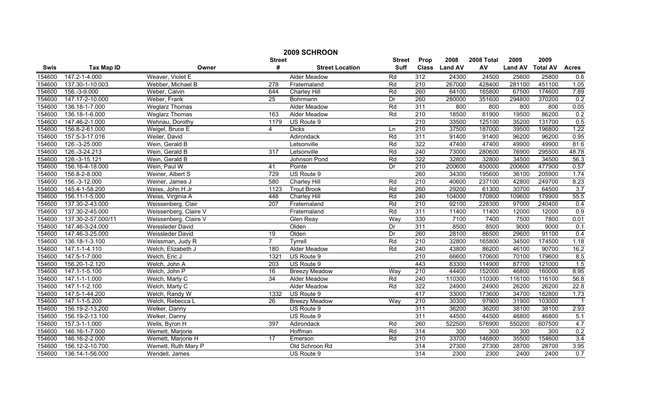|        | 2009 SCHROON       |                       |                  |                        |               |                  |                |            |                |                 |                  |  |
|--------|--------------------|-----------------------|------------------|------------------------|---------------|------------------|----------------|------------|----------------|-----------------|------------------|--|
|        |                    |                       | <b>Street</b>    |                        | <b>Street</b> | Prop             | 2008           | 2008 Total | 2009           | 2009            |                  |  |
| Swis   | <b>Tax Map ID</b>  | Owner                 | #                | <b>Street Location</b> | <b>Suff</b>   | <b>Class</b>     | <b>Land AV</b> | AV         | <b>Land AV</b> | <b>Total AV</b> | <b>Acres</b>     |  |
| 154600 | 147.2-1-4.000      | Weaver, Violet E      |                  | <b>Alder Meadow</b>    | Rd            | 312              | 24300          | 24500      | 25600          | 25800           | 0.6              |  |
| 154600 | 137.30-1-10.003    | Webber, Michael B     | $\overline{278}$ | Fraternaland           | Rd            | $\overline{210}$ | 267000         | 428400     | 281100         | 451100          | 1.05             |  |
| 154600 | 156.-3-9.000       | Weber, Calvin         | 644              | Charley Hill           | Rd            | 260              | 64100          | 165800     | 67500          | 174600          | 7.89             |  |
| 154600 | 147.17-2-10.000    | Weber, Frank          | 25               | Bohrmann               | Dr            | 260              | 280000         | 351600     | 294800         | 370200          | 0.2              |  |
| 154600 | 136.18-1-7.000     | <b>Weglarz Thomas</b> |                  | <b>Alder Meadow</b>    | Rd            | 311              | 800            | 800        | 800            | 800             | 0.05             |  |
| 154600 | 136.18-1-6.000     | <b>Weglarz Thomas</b> | 163              | <b>Alder Meadow</b>    | Rd            | 210              | 18500          | 81900      | 19500          | 86200           | 0.2              |  |
| 154600 | 147.46-2-1.000     | Wehnau, Dorothy       | 1179             | US Route 9             |               | 210              | 33500          | 125100     | 35200          | 131700          | 0.5              |  |
| 154600 | 156.8-2-61.000     | Weigel, Bruce E       | 4                | <b>Dicks</b>           | Ln            | 210              | 37500          | 187000     | 39500          | 196800          | 1.22             |  |
| 154600 | 157.5-3-17.016     | Weiler, David         |                  | Adirondack             | Rd            | 311              | 91400          | 91400      | 96200          | 96200           | 0.95             |  |
| 154600 | 126.-3-25.000      | Wein, Gerald B        |                  | Letsonville            | Rd            | 322              | 47400          | 47400      | 49900          | 49900           | 81.6             |  |
| 154600 | 126.-3-24.213      | Wein, Gerald B        | 317              | Letsonville            | Rd            | $\overline{240}$ | 73000          | 280600     | 76900          | 295500          | 48.78            |  |
| 154600 | 126.-3-15.121      | Wein, Gerald B        |                  | Johnson Pond           | Rd            | 322              | 32800          | 32800      | 34500          | 34500           | 56.3             |  |
| 154600 | 156.16-4-18.000    | Wein, Paul W          | 41               | Pointe                 | Dr            | $\overline{210}$ | 200600         | 450000     | 200600         | 477900          | 0.57             |  |
| 154600 | 156.8-2-8.000      | Weiner, Albert S      | 729              | US Route 9             |               | 260              | 34300          | 195600     | 36100          | 205900          | 1.74             |  |
| 154600 | 156.-3-12.000      | Weiner, James J       | 580              | Charley Hill           | Rd            | $\overline{210}$ | 40600          | 237100     | 42800          | 249700          | 8.23             |  |
| 154600 | 145.4-1-58.200     | Weiss, John H Jr      | 1123             | <b>Trout Brook</b>     | Rd            | 260              | 29200          | 61300      | 30700          | 64500           | 3.7              |  |
| 154600 | 156.11-1-5.000     | Weiss, Virginia A     | 448              | <b>Charley Hill</b>    | Rd            | 240              | 104000         | 170800     | 109600         | 179900          | 55.5             |  |
| 154600 | 137.30-2-43.000    | Weissenberg, Clair    | 207              | Fraternaland           | Rd            | 210              | 92100          | 228300     | 97000          | 240400          | 0.4              |  |
| 154600 | 137.30-2-45.000    | Weissenberg, Claire V |                  | Fraternaland           | Rd            | 311              | 11400          | 11400      | 12000          | 12000           | 0.9              |  |
| 154600 | 137.30-2-57.000/11 | Weissenberg, Claire V |                  | Glen Reay              | Way           | 330              | 7100           | 7400       | 7500           | 7800            | 0.01             |  |
| 154600 | 147.46-3-24.000    | Weissleder David      |                  | Olden                  | Dr            | 311              | 8500           | 8500       | 9000           | 9000            | 0.1              |  |
| 154600 | 147.46-3-25.000    | Weissleder David      | $\overline{19}$  | Olden                  | Dr            | 260              | 28100          | 86500      | 29600          | 91100           | 0.4              |  |
| 154600 | 136.18-1-3.100     | Weissman, Judy R      | $\overline{7}$   | Tyrrell                | Rd            | 210              | 32800          | 165800     | 34500          | 174500          | 1.18             |  |
| 154600 | 147.1-1-4.110      | Welch, Elizabeth J    | 180              | Alder Meadow           | Rd            | 240              | 43800          | 86200      | 46100          | 90700           | 16.2             |  |
| 154600 | 147.5-1-7.000      | Welch, Eric J         | 1321             | US Route 9             |               | $\overline{210}$ | 66600          | 170600     | 70100          | 179600          | 8.5              |  |
| 154600 | 156.20-1-2.120     | Welch, John A         | 203              | US Route 9             |               | 443              | 83300          | 114900     | 87700          | 121000          | 1.5              |  |
| 154600 | 147.1-1-5.100      | Welch, John P         | 16               | <b>Breezy Meadow</b>   | Wav           | $\overline{210}$ | 44400          | 152000     | 46800          | 160000          | 8.95             |  |
| 154600 | 147.1-1-1.000      | Welch, Marty C        | 34               | Alder Meadow           | Rd            | 240              | 110300         | 110300     | 116100         | 116100          | 56.8             |  |
| 154600 | 147.1-1-2.100      | Welch, Marty C        |                  | <b>Alder Meadow</b>    | Rd            | 322              | 24900          | 24900      | 26200          | 26200           | 22.8             |  |
| 154600 | 147.5-1-44.200     | Welch, Randy W        | 1332             | US Route 9             |               | 417              | 33000          | 173600     | 34700          | 182800          | 1.73             |  |
| 154600 | 147.1-1-5.200      | Welch, Rebecca L      | 26               | <b>Breezy Meadow</b>   | Wav           | 210              | 30300          | 97900      | 31900          | 103000          |                  |  |
| 154600 | 156.19-2-13.200    | Welker, Danny         |                  | US Route 9             |               | 311              | 36200          | 36200      | 38100          | 38100           | 2.93             |  |
| 154600 | 156.19-2-13.100    | Welker, Danny         |                  | US Route 9             |               | 311              | 44500          | 44500      | 46800          | 46800           | 5.1              |  |
| 154600 | 157.3-1-1.000      | Wells, Byron H        | 397              | Adirondack             | Rd            | 260              | 522500         | 576900     | 550200         | 607500          | 4.7              |  |
| 154600 | 146.16-1-7.000     | Wemett, Marjorie      |                  | Hoffman                | Rd            | 314              | 300            | 300        | 300            | 300             | 0.2              |  |
| 154600 | 146.16-2-2.000     | Wemett, Marjorie H    | 17               | Emerson                | Rd            | 210              | 33700          | 146800     | 35500          | 154600          | $\overline{3.4}$ |  |
| 154600 | 156.12-2-10.700    | Wemett, Ruth Mary P   |                  | Old Schroon Rd         |               | 314              | 27300          | 27300      | 28700          | 28700           | 3.95             |  |
| 154600 | 136.14-1-56.000    | Wendell, James        |                  | US Route 9             |               | 314              | 2300           | 2300       | 2400           | 2400            | 0.7              |  |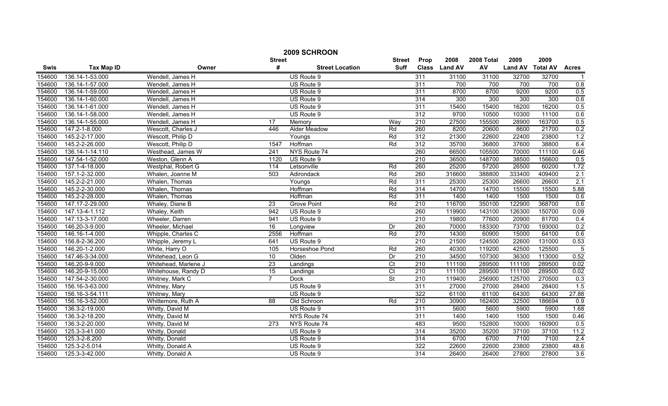|        | 2009 SCHROON      |                      |                 |                        |                          |                  |               |            |                |                 |                  |
|--------|-------------------|----------------------|-----------------|------------------------|--------------------------|------------------|---------------|------------|----------------|-----------------|------------------|
|        |                   |                      | <b>Street</b>   |                        | <b>Street</b>            | Prop             | 2008          | 2008 Total | 2009           | 2009            |                  |
| Swis   | <b>Tax Map ID</b> | Owner                | #               | <b>Street Location</b> | Suff                     |                  | Class Land AV | AV         | <b>Land AV</b> | <b>Total AV</b> | <b>Acres</b>     |
| 154600 | 136.14-1-53.000   | Wendell, James H     |                 | US Route 9             |                          | 311              | 31100         | 31100      | 32700          | 32700           |                  |
| 154600 | 136.14-1-57.000   | Wendell, James H     |                 | US Route 9             |                          | 311              | 700           | 700        | 700            | 700             | 0.8              |
| 154600 | 136.14-1-59.000   | Wendell, James H     |                 | US Route 9             |                          | 311              | 8700          | 8700       | 9200           | 9200            | 0.5              |
| 154600 | 136.14-1-60.000   | Wendell, James H     |                 | US Route 9             |                          | 314              | 300           | 300        | 300            | 300             | 0.6              |
| 154600 | 136.14-1-61.000   | Wendell, James H     |                 | US Route 9             |                          | 311              | 15400         | 15400      | 16200          | 16200           | 0.5              |
| 154600 | 136.14-1-58.000   | Wendell, James H     |                 | US Route 9             |                          | 312              | 9700          | 10500      | 10300          | 11100           | 0.6              |
| 154600 | 136.14-1-55.000   | Wendell, James H     | 17              | Memory                 | Way                      | 210              | 27500         | 155500     | 28900          | 163700          | 0.5              |
| 154600 | 147.2-1-8.000     | Wescott, Charles J   | 446             | <b>Alder Meadow</b>    | Rd                       | 260              | 8200          | 20600      | 8600           | 21700           | 0.2              |
| 154600 | 145.2-2-17.000    | Wescott, Philip D    |                 | Youngs                 | Rd                       | $\overline{312}$ | 21300         | 22600      | 22400          | 23800           | 1.2              |
| 154600 | 145.2-2-26.000    | Wescott, Philip D    | 1547            | Hoffman                | Rd                       | 312              | 35700         | 36800      | 37600          | 38800           | 6.4              |
| 154600 | 136.14-1-14.110   | Westhead, James W    | 241             | NYS Route 74           |                          | 260              | 66500         | 105500     | 70000          | 111100          | 0.46             |
| 154600 | 147.54-1-52.000   | Weston, Glenn A      | 1120            | US Route 9             |                          | 210              | 36500         | 148700     | 38500          | 156600          | 0.5              |
| 154600 | 137.1-4-18.000    | Westphal, Robert G   | 114             | Letsonville            | Rd                       | 260              | 25200         | 57200      | 26500          | 60200           | 1.72             |
| 154600 | 157.1-2-32.000    | Whalen, Joanne M     | 503             | Adirondack             | Rd                       | 260              | 316600        | 388800     | 333400         | 409400          | 2.1              |
| 154600 | 145.2-2-21.000    | Whalen, Thomas       |                 | Youngs                 | Rd                       | 311              | 25300         | 25300      | 26600          | 26600           | 2.1              |
| 154600 | 145.2-2-30.000    | Whalen, Thomas       |                 | Hoffman                | Rd                       | 314              | 14700         | 14700      | 15500          | 15500           | 5.88             |
| 154600 | 145.2-2-28.000    | Whalen, Thomas       |                 | Hoffman                | Rd                       | 311              | 1400          | 1400       | 1500           | 1500            | 0.6              |
| 154600 | 147.17-2-29.000   | Whaley, Diane B      | 23              | <b>Grove Point</b>     | Rd                       | 210              | 116700        | 350100     | 122900         | 368700          | 0.6              |
| 154600 | 147.13-4-1.112    | Whaley, Keith        | 942             | US Route 9             |                          | 260              | 119900        | 143100     | 126300         | 150700          | 0.09             |
| 154600 | 147.13-3-17.000   | Wheeler, Darren      | 941             | US Route 9             |                          | 210              | 19800         | 77600      | 20900          | 81700           | 0.4              |
| 154600 | 146.20-3-9.000    | Wheeler, Michael     | 16              | Longview               | Dr                       | 260              | 70000         | 183300     | 73700          | 193000          | 0.2              |
| 154600 | 146.16-1-4.000    | Whipple, Charles C   | 2556            | Hoffman                | Rd                       | 270              | 14300         | 60900      | 15000          | 64100           | 0.6              |
| 154600 | 156.8-2-36.200    | Whipple, Jeremy L    | 641             | US Route 9             |                          | 210              | 21500         | 124500     | 22600          | 131000          | 0.53             |
| 154600 | 146.20-1-2.000    | White, Harry O       | 105             | Horseshoe Pond         | Rd                       | 260              | 40300         | 119200     | 42500          | 125500          | $\overline{5}$   |
| 154600 | 147.46-3-34.000   | Whitehead, Leon G    | 10              | Olden                  | Dr                       | $\overline{210}$ | 34500         | 107300     | 36300          | 113000          | 0.52             |
| 154600 | 146.20-9-9.000    | Whitehead, Marlene J | $\overline{23}$ | Landings               | $\overline{C}$           | 210              | 111100        | 289500     | 111100         | 289500          | 0.02             |
| 154600 | 146.20-9-15.000   | Whitehouse, Randy D  | $\overline{15}$ | Landings               | $\overline{C}t$          | 210              | 111100        | 289500     | 111100         | 289500          | 0.02             |
| 154600 | 147.54-2-30.000   | Whitney, Mark C      | $\overline{7}$  | <b>Dock</b>            | $\overline{\mathsf{St}}$ | 210              | 119400        | 256900     | 125700         | 270500          | $\overline{0.3}$ |
| 154600 | 156.16-3-63.000   | Whitney, Mary        |                 | US Route 9             |                          | 311              | 27000         | 27000      | 28400          | 28400           | 1.5              |
| 154600 | 156.16-3-54.111   | Whitney, Mary        |                 | US Route 9             |                          | 322              | 61100         | 61100      | 64300          | 64300           | 27.88            |
| 154600 | 156.16-3-52.000   | Whittemore, Ruth A   | 88              | Old Schroon            | Rd                       | 210              | 30900         | 162400     | 32500          | 186694          | 0.9              |
| 154600 | 136.3-2-19.000    | Whitty, David M      |                 | US Route 9             |                          | 311              | 5600          | 5600       | 5900           | 5900            | 1.68             |
| 154600 | 136.3-2-18.200    | Whitty, David M      |                 | NYS Route 74           |                          | 311              | 1400          | 1400       | 1500           | 1500            | 0.46             |
| 154600 | 136.3-2-20.000    | Whitty, David M      | 273             | NYS Route 74           |                          | 483              | 9500          | 152800     | 10000          | 160900          | 0.5              |
| 154600 | 125.3-3-41.000    | Whitty, Donald       |                 | US Route 9             |                          | 314              | 35200         | 35200      | 37100          | 37100           | 11.2             |
| 154600 | 125.3-2-8.200     | Whitty, Donald       |                 | US Route 9             |                          | 314              | 6700          | 6700       | 7100           | 7100            | 2.4              |
| 154600 | 125.3-2-5.014     | Whitty, Donald A     |                 | US Route 9             |                          | 322              | 22600         | 22600      | 23800          | 23800           | 48.6             |
| 154600 | 125.3-3-42.000    | Whitty, Donald A     |                 | US Route 9             |                          | 314              | 26400         | 26400      | 27800          | 27800           | 3.6              |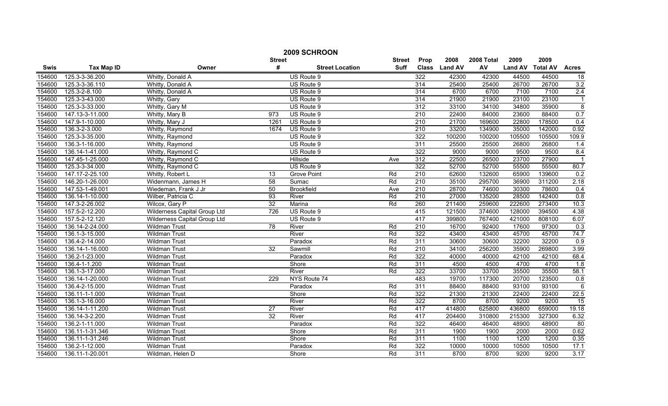|             | 2009 SCHROON      |                              |                 |                        |               |                  |               |            |                |                 |                  |  |
|-------------|-------------------|------------------------------|-----------------|------------------------|---------------|------------------|---------------|------------|----------------|-----------------|------------------|--|
|             |                   |                              | <b>Street</b>   |                        | <b>Street</b> | Prop             | 2008          | 2008 Total | 2009           | 2009            |                  |  |
| <b>Swis</b> | <b>Tax Map ID</b> | Owner                        | #               | <b>Street Location</b> | <b>Suff</b>   |                  | Class Land AV | AV         | <b>Land AV</b> | <b>Total AV</b> | <b>Acres</b>     |  |
| 154600      | 125.3-3-36.200    | Whitty, Donald A             |                 | US Route 9             |               | 322              | 42300         | 42300      | 44500          | 44500           | 18               |  |
| 154600      | 125.3-3-36.110    | Whitty, Donald A             |                 | US Route 9             |               | 314              | 25400         | 25400      | 26700          | 26700           | 3.2              |  |
| 154600      | 125.3-2-8.100     | Whitty, Donald A             |                 | US Route 9             |               | 314              | 6700          | 6700       | 7100           | 7100            | 2.4              |  |
| 154600      | 125.3-3-43.000    | Whitty, Gary                 |                 | US Route 9             |               | 314              | 21900         | 21900      | 23100          | 23100           | $\mathbf 1$      |  |
| 154600      | 125.3-3-33.000    | Whitty, Gary M               |                 | US Route 9             |               | 312              | 33100         | 34100      | 34800          | 35900           | 8                |  |
| 154600      | 147.13-3-11.000   | Whitty, Mary B               | 973             | US Route 9             |               | 210              | 22400         | 84000      | 23600          | 88400           | 0.7              |  |
| 154600      | 147.9-1-10.000    | Whitty, Mary J               | 1261            | US Route 9             |               | 210              | 21700         | 169600     | 22800          | 178500          | 0.4              |  |
| 154600      | 136.3-2-3.000     | Whitty, Raymond              | 1674            | US Route 9             |               | 210              | 33200         | 134900     | 35000          | 142000          | 0.92             |  |
| 154600      | 125.3-3-35.000    | Whitty, Raymond              |                 | US Route 9             |               | 322              | 100200        | 100200     | 105500         | 105500          | 109.9            |  |
| 154600      | 136.3-1-16.000    | Whitty, Raymond              |                 | US Route 9             |               | 311              | 25500         | 25500      | 26800          | 26800           | 1.4              |  |
| 154600      | 136.14-1-41.000   | Whitty, Raymond C            |                 | US Route 9             |               | 322              | 9000          | 9000       | 9500           | 9500            | 8.4              |  |
| 154600      | 147.45-1-25.000   | Whitty, Raymond C            |                 | Hillside               | Ave           | 312              | 22500         | 26500      | 23700          | 27900           |                  |  |
| 154600      | 125.3-3-34.000    | Whitty, Raymond C            |                 | US Route 9             |               | 322              | 52700         | 52700      | 55500          | 55500           | 80.7             |  |
| 154600      | 147.17-2-25.100   | Whitty, Robert L             | 13              | <b>Grove Point</b>     | Rd            | 210              | 62600         | 132600     | 65900          | 139600          | $\overline{0.2}$ |  |
| 154600      | 146.20-1-26.000   | Widenmann, James H           | 58              | Sumac                  | Rd            | 210              | 35100         | 295700     | 36900          | 311200          | 2.18             |  |
| 154600      | 147.53-1-49.001   | Wiedeman, Frank J Jr         | 50              | <b>Brookfield</b>      | Ave           | $\overline{210}$ | 28700         | 74600      | 30300          | 78600           | 0.4              |  |
| 154600      | 136.14-1-10.000   | Wilber, Patricia C           | 93              | River                  | Rd            | 210              | 27000         | 135200     | 28500          | 142400          | 0.8              |  |
| 154600      | 147.3-2-26.002    | Wilcox, Gary P               | 32              | Marina                 | Rd            | 260              | 211400        | 259600     | 222600         | 273400          | 10.3             |  |
| 154600      | 157.5-2-12.200    | Wilderness Capital Group Ltd | 726             | US Route 9             |               | 415              | 121500        | 374600     | 128000         | 394500          | 4.38             |  |
| 154600      | 157.5-2-12.120    | Wilderness Capital Group Ltd |                 | US Route 9             |               | 417              | 399800        | 767400     | 421000         | 808100          | 6.07             |  |
| 154600      | 136.14-2-24.000   | Wildman Trust                | 78              | River                  | Rd            | 210              | 16700         | 92400      | 17600          | 97300           | 0.3              |  |
| 154600      | 136.1-3-15.000    | Wildman Trust                |                 | River                  | Rd            | 322              | 43400         | 43400      | 45700          | 45700           | 74.7             |  |
| 154600      | 136.4-2-14.000    | Wildman Trust                |                 | Paradox                | Rd            | 311              | 30600         | 30600      | 32200          | 32200           | 0.9              |  |
| 154600      | 136.14-1-16.000   | <b>Wildman Trust</b>         | $\overline{32}$ | Sawmill                | Rd            | $\overline{210}$ | 34100         | 256200     | 35900          | 269800          | 3.99             |  |
| 154600      | 136.2-1-23.000    | <b>Wildman Trust</b>         |                 | Paradox                | Rd            | 322              | 40000         | 40000      | 42100          | 42100           | 68.4             |  |
| 154600      | 136.4-1-1.200     | <b>Wildman Trust</b>         |                 | Shore                  | Rd            | 311              | 4500          | 4500       | 4700           | 4700            | 1.8              |  |
| 154600      | 136.1-3-17.000    | <b>Wildman Trust</b>         |                 | River                  | Rd            | 322              | 33700         | 33700      | 35500          | 35500           | 58.1             |  |
| 154600      | 136.14-1-20.000   | Wildman Trust                | 229             | NYS Route 74           |               | 483              | 19700         | 117300     | 20700          | 123500          | 0.8              |  |
| 154600      | 136.4-2-15.000    | <b>Wildman Trust</b>         |                 | Paradox                | Rd            | 311              | 88400         | 88400      | 93100          | 93100           | 6                |  |
| 154600      | 136.11-1-1.000    | Wildman Trust                |                 | Shore                  | Rd            | 322              | 21300         | 21300      | 22400          | 22400           | 22.5             |  |
| 154600      | 136.1-3-16.000    | <b>Wildman Trust</b>         |                 | River                  | Rd            | 322              | 8700          | 8700       | 9200           | 9200            | 15               |  |
| 154600      | 136.14-1-11.200   | <b>Wildman Trust</b>         | $\overline{27}$ | River                  | Rd            | 417              | 414800        | 625800     | 436800         | 659000          | 19.18            |  |
| 154600      | 136.14-3-2.200    | <b>Wildman Trust</b>         | 32              | River                  | Rd            | 417              | 204400        | 310800     | 215300         | 327300          | 6.32             |  |
| 154600      | 136.2-1-11.000    | Wildman Trust                |                 | Paradox                | Rd            | 322              | 46400         | 46400      | 48900          | 48900           | $\overline{80}$  |  |
| 154600      | 136.11-1-31.346   | <b>Wildman Trust</b>         |                 | Shore                  | Rd            | 311              | 1900          | 1900       | 2000           | 2000            | 0.62             |  |
| 154600      | 136.11-1-31.246   | Wildman Trust                |                 | Shore                  | Rd            | 311              | 1100          | 1100       | 1200           | 1200            | 0.35             |  |
| 154600      | 136.2-1-12.000    | Wildman Trust                |                 | Paradox                | Rd            | 322              | 10000         | 10000      | 10500          | 10500           | 17.1             |  |
| 154600      | 136.11-1-20.001   | Wildman, Helen D             |                 | Shore                  | Rd            | 311              | 8700          | 8700       | 9200           | 9200            | 3.17             |  |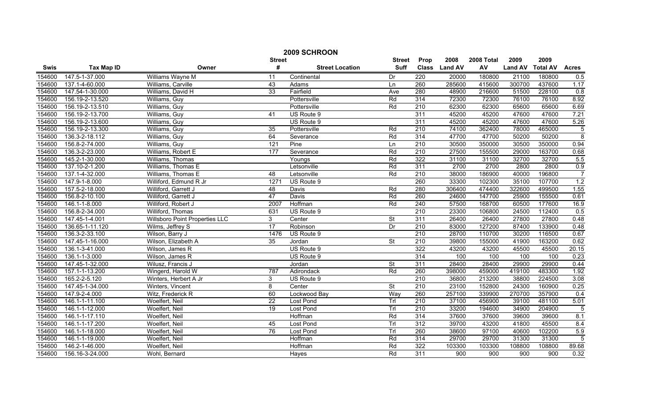| 2009 SCHROON |                   |                                       |                 |                        |               |                  |               |                  |                |                 |                  |
|--------------|-------------------|---------------------------------------|-----------------|------------------------|---------------|------------------|---------------|------------------|----------------|-----------------|------------------|
|              |                   |                                       | <b>Street</b>   |                        | <b>Street</b> | Prop             | 2008          | 2008 Total       | 2009           | 2009            |                  |
| Swis         | <b>Tax Map ID</b> | Owner                                 | #               | <b>Street Location</b> | <b>Suff</b>   |                  | Class Land AV | AV               | <b>Land AV</b> | <b>Total AV</b> | <b>Acres</b>     |
| 154600       | 147.5-1-37.000    | Williams Wayne M                      | 11              | Continental            | Dr            | 220              | 20000         | 180800           | 21100          | 180800          | 0.5              |
| 154600       | 137.1-4-60.000    | Williams, Carville                    | 43              | Adams                  | Ln            | 260              | 285600        | 415600           | 300700         | 437600          | 1.17             |
| 154600       | 147.54-1-30.000   | Williams, David H                     | 33              | Fairfield              | Ave           | 280              | 48900         | 216600           | 51500          | 228100          | $\overline{0.8}$ |
| 154600       | 156.19-2-13.520   | Williams, Guy                         |                 | Pottersville           | Rd            | 314              | 72300         | 72300            | 76100          | 76100           | 8.92             |
| 154600       | 156.19-2-13.510   | Williams, Guy                         |                 | Pottersville           | Rd            | 210              | 62300         | 62300            | 65600          | 65600           | 6.69             |
| 154600       | 156.19-2-13.700   | Williams, Guy                         | 41              | US Route 9             |               | 311              | 45200         | 45200            | 47600          | 47600           | 7.21             |
| 154600       | 156.19-2-13.600   | Williams, Guy                         |                 | US Route 9             |               | 311              | 45200         | 45200            | 47600          | 47600           | 5.26             |
| 154600       | 156.19-2-13.300   | Williams, Guy                         | 35              | Pottersville           | Rd            | $\overline{210}$ | 74100         | 362400           | 78000          | 465000          | $\overline{5}$   |
| 154600       | 136.3-2-18.112    | Williams, Guy                         | 64              | Severance              | Rd            | 314              | 47700         | 47700            | 50200          | 50200           | $\overline{8}$   |
| 154600       | 156.8-2-74.000    | Williams, Guy                         | 121             | Pine                   | Ln            | 210              | 30500         | 350000           | 30500          | 350000          | 0.94             |
| 154600       | 136.3-2-23.000    | Williams, Robert E                    | 177             | Severance              | Rd            | $\overline{210}$ | 27500         | 155500           | 29000          | 163700          | 0.68             |
| 154600       | 145.2-1-30.000    | Williams, Thomas                      |                 | Youngs                 | Rd            | 322              | 31100         | 31100            | 32700          | 32700           | 5.5              |
| 154600       | 137.10-2-1.200    | Williams, Thomas E                    |                 | Letsonville            | Rd            | 311              | 2700          | 2700             | 2800           | 2800            | 0.9              |
| 154600       | 137.1-4-32.000    | Williams, Thomas E                    | $\overline{48}$ | Letsonville            | Rd            | $\overline{210}$ | 38000         | 186900           | 40000          | 196800          | $\overline{7}$   |
| 154600       | 147.9-1-8.000     | Williford, Edmund R Jr                | 1271            | US Route 9             |               | 260              | 33300         | 102300           | 35100          | 107700          | 1.2              |
| 154600       | 157.5-2-18.000    | Williford, Garrett J                  | $\overline{48}$ | Davis                  | Rd            | 280              | 306400        | 474400           | 322600         | 499500          | 1.55             |
| 154600       | 156.8-2-10.100    | Williford, Garrett J                  | 47              | Davis                  | Rd            | 260              | 24600         | 147700           | 25900          | 155500          | 0.61             |
| 154600       | 146.1-1-8.000     | Williford, Robert J                   | 2007            | Hoffman                | Rd            | 240              | 57500         | 168700           | 60500          | 177600          | 16.9             |
| 154600       | 156.8-2-34.000    | Williford, Thomas                     | 631             | US Route 9             |               | 210              | 23300         | 106800           | 24500          | 112400          | 0.5              |
| 154600       | 147.45-1-4.001    | <b>Willsboro Point Properties LLC</b> | 3               | Center                 | St            | 311              | 26400         | 26400            | 27800          | 27800           | 0.48             |
| 154600       | 136.65-1-11.120   | Wilms, Jeffrey S                      | 17              | Robinson               | Dr            | 210              | 83000         | 127200           | 87400          | 133900          | 0.48             |
| 154600       | 136.3-2-33.100    | Wilson, Barry J                       | 1476            | US Route 9             |               | 210              | 28700         | 110700           | 30200          | 116500          | 0.67             |
| 154600       | 147.45-1-16.000   | Wilson, Elizabeth A                   | $\overline{35}$ | Jordan                 | St            | $\overline{210}$ | 39800         | 155000           | 41900          | 163200          | 0.62             |
| 154600       | 136.1-3-41.000    | Wilson, James R                       |                 | US Route 9             |               | 322              | 43200         | 43200            | 45500          | 45500           | 20.15            |
| 154600       | 136.1-1-3.000     | Wilson, James R                       |                 | US Route 9             |               | 314              | 100           | 100              | 100            | 100             | 0.23             |
| 154600       | 147.45-1-32.000   | Wilusz, Francis J                     |                 | Jordan                 | <b>St</b>     | 311              | 28400         | 28400            | 29900          | 29900           | 0.44             |
| 154600       | 157.1-1-13.200    | Wingerd, Harold W                     | 787             | Adirondack             | Rd            | 260              | 398000        | 459000           | 419100         | 483300          | 1.92             |
| 154600       | 165.2-2-5.120     | Winters, Herbert A Jr                 | 3               | US Route 9             |               | $\overline{210}$ | 36800         | 213200           | 38800          | 224500          | 3.08             |
| 154600       | 147.45-1-34.000   | Winters, Vincent                      | 8               | Center                 | St            | 210              | 23100         | 152800           | 24300          | 160900          | 0.25             |
| 154600       | 147.9-2-4.000     | Witz, Frederick R                     | 60              | Lockwood Bay           | Way           | 260              | 257100        | 339900           | 270700         | 357900          | 0.4              |
| 154600       | 146.1-1-11.100    | Woelfert, Neil                        | $\overline{22}$ | Lost Pond              | TrI           | 210              | 37100         | 456900           | 39100          | 481100          | 5.01             |
| 154600       | 146.1-1-12.000    | Woelfert, Neil                        | 19              | <b>Lost Pond</b>       | Trl           | 210              | 33200         | 194600           | 34900          | 204900          | $\overline{5}$   |
| 154600       | 146.1-1-17.110    | Woelfert, Neil                        |                 | Hoffman                | Rd            | 314              | 37600         | 37600            | 39600          | 39600           | 8.1              |
| 154600       | 146.1-1-17.200    | Woelfert, Neil                        | 45              | <b>Lost Pond</b>       | Trl           | 312              | 39700         | 43200            | 41800          | 45500           | 8.4              |
| 154600       | 146.1-1-18.000    | Woelfert, Neil                        | 76              | Lost Pond              | Trl           | 260              | 38600         | 97100            | 40600          | 102200          | 5.9              |
| 154600       | 146.1-1-19.000    | Woelfert, Neil                        |                 | Hoffman                | Rd            | 314              | 29700         | 29700            | 31300          | 31300           | $\overline{5}$   |
| 154600       | 146.2-1-46.000    | Woelfert, Neil                        |                 | Hoffman                | Rd            | 322              | 103300        | 103300           | 108800         | 108800          | 89.68            |
| 154600       | 156.16-3-24.000   | Wohl, Bernard                         |                 | Hayes                  | Rd            | 311              | 900           | $\overline{900}$ | 900            | 900             | 0.32             |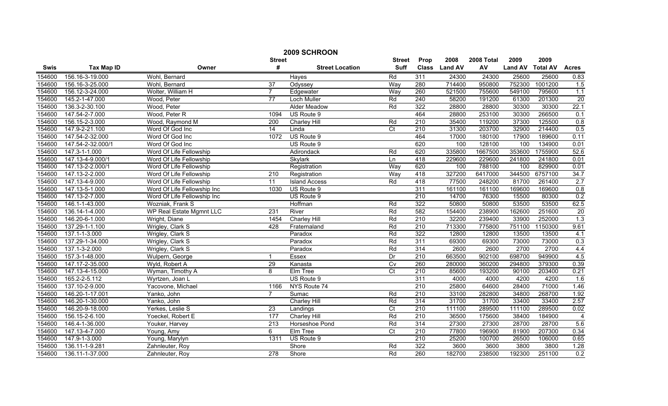| 2009 SCHROON |                   |                             |                  |                        |                 |                  |               |            |                |                 |                  |
|--------------|-------------------|-----------------------------|------------------|------------------------|-----------------|------------------|---------------|------------|----------------|-----------------|------------------|
|              |                   |                             | <b>Street</b>    |                        | <b>Street</b>   | Prop             | 2008          | 2008 Total | 2009           | 2009            |                  |
| Swis         | <b>Tax Map ID</b> | Owner                       | #                | <b>Street Location</b> | <b>Suff</b>     |                  | Class Land AV | AV         | <b>Land AV</b> | <b>Total AV</b> | <b>Acres</b>     |
| 154600       | 156.16-3-19.000   | Wohl, Bernard               |                  | Hayes                  | Rd              | 311              | 24300         | 24300      | 25600          | 25600           | 0.83             |
| 154600       | 156.16-3-25.000   | Wohl, Bernard               | 37               | Odyssey                | Way             | 280              | 714400        | 950800     | 752300         | 1001200         | 1.5              |
| 154600       | 156.12-3-24.000   | Wolter, William H           | $\overline{7}$   | Edgewater              | Way             | 260              | 521500        | 755600     | 549100         | 795600          | $\overline{1.1}$ |
| 154600       | 145.2-1-47.000    | Wood, Peter                 | $\overline{77}$  | Loch Muller            | Rd              | 240              | 58200         | 191200     | 61300          | 201300          | 20               |
| 154600       | 136.3-2-30.100    | Wood, Peter                 |                  | Alder Meadow           | Rd              | 322              | 28800         | 28800      | 30300          | 30300           | 22.1             |
| 154600       | 147.54-2-7.000    | Wood, Peter R               | 1094             | US Route 9             |                 | 464              | 28800         | 253100     | 30300          | 266500          | 0.1              |
| 154600       | 156.15-2-3.000    | Wood, Raymond M             | 200              | Charley Hill           | Rd              | 210              | 35400         | 119200     | 37300          | 125500          | 0.8              |
| 154600       | 147.9-2-21.100    | Word Of God Inc             | 14               | Linda                  | $\overline{C}$  | 210              | 31300         | 203700     | 32900          | 214400          | 0.5              |
| 154600       | 147.54-2-32.000   | Word Of God Inc             | 1072             | US Route 9             |                 | 464              | 17000         | 180100     | 17900          | 189600          | 0.11             |
| 154600       | 147.54-2-32.000/1 | Word Of God Inc             |                  | US Route 9             |                 | 620              | 100           | 128100     | 100            | 134900          | 0.01             |
| 154600       | 147.3-1-1.000     | Word Of Life Fellowship     |                  | Adirondack             | Rd              | 620              | 335800        | 1667500    | 353600         | 1755900         | 52.6             |
| 154600       | 147.13-4-9.000/1  | Word Of Life Fellowship     |                  | Skylark                | Ln              | 418              | 229600        | 229600     | 241800         | 241800          | 0.01             |
| 154600       | 147.13-2-2.000/1  | Word Of Life Fellowship     |                  | Registration           | Way             | 620              | 100           | 788100     | 100            | 829900          | 0.01             |
| 154600       | 147.13-2-2.000    | Word Of Life Fellowship     | $\overline{210}$ | Registration           | Way             | 418              | 327200        | 6417000    | 344500         | 6757100         | 34.7             |
| 154600       | 147.13-4-9.000    | Word Of Life Fellowship     | 11               | <b>Island Access</b>   | Rd              | 418              | 77500         | 248200     | 81700          | 261400          | 2.7              |
| 154600       | 147.13-5-1.000    | Word Of Life Fellowship Inc | 1030             | US Route 9             |                 | 311              | 161100        | 161100     | 169600         | 169600          | 0.8              |
| 154600       | 147.13-2-7.000    | Word Of Life Fellowship Inc |                  | US Route 9             |                 | 210              | 14700         | 76300      | 15500          | 80300           | 0.2              |
| 154600       | 146.1-1-43.000    | Wozniak, Frank S            |                  | Hoffman                | Rd              | 322              | 50800         | 50800      | 53500          | 53500           | 62.5             |
| 154600       | 136.14-1-4.000    | WP Real Estate Mgmnt LLC    | 231              | River                  | Rd              | 582              | 154400        | 238900     | 162600         | 251600          | 20               |
| 154600       | 146.20-6-1.000    | Wright, Diane               | 1454             | <b>Charley Hill</b>    | Rd              | 210              | 32200         | 239400     | 33900          | 252000          | 1.3              |
| 154600       | 137.29-1-1.100    | Wrigley, Clark S            | 428              | Fraternaland           | Rd              | 210              | 713300        | 775800     | 751100         | 1150300         | 9.61             |
| 154600       | 137.1-1-3.000     | Wrigley, Clark S            |                  | Paradox                | Rd              | 322              | 12800         | 12800      | 13500          | 13500           | 4.1              |
| 154600       | 137.29-1-34.000   | Wrigley, Clark S            |                  | Paradox                | Rd              | 311              | 69300         | 69300      | 73000          | 73000           | 0.3              |
| 154600       | 137.1-3-2.000     | Wrigley, Clark S            |                  | Paradox                | Rd              | $\overline{314}$ | 2600          | 2600       | 2700           | 2700            | 4.4              |
| 154600       | 157.3-1-48.000    | Wulpern, George             | -1               | Essex                  | Dr              | $\overline{210}$ | 663500        | 902100     | 698700         | 949900          | 4.5              |
| 154600       | 147.17-2-35.000   | Wyld, Robert A              | 29               | Kanasta                | Cv              | 260              | 280000        | 360200     | 294800         | 379300          | 0.39             |
| 154600       | 147.13-4-15.000   | Wyman, Timothy A            | 8                | Elm Tree               | $\overline{C}t$ | $\overline{210}$ | 85600         | 193200     | 90100          | 203400          | 0.21             |
| 154600       | 165.2-2-5.112     | Wyrtzen, Joan L             |                  | US Route 9             |                 | 311              | 4000          | 4000       | 4200           | 4200            | 1.6              |
| 154600       | 137.10-2-9.000    | Yacovone, Michael           | 1166             | NYS Route 74           |                 | 210              | 25800         | 64600      | 28400          | 71000           | 1.46             |
| 154600       | 146.20-1-17.001   | Yanko, John                 | 7                | Sumac                  | Rd              | 210              | 33100         | 282800     | 34800          | 268700          | 1.92             |
| 154600       | 146.20-1-30.000   | Yanko, John                 |                  | <b>Charley Hill</b>    | Rd              | 314              | 31700         | 31700      | 33400          | 33400           | 2.57             |
| 154600       | 146.20-9-18.000   | Yerkes, Leslie S            | 23               | Landings               | $\overline{C}$  | 210              | 111100        | 289500     | 111100         | 289500          | 0.02             |
| 154600       | 156.15-2-6.100    | Yoeckel, Robert E           | 177              | <b>Charley Hill</b>    | Rd              | 210              | 36500         | 175600     | 38400          | 184900          | $\overline{4}$   |
| 154600       | 146.4-1-36.000    | Youker, Harvey              | 213              | Horseshoe Pond         | Rd              | $\overline{314}$ | 27300         | 27300      | 28700          | 28700           | 5.6              |
| 154600       | 147.13-4-7.000    | Young, Amy                  | 6                | Elm Tree               | $\overline{C}$  | 210              | 77800         | 196900     | 81900          | 207300          | 0.34             |
| 154600       | 147.9-1-3.000     | Young, Marylyn              | 1311             | US Route 9             |                 | 210              | 25200         | 100700     | 26500          | 106000          | 0.65             |
| 154600       | 136.11-1-9.281    | Zahnleuter, Roy             |                  | Shore                  | Rd              | 322              | 3600          | 3600       | 3800           | 3800            | 1.28             |
| 154600       | 136.11-1-37.000   | Zahnleuter, Roy             | 278              | Shore                  | Rd              | 260              | 182700        | 238500     | 192300         | 251100          | 0.2              |